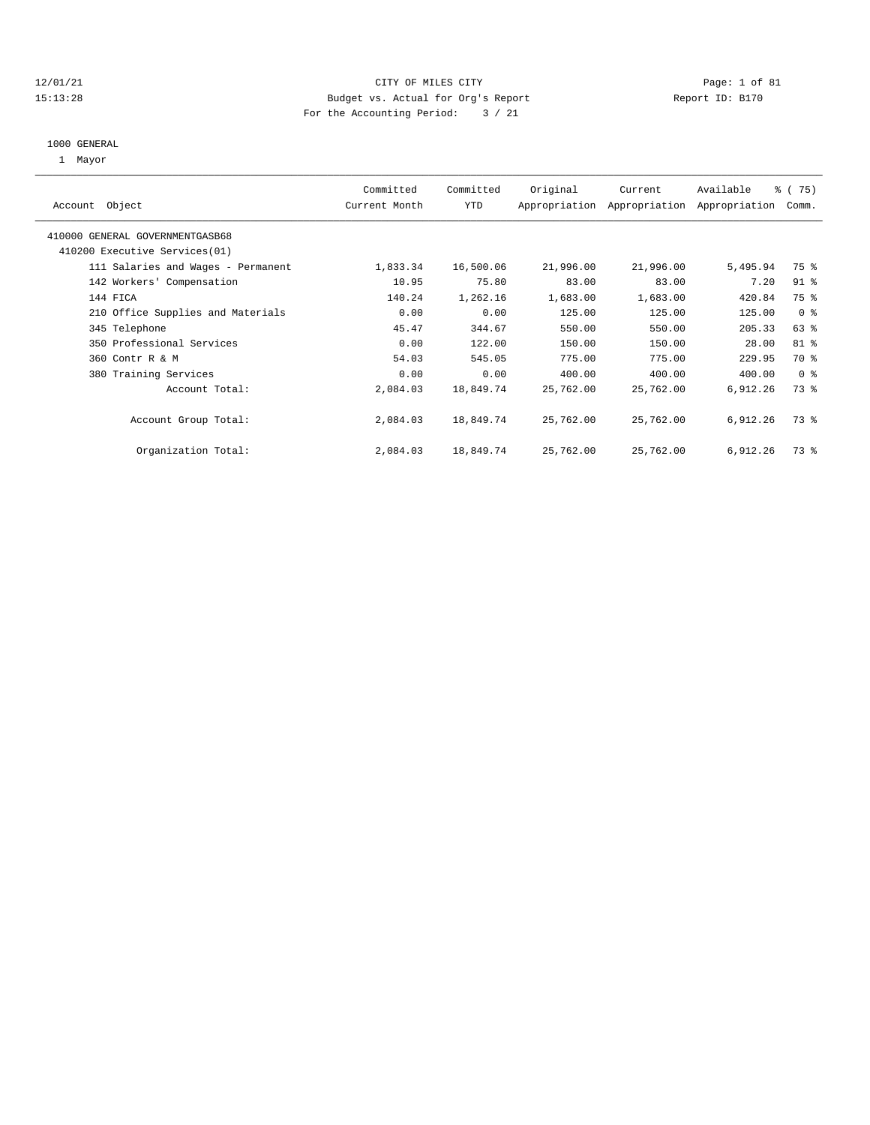#### 12/01/21 CITY OF MILES CITY Page: 1 of 81 15:13:28 Budget vs. Actual for Org's Report Report ID: B170 For the Accounting Period: 3 / 21

# 1000 GENERAL

1 Mayor

| Object<br>Account                  | Committed<br>Current Month | Committed<br><b>YTD</b> | Original  | Current<br>Appropriation Appropriation | Available<br>Appropriation | % (75)<br>Comm. |
|------------------------------------|----------------------------|-------------------------|-----------|----------------------------------------|----------------------------|-----------------|
| 410000 GENERAL GOVERNMENTGASB68    |                            |                         |           |                                        |                            |                 |
| 410200 Executive Services (01)     |                            |                         |           |                                        |                            |                 |
| 111 Salaries and Wages - Permanent | 1,833.34                   | 16,500.06               | 21,996.00 | 21,996.00                              | 5,495.94                   | 75 %            |
| 142 Workers' Compensation          | 10.95                      | 75.80                   | 83.00     | 83.00                                  | 7.20                       | $91$ %          |
| 144 FICA                           | 140.24                     | 1,262.16                | 1,683.00  | 1,683.00                               | 420.84                     | 75 %            |
| 210 Office Supplies and Materials  | 0.00                       | 0.00                    | 125.00    | 125.00                                 | 125.00                     | 0 <sup>8</sup>  |
| 345 Telephone                      | 45.47                      | 344.67                  | 550.00    | 550.00                                 | 205.33                     | 63 %            |
| 350 Professional Services          | 0.00                       | 122.00                  | 150.00    | 150.00                                 | 28.00                      | 81 %            |
| 360 Contr R & M                    | 54.03                      | 545.05                  | 775.00    | 775.00                                 | 229.95                     | 70 %            |
| 380 Training Services              | 0.00                       | 0.00                    | 400.00    | 400.00                                 | 400.00                     | 0 <sup>8</sup>  |
| Account Total:                     | 2,084.03                   | 18,849.74               | 25,762.00 | 25,762.00                              | 6,912.26                   | 73 %            |
| Account Group Total:               | 2,084.03                   | 18,849.74               | 25,762.00 | 25,762.00                              | 6,912.26                   | 73 %            |
| Organization Total:                | 2,084.03                   | 18,849.74               | 25,762.00 | 25,762.00                              | 6,912.26                   | 73 %            |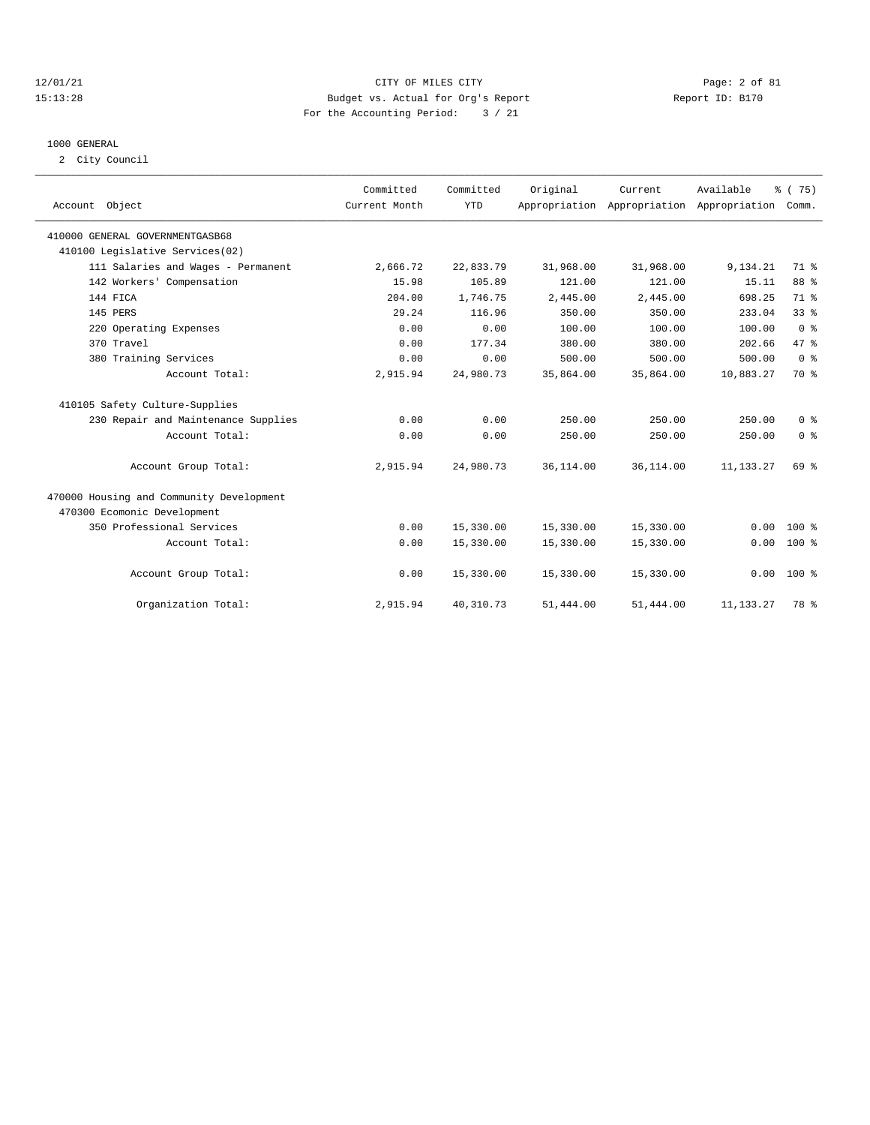#### 12/01/21 CITY OF MILES CITY Page: 2 of 81 15:13:28 Budget vs. Actual for Org's Report Report ID: B170 For the Accounting Period: 3 / 21

#### 1000 GENERAL

2 City Council

| Account Object                           | Committed<br>Current Month | Committed<br><b>YTD</b> | Original   | Current   | Available<br>Appropriation Appropriation Appropriation Comm. | % (75)         |
|------------------------------------------|----------------------------|-------------------------|------------|-----------|--------------------------------------------------------------|----------------|
| 410000 GENERAL GOVERNMENTGASB68          |                            |                         |            |           |                                                              |                |
| 410100 Legislative Services(02)          |                            |                         |            |           |                                                              |                |
| 111 Salaries and Wages - Permanent       | 2,666.72                   | 22,833.79               | 31,968.00  | 31,968.00 | 9,134.21                                                     | 71 %           |
| 142 Workers' Compensation                | 15.98                      | 105.89                  | 121.00     | 121.00    | 15.11                                                        | 88 %           |
| 144 FICA                                 | 204.00                     | 1,746.75                | 2,445.00   | 2,445.00  | 698.25                                                       | 71 %           |
| 145 PERS                                 | 29.24                      | 116.96                  | 350.00     | 350.00    | 233.04                                                       | 338            |
| 220 Operating Expenses                   | 0.00                       | 0.00                    | 100.00     | 100.00    | 100.00                                                       | 0 <sup>8</sup> |
| 370 Travel                               | 0.00                       | 177.34                  | 380.00     | 380.00    | 202.66                                                       | 47.8           |
| 380 Training Services                    | 0.00                       | 0.00                    | 500.00     | 500.00    | 500.00                                                       | 0 <sup>8</sup> |
| Account Total:                           | 2,915.94                   | 24,980.73               | 35,864.00  | 35,864.00 | 10,883.27                                                    | 70 %           |
| 410105 Safety Culture-Supplies           |                            |                         |            |           |                                                              |                |
| 230 Repair and Maintenance Supplies      | 0.00                       | 0.00                    | 250.00     | 250.00    | 250.00                                                       | 0 <sup>8</sup> |
| Account Total:                           | 0.00                       | 0.00                    | 250.00     | 250.00    | 250.00                                                       | 0 <sup>8</sup> |
| Account Group Total:                     | 2,915.94                   | 24,980.73               | 36, 114.00 | 36,114.00 | 11, 133. 27                                                  | 69 %           |
| 470000 Housing and Community Development |                            |                         |            |           |                                                              |                |
| 470300 Ecomonic Development              |                            |                         |            |           |                                                              |                |
| 350 Professional Services                | 0.00                       | 15,330.00               | 15,330.00  | 15,330.00 | 0.00                                                         | $100*$         |
| Account Total:                           | 0.00                       | 15,330.00               | 15,330.00  | 15,330.00 | 0.00                                                         | $100*$         |
| Account Group Total:                     | 0.00                       | 15,330.00               | 15,330.00  | 15,330.00 |                                                              | $0.00 100$ %   |
| Organization Total:                      | 2,915.94                   | 40, 310.73              | 51,444.00  | 51,444.00 | 11, 133. 27                                                  | 78 %           |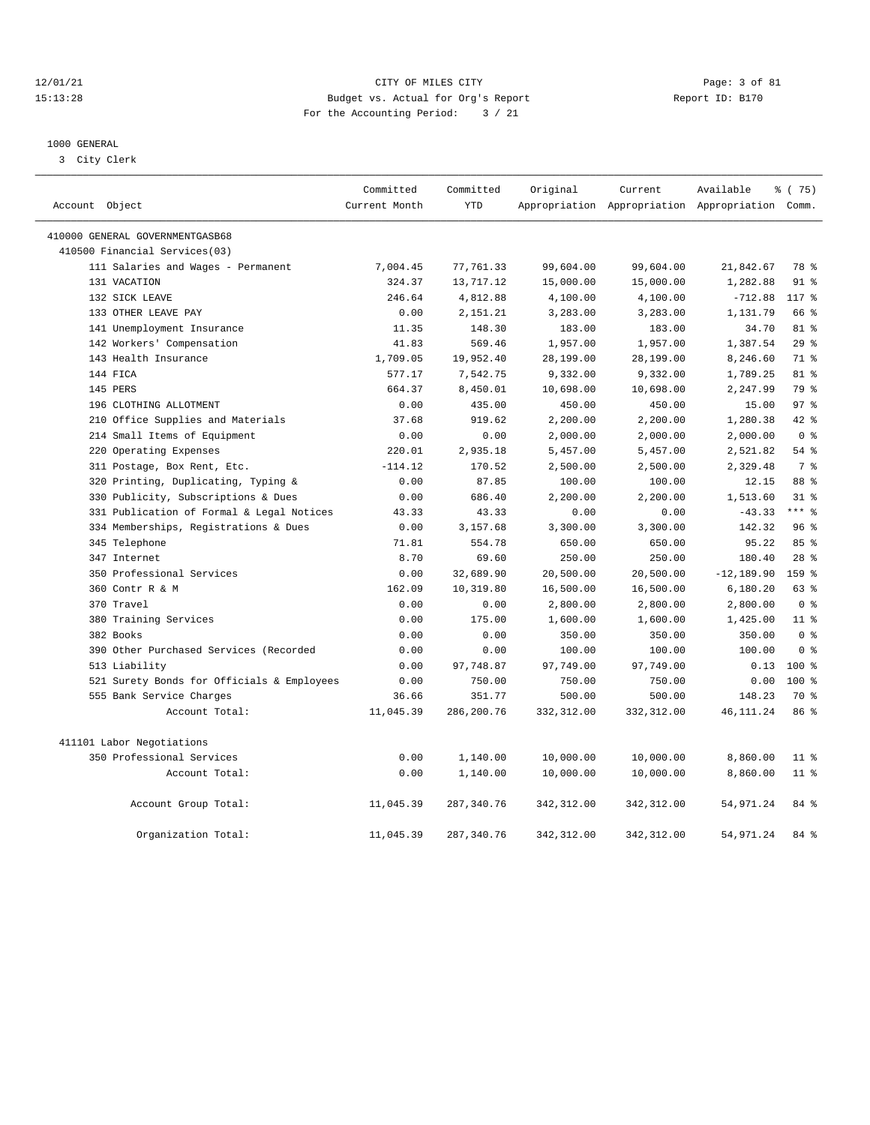#### 12/01/21 CITY OF MILES CITY Page: 3 of 81 15:13:28 Budget vs. Actual for Org's Report Report ID: B170 For the Accounting Period: 3 / 21

————————————————————————————————————————————————————————————————————————————————————————————————————————————————————————————————————

## 1000 GENERAL

3 City Clerk

| Account Object |                                            | Committed<br>Current Month | Committed<br><b>YTD</b> | Original    | Current     | Available<br>Appropriation Appropriation Appropriation Comm. | 8 (75)          |  |
|----------------|--------------------------------------------|----------------------------|-------------------------|-------------|-------------|--------------------------------------------------------------|-----------------|--|
|                | 410000 GENERAL GOVERNMENTGASB68            |                            |                         |             |             |                                                              |                 |  |
|                | 410500 Financial Services(03)              |                            |                         |             |             |                                                              |                 |  |
|                | 111 Salaries and Wages - Permanent         | 7,004.45                   | 77,761.33               | 99,604.00   | 99,604.00   | 21,842.67                                                    | 78 %            |  |
|                | 131 VACATION                               | 324.37                     | 13,717.12               | 15,000.00   | 15,000.00   | 1,282.88                                                     | $91$ %          |  |
|                | 132 SICK LEAVE                             | 246.64                     | 4,812.88                | 4,100.00    | 4,100.00    | $-712.88$                                                    | 117 %           |  |
|                | 133 OTHER LEAVE PAY                        | 0.00                       | 2,151.21                | 3,283.00    | 3,283.00    | 1,131.79                                                     | 66 %            |  |
|                | 141 Unemployment Insurance                 | 11.35                      | 148.30                  | 183.00      | 183.00      | 34.70                                                        | 81 %            |  |
|                | 142 Workers' Compensation                  | 41.83                      | 569.46                  | 1,957.00    | 1,957.00    | 1,387.54                                                     | 29%             |  |
|                | 143 Health Insurance                       | 1,709.05                   | 19,952.40               | 28,199.00   | 28,199.00   | 8,246.60                                                     | 71 %            |  |
|                | 144 FICA                                   | 577.17                     | 7,542.75                | 9,332.00    | 9,332.00    | 1,789.25                                                     | 81 %            |  |
|                | 145 PERS                                   | 664.37                     | 8,450.01                | 10,698.00   | 10,698.00   | 2,247.99                                                     | 79 %            |  |
|                | 196 CLOTHING ALLOTMENT                     | 0.00                       | 435.00                  | 450.00      | 450.00      | 15.00                                                        | 97 <sub>8</sub> |  |
|                | 210 Office Supplies and Materials          | 37.68                      | 919.62                  | 2,200.00    | 2,200.00    | 1,280.38                                                     | $42$ %          |  |
|                | 214 Small Items of Equipment               | 0.00                       | 0.00                    | 2,000.00    | 2,000.00    | 2,000.00                                                     | 0 <sup>8</sup>  |  |
|                | 220 Operating Expenses                     | 220.01                     | 2,935.18                | 5,457.00    | 5,457.00    | 2,521.82                                                     | 54 %            |  |
|                | 311 Postage, Box Rent, Etc.                | $-114.12$                  | 170.52                  | 2,500.00    | 2,500.00    | 2,329.48                                                     | 7 <sup>8</sup>  |  |
|                | 320 Printing, Duplicating, Typing &        | 0.00                       | 87.85                   | 100.00      | 100.00      | 12.15                                                        | 88 %            |  |
|                | 330 Publicity, Subscriptions & Dues        | 0.00                       | 686.40                  | 2,200.00    | 2,200.00    | 1,513.60                                                     | $31$ %          |  |
|                | 331 Publication of Formal & Legal Notices  | 43.33                      | 43.33                   | 0.00        | 0.00        | $-43.33$                                                     | $***$ $%$       |  |
|                | 334 Memberships, Registrations & Dues      | 0.00                       | 3,157.68                | 3,300.00    | 3,300.00    | 142.32                                                       | 96%             |  |
|                | 345 Telephone                              | 71.81                      | 554.78                  | 650.00      | 650.00      | 95.22                                                        | 85 %            |  |
|                | 347 Internet                               | 8.70                       | 69.60                   | 250.00      | 250.00      | 180.40                                                       | $28$ %          |  |
|                | 350 Professional Services                  | 0.00                       | 32,689.90               | 20,500.00   | 20,500.00   | $-12, 189.90$                                                | 159 %           |  |
|                | 360 Contr R & M                            | 162.09                     | 10,319.80               | 16,500.00   | 16,500.00   | 6,180.20                                                     | 63 %            |  |
|                | 370 Travel                                 | 0.00                       | 0.00                    | 2,800.00    | 2,800.00    | 2,800.00                                                     | 0 <sup>8</sup>  |  |
|                | 380 Training Services                      | 0.00                       | 175.00                  | 1,600.00    | 1,600.00    | 1,425.00                                                     | $11$ %          |  |
|                | 382 Books                                  | 0.00                       | 0.00                    | 350.00      | 350.00      | 350.00                                                       | 0 <sup>8</sup>  |  |
|                | 390 Other Purchased Services (Recorded     | 0.00                       | 0.00                    | 100.00      | 100.00      | 100.00                                                       | 0 <sup>8</sup>  |  |
|                | 513 Liability                              | 0.00                       | 97,748.87               | 97,749.00   | 97,749.00   | 0.13                                                         | $100*$          |  |
|                | 521 Surety Bonds for Officials & Employees | 0.00                       | 750.00                  | 750.00      | 750.00      | 0.00                                                         | $100$ %         |  |
|                | 555 Bank Service Charges                   | 36.66                      | 351.77                  | 500.00      | 500.00      | 148.23                                                       | 70 %            |  |
|                | Account Total:                             | 11,045.39                  | 286,200.76              | 332,312.00  | 332,312.00  | 46, 111.24                                                   | 86 %            |  |
|                | 411101 Labor Negotiations                  |                            |                         |             |             |                                                              |                 |  |
|                | 350 Professional Services                  | 0.00                       | 1,140.00                | 10,000.00   | 10,000.00   | 8,860.00                                                     | $11$ %          |  |
|                | Account Total:                             | 0.00                       | 1,140.00                | 10,000.00   | 10,000.00   | 8,860.00                                                     | $11$ %          |  |
|                | Account Group Total:                       | 11,045.39                  | 287, 340.76             | 342, 312.00 | 342, 312.00 | 54,971.24                                                    | 84 %            |  |
|                | Organization Total:                        | 11,045.39                  | 287, 340.76             | 342, 312.00 | 342, 312.00 | 54,971.24                                                    | 84 %            |  |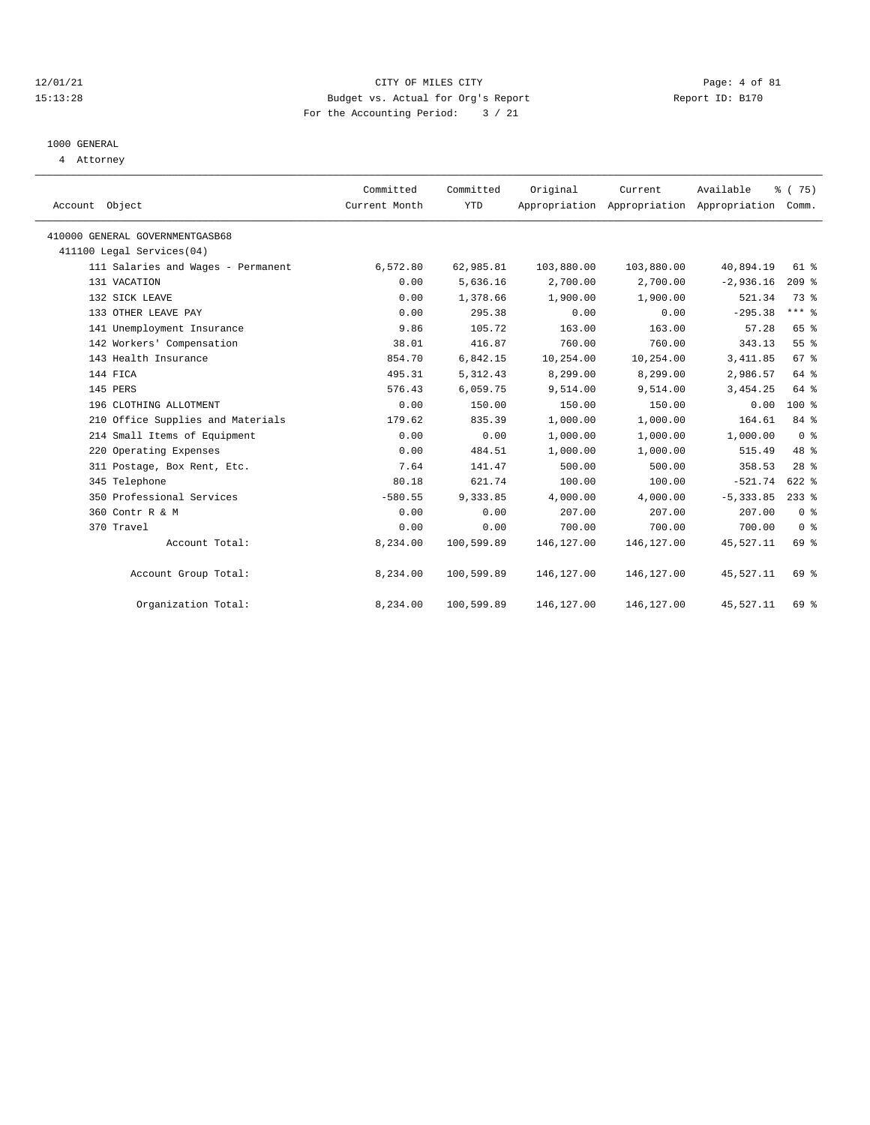#### 12/01/21 CITY OF MILES CITY Page: 4 of 81 15:13:28 Budget vs. Actual for Org's Report Report ID: B170 For the Accounting Period: 3 / 21

# 1000 GENERAL

4 Attorney

| Account Object                     | Committed<br>Current Month | Committed<br><b>YTD</b> | Original   | Current     | Available<br>Appropriation Appropriation Appropriation Comm. | % (75)          |
|------------------------------------|----------------------------|-------------------------|------------|-------------|--------------------------------------------------------------|-----------------|
| 410000 GENERAL GOVERNMENTGASB68    |                            |                         |            |             |                                                              |                 |
| 411100 Legal Services(04)          |                            |                         |            |             |                                                              |                 |
| 111 Salaries and Wages - Permanent | 6,572.80                   | 62,985.81               | 103,880.00 | 103,880.00  | 40,894.19                                                    | $61$ $%$        |
| 131 VACATION                       | 0.00                       | 5,636.16                | 2,700.00   | 2,700.00    | $-2,936.16$                                                  | $209$ $%$       |
| 132 SICK LEAVE                     | 0.00                       | 1,378.66                | 1,900.00   | 1,900.00    | 521.34                                                       | 73.8            |
| 133 OTHER LEAVE PAY                | 0.00                       | 295.38                  | 0.00       | 0.00        | $-295.38$                                                    | $***$ $_{8}$    |
| 141 Unemployment Insurance         | 9.86                       | 105.72                  | 163.00     | 163.00      | 57.28                                                        | 65 %            |
| 142 Workers' Compensation          | 38.01                      | 416.87                  | 760.00     | 760.00      | 343.13                                                       | 55%             |
| 143 Health Insurance               | 854.70                     | 6,842.15                | 10,254.00  | 10,254.00   | 3, 411.85                                                    | 67%             |
| 144 FICA                           | 495.31                     | 5, 312.43               | 8,299.00   | 8,299.00    | 2,986.57                                                     | 64 %            |
| 145 PERS                           | 576.43                     | 6,059.75                | 9,514.00   | 9,514.00    | 3, 454.25                                                    | 64 %            |
| 196 CLOTHING ALLOTMENT             | 0.00                       | 150.00                  | 150.00     | 150.00      | 0.00                                                         | $100*$          |
| 210 Office Supplies and Materials  | 179.62                     | 835.39                  | 1,000.00   | 1,000.00    | 164.61                                                       | 84 %            |
| 214 Small Items of Equipment       | 0.00                       | 0.00                    | 1,000.00   | 1,000.00    | 1,000.00                                                     | 0 <sup>8</sup>  |
| 220 Operating Expenses             | 0.00                       | 484.51                  | 1,000.00   | 1,000.00    | 515.49                                                       | 48 %            |
| 311 Postage, Box Rent, Etc.        | 7.64                       | 141.47                  | 500.00     | 500.00      | 358.53                                                       | 28 <sup>8</sup> |
| 345 Telephone                      | 80.18                      | 621.74                  | 100.00     | 100.00      | $-521.74$                                                    | $622$ $%$       |
| 350 Professional Services          | $-580.55$                  | 9,333.85                | 4,000.00   | 4,000.00    | $-5, 333.85$                                                 | $233$ $%$       |
| 360 Contr R & M                    | 0.00                       | 0.00                    | 207.00     | 207.00      | 207.00                                                       | 0 <sup>8</sup>  |
| 370 Travel                         | 0.00                       | 0.00                    | 700.00     | 700.00      | 700.00                                                       | 0 <sup>8</sup>  |
| Account Total:                     | 8,234.00                   | 100,599.89              | 146,127.00 | 146, 127.00 | 45,527.11                                                    | 69 %            |
| Account Group Total:               | 8,234.00                   | 100,599.89              | 146,127.00 | 146,127.00  | 45,527.11                                                    | 69 %            |
| Organization Total:                | 8,234.00                   | 100,599.89              | 146,127.00 | 146,127.00  | 45,527.11                                                    | 69 %            |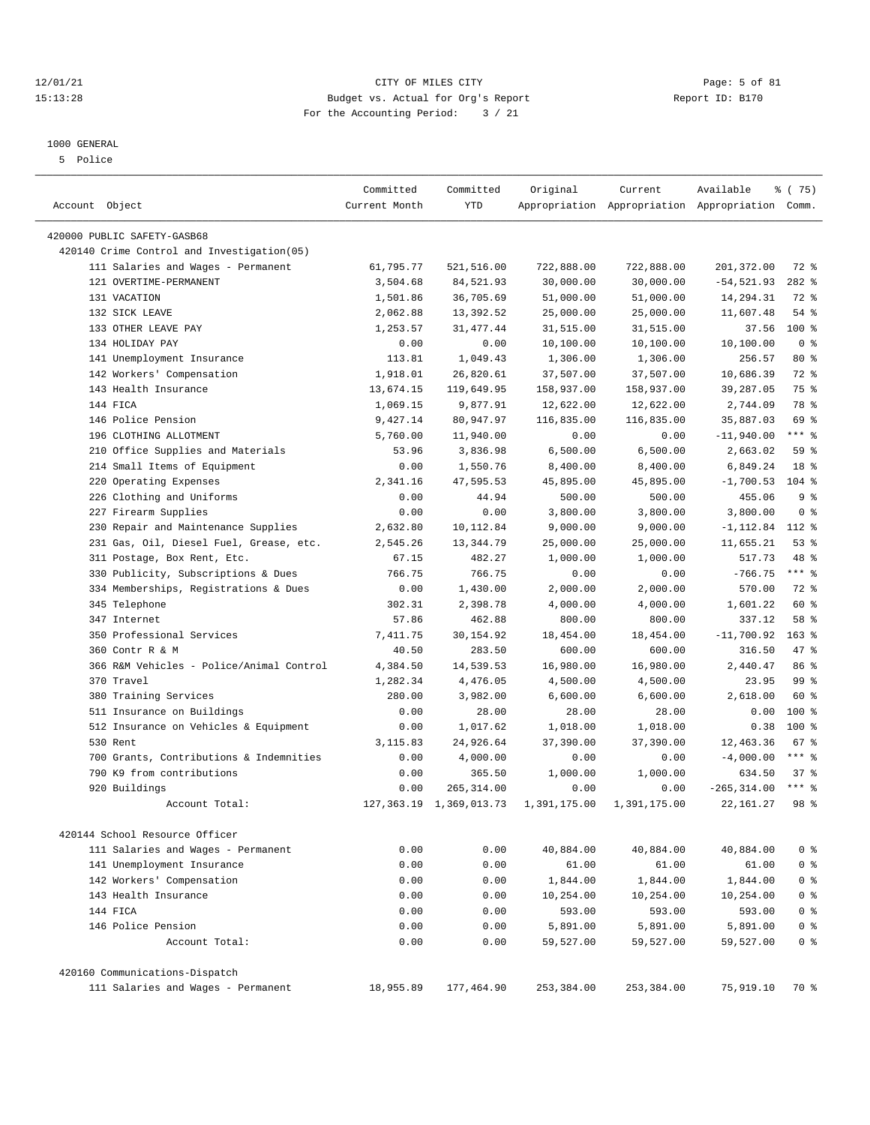#### 12/01/21 Page: 5 of 81 CITY OF MILES CITY OF MILES CITY CONTRIBUTION CONTRIBUTION Page: 5 of 81 CITY OF MILES CITY OF MILES CITY PAGE: 5 OF 81 15:13:28 Budget vs. Actual for Org's Report For the Accounting Period: 3 / 21

#### 1000 GENERAL

5 Police

|                                            | Committed     | Committed                  | Original     | Current      | Available                                       | 8 (75)          |
|--------------------------------------------|---------------|----------------------------|--------------|--------------|-------------------------------------------------|-----------------|
| Account Object                             | Current Month | YTD                        |              |              | Appropriation Appropriation Appropriation Comm. |                 |
| 420000 PUBLIC SAFETY-GASB68                |               |                            |              |              |                                                 |                 |
| 420140 Crime Control and Investigation(05) |               |                            |              |              |                                                 |                 |
| 111 Salaries and Wages - Permanent         | 61,795.77     | 521,516.00                 | 722,888.00   | 722,888.00   | 201,372.00                                      | 72 %            |
| 121 OVERTIME-PERMANENT                     | 3,504.68      | 84,521.93                  | 30,000.00    | 30,000.00    | $-54, 521.93$                                   | $282$ %         |
| 131 VACATION                               | 1,501.86      | 36,705.69                  | 51,000.00    | 51,000.00    | 14,294.31                                       | 72 %            |
| 132 SICK LEAVE                             | 2,062.88      | 13,392.52                  | 25,000.00    | 25,000.00    | 11,607.48                                       | $54$ %          |
| 133 OTHER LEAVE PAY                        | 1,253.57      | 31, 477. 44                | 31,515.00    | 31,515.00    | 37.56                                           | 100 %           |
| 134 HOLIDAY PAY                            | 0.00          | 0.00                       | 10,100.00    | 10,100.00    | 10,100.00                                       | 0 <sup>8</sup>  |
| 141 Unemployment Insurance                 | 113.81        | 1,049.43                   | 1,306.00     | 1,306.00     | 256.57                                          | $80*$           |
| 142 Workers' Compensation                  | 1,918.01      | 26,820.61                  | 37,507.00    | 37,507.00    | 10,686.39                                       | 72 %            |
| 143 Health Insurance                       | 13,674.15     | 119,649.95                 | 158,937.00   | 158,937.00   | 39,287.05                                       | 75 %            |
| 144 FICA                                   | 1,069.15      | 9,877.91                   | 12,622.00    | 12,622.00    | 2,744.09                                        | 78 %            |
| 146 Police Pension                         | 9,427.14      | 80,947.97                  | 116,835.00   | 116,835.00   | 35,887.03                                       | 69 %            |
| 196 CLOTHING ALLOTMENT                     | 5,760.00      | 11,940.00                  | 0.00         | 0.00         | $-11,940.00$                                    | $***$ $_{8}$    |
| 210 Office Supplies and Materials          | 53.96         | 3,836.98                   | 6,500.00     | 6,500.00     | 2,663.02                                        | 59%             |
| 214 Small Items of Equipment               | 0.00          | 1,550.76                   | 8,400.00     | 8,400.00     | 6,849.24                                        | 18 <sup>8</sup> |
| 220 Operating Expenses                     | 2,341.16      | 47,595.53                  | 45,895.00    | 45,895.00    | $-1,700.53$                                     | $104$ %         |
| 226 Clothing and Uniforms                  | 0.00          | 44.94                      | 500.00       | 500.00       | 455.06                                          | 9 <sup>8</sup>  |
| 227 Firearm Supplies                       | 0.00          | 0.00                       | 3,800.00     | 3,800.00     | 3,800.00                                        | 0 <sup>8</sup>  |
| 230 Repair and Maintenance Supplies        | 2,632.80      | 10,112.84                  | 9,000.00     | 9,000.00     | $-1, 112.84$                                    | 112 %           |
| 231 Gas, Oil, Diesel Fuel, Grease, etc.    | 2,545.26      | 13,344.79                  | 25,000.00    | 25,000.00    | 11,655.21                                       | 53%             |
| 311 Postage, Box Rent, Etc.                | 67.15         | 482.27                     | 1,000.00     | 1,000.00     | 517.73                                          | 48 %            |
| 330 Publicity, Subscriptions & Dues        | 766.75        | 766.75                     | 0.00         | 0.00         | $-766.75$                                       | $***$ $_{8}$    |
| 334 Memberships, Registrations & Dues      | 0.00          | 1,430.00                   | 2,000.00     | 2,000.00     | 570.00                                          | 72 %            |
| 345 Telephone                              | 302.31        | 2,398.78                   | 4,000.00     | 4,000.00     | 1,601.22                                        | 60 %            |
| 347 Internet                               | 57.86         | 462.88                     | 800.00       | 800.00       | 337.12                                          | 58 %            |
| 350 Professional Services                  | 7,411.75      | 30,154.92                  | 18,454.00    | 18,454.00    | $-11,700.92$                                    | $163$ %         |
| 360 Contr R & M                            | 40.50         | 283.50                     | 600.00       | 600.00       | 316.50                                          | 47.8            |
| 366 R&M Vehicles - Police/Animal Control   | 4,384.50      | 14,539.53                  | 16,980.00    | 16,980.00    | 2,440.47                                        | 86 %            |
| 370 Travel                                 | 1,282.34      | 4,476.05                   | 4,500.00     | 4,500.00     | 23.95                                           | 99 <sub>8</sub> |
| 380 Training Services                      | 280.00        | 3,982.00                   | 6,600.00     | 6,600.00     | 2,618.00                                        | 60 %            |
| 511 Insurance on Buildings                 | 0.00          | 28.00                      | 28.00        | 28.00        | 0.00                                            | 100 %           |
| 512 Insurance on Vehicles & Equipment      | 0.00          | 1,017.62                   | 1,018.00     | 1,018.00     | 0.38                                            | 100 %           |
| 530 Rent                                   | 3,115.83      | 24,926.64                  | 37,390.00    | 37,390.00    | 12,463.36                                       | 67%             |
| 700 Grants, Contributions & Indemnities    | 0.00          | 4,000.00                   | 0.00         | 0.00         | $-4,000.00$                                     | $***$ $8$       |
| 790 K9 from contributions                  | 0.00          | 365.50                     | 1,000.00     | 1,000.00     | 634.50                                          | 37%             |
| 920 Buildings                              | 0.00          | 265, 314.00                | 0.00         | 0.00         | $-265, 314.00$                                  | $***$ $%$       |
| Account Total:                             |               | 127, 363.19 1, 369, 013.73 | 1,391,175.00 | 1,391,175.00 | 22, 161.27                                      | 98 %            |
| 420144 School Resource Officer             |               |                            |              |              |                                                 |                 |
| 111 Salaries and Wages - Permanent         | 0.00          | 0.00                       | 40,884.00    | 40,884.00    | 40,884.00                                       | 0 <sup>8</sup>  |
| 141 Unemployment Insurance                 | 0.00          | 0.00                       | 61.00        | 61.00        | 61.00                                           | 0 <sup>8</sup>  |
| 142 Workers' Compensation                  | 0.00          | 0.00                       | 1,844.00     | 1,844.00     | 1,844.00                                        | 0 <sup>8</sup>  |
| 143 Health Insurance                       | 0.00          | 0.00                       | 10,254.00    | 10,254.00    | 10,254.00                                       | 0 <sup>8</sup>  |
| 144 FICA                                   | 0.00          | 0.00                       | 593.00       | 593.00       | 593.00                                          | 0 <sup>8</sup>  |
| 146 Police Pension                         | 0.00          | 0.00                       | 5,891.00     | 5,891.00     | 5,891.00                                        | 0 <sup>8</sup>  |
| Account Total:                             | 0.00          | 0.00                       | 59,527.00    | 59,527.00    | 59,527.00                                       | 0 <sup>8</sup>  |
| 420160 Communications-Dispatch             |               |                            |              |              |                                                 |                 |
| 111 Salaries and Wages - Permanent         | 18,955.89     | 177,464.90                 | 253,384.00   | 253,384.00   | 75,919.10                                       | 70 %            |
|                                            |               |                            |              |              |                                                 |                 |

————————————————————————————————————————————————————————————————————————————————————————————————————————————————————————————————————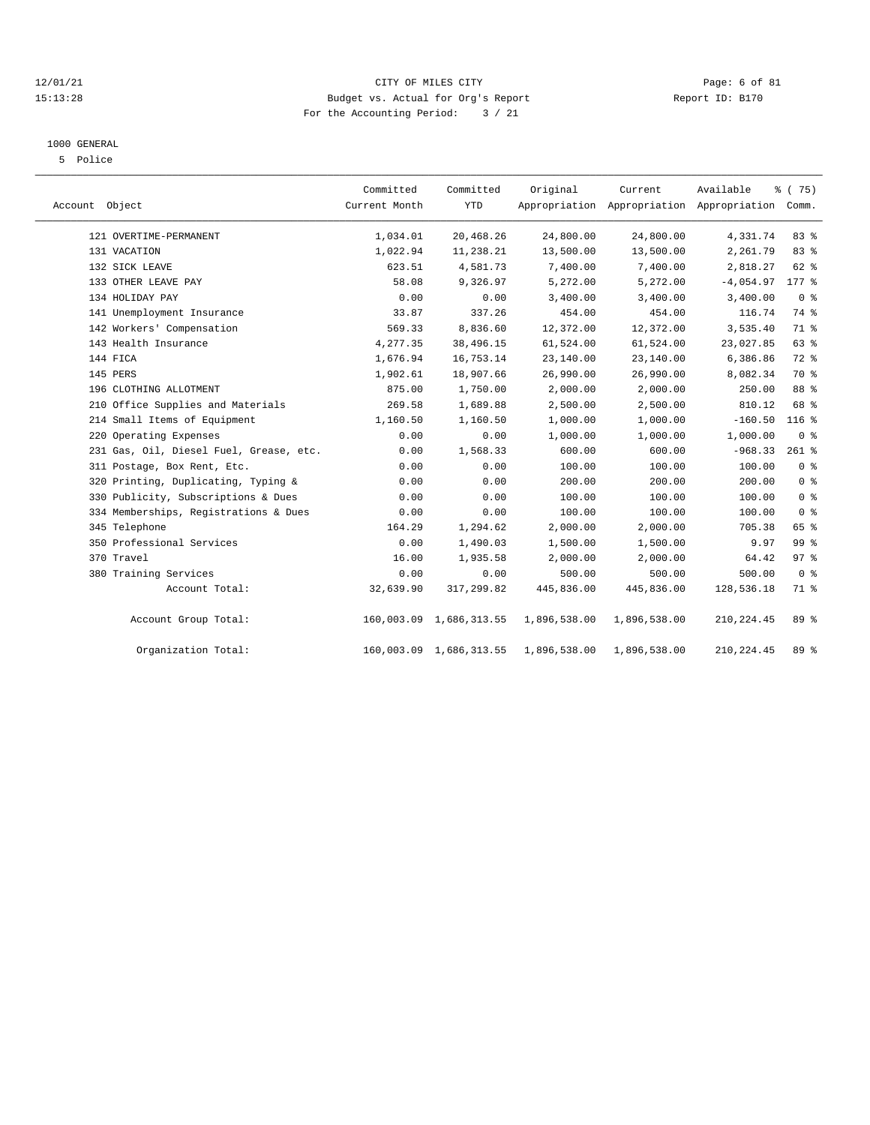#### 12/01/21 CITY OF MILES CITY Page: 6 of 81 15:13:28 Budget vs. Actual for Org's Report Report ID: B170 For the Accounting Period: 3 / 21

#### 1000 GENERAL

5 Police

| Account Object |                                         | Committed<br>Current Month | Committed<br><b>YTD</b> | Original     | Current      | Available<br>Appropriation Appropriation Appropriation Comm. | % (75)         |  |
|----------------|-----------------------------------------|----------------------------|-------------------------|--------------|--------------|--------------------------------------------------------------|----------------|--|
|                | 121 OVERTIME-PERMANENT                  | 1,034.01                   | 20,468.26               | 24,800.00    | 24,800.00    | 4,331.74                                                     | 83 %           |  |
|                | 131 VACATION                            | 1,022.94                   | 11,238.21               | 13,500.00    | 13,500.00    | 2,261.79                                                     | 83 %           |  |
|                | 132 SICK LEAVE                          | 623.51                     | 4,581.73                | 7,400.00     | 7,400.00     | 2,818.27                                                     | 62 %           |  |
|                | 133 OTHER LEAVE PAY                     | 58.08                      | 9,326.97                | 5,272.00     | 5,272.00     | $-4,054.97$                                                  | 177 %          |  |
|                | 134 HOLIDAY PAY                         | 0.00                       | 0.00                    | 3,400.00     | 3,400.00     | 3,400.00                                                     | 0 <sup>8</sup> |  |
|                | 141 Unemployment Insurance              | 33.87                      | 337.26                  | 454.00       | 454.00       | 116.74                                                       | 74 %           |  |
|                | 142 Workers' Compensation               | 569.33                     | 8,836.60                | 12,372.00    | 12,372.00    | 3,535.40                                                     | 71 %           |  |
|                | 143 Health Insurance                    | 4,277.35                   | 38,496.15               | 61,524.00    | 61,524.00    | 23,027.85                                                    | 63 %           |  |
|                | 144 FICA                                | 1,676.94                   | 16,753.14               | 23,140.00    | 23,140.00    | 6,386.86                                                     | 72 %           |  |
|                | 145 PERS                                | 1,902.61                   | 18,907.66               | 26,990.00    | 26,990.00    | 8,082.34                                                     | 70 %           |  |
|                | 196 CLOTHING ALLOTMENT                  | 875.00                     | 1,750.00                | 2,000.00     | 2,000.00     | 250.00                                                       | 88 %           |  |
|                | 210 Office Supplies and Materials       | 269.58                     | 1,689.88                | 2,500.00     | 2,500.00     | 810.12                                                       | 68 %           |  |
|                | 214 Small Items of Equipment            | 1,160.50                   | 1,160.50                | 1,000.00     | 1,000.00     | $-160.50$                                                    | $116$ %        |  |
|                | 220 Operating Expenses                  | 0.00                       | 0.00                    | 1,000.00     | 1,000.00     | 1,000.00                                                     | 0 <sup>8</sup> |  |
|                | 231 Gas, Oil, Diesel Fuel, Grease, etc. | 0.00                       | 1,568.33                | 600.00       | 600.00       | $-968.33$                                                    | $261$ %        |  |
|                | 311 Postage, Box Rent, Etc.             | 0.00                       | 0.00                    | 100.00       | 100.00       | 100.00                                                       | 0 <sup>8</sup> |  |
|                | 320 Printing, Duplicating, Typing &     | 0.00                       | 0.00                    | 200.00       | 200.00       | 200.00                                                       | 0 <sup>8</sup> |  |
|                | 330 Publicity, Subscriptions & Dues     | 0.00                       | 0.00                    | 100.00       | 100.00       | 100.00                                                       | 0 <sup>8</sup> |  |
|                | 334 Memberships, Registrations & Dues   | 0.00                       | 0.00                    | 100.00       | 100.00       | 100.00                                                       | 0 <sup>8</sup> |  |
|                | 345 Telephone                           | 164.29                     | 1,294.62                | 2,000.00     | 2,000.00     | 705.38                                                       | 65 %           |  |
|                | 350 Professional Services               | 0.00                       | 1,490.03                | 1,500.00     | 1,500.00     | 9.97                                                         | 99 %           |  |
|                | 370 Travel                              | 16.00                      | 1,935.58                | 2,000.00     | 2,000.00     | 64.42                                                        | 97%            |  |
|                | 380 Training Services                   | 0.00                       | 0.00                    | 500.00       | 500.00       | 500.00                                                       | 0 <sup>8</sup> |  |
|                | Account Total:                          | 32,639.90                  | 317,299.82              | 445,836.00   | 445,836.00   | 128,536.18                                                   | 71 %           |  |
|                | Account Group Total:                    |                            | 160,003.09 1,686,313.55 | 1,896,538.00 | 1,896,538.00 | 210, 224.45                                                  | 89 %           |  |
|                | Organization Total:                     |                            | 160,003.09 1,686,313.55 | 1,896,538.00 | 1,896,538.00 | 210, 224.45                                                  | 89 %           |  |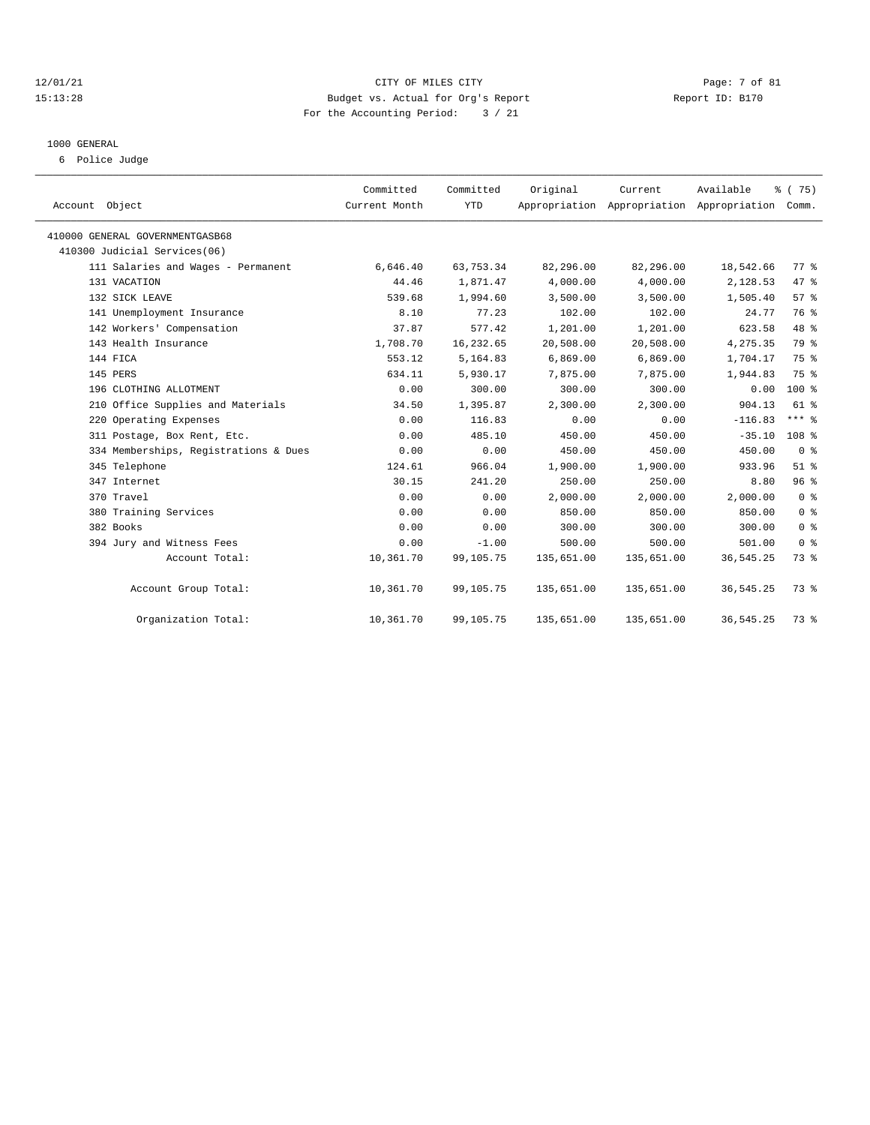#### 12/01/21 CITY OF MILES CITY Page: 7 of 81 15:13:28 Budget vs. Actual for Org's Report Report ID: B170 For the Accounting Period: 3 / 21

# 1000 GENERAL

6 Police Judge

| Account Object                        | Committed<br>Current Month | Committed<br><b>YTD</b> | Original   | Current    | Available<br>Appropriation Appropriation Appropriation Comm. | % (75)           |
|---------------------------------------|----------------------------|-------------------------|------------|------------|--------------------------------------------------------------|------------------|
| 410000 GENERAL GOVERNMENTGASB68       |                            |                         |            |            |                                                              |                  |
| 410300 Judicial Services(06)          |                            |                         |            |            |                                                              |                  |
| 111 Salaries and Wages - Permanent    | 6,646.40                   | 63,753.34               | 82,296.00  | 82,296.00  | 18,542.66                                                    | 77.8             |
| 131 VACATION                          | 44.46                      | 1,871.47                | 4,000.00   | 4,000.00   | 2,128.53                                                     | 47 %             |
| 132 SICK LEAVE                        | 539.68                     | 1,994.60                | 3,500.00   | 3,500.00   | 1,505.40                                                     | 57%              |
| 141 Unemployment Insurance            | 8.10                       | 77.23                   | 102.00     | 102.00     | 24.77                                                        | 76 %             |
| 142 Workers' Compensation             | 37.87                      | 577.42                  | 1,201.00   | 1,201.00   | 623.58                                                       | 48 %             |
| 143 Health Insurance                  | 1,708.70                   | 16,232.65               | 20,508.00  | 20,508.00  | 4,275.35                                                     | 79 %             |
| 144 FICA                              | 553.12                     | 5,164.83                | 6,869.00   | 6,869.00   | 1,704.17                                                     | 75 %             |
| 145 PERS                              | 634.11                     | 5,930.17                | 7,875.00   | 7,875.00   | 1,944.83                                                     | 75 %             |
| 196 CLOTHING ALLOTMENT                | 0.00                       | 300.00                  | 300.00     | 300.00     | 0.00                                                         | 100 %            |
| 210 Office Supplies and Materials     | 34.50                      | 1,395.87                | 2,300.00   | 2,300.00   | 904.13                                                       | $61$ $%$         |
| 220 Operating Expenses                | 0.00                       | 116.83                  | 0.00       | 0.00       | $-116.83$                                                    | $***$ $%$        |
| 311 Postage, Box Rent, Etc.           | 0.00                       | 485.10                  | 450.00     | 450.00     | $-35.10$                                                     | 108 <sup>8</sup> |
| 334 Memberships, Registrations & Dues | 0.00                       | 0.00                    | 450.00     | 450.00     | 450.00                                                       | 0 <sup>8</sup>   |
| 345 Telephone                         | 124.61                     | 966.04                  | 1,900.00   | 1,900.00   | 933.96                                                       | $51$ %           |
| 347 Internet                          | 30.15                      | 241.20                  | 250.00     | 250.00     | 8.80                                                         | 96%              |
| 370 Travel                            | 0.00                       | 0.00                    | 2,000.00   | 2,000.00   | 2,000.00                                                     | 0 <sup>8</sup>   |
| 380 Training Services                 | 0.00                       | 0.00                    | 850.00     | 850.00     | 850.00                                                       | 0 <sup>8</sup>   |
| 382 Books                             | 0.00                       | 0.00                    | 300.00     | 300.00     | 300.00                                                       | 0 <sup>8</sup>   |
| 394 Jury and Witness Fees             | 0.00                       | $-1.00$                 | 500.00     | 500.00     | 501.00                                                       | 0 <sup>8</sup>   |
| Account Total:                        | 10,361.70                  | 99,105.75               | 135,651.00 | 135,651.00 | 36, 545.25                                                   | 73 %             |
| Account Group Total:                  | 10,361.70                  | 99,105.75               | 135,651.00 | 135,651.00 | 36, 545.25                                                   | 73 %             |
| Organization Total:                   | 10,361.70                  | 99,105.75               | 135,651.00 | 135,651.00 | 36, 545.25                                                   | 73 %             |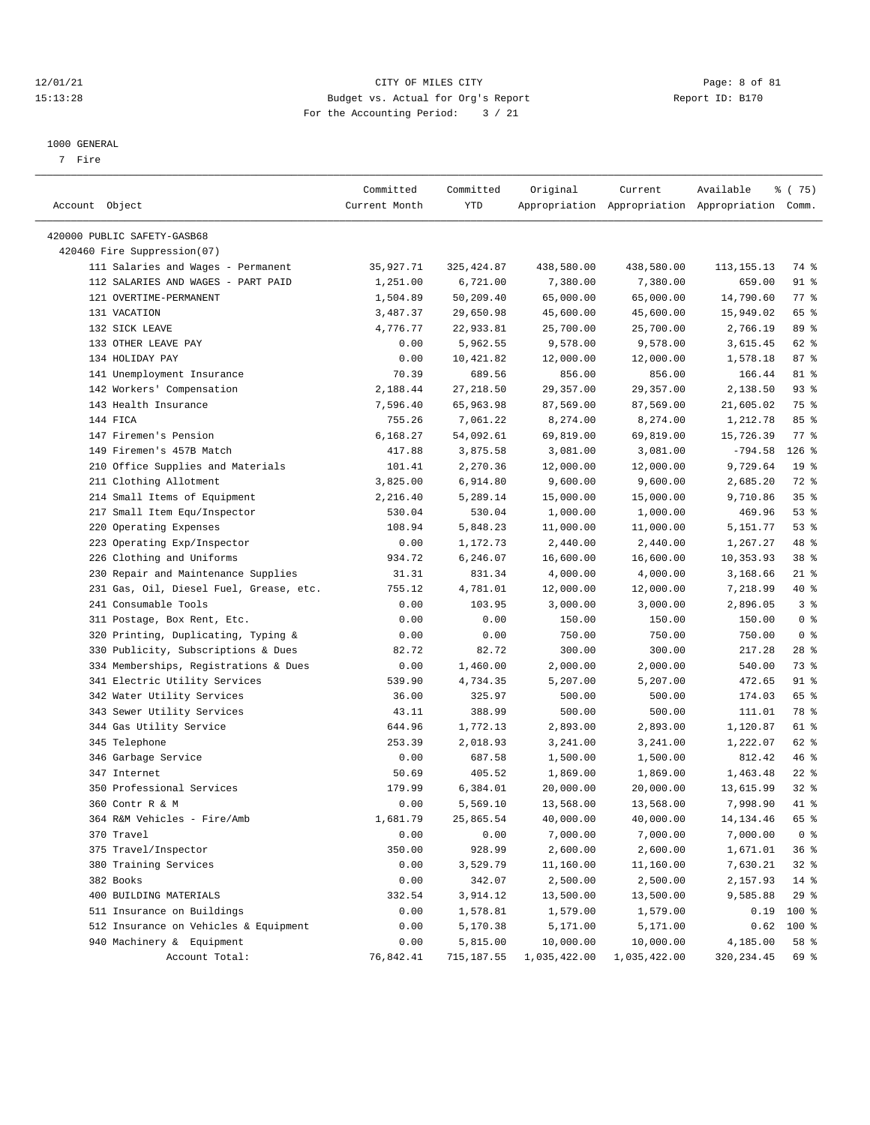#### 12/01/21 CITY OF MILES CITY Page: 8 of 81 15:13:28 Budget vs. Actual for Org's Report Report ID: B170 For the Accounting Period: 3 / 21

————————————————————————————————————————————————————————————————————————————————————————————————————————————————————————————————————

#### 1000 GENERAL

7 Fire

|                                         | Committed     | Committed             | Original     | Current               | Available                                       | 8 (75)          |
|-----------------------------------------|---------------|-----------------------|--------------|-----------------------|-------------------------------------------------|-----------------|
| Account Object                          | Current Month | YTD                   |              |                       | Appropriation Appropriation Appropriation Comm. |                 |
| 420000 PUBLIC SAFETY-GASB68             |               |                       |              |                       |                                                 |                 |
| 420460 Fire Suppression(07)             |               |                       |              |                       |                                                 |                 |
| 111 Salaries and Wages - Permanent      | 35,927.71     | 325,424.87            | 438,580.00   | 438,580.00            | 113, 155. 13                                    | 74 %            |
| 112 SALARIES AND WAGES - PART PAID      | 1,251.00      | 6,721.00              | 7,380.00     | 7,380.00              | 659.00                                          | 91 %            |
| 121 OVERTIME-PERMANENT                  | 1,504.89      | 50,209.40             | 65,000.00    | 65,000.00             | 14,790.60                                       | 77 %            |
| 131 VACATION                            |               |                       |              | 45,600.00             |                                                 | 65 %            |
| 132 SICK LEAVE                          | 3,487.37      | 29,650.98             | 45,600.00    |                       | 15,949.02                                       | 89 %            |
| 133 OTHER LEAVE PAY                     | 4,776.77      | 22,933.81<br>5,962.55 | 25,700.00    | 25,700.00<br>9,578.00 | 2,766.19                                        | 62 %            |
|                                         | 0.00          |                       | 9,578.00     |                       | 3,615.45                                        |                 |
| 134 HOLIDAY PAY                         | 0.00          | 10,421.82             | 12,000.00    | 12,000.00             | 1,578.18                                        | 87%             |
| 141 Unemployment Insurance              | 70.39         | 689.56                | 856.00       | 856.00                | 166.44                                          | 81 %            |
| 142 Workers' Compensation               | 2,188.44      | 27, 218.50            | 29,357.00    | 29,357.00             | 2,138.50                                        | 93%             |
| 143 Health Insurance                    | 7,596.40      | 65,963.98             | 87,569.00    | 87,569.00             | 21,605.02                                       | 75 %            |
| 144 FICA                                | 755.26        | 7,061.22              | 8,274.00     | 8,274.00              | 1,212.78                                        | 85%             |
| 147 Firemen's Pension                   | 6,168.27      | 54,092.61             | 69,819.00    | 69,819.00             | 15,726.39                                       | $77$ $%$        |
| 149 Firemen's 457B Match                | 417.88        | 3,875.58              | 3,081.00     | 3,081.00              | $-794.58$                                       | $126$ %         |
| 210 Office Supplies and Materials       | 101.41        | 2,270.36              | 12,000.00    | 12,000.00             | 9,729.64                                        | 19 <sup>°</sup> |
| 211 Clothing Allotment                  | 3,825.00      | 6,914.80              | 9,600.00     | 9,600.00              | 2,685.20                                        | 72 %            |
| 214 Small Items of Equipment            | 2,216.40      | 5,289.14              | 15,000.00    | 15,000.00             | 9,710.86                                        | 35%             |
| 217 Small Item Equ/Inspector            | 530.04        | 530.04                | 1,000.00     | 1,000.00              | 469.96                                          | 53%             |
| 220 Operating Expenses                  | 108.94        | 5,848.23              | 11,000.00    | 11,000.00             | 5,151.77                                        | 53%             |
| 223 Operating Exp/Inspector             | 0.00          | 1,172.73              | 2,440.00     | 2,440.00              | 1,267.27                                        | 48 %            |
| 226 Clothing and Uniforms               | 934.72        | 6,246.07              | 16,600.00    | 16,600.00             | 10,353.93                                       | 38 %            |
| 230 Repair and Maintenance Supplies     | 31.31         | 831.34                | 4,000.00     | 4,000.00              | 3,168.66                                        | $21$ %          |
| 231 Gas, Oil, Diesel Fuel, Grease, etc. | 755.12        | 4,781.01              | 12,000.00    | 12,000.00             | 7,218.99                                        | 40 %            |
| 241 Consumable Tools                    | 0.00          | 103.95                | 3,000.00     | 3,000.00              | 2,896.05                                        | 3%              |
| 311 Postage, Box Rent, Etc.             | 0.00          | 0.00                  | 150.00       | 150.00                | 150.00                                          | 0 <sup>8</sup>  |
| 320 Printing, Duplicating, Typing &     | 0.00          | 0.00                  | 750.00       | 750.00                | 750.00                                          | 0 <sup>8</sup>  |
| 330 Publicity, Subscriptions & Dues     | 82.72         | 82.72                 | 300.00       | 300.00                | 217.28                                          | $28$ %          |
| 334 Memberships, Registrations & Dues   | 0.00          | 1,460.00              | 2,000.00     | 2,000.00              | 540.00                                          | 73 %            |
| 341 Electric Utility Services           | 539.90        | 4,734.35              | 5,207.00     | 5,207.00              | 472.65                                          | 91 %            |
| 342 Water Utility Services              | 36.00         | 325.97                | 500.00       | 500.00                | 174.03                                          | 65 %            |
| 343 Sewer Utility Services              | 43.11         | 388.99                | 500.00       | 500.00                | 111.01                                          | 78 %            |
| 344 Gas Utility Service                 | 644.96        | 1,772.13              | 2,893.00     | 2,893.00              | 1,120.87                                        | 61 %            |
| 345 Telephone                           | 253.39        | 2,018.93              | 3,241.00     | 3,241.00              | 1,222.07                                        | 62 %            |
| 346 Garbage Service                     | 0.00          | 687.58                | 1,500.00     | 1,500.00              | 812.42                                          | 46%             |
| 347 Internet                            | 50.69         | 405.52                | 1,869.00     | 1,869.00              | 1,463.48                                        | $22$ %          |
| 350 Professional Services               | 179.99        | 6,384.01              | 20,000.00    | 20,000.00             | 13,615.99                                       | $32$ %          |
| 360 Contr R & M                         | 0.00          | 5,569.10              | 13,568.00    | 13,568.00             | 7,998.90                                        | 41 %            |
| 364 R&M Vehicles - Fire/Amb             | 1,681.79      | 25,865.54             | 40,000.00    | 40,000.00             | 14,134.46                                       | 65 %            |
| 370 Travel                              | 0.00          | 0.00                  | 7,000.00     | 7,000.00              | 7,000.00                                        | 0 <sup>8</sup>  |
| 375 Travel/Inspector                    | 350.00        | 928.99                | 2,600.00     | 2,600.00              | 1,671.01                                        | 36%             |
| 380 Training Services                   | 0.00          | 3,529.79              | 11,160.00    | 11,160.00             | 7,630.21                                        | 32%             |
| 382 Books                               | 0.00          | 342.07                | 2,500.00     | 2,500.00              | 2,157.93                                        | $14$ %          |
| 400 BUILDING MATERIALS                  | 332.54        | 3,914.12              | 13,500.00    | 13,500.00             | 9,585.88                                        | 29%             |
| 511 Insurance on Buildings              | 0.00          | 1,578.81              | 1,579.00     | 1,579.00              | 0.19                                            | 100 %           |
| 512 Insurance on Vehicles & Equipment   | 0.00          | 5,170.38              | 5,171.00     | 5,171.00              | 0.62                                            | 100 %           |
| 940 Machinery & Equipment               | 0.00          | 5,815.00              | 10,000.00    | 10,000.00             | 4,185.00                                        | 58 %            |
| Account Total:                          | 76,842.41     | 715,187.55            | 1,035,422.00 | 1,035,422.00          | 320, 234.45                                     | 69 %            |
|                                         |               |                       |              |                       |                                                 |                 |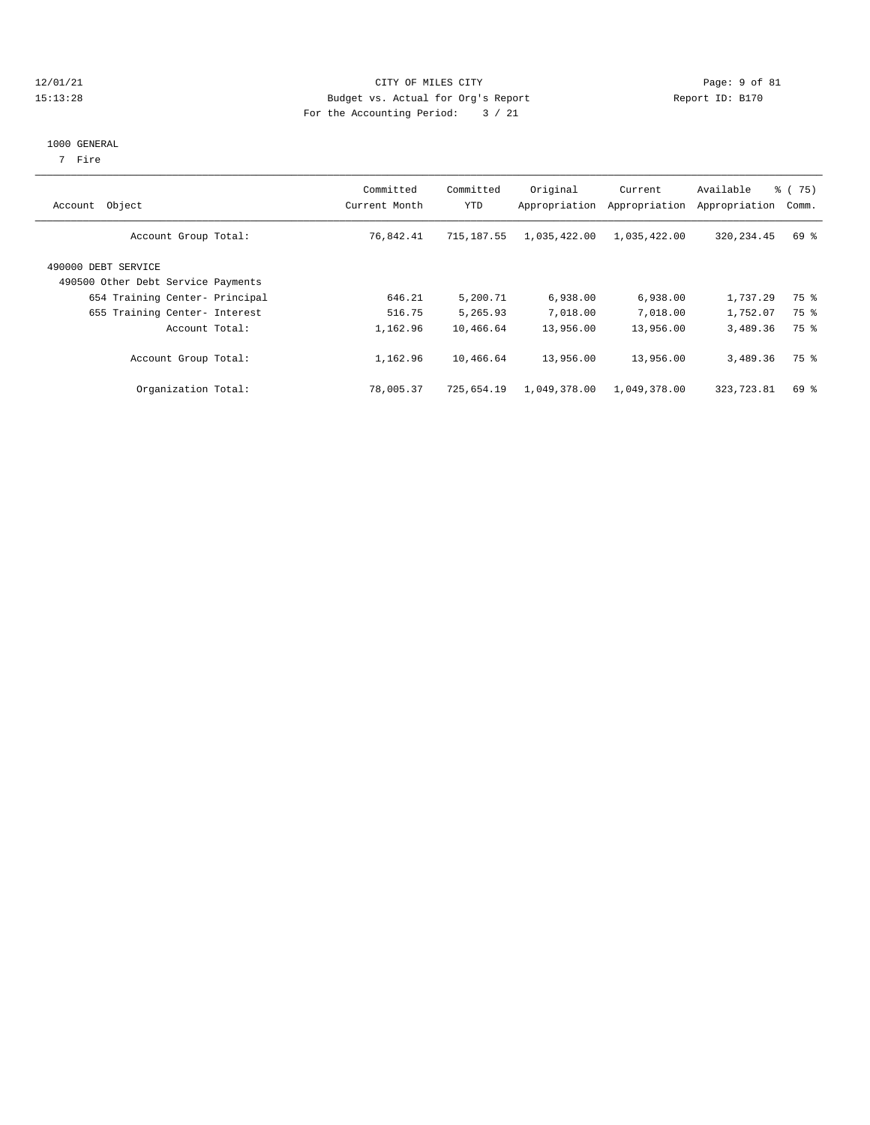#### 12/01/21 Page: 9 of 81 CITY OF MILES CITY OF MILES CITY CONTRIBUTION CONTRIBUTION Page: 9 of 81 CITY OF MILES CITY OF MILES CITY PAGE: 9 OF 81 15:13:28 Budget vs. Actual for Org's Report For the Accounting Period: 3 / 21

#### 1000 GENERAL

7 Fire

| Object<br>Account                                         | Committed<br>Current Month | Committed<br>YTD | Original<br>Appropriation | Current<br>Appropriation | Available<br>Appropriation | % (75)<br>Comm. |
|-----------------------------------------------------------|----------------------------|------------------|---------------------------|--------------------------|----------------------------|-----------------|
| Account Group Total:                                      | 76,842.41                  | 715,187.55       | 1,035,422.00              | 1,035,422.00             | 320, 234.45                | 69 %            |
| 490000 DEBT SERVICE<br>490500 Other Debt Service Payments |                            |                  |                           |                          |                            |                 |
| 654 Training Center- Principal                            | 646.21                     | 5,200.71         | 6,938.00                  | 6,938.00                 | 1,737.29                   | 75 %            |
| 655 Training Center- Interest                             | 516.75                     | 5,265.93         | 7,018.00                  | 7,018.00                 | 1,752.07                   | 75 %            |
| Account Total:                                            | 1,162.96                   | 10,466.64        | 13,956.00                 | 13,956.00                | 3,489.36                   | 75 %            |
| Account Group Total:                                      | 1,162.96                   | 10,466.64        | 13,956.00                 | 13,956.00                | 3,489.36                   | 75 %            |
| Organization Total:                                       | 78,005.37                  | 725,654.19       | 1,049,378.00              | 1,049,378.00             | 323,723.81                 | 69 %            |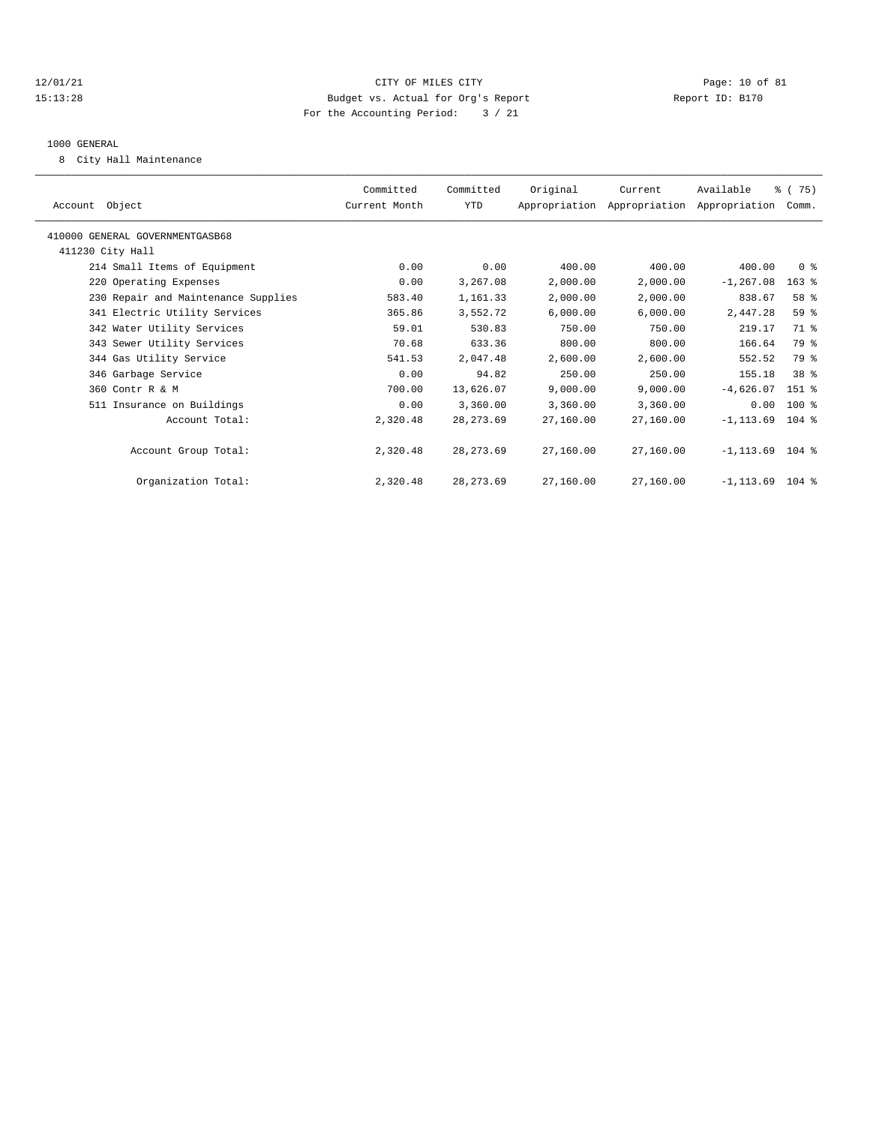#### 12/01/21 Page: 10 of 81 15:13:28 Budget vs. Actual for Org's Report Report ID: B170 For the Accounting Period: 3 / 21

#### 1000 GENERAL

8 City Hall Maintenance

|                                     | Committed     | Committed  | Original  | Current                                   | Available          | % (75)         |
|-------------------------------------|---------------|------------|-----------|-------------------------------------------|--------------------|----------------|
| Account Object                      | Current Month | <b>YTD</b> |           | Appropriation Appropriation Appropriation |                    | Comm.          |
| 410000 GENERAL GOVERNMENTGASB68     |               |            |           |                                           |                    |                |
| 411230 City Hall                    |               |            |           |                                           |                    |                |
| 214 Small Items of Equipment        | 0.00          | 0.00       | 400.00    | 400.00                                    | 400.00             | 0 <sup>8</sup> |
| 220 Operating Expenses              | 0.00          | 3,267.08   | 2,000.00  | 2,000.00                                  | $-1, 267.08$       | $163$ %        |
| 230 Repair and Maintenance Supplies | 583.40        | 1,161.33   | 2,000.00  | 2,000.00                                  | 838.67             | 58 %           |
| 341 Electric Utility Services       | 365.86        | 3,552.72   | 6,000.00  | 6,000.00                                  | 2,447.28           | 59 %           |
| 342 Water Utility Services          | 59.01         | 530.83     | 750.00    | 750.00                                    | 219.17             | 71 %           |
| 343 Sewer Utility Services          | 70.68         | 633.36     | 800.00    | 800.00                                    | 166.64             | 79 %           |
| 344 Gas Utility Service             | 541.53        | 2,047.48   | 2,600.00  | 2,600.00                                  | 552.52             | 79 %           |
| 346 Garbage Service                 | 0.00          | 94.82      | 250.00    | 250.00                                    | 155.18             | 38 %           |
| 360 Contr R & M                     | 700.00        | 13,626.07  | 9,000.00  | 9,000.00                                  | $-4,626.07$        | 151 %          |
| 511 Insurance on Buildings          | 0.00          | 3,360.00   | 3,360.00  | 3,360.00                                  | 0.00               | 100 %          |
| Account Total:                      | 2,320.48      | 28, 273.69 | 27,160.00 | 27,160.00                                 | $-1, 113.69$       | $104$ %        |
| Account Group Total:                | 2,320.48      | 28, 273.69 | 27,160.00 | 27,160.00                                 | $-1, 113.69$ 104 % |                |
| Organization Total:                 | 2,320.48      | 28, 273.69 | 27,160.00 | 27,160.00                                 | $-1, 113.69$       | $104$ %        |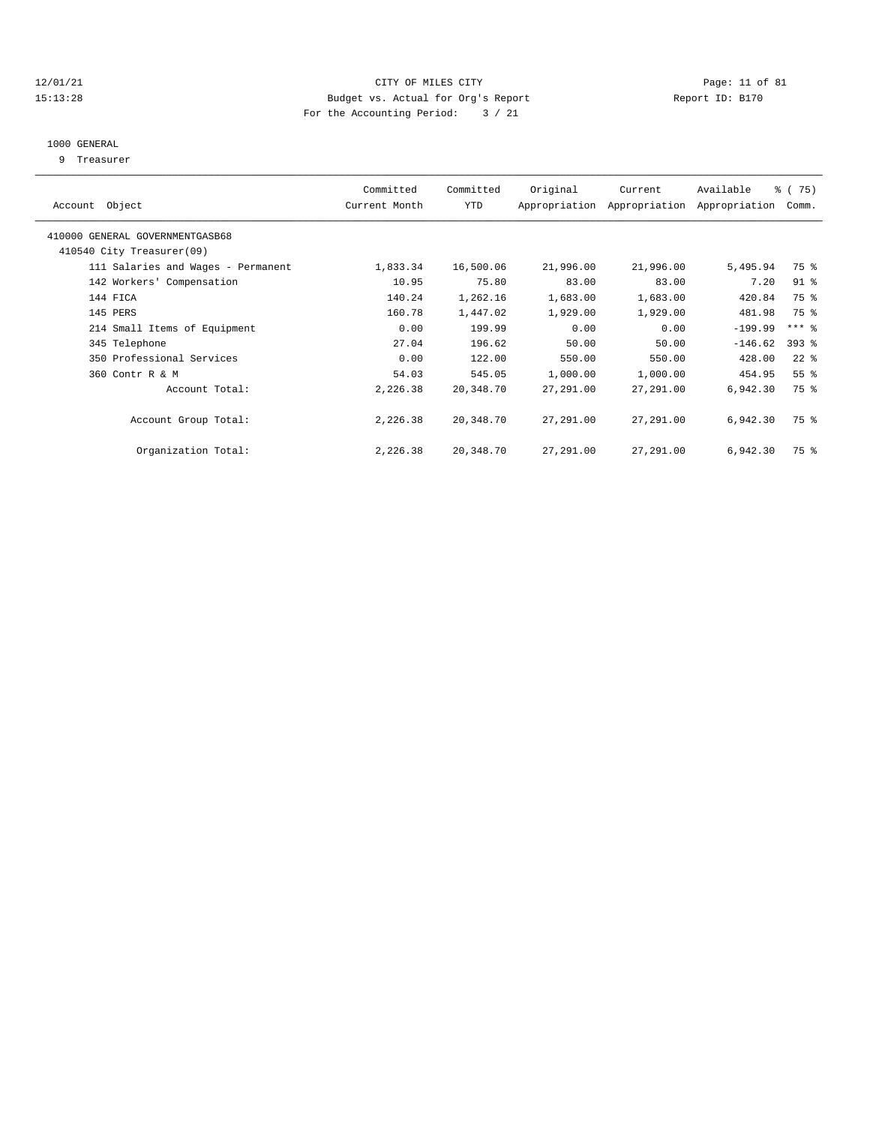#### 12/01/21 Page: 11 of 81 15:13:28 Budget vs. Actual for Org's Report Report ID: B170 For the Accounting Period: 3 / 21

#### 1000 GENERAL

9 Treasurer

| Object<br>Account                  | Committed<br>Current Month | Committed<br><b>YTD</b> | Original  | Current<br>Appropriation Appropriation | Available<br>Appropriation | % (75)<br>Comm.     |  |
|------------------------------------|----------------------------|-------------------------|-----------|----------------------------------------|----------------------------|---------------------|--|
| 410000 GENERAL GOVERNMENTGASB68    |                            |                         |           |                                        |                            |                     |  |
| 410540 City Treasurer(09)          |                            |                         |           |                                        |                            |                     |  |
| 111 Salaries and Wages - Permanent | 1,833.34                   | 16,500.06               | 21,996.00 | 21,996.00                              | 5,495.94                   | 75 %                |  |
| 142 Workers' Compensation          | 10.95                      | 75.80                   | 83.00     | 83.00                                  | 7.20                       | $91$ %              |  |
| 144 FICA                           | 140.24                     | 1,262.16                | 1,683.00  | 1,683.00                               | 420.84                     | 75 %                |  |
| 145 PERS                           | 160.78                     | 1,447.02                | 1,929.00  | 1,929.00                               | 481.98                     | 75 %                |  |
| 214 Small Items of Equipment       | 0.00                       | 199.99                  | 0.00      | 0.00                                   | $-199.99$                  | $***$ $\frac{6}{5}$ |  |
| 345 Telephone                      | 27.04                      | 196.62                  | 50.00     | 50.00                                  | $-146.62$                  | $393$ $%$           |  |
| 350 Professional Services          | 0.00                       | 122.00                  | 550.00    | 550.00                                 | 428.00                     | $22$ $%$            |  |
| 360 Contr R & M                    | 54.03                      | 545.05                  | 1,000.00  | 1,000.00                               | 454.95                     | 55 <sup>8</sup>     |  |
| Account Total:                     | 2,226.38                   | 20,348.70               | 27,291.00 | 27,291.00                              | 6,942.30                   | 75 %                |  |
| Account Group Total:               | 2,226.38                   | 20,348.70               | 27,291.00 | 27,291.00                              | 6,942.30                   | 75 %                |  |
| Organization Total:                | 2,226.38                   | 20,348.70               | 27,291.00 | 27,291.00                              | 6,942.30                   | 75 %                |  |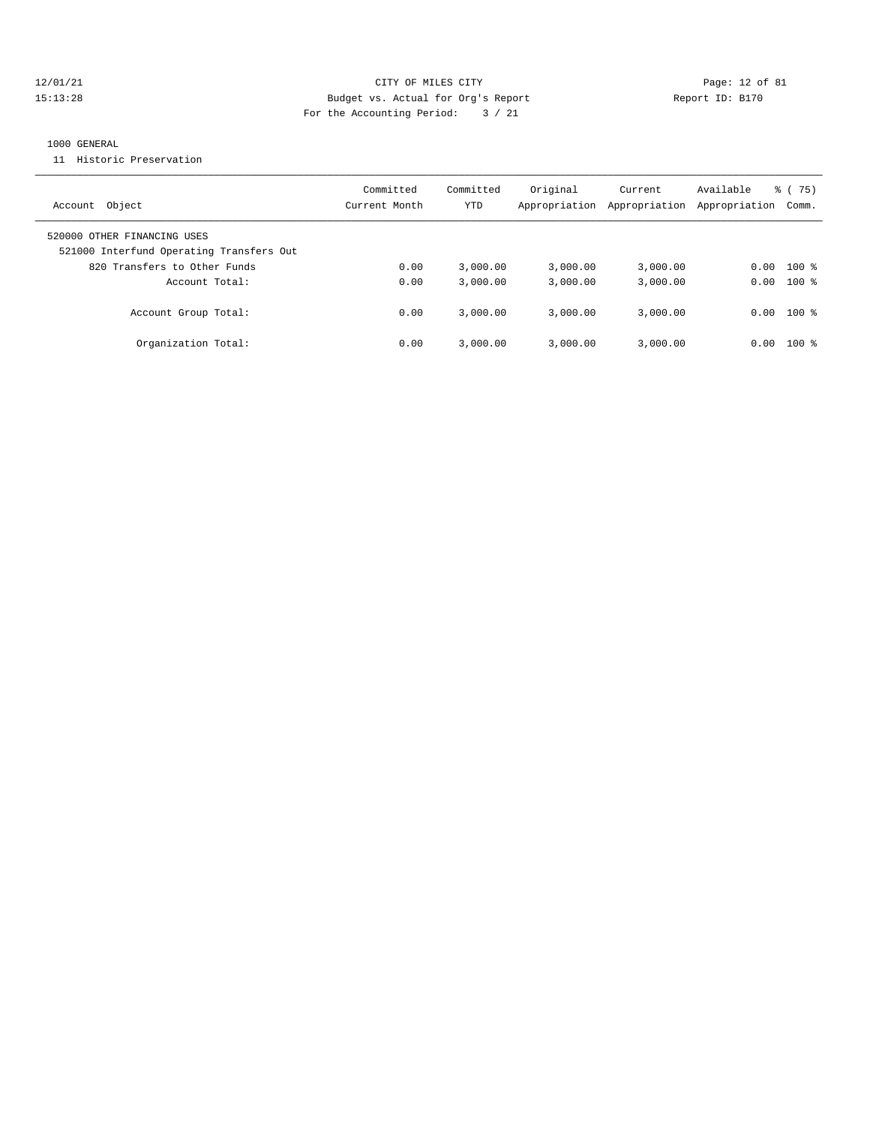## 12/01/21 Page: 12 of 81 15:13:28 Budget vs. Actual for Org's Report Report ID: B170 For the Accounting Period: 3 / 21

#### 1000 GENERAL

11 Historic Preservation

| Account Object                                                          | Committed<br>Current Month | Committed<br>YTD | Original<br>Appropriation | Current<br>Appropriation | Available<br>Appropriation | 75)<br>ී (<br>Comm. |
|-------------------------------------------------------------------------|----------------------------|------------------|---------------------------|--------------------------|----------------------------|---------------------|
| 520000 OTHER FINANCING USES<br>521000 Interfund Operating Transfers Out |                            |                  |                           |                          |                            |                     |
| 820 Transfers to Other Funds                                            | 0.00                       | 3.000.00         | 3.000.00                  | 3,000.00                 | 0.00                       | $100*$              |
| Account Total:                                                          | 0.00                       | 3.000.00         | 3.000.00                  | 3,000.00                 |                            | $0.00$ 100 %        |
| Account Group Total:                                                    | 0.00                       | 3.000.00         | 3.000.00                  | 3,000.00                 |                            | $0.00$ 100 %        |
| Organization Total:                                                     | 0.00                       | 3.000.00         | 3.000.00                  | 3,000.00                 | 0.00                       | $100$ %             |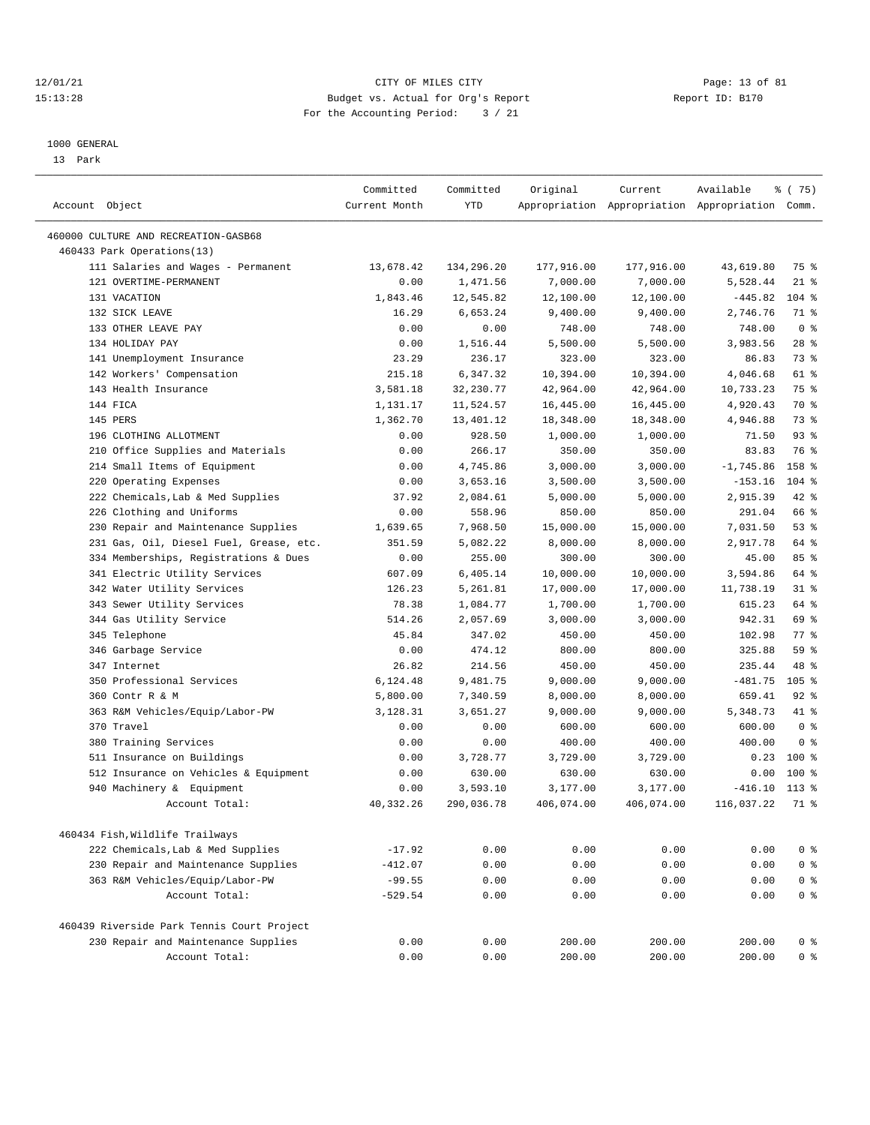## 12/01/21 Page: 13 of 81 CITY OF MILES CITY CONTRIBUTE CONTRIBUTE CONTRIBUTE CITY CONTRIBUTE CITY PAGE: 13 of 81<br>15:13:28 Budget vs. Actual for Org's Report (1995) Report ID: B170 15:13:28 Budget vs. Actual for Org's Report For the Accounting Period: 3 / 21

————————————————————————————————————————————————————————————————————————————————————————————————————————————————————————————————————

#### 1000 GENERAL

13 Park

|                                            | Committed     | Committed  | Original   | Current                                         | Available   | % (75)         |
|--------------------------------------------|---------------|------------|------------|-------------------------------------------------|-------------|----------------|
| Account Object                             | Current Month | YTD        |            | Appropriation Appropriation Appropriation Comm. |             |                |
| 460000 CULTURE AND RECREATION-GASB68       |               |            |            |                                                 |             |                |
| 460433 Park Operations(13)                 |               |            |            |                                                 |             |                |
| 111 Salaries and Wages - Permanent         | 13,678.42     | 134,296.20 | 177,916.00 | 177,916.00                                      | 43,619.80   | 75 %           |
| 121 OVERTIME-PERMANENT                     | 0.00          | 1,471.56   | 7,000.00   | 7,000.00                                        | 5,528.44    | $21$ %         |
| 131 VACATION                               | 1,843.46      | 12,545.82  | 12,100.00  | 12,100.00                                       | $-445.82$   | $104$ %        |
| 132 SICK LEAVE                             | 16.29         | 6,653.24   | 9,400.00   | 9,400.00                                        | 2,746.76    | 71 %           |
| 133 OTHER LEAVE PAY                        | 0.00          | 0.00       | 748.00     | 748.00                                          | 748.00      | 0 <sup>8</sup> |
| 134 HOLIDAY PAY                            | 0.00          | 1,516.44   | 5,500.00   | 5,500.00                                        | 3,983.56    | $28$ %         |
| 141 Unemployment Insurance                 | 23.29         | 236.17     | 323.00     | 323.00                                          | 86.83       | 73 %           |
| 142 Workers' Compensation                  | 215.18        | 6,347.32   | 10,394.00  | 10,394.00                                       | 4,046.68    | 61 %           |
| 143 Health Insurance                       | 3,581.18      | 32,230.77  | 42,964.00  | 42,964.00                                       | 10,733.23   | 75 %           |
| 144 FICA                                   | 1,131.17      | 11,524.57  | 16,445.00  | 16,445.00                                       | 4,920.43    | 70 %           |
| 145 PERS                                   | 1,362.70      | 13,401.12  | 18,348.00  | 18,348.00                                       | 4,946.88    | 73 %           |
| 196 CLOTHING ALLOTMENT                     | 0.00          | 928.50     | 1,000.00   | 1,000.00                                        | 71.50       | 93%            |
| 210 Office Supplies and Materials          | 0.00          | 266.17     | 350.00     | 350.00                                          | 83.83       | 76 %           |
| 214 Small Items of Equipment               | 0.00          | 4,745.86   | 3,000.00   | 3,000.00                                        | $-1,745.86$ | 158 %          |
| 220 Operating Expenses                     | 0.00          | 3,653.16   | 3,500.00   | 3,500.00                                        | $-153.16$   | $104$ %        |
| 222 Chemicals, Lab & Med Supplies          | 37.92         | 2,084.61   | 5,000.00   | 5,000.00                                        | 2,915.39    | $42$ %         |
| 226 Clothing and Uniforms                  | 0.00          | 558.96     | 850.00     | 850.00                                          | 291.04      | 66 %           |
| 230 Repair and Maintenance Supplies        | 1,639.65      | 7,968.50   | 15,000.00  | 15,000.00                                       | 7,031.50    | 53%            |
| 231 Gas, Oil, Diesel Fuel, Grease, etc.    | 351.59        | 5,082.22   | 8,000.00   | 8,000.00                                        | 2,917.78    | 64 %           |
| 334 Memberships, Registrations & Dues      | 0.00          | 255.00     | 300.00     | 300.00                                          | 45.00       | 85%            |
| 341 Electric Utility Services              | 607.09        | 6,405.14   | 10,000.00  | 10,000.00                                       | 3,594.86    | 64 %           |
| 342 Water Utility Services                 | 126.23        | 5,261.81   | 17,000.00  | 17,000.00                                       | 11,738.19   | $31$ %         |
| 343 Sewer Utility Services                 | 78.38         | 1,084.77   | 1,700.00   | 1,700.00                                        | 615.23      | 64 %           |
| 344 Gas Utility Service                    | 514.26        | 2,057.69   | 3,000.00   | 3,000.00                                        | 942.31      | 69 %           |
| 345 Telephone                              | 45.84         | 347.02     | 450.00     | 450.00                                          | 102.98      | 77 %           |
| 346 Garbage Service                        | 0.00          | 474.12     | 800.00     | 800.00                                          | 325.88      | 59%            |
| 347 Internet                               | 26.82         | 214.56     | 450.00     | 450.00                                          | 235.44      | 48 %           |
| 350 Professional Services                  | 6,124.48      | 9,481.75   | 9,000.00   | 9,000.00                                        | $-481.75$   | $105$ %        |
| 360 Contr R & M                            | 5,800.00      | 7,340.59   | 8,000.00   | 8,000.00                                        | 659.41      | $92$ $%$       |
| 363 R&M Vehicles/Equip/Labor-PW            | 3,128.31      | 3,651.27   | 9,000.00   | 9,000.00                                        | 5,348.73    | 41 %           |
| 370 Travel                                 | 0.00          | 0.00       | 600.00     | 600.00                                          | 600.00      | 0 <sup>8</sup> |
| 380 Training Services                      | 0.00          | 0.00       | 400.00     | 400.00                                          | 400.00      | 0 <sup>8</sup> |
| 511 Insurance on Buildings                 | 0.00          | 3,728.77   | 3,729.00   | 3,729.00                                        | 0.23        | 100 %          |
| 512 Insurance on Vehicles & Equipment      | 0.00          | 630.00     | 630.00     | 630.00                                          | 0.00        | $100*$         |
| 940 Machinery & Equipment                  | 0.00          | 3,593.10   | 3,177.00   | 3,177.00                                        | $-416.10$   | $113*$         |
| Account Total:                             | 40,332.26     | 290,036.78 | 406,074.00 | 406,074.00                                      | 116,037.22  | 71 %           |
|                                            |               |            |            |                                                 |             |                |
| 460434 Fish, Wildlife Trailways            |               |            |            |                                                 |             |                |
| 222 Chemicals, Lab & Med Supplies          | $-17.92$      | 0.00       | 0.00       | 0.00                                            | 0.00        | 0 <sup>8</sup> |
| 230 Repair and Maintenance Supplies        | $-412.07$     | 0.00       | 0.00       | 0.00                                            | 0.00        | 0 <sup>8</sup> |
| 363 R&M Vehicles/Equip/Labor-PW            | $-99.55$      | 0.00       | 0.00       | 0.00                                            | 0.00        | 0 <sup>8</sup> |
| Account Total:                             | $-529.54$     | 0.00       | 0.00       | 0.00                                            | 0.00        | 0 <sup>8</sup> |
| 460439 Riverside Park Tennis Court Project |               |            |            |                                                 |             |                |
| 230 Repair and Maintenance Supplies        | 0.00          | 0.00       | 200.00     | 200.00                                          | 200.00      | 0 <sup>8</sup> |
| Account Total:                             | 0.00          | 0.00       | 200.00     | 200.00                                          | 200.00      | 0 <sup>8</sup> |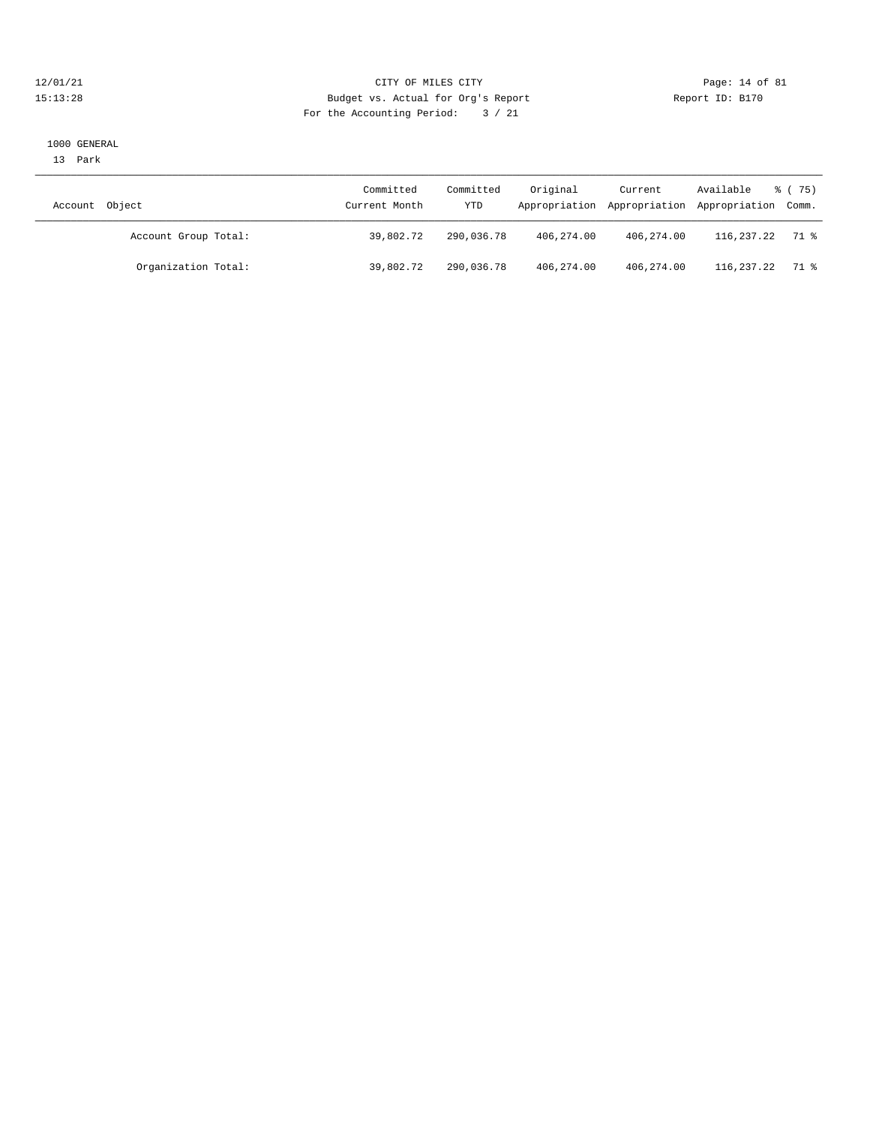#### 12/01/21 Page: 14 of 81<br>
12/01/21 Page: 14 of 81<br>
Budget vs. Actual for Org's Report Physics (Report ID: B170 15:13:28 Budget vs. Actual for Org's Report For the Accounting Period: 3 / 21

#### 1000 GENERAL

13 Park

| Object<br>Account    | Committed<br>Current Month | Committed<br>YTD | Original   | Current      | Available<br>Appropriation Appropriation Appropriation Comm. | 8 (75) |
|----------------------|----------------------------|------------------|------------|--------------|--------------------------------------------------------------|--------|
| Account Group Total: | 39,802.72                  | 290,036.78       | 406,274.00 | 406,274.00   | 116,237.22                                                   | 71 %   |
| Organization Total:  | 39,802.72                  | 290,036.78       | 406,274.00 | 406, 274, 00 | 116,237.22                                                   | 71 %   |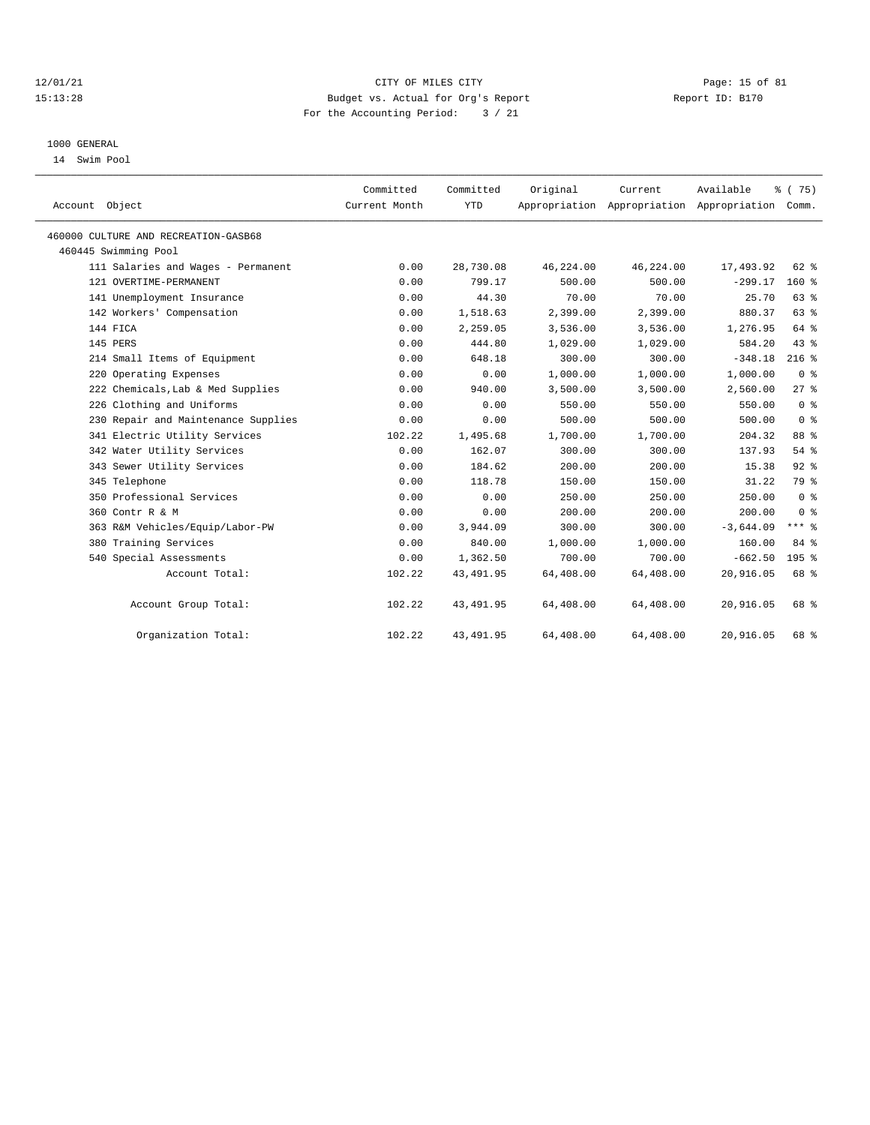#### 12/01/21 Page: 15 of 81 15:13:28 Budget vs. Actual for Org's Report Report ID: B170 For the Accounting Period: 3 / 21

## 1000 GENERAL

14 Swim Pool

| Account Object                       | Committed<br>Current Month | Committed<br><b>YTD</b> | Original  | Current<br>Appropriation Appropriation Appropriation Comm. | Available   | % (75)           |
|--------------------------------------|----------------------------|-------------------------|-----------|------------------------------------------------------------|-------------|------------------|
| 460000 CULTURE AND RECREATION-GASB68 |                            |                         |           |                                                            |             |                  |
| 460445 Swimming Pool                 |                            |                         |           |                                                            |             |                  |
| 111 Salaries and Wages - Permanent   | 0.00                       | 28,730.08               | 46,224.00 | 46,224.00                                                  | 17,493.92   | 62 %             |
| 121 OVERTIME-PERMANENT               | 0.00                       | 799.17                  | 500.00    | 500.00                                                     | $-299.17$   | $160*$           |
| 141 Unemployment Insurance           | 0.00                       | 44.30                   | 70.00     | 70.00                                                      | 25.70       | 63%              |
| 142 Workers' Compensation            | 0.00                       | 1,518.63                | 2,399.00  | 2,399.00                                                   | 880.37      | 63%              |
| 144 FICA                             | 0.00                       | 2,259.05                | 3,536.00  | 3,536.00                                                   | 1,276.95    | 64 %             |
| 145 PERS                             | 0.00                       | 444.80                  | 1,029.00  | 1,029.00                                                   | 584.20      | 43%              |
| 214 Small Items of Equipment         | 0.00                       | 648.18                  | 300.00    | 300.00                                                     | $-348.18$   | $216$ %          |
| 220 Operating Expenses               | 0.00                       | 0.00                    | 1,000.00  | 1,000.00                                                   | 1,000.00    | 0 <sup>8</sup>   |
| 222 Chemicals, Lab & Med Supplies    | 0.00                       | 940.00                  | 3,500.00  | 3,500.00                                                   | 2,560.00    | $27$ $%$         |
| 226 Clothing and Uniforms            | 0.00                       | 0.00                    | 550.00    | 550.00                                                     | 550.00      | 0 <sup>8</sup>   |
| 230 Repair and Maintenance Supplies  | 0.00                       | 0.00                    | 500.00    | 500.00                                                     | 500.00      | 0 <sup>8</sup>   |
| 341 Electric Utility Services        | 102.22                     | 1,495.68                | 1,700.00  | 1,700.00                                                   | 204.32      | 88 %             |
| 342 Water Utility Services           | 0.00                       | 162.07                  | 300.00    | 300.00                                                     | 137.93      | 54%              |
| 343 Sewer Utility Services           | 0.00                       | 184.62                  | 200.00    | 200.00                                                     | 15.38       | $92$ $%$         |
| 345 Telephone                        | 0.00                       | 118.78                  | 150.00    | 150.00                                                     | 31.22       | 79 %             |
| 350 Professional Services            | 0.00                       | 0.00                    | 250.00    | 250.00                                                     | 250.00      | 0 <sup>8</sup>   |
| 360 Contr R & M                      | 0.00                       | 0.00                    | 200.00    | 200.00                                                     | 200.00      | 0 <sup>8</sup>   |
| 363 R&M Vehicles/Equip/Labor-PW      | 0.00                       | 3,944.09                | 300.00    | 300.00                                                     | $-3,644.09$ | $***$ 8          |
| 380 Training Services                | 0.00                       | 840.00                  | 1,000.00  | 1,000.00                                                   | 160.00      | 84 %             |
| 540 Special Assessments              | 0.00                       | 1,362.50                | 700.00    | 700.00                                                     | $-662.50$   | 195 <sub>8</sub> |
| Account Total:                       | 102.22                     | 43, 491.95              | 64,408.00 | 64,408.00                                                  | 20,916.05   | 68 %             |
| Account Group Total:                 | 102.22                     | 43, 491.95              | 64,408.00 | 64,408.00                                                  | 20,916.05   | 68 %             |
| Organization Total:                  | 102.22                     | 43, 491.95              | 64,408.00 | 64,408.00                                                  | 20,916.05   | 68 %             |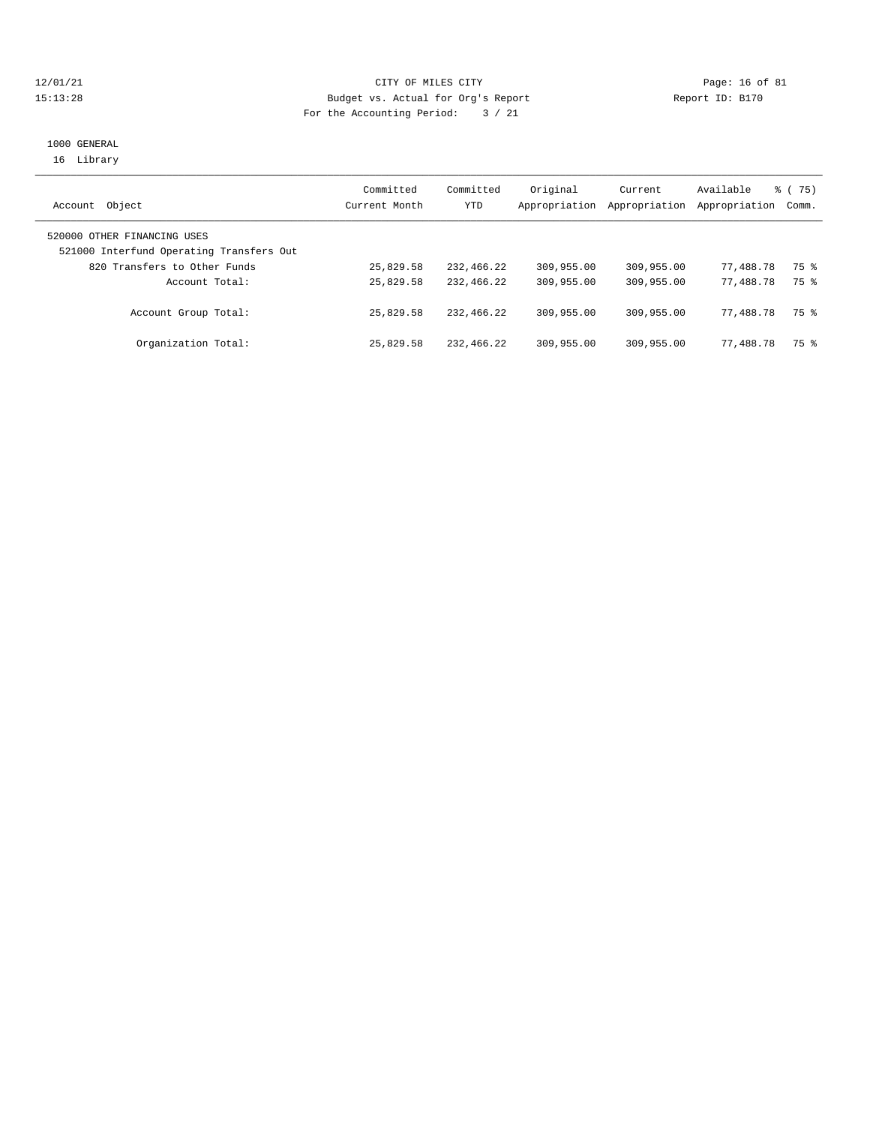#### 12/01/21 Page: 16 of 81 15:13:28 Budget vs. Actual for Org's Report Report ID: B170 For the Accounting Period: 3 / 21

## 1000 GENERAL 16 Library

| Object<br>Account                                                       | Committed<br>Current Month | Committed<br>YTD | Original<br>Appropriation | Current<br>Appropriation | Available<br>Appropriation Comm. | 8 (75) |
|-------------------------------------------------------------------------|----------------------------|------------------|---------------------------|--------------------------|----------------------------------|--------|
| 520000 OTHER FINANCING USES<br>521000 Interfund Operating Transfers Out |                            |                  |                           |                          |                                  |        |
| 820 Transfers to Other Funds                                            | 25,829.58                  | 232,466.22       | 309,955.00                | 309,955.00               | 77,488.78                        | 75 %   |
| Account Total:                                                          | 25,829.58                  | 232,466.22       | 309,955.00                | 309,955.00               | 77,488.78                        | 75 %   |
| Account Group Total:                                                    | 25,829.58                  | 232,466.22       | 309,955.00                | 309,955.00               | 77,488.78                        | 75 %   |
| Organization Total:                                                     | 25,829.58                  | 232,466.22       | 309,955.00                | 309,955.00               | 77,488.78                        | 75 %   |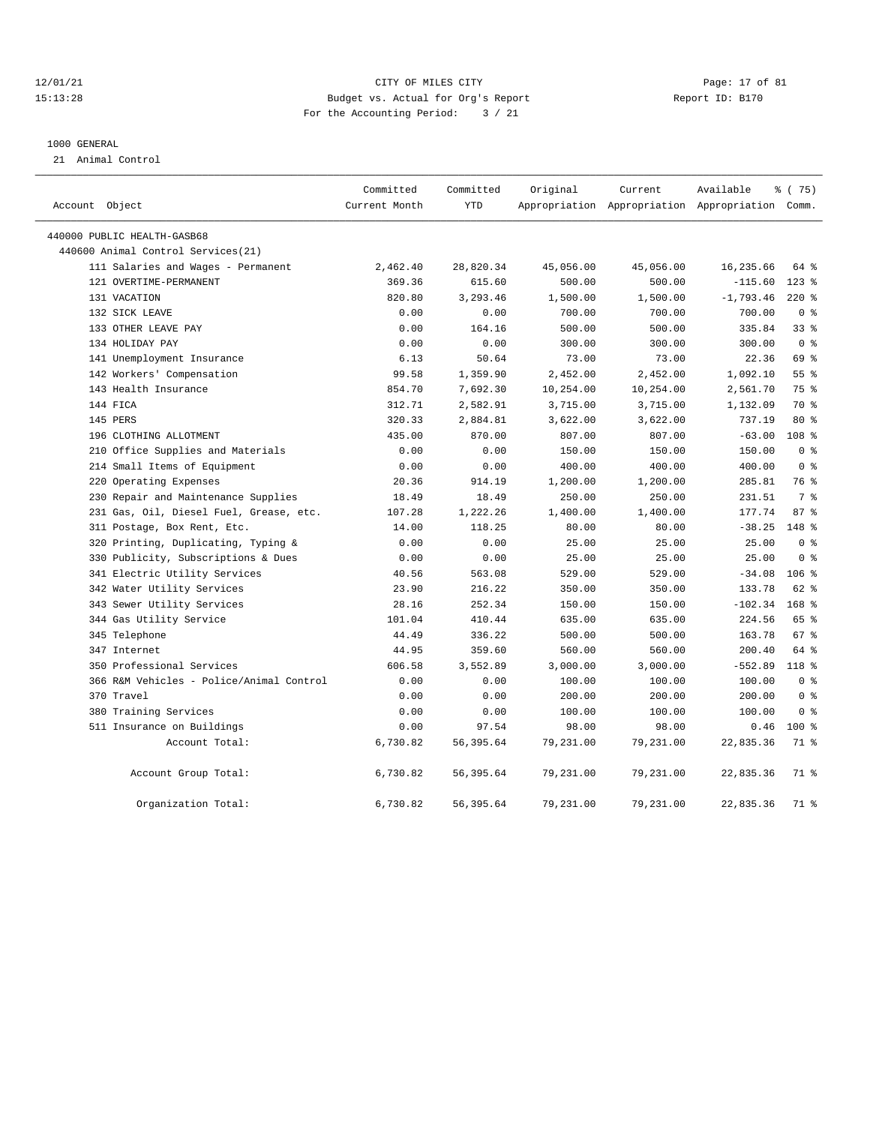#### 12/01/21 Page: 17 of 81 15:13:28 Budget vs. Actual for Org's Report Report ID: B170 For the Accounting Period: 3 / 21

#### 1000 GENERAL

21 Animal Control

|                |                                          | Committed<br>Current Month | Committed<br>YTD | Original  | Current   | Available                                       | <sub>ර</sub> ි (75) |
|----------------|------------------------------------------|----------------------------|------------------|-----------|-----------|-------------------------------------------------|---------------------|
| Account Object |                                          |                            |                  |           |           | Appropriation Appropriation Appropriation Comm. |                     |
|                | 440000 PUBLIC HEALTH-GASB68              |                            |                  |           |           |                                                 |                     |
|                | 440600 Animal Control Services (21)      |                            |                  |           |           |                                                 |                     |
|                | 111 Salaries and Wages - Permanent       | 2,462.40                   | 28,820.34        | 45,056.00 | 45,056.00 | 16,235.66                                       | 64 %                |
|                | 121 OVERTIME-PERMANENT                   | 369.36                     | 615.60           | 500.00    | 500.00    | $-115.60$                                       | $123$ %             |
|                | 131 VACATION                             | 820.80                     | 3,293.46         | 1,500.00  | 1,500.00  | $-1,793.46$                                     | $220$ %             |
|                | 132 SICK LEAVE                           | 0.00                       | 0.00             | 700.00    | 700.00    | 700.00                                          | 0 <sup>8</sup>      |
|                | 133 OTHER LEAVE PAY                      | 0.00                       | 164.16           | 500.00    | 500.00    | 335.84                                          | 33%                 |
|                | 134 HOLIDAY PAY                          | 0.00                       | 0.00             | 300.00    | 300.00    | 300.00                                          | 0 <sup>8</sup>      |
|                | 141 Unemployment Insurance               | 6.13                       | 50.64            | 73.00     | 73.00     | 22.36                                           | 69 %                |
|                | 142 Workers' Compensation                | 99.58                      | 1,359.90         | 2,452.00  | 2,452.00  | 1,092.10                                        | 55 <sup>8</sup>     |
|                | 143 Health Insurance                     | 854.70                     | 7,692.30         | 10,254.00 | 10,254.00 | 2,561.70                                        | 75 %                |
|                | 144 FICA                                 | 312.71                     | 2,582.91         | 3,715.00  | 3,715.00  | 1,132.09                                        | 70 %                |
|                | 145 PERS                                 | 320.33                     | 2,884.81         | 3,622.00  | 3,622.00  | 737.19                                          | $80*$               |
|                | 196 CLOTHING ALLOTMENT                   | 435.00                     | 870.00           | 807.00    | 807.00    | $-63.00$                                        | 108 <sup>8</sup>    |
|                | 210 Office Supplies and Materials        | 0.00                       | 0.00             | 150.00    | 150.00    | 150.00                                          | 0 <sup>8</sup>      |
|                | 214 Small Items of Equipment             | 0.00                       | 0.00             | 400.00    | 400.00    | 400.00                                          | 0 <sup>8</sup>      |
|                | 220 Operating Expenses                   | 20.36                      | 914.19           | 1,200.00  | 1,200.00  | 285.81                                          | 76 %                |
|                | 230 Repair and Maintenance Supplies      | 18.49                      | 18.49            | 250.00    | 250.00    | 231.51                                          | 7 %                 |
|                | 231 Gas, Oil, Diesel Fuel, Grease, etc.  | 107.28                     | 1,222.26         | 1,400.00  | 1,400.00  | 177.74                                          | 87%                 |
|                | 311 Postage, Box Rent, Etc.              | 14.00                      | 118.25           | 80.00     | 80.00     | $-38.25$                                        | $148$ %             |
|                | 320 Printing, Duplicating, Typing &      | 0.00                       | 0.00             | 25.00     | 25.00     | 25.00                                           | 0 <sup>8</sup>      |
|                | 330 Publicity, Subscriptions & Dues      | 0.00                       | 0.00             | 25.00     | 25.00     | 25.00                                           | 0 <sup>8</sup>      |
|                | 341 Electric Utility Services            | 40.56                      | 563.08           | 529.00    | 529.00    | $-34.08$                                        | $106$ %             |
|                | 342 Water Utility Services               | 23.90                      | 216.22           | 350.00    | 350.00    | 133.78                                          | $62$ $%$            |
|                | 343 Sewer Utility Services               | 28.16                      | 252.34           | 150.00    | 150.00    | $-102.34$                                       | $168$ %             |
|                | 344 Gas Utility Service                  | 101.04                     | 410.44           | 635.00    | 635.00    | 224.56                                          | 65 %                |
|                | 345 Telephone                            | 44.49                      | 336.22           | 500.00    | 500.00    | 163.78                                          | 67 %                |
|                | 347 Internet                             | 44.95                      | 359.60           | 560.00    | 560.00    | 200.40                                          | 64 %                |
|                | 350 Professional Services                | 606.58                     | 3,552.89         | 3,000.00  | 3,000.00  | $-552.89$                                       | 118 %               |
|                | 366 R&M Vehicles - Police/Animal Control | 0.00                       | 0.00             | 100.00    | 100.00    | 100.00                                          | 0 <sup>8</sup>      |
|                | 370 Travel                               | 0.00                       | 0.00             | 200.00    | 200.00    | 200.00                                          | 0 <sup>8</sup>      |
|                | 380 Training Services                    | 0.00                       | 0.00             | 100.00    | 100.00    | 100.00                                          | 0 <sup>8</sup>      |
|                | 511 Insurance on Buildings               | 0.00                       | 97.54            | 98.00     | 98.00     | 0.46                                            | $100*$              |
|                | Account Total:                           | 6,730.82                   | 56, 395.64       | 79,231.00 | 79,231.00 | 22,835.36                                       | 71 %                |
|                | Account Group Total:                     | 6,730.82                   | 56, 395.64       | 79,231.00 | 79,231.00 | 22,835.36                                       | 71 %                |
|                | Organization Total:                      | 6,730.82                   | 56, 395.64       | 79,231.00 | 79,231.00 | 22,835.36                                       | 71 %                |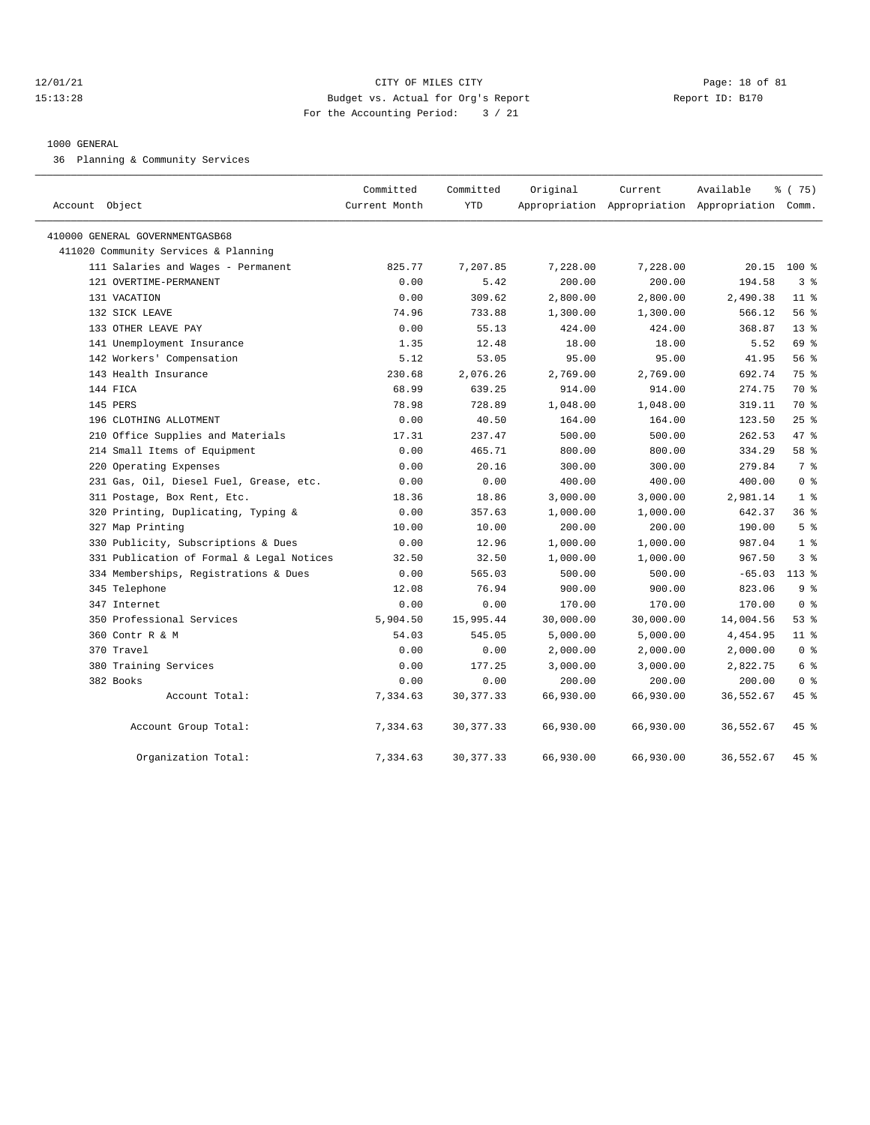#### $12/01/21$  Page: 18 of 81 15:13:28 Budget vs. Actual for Org's Report Report ID: B170 For the Accounting Period: 3 / 21

#### 1000 GENERAL

36 Planning & Community Services

| Account Object                            | Committed<br>Current Month | Committed<br><b>YTD</b> | Original  | Current<br>Appropriation Appropriation Appropriation Comm. | Available | % (75)          |
|-------------------------------------------|----------------------------|-------------------------|-----------|------------------------------------------------------------|-----------|-----------------|
| 410000 GENERAL GOVERNMENTGASB68           |                            |                         |           |                                                            |           |                 |
| 411020 Community Services & Planning      |                            |                         |           |                                                            |           |                 |
| 111 Salaries and Wages - Permanent        | 825.77                     | 7,207.85                | 7,228.00  | 7,228.00                                                   | 20.15     | $100*$          |
| 121 OVERTIME-PERMANENT                    | 0.00                       | 5.42                    | 200.00    | 200.00                                                     | 194.58    | 3 <sup>8</sup>  |
| 131 VACATION                              | 0.00                       | 309.62                  | 2,800.00  | 2,800.00                                                   | 2,490.38  | 11 <sup>8</sup> |
| 132 SICK LEAVE                            | 74.96                      | 733.88                  | 1,300.00  | 1,300.00                                                   | 566.12    | 56%             |
| 133 OTHER LEAVE PAY                       | 0.00                       | 55.13                   | 424.00    | 424.00                                                     | 368.87    | $13*$           |
| 141 Unemployment Insurance                | 1.35                       | 12.48                   | 18.00     | 18.00                                                      | 5.52      | 69 %            |
| 142 Workers' Compensation                 | 5.12                       | 53.05                   | 95.00     | 95.00                                                      | 41.95     | 56 %            |
| 143 Health Insurance                      | 230.68                     | 2,076.26                | 2,769.00  | 2,769.00                                                   | 692.74    | 75 %            |
| 144 FICA                                  | 68.99                      | 639.25                  | 914.00    | 914.00                                                     | 274.75    | 70 %            |
| 145 PERS                                  | 78.98                      | 728.89                  | 1,048.00  | 1,048.00                                                   | 319.11    | 70 %            |
| 196 CLOTHING ALLOTMENT                    | 0.00                       | 40.50                   | 164.00    | 164.00                                                     | 123.50    | 25%             |
| 210 Office Supplies and Materials         | 17.31                      | 237.47                  | 500.00    | 500.00                                                     | 262.53    | 47 %            |
| 214 Small Items of Equipment              | 0.00                       | 465.71                  | 800.00    | 800.00                                                     | 334.29    | 58 %            |
| 220 Operating Expenses                    | 0.00                       | 20.16                   | 300.00    | 300.00                                                     | 279.84    | 7 %             |
| 231 Gas, Oil, Diesel Fuel, Grease, etc.   | 0.00                       | 0.00                    | 400.00    | 400.00                                                     | 400.00    | 0 <sup>8</sup>  |
| 311 Postage, Box Rent, Etc.               | 18.36                      | 18.86                   | 3,000.00  | 3,000.00                                                   | 2,981.14  | 1 <sup>8</sup>  |
| 320 Printing, Duplicating, Typing &       | 0.00                       | 357.63                  | 1,000.00  | 1,000.00                                                   | 642.37    | 36%             |
| 327 Map Printing                          | 10.00                      | 10.00                   | 200.00    | 200.00                                                     | 190.00    | 5 <sup>8</sup>  |
| 330 Publicity, Subscriptions & Dues       | 0.00                       | 12.96                   | 1,000.00  | 1,000.00                                                   | 987.04    | 1 <sup>8</sup>  |
| 331 Publication of Formal & Legal Notices | 32.50                      | 32.50                   | 1,000.00  | 1,000.00                                                   | 967.50    | 3%              |
| 334 Memberships, Registrations & Dues     | 0.00                       | 565.03                  | 500.00    | 500.00                                                     | $-65.03$  | $113*$          |
| 345 Telephone                             | 12.08                      | 76.94                   | 900.00    | 900.00                                                     | 823.06    | 9 <sup>8</sup>  |
| 347 Internet                              | 0.00                       | 0.00                    | 170.00    | 170.00                                                     | 170.00    | 0 <sup>8</sup>  |
| 350 Professional Services                 | 5,904.50                   | 15,995.44               | 30,000.00 | 30,000.00                                                  | 14,004.56 | 53%             |
| 360 Contr R & M                           | 54.03                      | 545.05                  | 5,000.00  | 5,000.00                                                   | 4,454.95  | 11 <sup>8</sup> |
| 370 Travel                                | 0.00                       | 0.00                    | 2,000.00  | 2,000.00                                                   | 2,000.00  | 0 <sup>8</sup>  |
| 380 Training Services                     | 0.00                       | 177.25                  | 3,000.00  | 3,000.00                                                   | 2,822.75  | 6 %             |
| 382 Books                                 | 0.00                       | 0.00                    | 200.00    | 200.00                                                     | 200.00    | 0 <sup>8</sup>  |
| Account Total:                            | 7,334.63                   | 30, 377.33              | 66,930.00 | 66,930.00                                                  | 36,552.67 | 45 %            |
| Account Group Total:                      | 7,334.63                   | 30, 377.33              | 66,930.00 | 66,930.00                                                  | 36,552.67 | $45$ %          |
| Organization Total:                       | 7,334.63                   | 30, 377.33              | 66,930.00 | 66,930.00                                                  | 36,552.67 | $45*$           |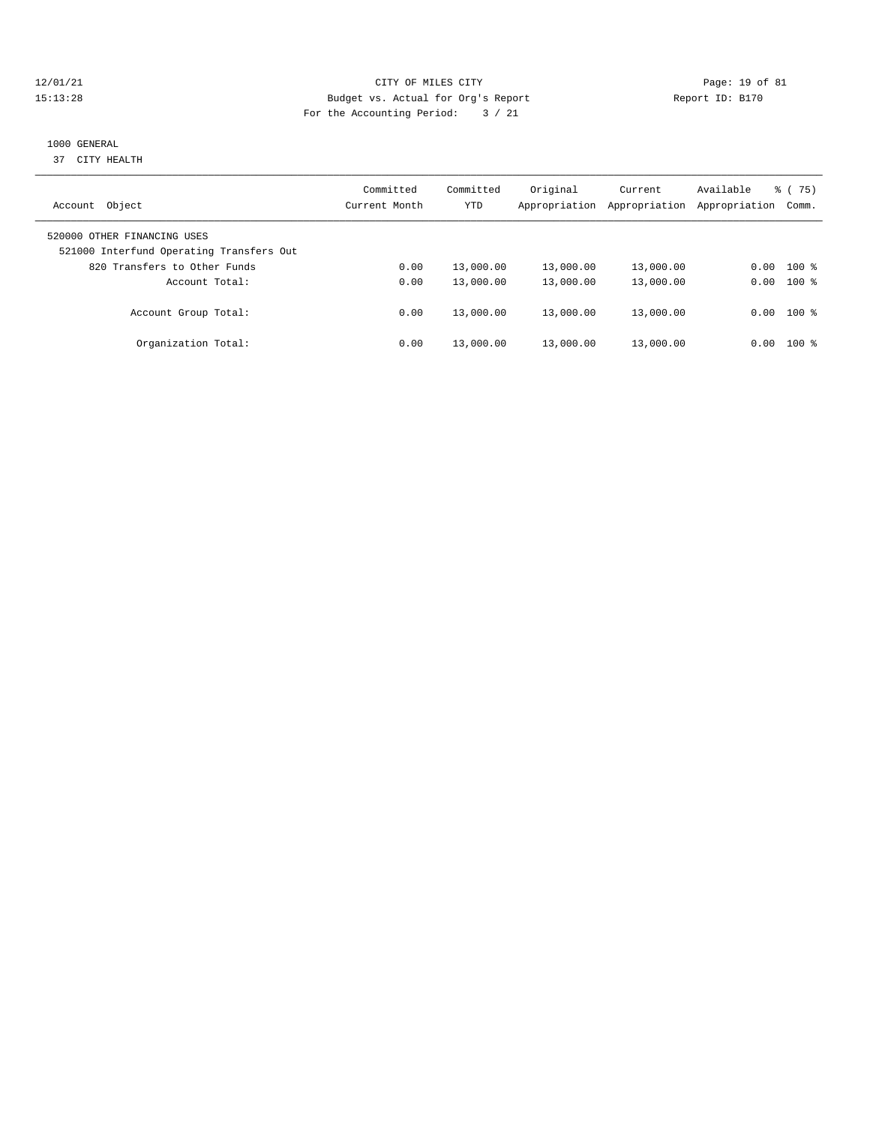#### 12/01/21 Page: 19 of 81 15:13:28 Budget vs. Actual for Org's Report Report ID: B170 For the Accounting Period: 3 / 21

# 1000 GENERAL

37 CITY HEALTH

| Object<br>Account                                                       | Committed<br>Current Month | Committed<br>YTD | Original<br>Appropriation | Current<br>Appropriation | Available<br>Appropriation | 75)<br>ී (<br>Comm. |
|-------------------------------------------------------------------------|----------------------------|------------------|---------------------------|--------------------------|----------------------------|---------------------|
| 520000 OTHER FINANCING USES<br>521000 Interfund Operating Transfers Out |                            |                  |                           |                          |                            |                     |
| 820 Transfers to Other Funds                                            | 0.00                       | 13,000.00        | 13,000.00                 | 13,000.00                | 0.00                       | $100*$              |
| Account Total:                                                          | 0.00                       | 13,000.00        | 13,000.00                 | 13,000.00                | 0.00                       | $100*$              |
| Account Group Total:                                                    | 0.00                       | 13,000.00        | 13,000.00                 | 13,000.00                |                            | $0.00$ 100 %        |
| Organization Total:                                                     | 0.00                       | 13,000.00        | 13,000.00                 | 13,000.00                | 0.00                       | $100$ %             |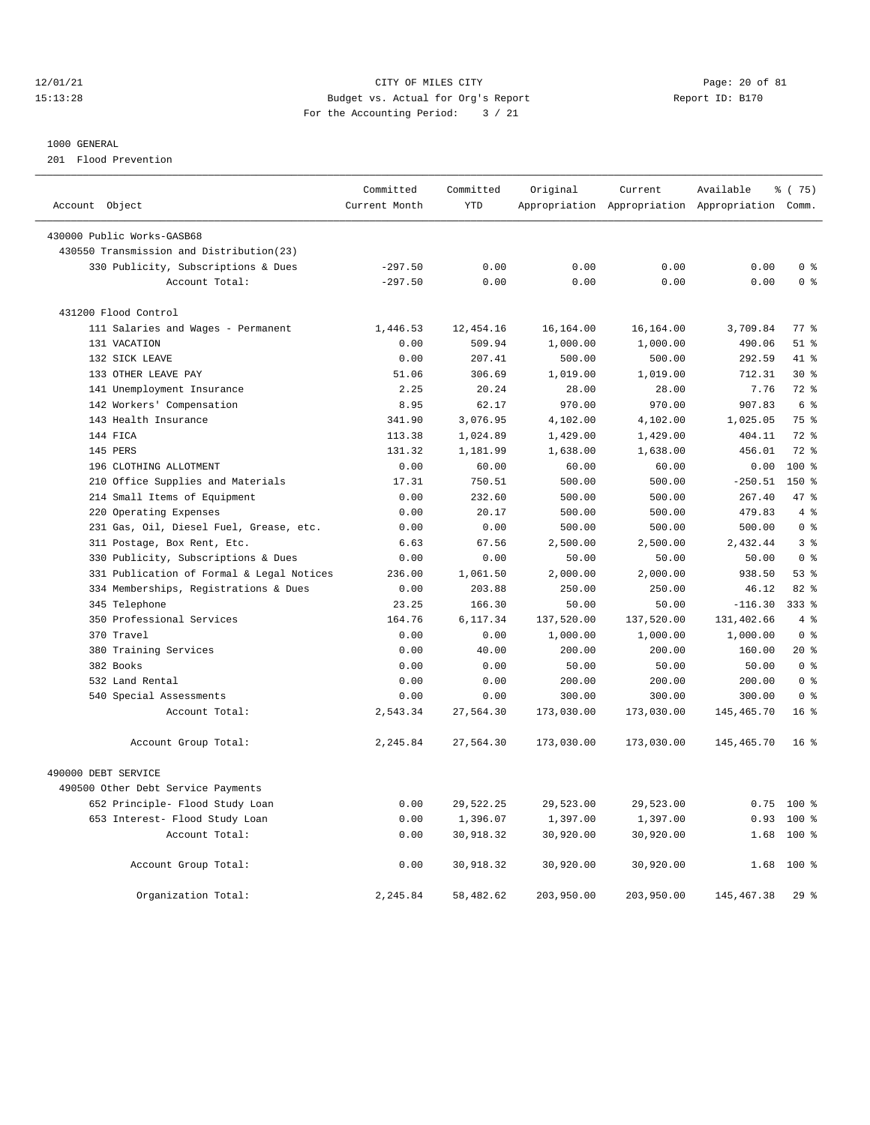12/01/21 Page: 20 of 81 15:13:28 Budget vs. Actual for Org's Report Report ID: B170 For the Accounting Period: 3 / 21

## 1000 GENERAL

201 Flood Prevention

| Account Object                            | Committed<br>Current Month | Committed<br><b>YTD</b> | Original   | Current    | Available<br>Appropriation Appropriation Appropriation Comm. | 8 (75)          |  |
|-------------------------------------------|----------------------------|-------------------------|------------|------------|--------------------------------------------------------------|-----------------|--|
|                                           |                            |                         |            |            |                                                              |                 |  |
| 430000 Public Works-GASB68                |                            |                         |            |            |                                                              |                 |  |
| 430550 Transmission and Distribution(23)  |                            |                         |            |            |                                                              |                 |  |
| 330 Publicity, Subscriptions & Dues       | $-297.50$                  | 0.00                    | 0.00       | 0.00       | 0.00                                                         | 0 <sup>8</sup>  |  |
| Account Total:                            | $-297.50$                  | 0.00                    | 0.00       | 0.00       | 0.00                                                         | 0 <sup>8</sup>  |  |
| 431200 Flood Control                      |                            |                         |            |            |                                                              |                 |  |
| 111 Salaries and Wages - Permanent        | 1,446.53                   | 12,454.16               | 16,164.00  | 16,164.00  | 3,709.84                                                     | 77 %            |  |
| 131 VACATION                              | 0.00                       | 509.94                  | 1,000.00   | 1,000.00   | 490.06                                                       | $51$ %          |  |
| 132 SICK LEAVE                            | 0.00                       | 207.41                  | 500.00     | 500.00     | 292.59                                                       | 41 %            |  |
| 133 OTHER LEAVE PAY                       | 51.06                      | 306.69                  | 1,019.00   | 1,019.00   | 712.31                                                       | $30*$           |  |
| 141 Unemployment Insurance                | 2.25                       | 20.24                   | 28.00      | 28.00      | 7.76                                                         | $72$ $%$        |  |
| 142 Workers' Compensation                 | 8.95                       | 62.17                   | 970.00     | 970.00     | 907.83                                                       | 6 %             |  |
| 143 Health Insurance                      | 341.90                     | 3,076.95                | 4,102.00   | 4,102.00   | 1,025.05                                                     | 75 %            |  |
| 144 FICA                                  | 113.38                     | 1,024.89                | 1,429.00   | 1,429.00   | 404.11                                                       | $72$ $%$        |  |
| 145 PERS                                  | 131.32                     | 1,181.99                | 1,638.00   | 1,638.00   | 456.01                                                       | 72 %            |  |
| 196 CLOTHING ALLOTMENT                    | 0.00                       | 60.00                   | 60.00      | 60.00      | 0.00                                                         | $100*$          |  |
| 210 Office Supplies and Materials         | 17.31                      | 750.51                  | 500.00     | 500.00     | $-250.51$                                                    | $150*$          |  |
| 214 Small Items of Equipment              | 0.00                       | 232.60                  | 500.00     | 500.00     | 267.40                                                       | 47 %            |  |
| 220 Operating Expenses                    | 0.00                       | 20.17                   | 500.00     | 500.00     | 479.83                                                       | 4%              |  |
| 231 Gas, Oil, Diesel Fuel, Grease, etc.   | 0.00                       | 0.00                    | 500.00     | 500.00     | 500.00                                                       | 0 <sup>8</sup>  |  |
| 311 Postage, Box Rent, Etc.               | 6.63                       | 67.56                   | 2,500.00   | 2,500.00   | 2,432.44                                                     | 3%              |  |
| 330 Publicity, Subscriptions & Dues       | 0.00                       | 0.00                    | 50.00      | 50.00      | 50.00                                                        | 0 <sup>8</sup>  |  |
| 331 Publication of Formal & Legal Notices | 236.00                     | 1,061.50                | 2,000.00   | 2,000.00   | 938.50                                                       | 53%             |  |
| 334 Memberships, Registrations & Dues     | 0.00                       | 203.88                  | 250.00     | 250.00     | 46.12                                                        | 82 %            |  |
| 345 Telephone                             | 23.25                      | 166.30                  | 50.00      | 50.00      | $-116.30$                                                    | $333$ $%$       |  |
| 350 Professional Services                 | 164.76                     | 6,117.34                | 137,520.00 | 137,520.00 | 131,402.66                                                   | 4%              |  |
| 370 Travel                                | 0.00                       | 0.00                    | 1,000.00   | 1,000.00   | 1,000.00                                                     | 0 <sup>8</sup>  |  |
| 380 Training Services                     | 0.00                       | 40.00                   | 200.00     | 200.00     | 160.00                                                       | $20*$           |  |
| 382 Books                                 | 0.00                       | 0.00                    | 50.00      | 50.00      | 50.00                                                        | 0 <sup>8</sup>  |  |
| 532 Land Rental                           | 0.00                       | 0.00                    | 200.00     | 200.00     | 200.00                                                       | 0 <sup>8</sup>  |  |
| 540 Special Assessments                   | 0.00                       | 0.00                    | 300.00     | 300.00     | 300.00                                                       | 0 <sup>8</sup>  |  |
| Account Total:                            | 2,543.34                   | 27,564.30               | 173,030.00 | 173,030.00 | 145,465.70                                                   | 16 <sup>8</sup> |  |
| Account Group Total:                      | 2,245.84                   | 27,564.30               | 173,030.00 | 173,030.00 | 145,465.70                                                   | 16 <sup>8</sup> |  |
| 490000 DEBT SERVICE                       |                            |                         |            |            |                                                              |                 |  |
| 490500 Other Debt Service Payments        |                            |                         |            |            |                                                              |                 |  |
| 652 Principle- Flood Study Loan           | 0.00                       | 29,522.25               | 29,523.00  | 29,523.00  | 0.75                                                         | $100*$          |  |
| 653 Interest- Flood Study Loan            | 0.00                       | 1,396.07                | 1,397.00   | 1,397.00   | 0.93                                                         | $100*$          |  |
| Account Total:                            | 0.00                       | 30,918.32               | 30,920.00  | 30,920.00  | 1.68                                                         | $100*$          |  |
| Account Group Total:                      | 0.00                       | 30,918.32               | 30,920.00  | 30,920.00  | 1.68                                                         | $100*$          |  |
| Organization Total:                       | 2,245.84                   | 58,482.62               | 203,950.00 | 203,950.00 | 145, 467. 38                                                 | 29%             |  |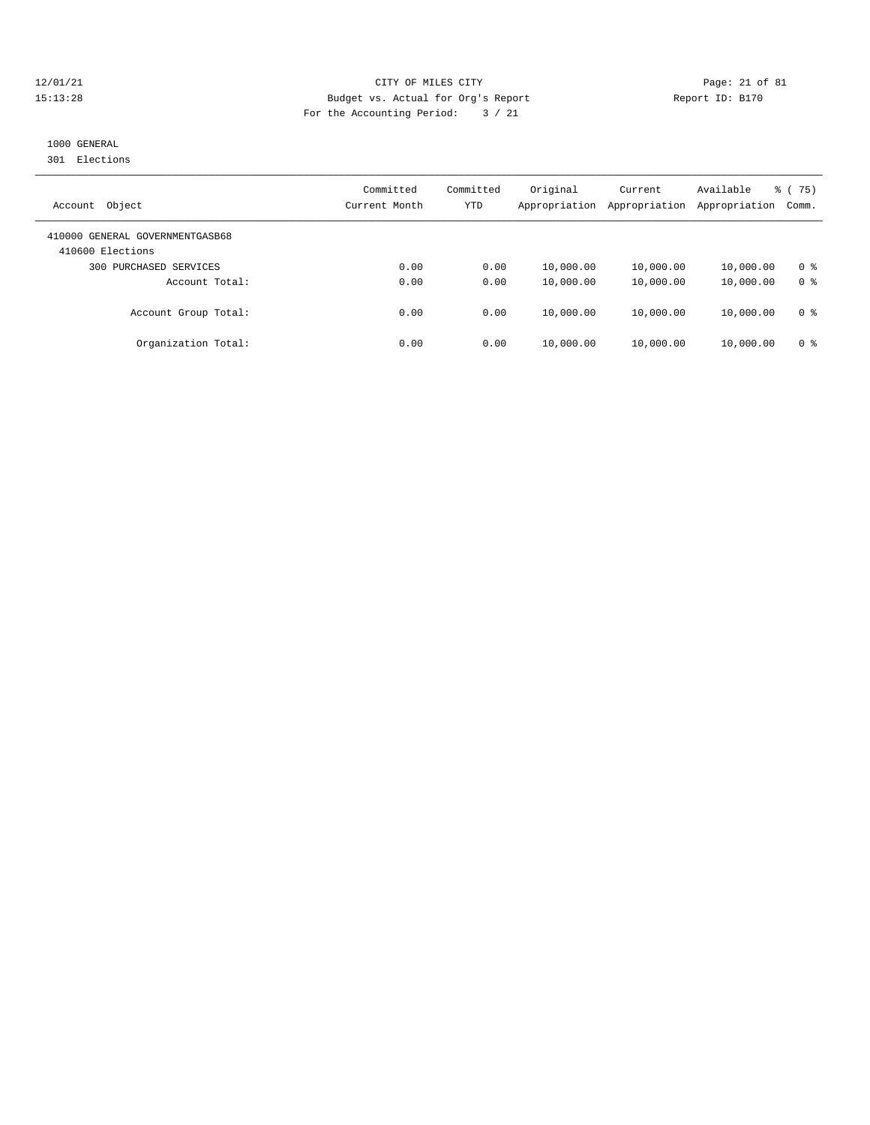## 12/01/21 Page: 21 of 81 15:13:28 Budget vs. Actual for Org's Report Report ID: B170 For the Accounting Period: 3 / 21

# 1000 GENERAL

301 Elections

| Object<br>Account                                   | Committed<br>Current Month | Committed<br>YTD | Original<br>Appropriation | Current<br>Appropriation | Available<br>Appropriation | $\frac{6}{6}$ (75)<br>Comm. |
|-----------------------------------------------------|----------------------------|------------------|---------------------------|--------------------------|----------------------------|-----------------------------|
| 410000 GENERAL GOVERNMENTGASB68<br>410600 Elections |                            |                  |                           |                          |                            |                             |
| PURCHASED SERVICES<br>300                           | 0.00                       | 0.00             | 10,000.00                 | 10,000.00                | 10,000.00                  | 0 <sup>8</sup>              |
| Account Total:                                      | 0.00                       | 0.00             | 10,000.00                 | 10,000.00                | 10,000.00                  | 0 <sup>8</sup>              |
| Account Group Total:                                | 0.00                       | 0.00             | 10,000.00                 | 10,000.00                | 10,000.00                  | 0 %                         |
| Organization Total:                                 | 0.00                       | 0.00             | 10,000.00                 | 10,000.00                | 10,000.00                  | 0 %                         |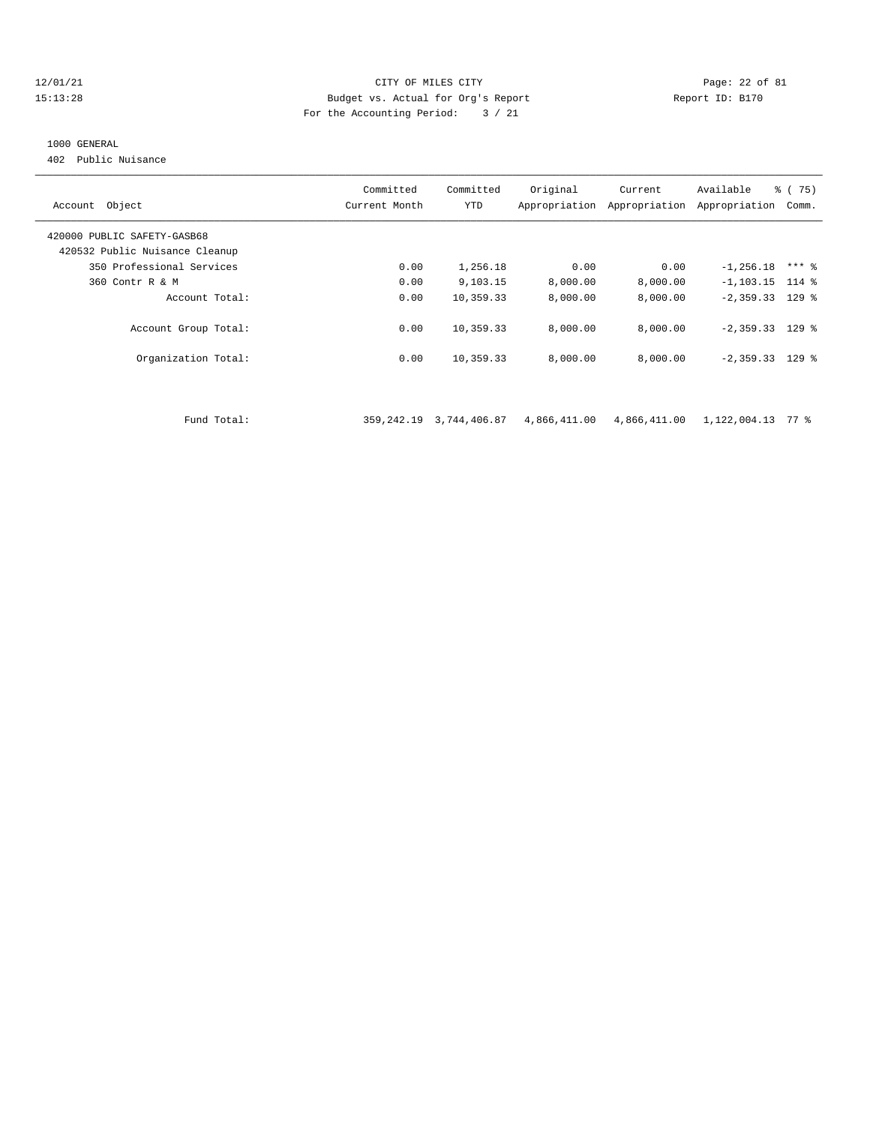#### $12/01/21$  Page: 22 of 81<br>15:13:28 Budget vs. Actual for Org's Report Physics (Page: 22 of 81<br>15:13:28 15:13:28 Budget vs. Actual for Org's Report Report ID: B170 For the Accounting Period: 3 / 21

#### 1000 GENERAL

402 Public Nuisance

| Account Object                 | Committed<br>Current Month | Committed<br>YTD | Original     | Current<br>Appropriation Appropriation | Available<br>Appropriation | $\frac{6}{6}$ (75)<br>Comm. |
|--------------------------------|----------------------------|------------------|--------------|----------------------------------------|----------------------------|-----------------------------|
| 420000 PUBLIC SAFETY-GASB68    |                            |                  |              |                                        |                            |                             |
| 420532 Public Nuisance Cleanup |                            |                  |              |                                        |                            |                             |
| 350 Professional Services      | 0.00                       | 1,256.18         | 0.00         | 0.00                                   | $-1, 256.18$               | $***$ 8                     |
| 360 Contr R & M                | 0.00                       | 9,103.15         | 8,000.00     | 8,000.00                               | $-1, 103.15$ 114 %         |                             |
| Account Total:                 | 0.00                       | 10,359.33        | 8,000.00     | 8,000.00                               | $-2,359.33$ 129 %          |                             |
| Account Group Total:           | 0.00                       | 10,359.33        | 8,000.00     | 8,000.00                               | $-2,359.33$ 129 %          |                             |
| Organization Total:            | 0.00                       | 10,359.33        | 8,000.00     | 8,000.00                               | $-2,359.33$ 129 %          |                             |
|                                |                            |                  |              |                                        |                            |                             |
| Fund Total:                    | 359,242.19                 | 3,744,406.87     | 4,866,411.00 | 4,866,411.00                           | 1,122,004.13               | 77 %                        |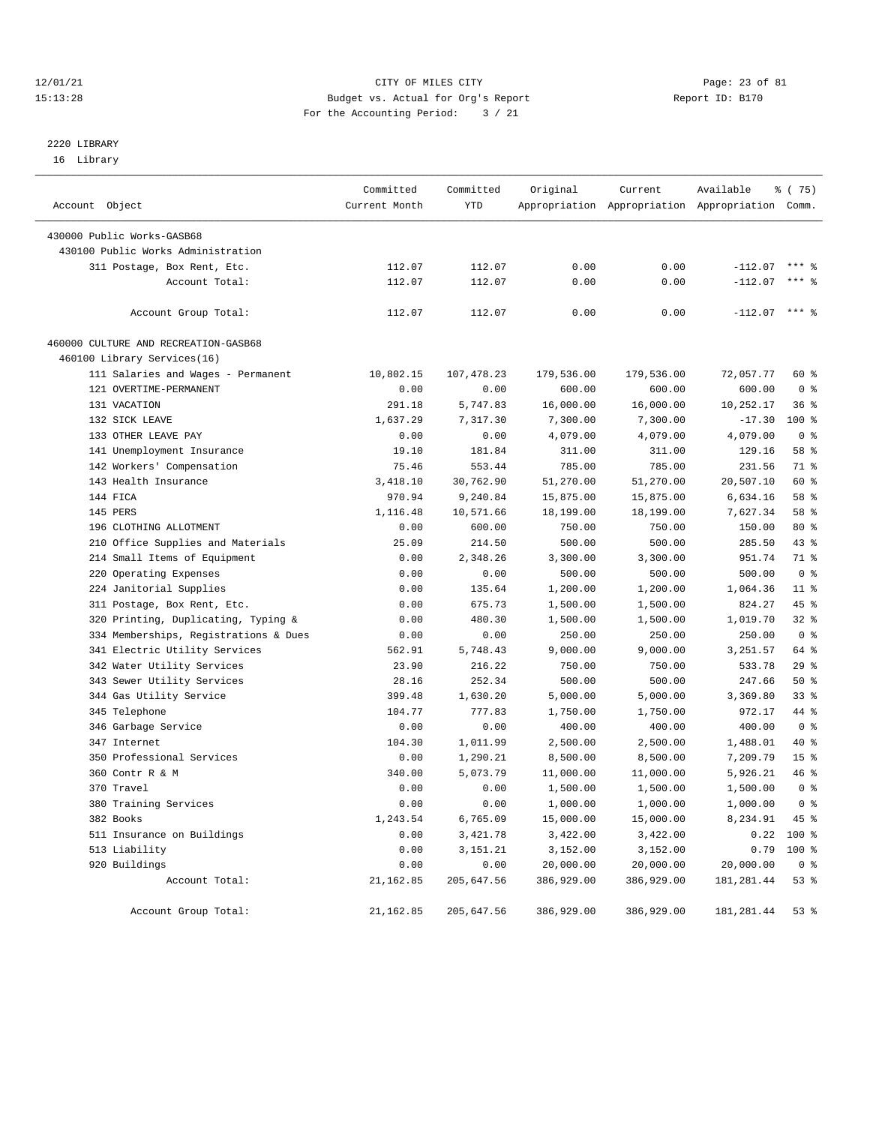#### $12/01/21$  Page: 23 of 81 15:13:28 Budget vs. Actual for Org's Report Report ID: B170 For the Accounting Period: 3 / 21

# 2220 LIBRARY

16 Library

| Account Object                        | Committed<br>Current Month | Committed<br>YTD | Original   | Current<br>Appropriation Appropriation Appropriation Comm. | Available       | <sub>ර</sub> ි (75) |
|---------------------------------------|----------------------------|------------------|------------|------------------------------------------------------------|-----------------|---------------------|
|                                       |                            |                  |            |                                                            |                 |                     |
| 430000 Public Works-GASB68            |                            |                  |            |                                                            |                 |                     |
| 430100 Public Works Administration    |                            |                  |            |                                                            |                 |                     |
| 311 Postage, Box Rent, Etc.           | 112.07                     | 112.07           | 0.00       | 0.00                                                       | $-112.07$       | $***$ 2             |
| Account Total:                        | 112.07                     | 112.07           | 0.00       | 0.00                                                       | $-112.07$       | $***$ 2             |
| Account Group Total:                  | 112.07                     | 112.07           | 0.00       | 0.00                                                       | $-112.07$ *** % |                     |
| 460000 CULTURE AND RECREATION-GASB68  |                            |                  |            |                                                            |                 |                     |
| 460100 Library Services(16)           |                            |                  |            |                                                            |                 |                     |
| 111 Salaries and Wages - Permanent    | 10,802.15                  | 107,478.23       | 179,536.00 | 179,536.00                                                 | 72,057.77       | 60 %                |
| 121 OVERTIME-PERMANENT                | 0.00                       | 0.00             | 600.00     | 600.00                                                     | 600.00          | 0 <sup>8</sup>      |
| 131 VACATION                          | 291.18                     | 5,747.83         | 16,000.00  | 16,000.00                                                  | 10,252.17       | 36%                 |
| 132 SICK LEAVE                        | 1,637.29                   | 7,317.30         | 7,300.00   | 7,300.00                                                   | $-17.30$        | $100*$              |
| 133 OTHER LEAVE PAY                   | 0.00                       | 0.00             | 4,079.00   | 4,079.00                                                   | 4,079.00        | 0 <sup>8</sup>      |
| 141 Unemployment Insurance            | 19.10                      | 181.84           | 311.00     | 311.00                                                     | 129.16          | 58 %                |
| 142 Workers' Compensation             | 75.46                      | 553.44           | 785.00     | 785.00                                                     | 231.56          | 71 %                |
| 143 Health Insurance                  | 3,418.10                   | 30,762.90        | 51,270.00  | 51,270.00                                                  | 20,507.10       | 60 %                |
| 144 FICA                              | 970.94                     | 9,240.84         | 15,875.00  | 15,875.00                                                  | 6,634.16        | 58 %                |
| 145 PERS                              | 1,116.48                   | 10,571.66        | 18,199.00  | 18,199.00                                                  | 7,627.34        | 58 %                |
| 196 CLOTHING ALLOTMENT                | 0.00                       | 600.00           | 750.00     | 750.00                                                     | 150.00          | $80*$               |
| 210 Office Supplies and Materials     | 25.09                      | 214.50           | 500.00     | 500.00                                                     | 285.50          | 43 %                |
|                                       | 0.00                       |                  |            | 3,300.00                                                   | 951.74          | 71 %                |
| 214 Small Items of Equipment          |                            | 2,348.26         | 3,300.00   |                                                            |                 | 0 <sup>8</sup>      |
| 220 Operating Expenses                | 0.00                       | 0.00             | 500.00     | 500.00                                                     | 500.00          |                     |
| 224 Janitorial Supplies               | 0.00                       | 135.64           | 1,200.00   | 1,200.00                                                   | 1,064.36        | $11$ %              |
| 311 Postage, Box Rent, Etc.           | 0.00                       | 675.73           | 1,500.00   | 1,500.00                                                   | 824.27          | 45 %                |
| 320 Printing, Duplicating, Typing &   | 0.00                       | 480.30           | 1,500.00   | 1,500.00                                                   | 1,019.70        | 32%                 |
| 334 Memberships, Registrations & Dues | 0.00                       | 0.00             | 250.00     | 250.00                                                     | 250.00          | 0 <sup>8</sup>      |
| 341 Electric Utility Services         | 562.91                     | 5,748.43         | 9,000.00   | 9,000.00                                                   | 3,251.57        | 64 %                |
| 342 Water Utility Services            | 23.90                      | 216.22           | 750.00     | 750.00                                                     | 533.78          | 29%                 |
| 343 Sewer Utility Services            | 28.16                      | 252.34           | 500.00     | 500.00                                                     | 247.66          | 50%                 |
| 344 Gas Utility Service               | 399.48                     | 1,630.20         | 5,000.00   | 5,000.00                                                   | 3,369.80        | $33$ $%$            |
| 345 Telephone                         | 104.77                     | 777.83           | 1,750.00   | 1,750.00                                                   | 972.17          | 44 %                |
| 346 Garbage Service                   | 0.00                       | 0.00             | 400.00     | 400.00                                                     | 400.00          | 0 <sup>8</sup>      |
| 347 Internet                          | 104.30                     | 1,011.99         | 2,500.00   | 2,500.00                                                   | 1,488.01        | 40 %                |
| 350 Professional Services             | 0.00                       | 1,290.21         | 8,500.00   | 8,500.00                                                   | 7,209.79        | 15 <sup>8</sup>     |
| 360 Contr R & M                       | 340.00                     | 5,073.79         | 11,000.00  | 11,000.00                                                  | 5,926.21        | 46 %                |
| 370 Travel                            | 0.00                       | 0.00             | 1,500.00   | 1,500.00                                                   | 1,500.00        | 0 <sup>8</sup>      |
| 380 Training Services                 | 0.00                       | 0.00             | 1,000.00   | 1,000.00                                                   | 1,000.00        | 0 <sup>8</sup>      |
| 382 Books                             | 1,243.54                   | 6,765.09         | 15,000.00  | 15,000.00                                                  | 8,234.91        | 45 %                |
| 511 Insurance on Buildings            | 0.00                       | 3,421.78         | 3,422.00   | 3,422.00                                                   | 0.22            | 100 %               |
| 513 Liability                         | 0.00                       | 3, 151. 21       | 3,152.00   | 3,152.00                                                   | 0.79            | 100 %               |
| 920 Buildings                         | 0.00                       | 0.00             | 20,000.00  | 20,000.00                                                  | 20,000.00       | 0 <sup>8</sup>      |
| Account Total:                        | 21, 162.85                 | 205,647.56       | 386,929.00 | 386,929.00                                                 | 181, 281.44     | 53%                 |
| Account Group Total:                  | 21,162.85                  | 205,647.56       | 386,929.00 | 386,929.00                                                 | 181, 281.44     | 53%                 |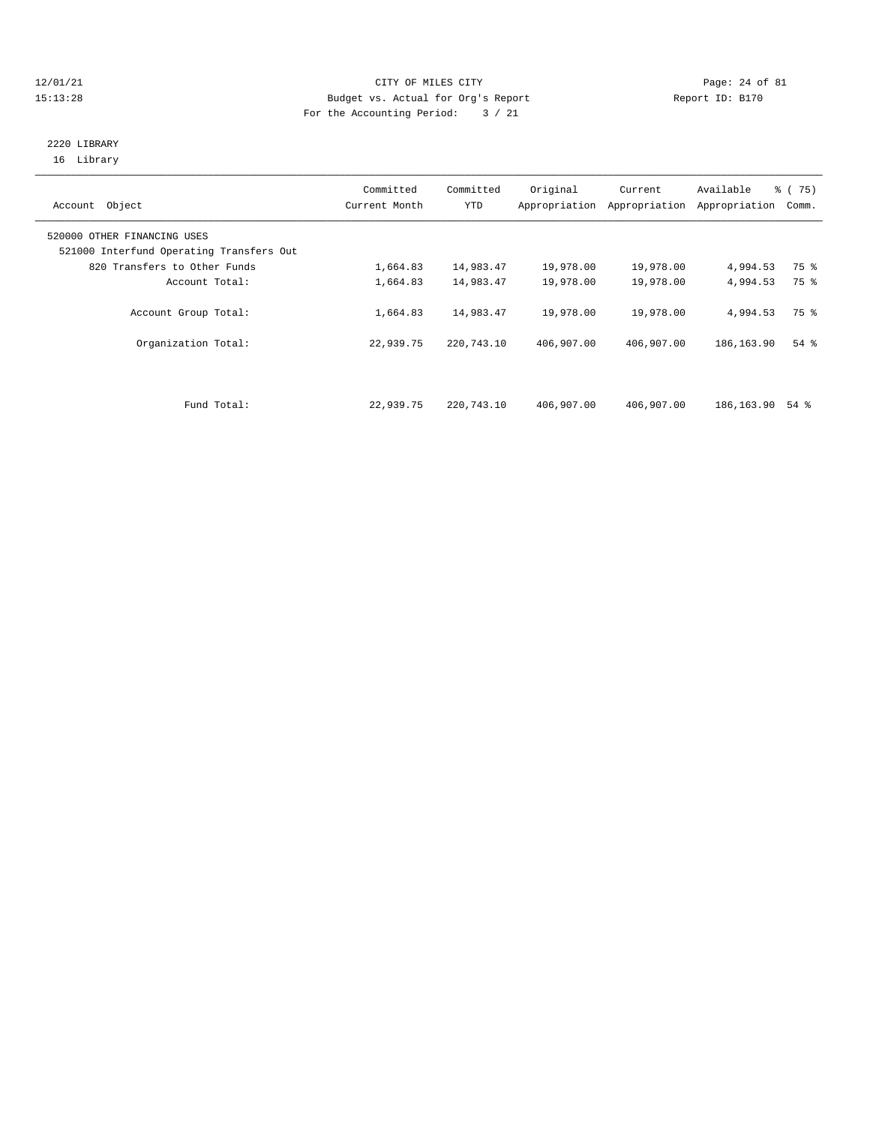#### $12/01/21$  Page: 24 of 81 15:13:28 Budget vs. Actual for Org's Report Report ID: B170 For the Accounting Period: 3 / 21

### 2220 LIBRARY 16 Library

| Account Object                                                          | Committed<br>Current Month | Committed<br><b>YTD</b> | Original<br>Appropriation | Current<br>Appropriation | Available<br>Appropriation | % (75)<br>Comm. |
|-------------------------------------------------------------------------|----------------------------|-------------------------|---------------------------|--------------------------|----------------------------|-----------------|
| 520000 OTHER FINANCING USES<br>521000 Interfund Operating Transfers Out |                            |                         |                           |                          |                            |                 |
| 820 Transfers to Other Funds                                            | 1,664.83                   | 14,983.47               | 19,978.00                 | 19,978.00                | 4,994.53                   | 75 %            |
| Account Total:                                                          | 1,664.83                   | 14,983.47               | 19,978.00                 | 19,978.00                | 4,994.53                   | 75 %            |
| Account Group Total:                                                    | 1,664.83                   | 14,983.47               | 19,978.00                 | 19,978.00                | 4,994.53                   | 75 %            |
| Organization Total:                                                     | 22,939.75                  | 220,743.10              | 406,907.00                | 406,907.00               | 186, 163.90                | $54$ $%$        |
|                                                                         |                            |                         |                           |                          |                            |                 |
| Fund Total:                                                             | 22,939.75                  | 220,743.10              | 406,907.00                | 406,907.00               | 186,163.90                 | 54 %            |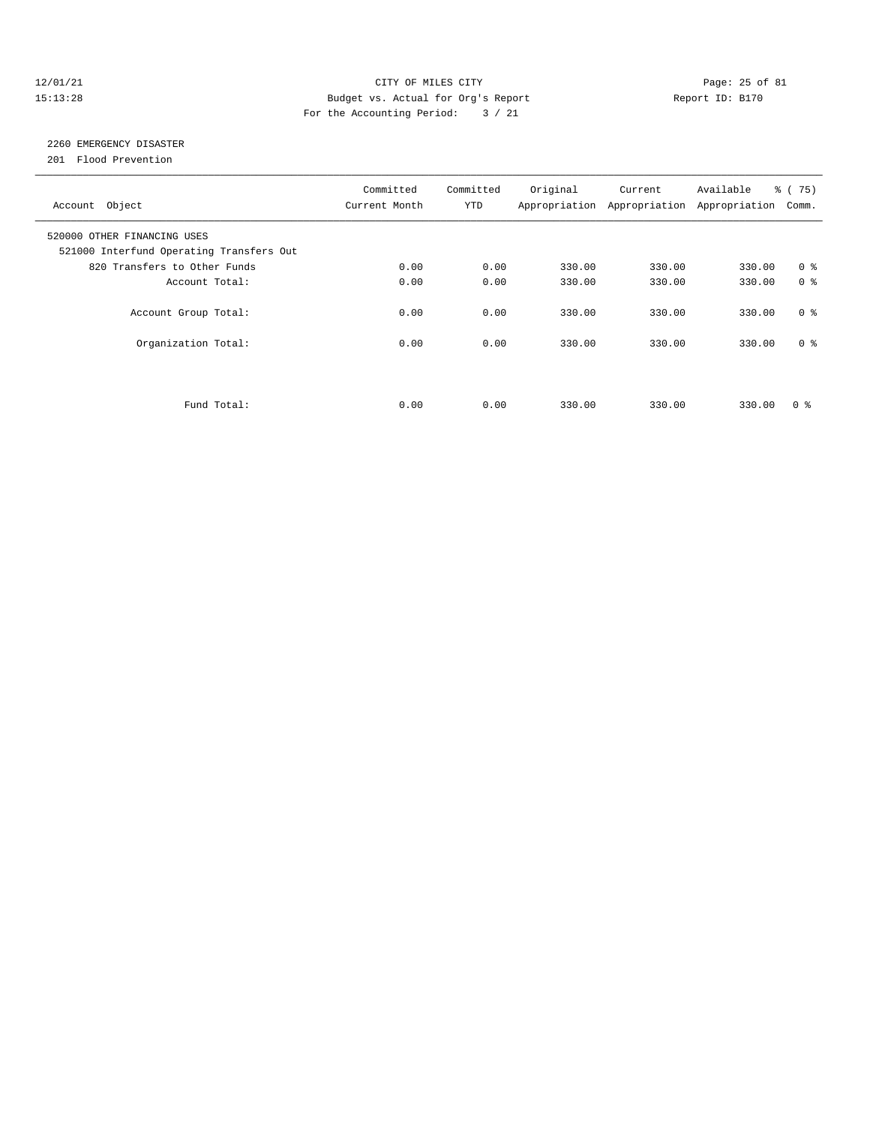#### 12/01/21 Page: 25 of 81 15:13:28 Budget vs. Actual for Org's Report Report ID: B170 For the Accounting Period: 3 / 21

# 2260 EMERGENCY DISASTER

201 Flood Prevention

| Account Object                                                          | Committed<br>Current Month | Committed<br><b>YTD</b> | Original | Current<br>Appropriation Appropriation | Available<br>Appropriation | % (75)<br>Comm. |
|-------------------------------------------------------------------------|----------------------------|-------------------------|----------|----------------------------------------|----------------------------|-----------------|
| 520000 OTHER FINANCING USES<br>521000 Interfund Operating Transfers Out |                            |                         |          |                                        |                            |                 |
| 820 Transfers to Other Funds                                            | 0.00                       | 0.00                    | 330.00   | 330.00                                 | 330.00                     | 0 <sup>8</sup>  |
| Account Total:                                                          | 0.00                       | 0.00                    | 330.00   | 330.00                                 | 330.00                     | 0 <sup>8</sup>  |
| Account Group Total:                                                    | 0.00                       | 0.00                    | 330.00   | 330.00                                 | 330.00                     | 0 <sup>8</sup>  |
| Organization Total:                                                     | 0.00                       | 0.00                    | 330.00   | 330.00                                 | 330.00                     | 0 <sup>8</sup>  |
|                                                                         |                            |                         |          |                                        |                            |                 |
| Fund Total:                                                             | 0.00                       | 0.00                    | 330.00   | 330.00                                 | 330.00                     | 0 <sup>8</sup>  |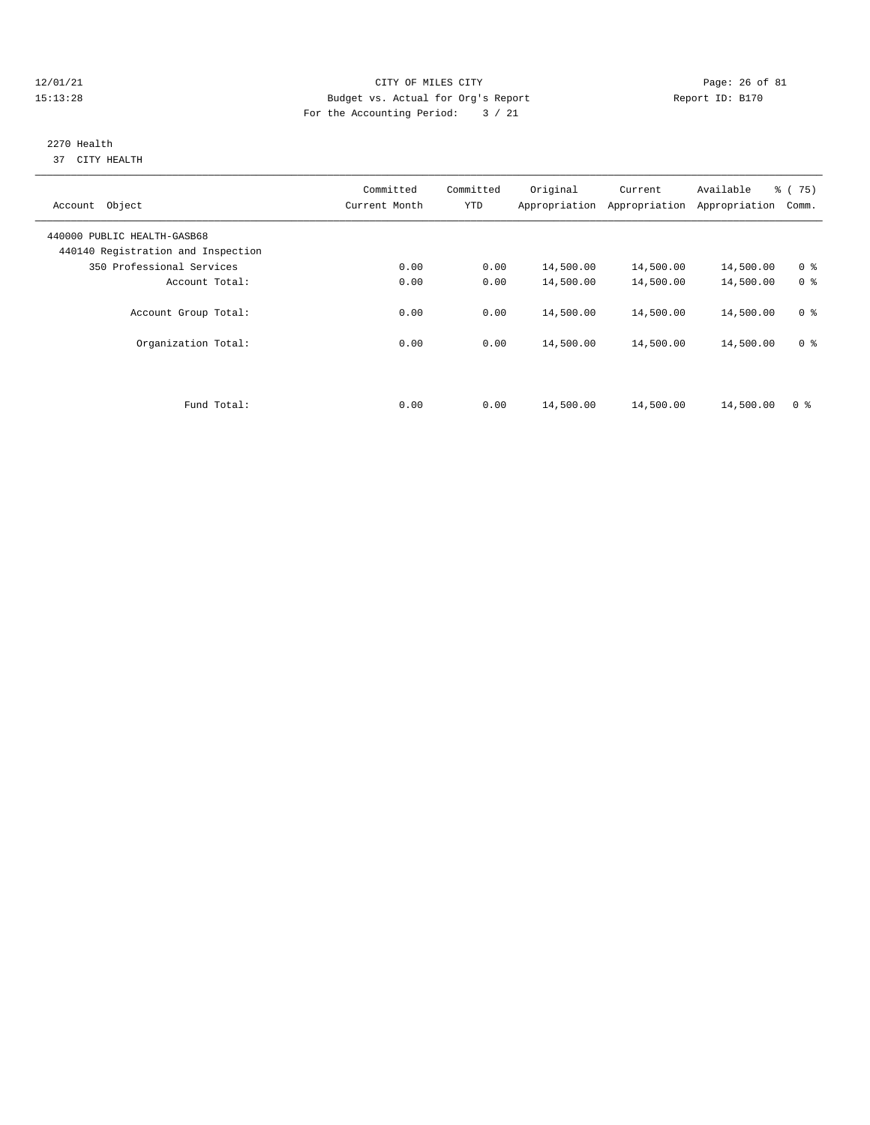## $12/01/21$  Page: 26 of 81 15:13:28 Budget vs. Actual for Org's Report Report ID: B170 For the Accounting Period: 3 / 21

#### 2270 Health 37 CITY HEALTH

| Account Object                                                    | Committed<br>Current Month | Committed<br><b>YTD</b> | Original  | Current<br>Appropriation Appropriation | Available<br>Appropriation | % (75)<br>Comm. |
|-------------------------------------------------------------------|----------------------------|-------------------------|-----------|----------------------------------------|----------------------------|-----------------|
| 440000 PUBLIC HEALTH-GASB68<br>440140 Registration and Inspection |                            |                         |           |                                        |                            |                 |
| 350 Professional Services                                         | 0.00                       | 0.00                    | 14,500.00 | 14,500.00                              | 14,500.00                  | 0 <sup>8</sup>  |
| Account Total:                                                    | 0.00                       | 0.00                    | 14,500.00 | 14,500.00                              | 14,500.00                  | 0 <sup>8</sup>  |
| Account Group Total:                                              | 0.00                       | 0.00                    | 14,500.00 | 14,500.00                              | 14,500.00                  | 0 <sup>8</sup>  |
| Organization Total:                                               | 0.00                       | 0.00                    | 14,500.00 | 14,500.00                              | 14,500.00                  | 0 <sup>8</sup>  |
|                                                                   |                            |                         |           |                                        |                            |                 |
| Fund Total:                                                       | 0.00                       | 0.00                    | 14,500.00 | 14,500.00                              | 14,500.00                  | 0 <sup>8</sup>  |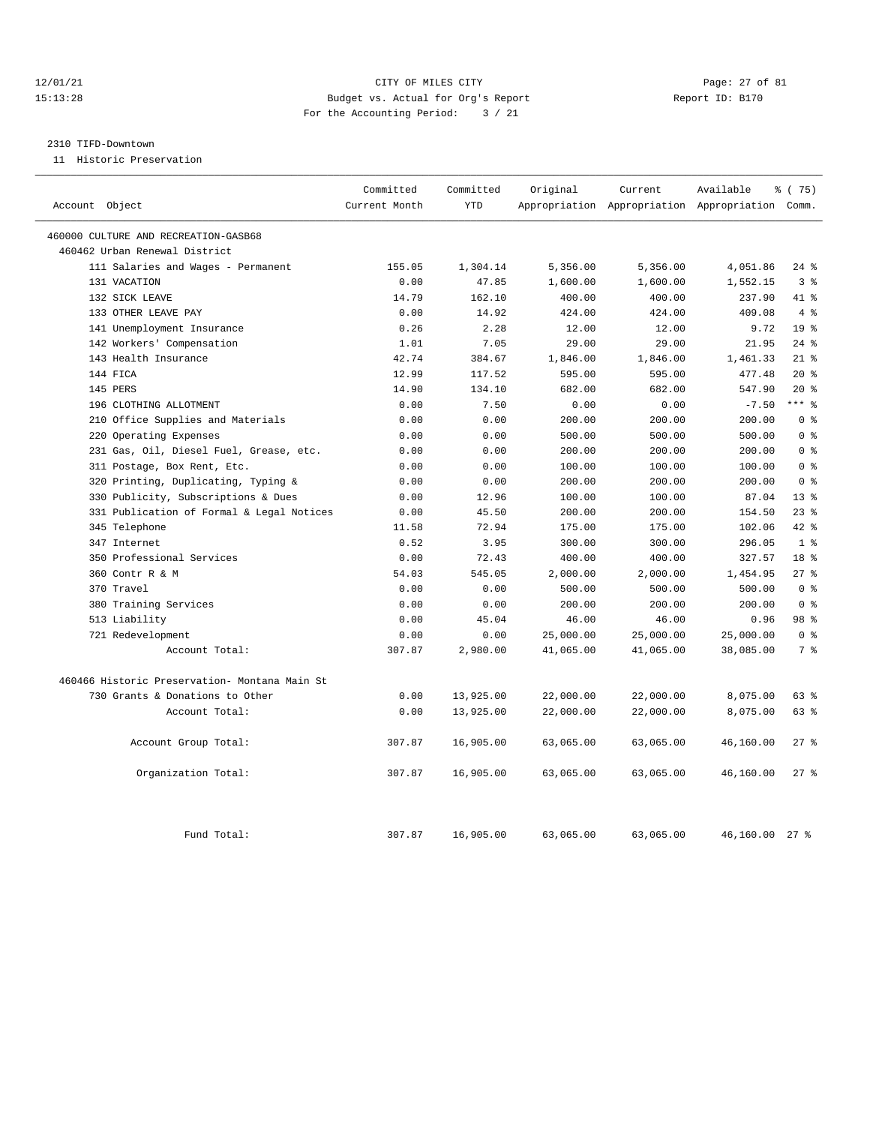#### 12/01/21 Page: 27 of 81 15:13:28 Budget vs. Actual for Org's Report Report ID: B170 For the Accounting Period: 3 / 21

#### 2310 TIFD-Downtown

11 Historic Preservation

| Account Object                                | Committed<br>Current Month | Committed<br><b>YTD</b> | Original  | Current   | Available<br>Appropriation Appropriation Appropriation Comm. | 8 (75)             |
|-----------------------------------------------|----------------------------|-------------------------|-----------|-----------|--------------------------------------------------------------|--------------------|
|                                               |                            |                         |           |           |                                                              |                    |
| 460000 CULTURE AND RECREATION-GASB68          |                            |                         |           |           |                                                              |                    |
| 460462 Urban Renewal District                 |                            |                         |           |           |                                                              |                    |
| 111 Salaries and Wages - Permanent            | 155.05                     | 1,304.14                | 5,356.00  | 5,356.00  | 4,051.86                                                     | $24$ %             |
| 131 VACATION                                  | 0.00                       | 47.85                   | 1,600.00  | 1,600.00  | 1,552.15                                                     | 38                 |
| 132 SICK LEAVE                                | 14.79                      | 162.10                  | 400.00    | 400.00    | 237.90                                                       | 41 %               |
| 133 OTHER LEAVE PAY                           | 0.00                       | 14.92                   | 424.00    | 424.00    | 409.08                                                       | 4%                 |
| 141 Unemployment Insurance                    | 0.26                       | 2.28                    | 12.00     | 12.00     | 9.72                                                         | 19 <sup>8</sup>    |
| 142 Workers' Compensation                     | 1.01                       | 7.05                    | 29.00     | 29.00     | 21.95                                                        | 24%                |
| 143 Health Insurance                          | 42.74                      | 384.67                  | 1,846.00  | 1,846.00  | 1,461.33                                                     | $21$ %             |
| 144 FICA                                      | 12.99                      | 117.52                  | 595.00    | 595.00    | 477.48                                                       | $20*$              |
| 145 PERS                                      | 14.90                      | 134.10                  | 682.00    | 682.00    | 547.90                                                       | $20*$              |
| 196 CLOTHING ALLOTMENT                        | 0.00                       | 7.50                    | 0.00      | 0.00      | $-7.50$                                                      | $***$ $%$          |
| Office Supplies and Materials<br>210          | 0.00                       | 0.00                    | 200.00    | 200.00    | 200.00                                                       | 0 <sup>8</sup>     |
| Operating Expenses<br>220                     | 0.00                       | 0.00                    | 500.00    | 500.00    | 500.00                                                       | 0 <sup>8</sup>     |
| 231 Gas, Oil, Diesel Fuel, Grease, etc.       | 0.00                       | 0.00                    | 200.00    | 200.00    | 200.00                                                       | 0 <sup>8</sup>     |
| 311 Postage, Box Rent, Etc.                   | 0.00                       | 0.00                    | 100.00    | 100.00    | 100.00                                                       | 0 <sup>8</sup>     |
| 320 Printing, Duplicating, Typing &           | 0.00                       | 0.00                    | 200.00    | 200.00    | 200.00                                                       | 0 <sup>8</sup>     |
| 330 Publicity, Subscriptions & Dues           | 0.00                       | 12.96                   | 100.00    | 100.00    | 87.04                                                        | $13*$              |
| 331 Publication of Formal & Legal Notices     | 0.00                       | 45.50                   | 200.00    | 200.00    | 154.50                                                       | $23$ $%$           |
| 345 Telephone                                 | 11.58                      | 72.94                   | 175.00    | 175.00    | 102.06                                                       | $42*$              |
| 347 Internet                                  | 0.52                       | 3.95                    | 300.00    | 300.00    | 296.05                                                       | 1 <sup>8</sup>     |
| 350 Professional Services                     | 0.00                       | 72.43                   | 400.00    | 400.00    | 327.57                                                       | 18 %               |
| 360 Contr R & M                               | 54.03                      | 545.05                  | 2,000.00  | 2,000.00  | 1,454.95                                                     | 27%                |
| 370 Travel                                    | 0.00                       | 0.00                    | 500.00    | 500.00    | 500.00                                                       | 0 <sup>8</sup>     |
| 380 Training Services                         | 0.00                       | 0.00                    | 200.00    | 200.00    | 200.00                                                       | 0 <sup>8</sup>     |
| 513 Liability                                 | 0.00                       | 45.04                   | 46.00     | 46.00     | 0.96                                                         | 98 %               |
| 721 Redevelopment                             | 0.00                       | 0.00                    | 25,000.00 | 25,000.00 | 25,000.00                                                    | 0 <sup>8</sup>     |
| Account Total:                                | 307.87                     | 2,980.00                | 41,065.00 | 41,065.00 | 38,085.00                                                    | 7 %                |
| 460466 Historic Preservation- Montana Main St |                            |                         |           |           |                                                              |                    |
| 730 Grants & Donations to Other               | 0.00                       | 13,925.00               | 22,000.00 | 22,000.00 | 8,075.00                                                     | 63 %               |
| Account Total:                                | 0.00                       | 13,925.00               | 22,000.00 | 22,000.00 | 8,075.00                                                     | 63 %               |
| Account Group Total:                          | 307.87                     | 16,905.00               | 63,065.00 | 63,065.00 | 46,160.00                                                    | $27$ %             |
| Organization Total:                           | 307.87                     | 16,905.00               | 63,065.00 | 63,065.00 | 46,160.00                                                    | 278                |
| Fund Total:                                   | 307.87                     | 16,905.00               | 63,065.00 | 63,065.00 | 46,160.00                                                    | $27$ $\frac{6}{3}$ |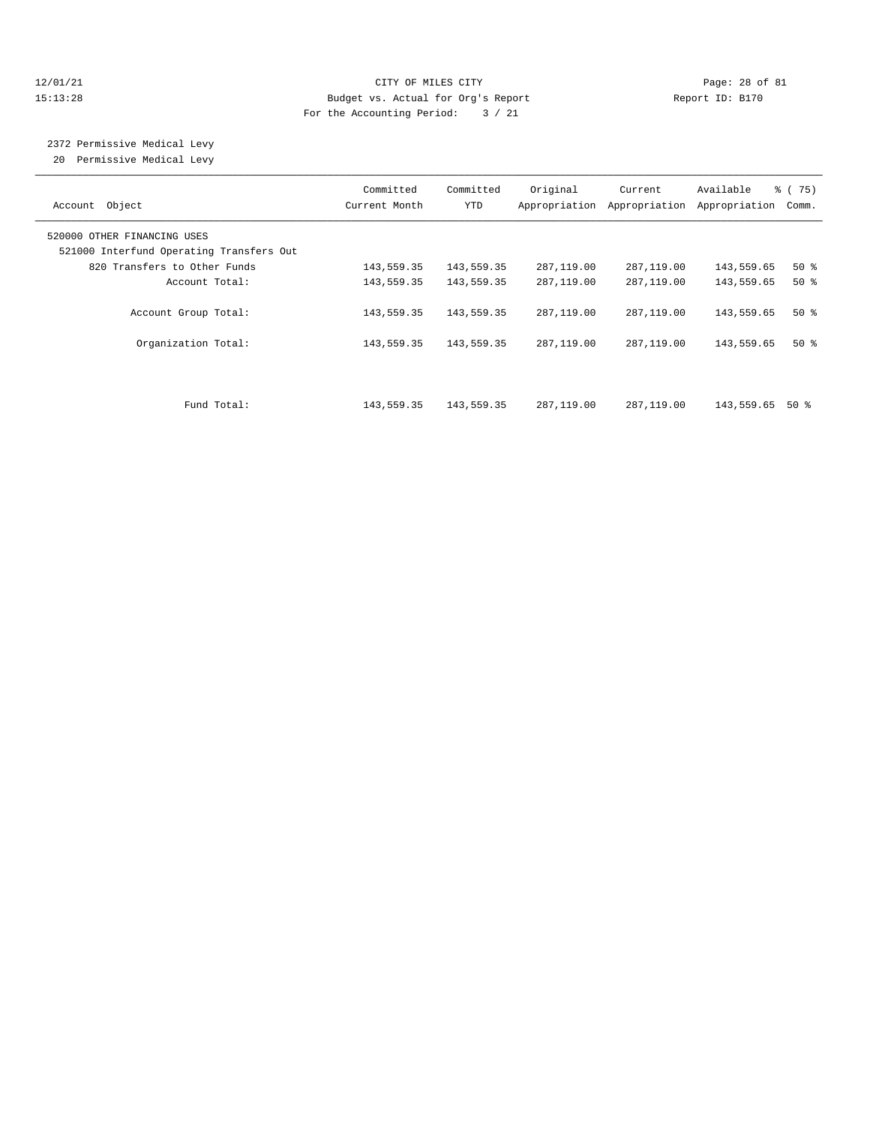#### $12/01/21$  Page: 28 of 81 15:13:28 Budget vs. Actual for Org's Report Report ID: B170 For the Accounting Period: 3 / 21

# 2372 Permissive Medical Levy

20 Permissive Medical Levy

| Account Object                                                          | Committed<br>Current Month | Committed<br><b>YTD</b>  | Original<br>Appropriation | Current<br>Appropriation | Available<br>Appropriation | % (75)<br>Comm. |
|-------------------------------------------------------------------------|----------------------------|--------------------------|---------------------------|--------------------------|----------------------------|-----------------|
| 520000 OTHER FINANCING USES<br>521000 Interfund Operating Transfers Out |                            |                          |                           |                          |                            |                 |
| 820 Transfers to Other Funds                                            | 143,559.35                 | 143,559.35               | 287,119.00                | 287,119.00               | 143,559.65                 | $50*$           |
| Account Total:                                                          | 143,559.35                 | 143,559.35               | 287,119.00                | 287,119.00               | 143,559.65                 | 50%             |
| Account Group Total:<br>Organization Total:                             | 143,559.35<br>143,559.35   | 143,559.35<br>143,559.35 | 287,119.00<br>287,119.00  | 287,119.00<br>287,119.00 | 143,559.65<br>143,559.65   | $50*$<br>$50*$  |
|                                                                         |                            |                          |                           |                          |                            |                 |
| Fund Total:                                                             | 143,559.35                 | 143,559.35               | 287,119.00                | 287,119.00               | 143,559.65                 | 50 %            |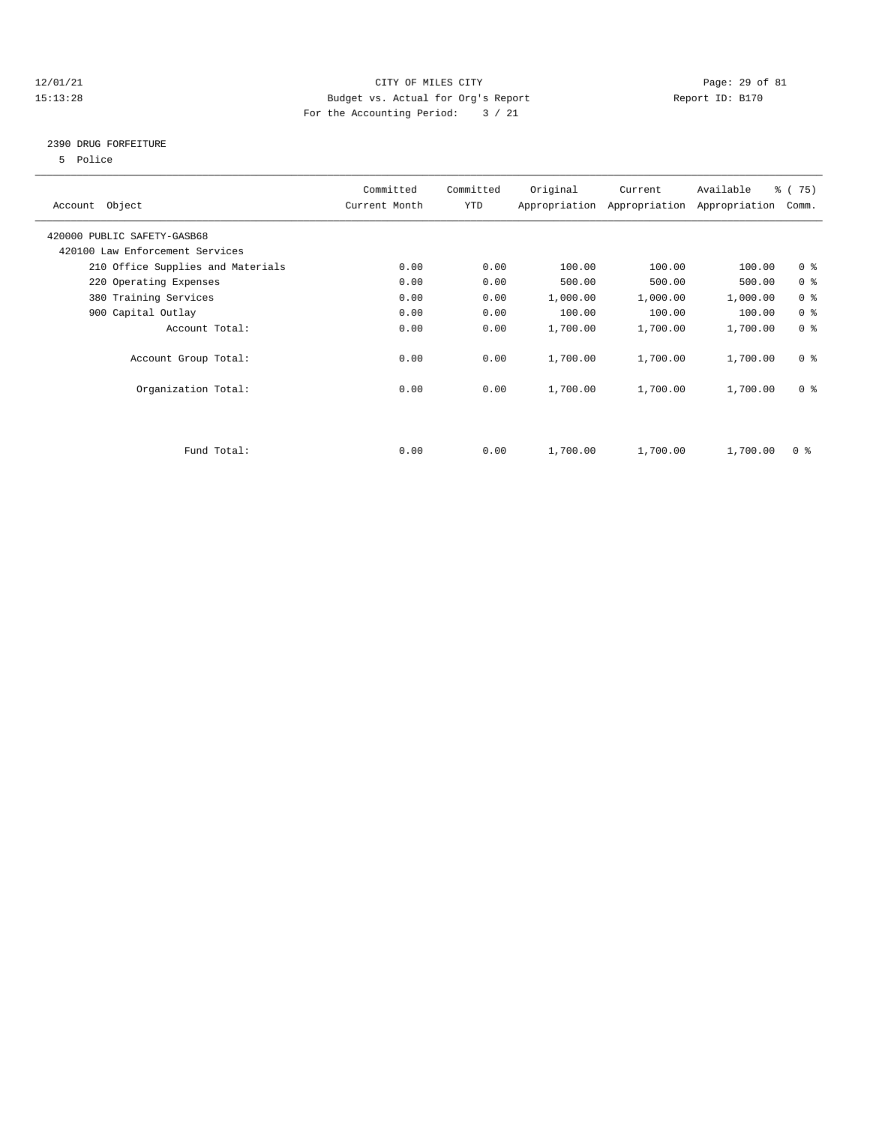## 12/01/21 Page: 29 of 81 15:13:28 Budget vs. Actual for Org's Report Report ID: B170 For the Accounting Period: 3 / 21

## 2390 DRUG FORFEITURE

5 Police

| Account Object                    | Committed<br>Current Month | Committed<br>YTD | Original | Current<br>Appropriation Appropriation | Available<br>Appropriation | % (75)<br>Comm.         |
|-----------------------------------|----------------------------|------------------|----------|----------------------------------------|----------------------------|-------------------------|
| 420000 PUBLIC SAFETY-GASB68       |                            |                  |          |                                        |                            |                         |
| 420100 Law Enforcement Services   |                            |                  |          |                                        |                            |                         |
| 210 Office Supplies and Materials | 0.00                       | 0.00             | 100.00   | 100.00                                 | 100.00                     | 0 <sup>8</sup>          |
| 220 Operating Expenses            | 0.00                       | 0.00             | 500.00   | 500.00                                 | 500.00                     | 0 <sup>8</sup>          |
| 380 Training Services             | 0.00                       | 0.00             | 1,000.00 | 1,000.00                               | 1,000.00                   | 0 <sup>8</sup>          |
| 900 Capital Outlay                | 0.00                       | 0.00             | 100.00   | 100.00                                 | 100.00                     | 0 <sup>8</sup>          |
| Account Total:                    | 0.00                       | 0.00             | 1,700.00 | 1,700.00                               | 1,700.00                   | 0 <sup>8</sup>          |
| Account Group Total:              | 0.00                       | 0.00             | 1,700.00 | 1,700.00                               | 1,700.00                   | 0 <sup>8</sup>          |
| Organization Total:               | 0.00                       | 0.00             | 1,700.00 | 1,700.00                               | 1,700.00                   | 0 <sup>8</sup>          |
|                                   |                            |                  |          |                                        |                            |                         |
| Fund Total:                       | 0.00                       | 0.00             | 1,700.00 | 1,700.00                               | 1,700.00                   | $0 \text{ }$ $\text{*}$ |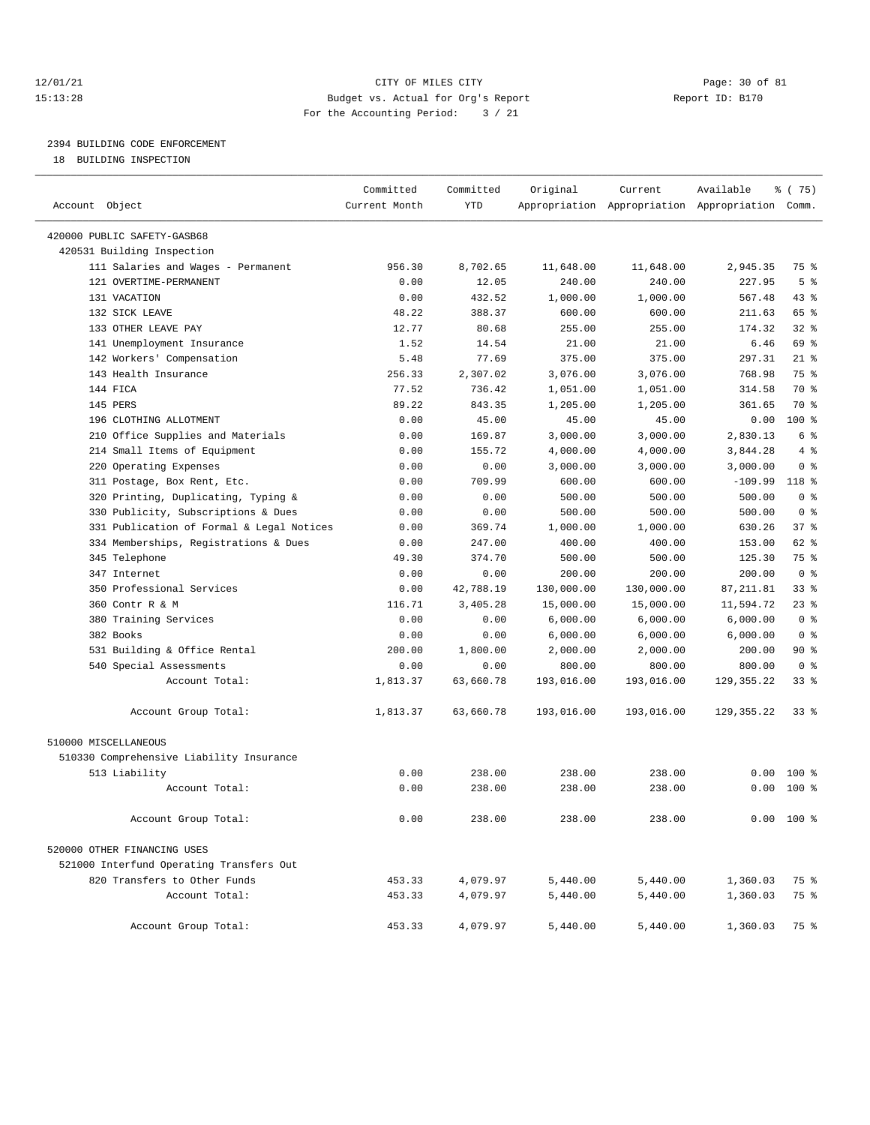#### 12/01/21 Page: 30 of 81 15:13:28 Budget vs. Actual for Org's Report Report ID: B170 For the Accounting Period: 3 / 21

————————————————————————————————————————————————————————————————————————————————————————————————————————————————————————————————————

# 2394 BUILDING CODE ENFORCEMENT

18 BUILDING INSPECTION

|                                           | Committed     | Committed  | Original   | Current    | Available                                       | ៖ (75)         |
|-------------------------------------------|---------------|------------|------------|------------|-------------------------------------------------|----------------|
| Account Object                            | Current Month | <b>YTD</b> |            |            | Appropriation Appropriation Appropriation Comm. |                |
| 420000 PUBLIC SAFETY-GASB68               |               |            |            |            |                                                 |                |
| 420531 Building Inspection                |               |            |            |            |                                                 |                |
| 111 Salaries and Wages - Permanent        | 956.30        | 8,702.65   | 11,648.00  | 11,648.00  | 2,945.35                                        | 75 %           |
| 121 OVERTIME-PERMANENT                    | 0.00          | 12.05      | 240.00     | 240.00     | 227.95                                          | 5 <sup>8</sup> |
| 131 VACATION                              | 0.00          | 432.52     | 1,000.00   | 1,000.00   | 567.48                                          | 43 %           |
| 132 SICK LEAVE                            | 48.22         | 388.37     | 600.00     | 600.00     | 211.63                                          | 65 %           |
| 133 OTHER LEAVE PAY                       | 12.77         | 80.68      | 255.00     | 255.00     | 174.32                                          | $32$ $%$       |
| 141 Unemployment Insurance                | 1.52          | 14.54      | 21.00      | 21.00      | 6.46                                            | 69 %           |
| 142 Workers' Compensation                 | 5.48          | 77.69      | 375.00     | 375.00     | 297.31                                          | $21$ %         |
| 143 Health Insurance                      | 256.33        | 2,307.02   | 3,076.00   | 3,076.00   | 768.98                                          | 75 %           |
| 144 FICA                                  | 77.52         | 736.42     | 1,051.00   | 1,051.00   | 314.58                                          | 70 %           |
| 145 PERS                                  | 89.22         | 843.35     | 1,205.00   | 1,205.00   | 361.65                                          | 70 %           |
| 196 CLOTHING ALLOTMENT                    | 0.00          | 45.00      | 45.00      | 45.00      | 0.00                                            | $100$ %        |
| 210 Office Supplies and Materials         | 0.00          | 169.87     | 3,000.00   | 3,000.00   | 2,830.13                                        | 6 %            |
| 214 Small Items of Equipment              | 0.00          | 155.72     | 4,000.00   | 4,000.00   | 3,844.28                                        | 4%             |
| 220 Operating Expenses                    | 0.00          | 0.00       | 3,000.00   | 3,000.00   | 3,000.00                                        | 0 <sup>8</sup> |
| 311 Postage, Box Rent, Etc.               | 0.00          | 709.99     | 600.00     | 600.00     | $-109.99$                                       | 118 %          |
| 320 Printing, Duplicating, Typing &       | 0.00          | 0.00       | 500.00     | 500.00     | 500.00                                          | 0 <sup>8</sup> |
| 330 Publicity, Subscriptions & Dues       | 0.00          | 0.00       | 500.00     | 500.00     | 500.00                                          | 0 <sup>8</sup> |
| 331 Publication of Formal & Legal Notices | 0.00          | 369.74     | 1,000.00   | 1,000.00   | 630.26                                          | 37%            |
| 334 Memberships, Registrations & Dues     | 0.00          | 247.00     | 400.00     | 400.00     | 153.00                                          | 62 %           |
| 345 Telephone                             | 49.30         | 374.70     | 500.00     | 500.00     | 125.30                                          | 75 %           |
| 347 Internet                              | 0.00          | 0.00       | 200.00     | 200.00     | 200.00                                          | 0 <sup>8</sup> |
| 350 Professional Services                 | 0.00          | 42,788.19  | 130,000.00 | 130,000.00 | 87, 211.81                                      | 33%            |
| 360 Contr R & M                           | 116.71        | 3,405.28   | 15,000.00  | 15,000.00  | 11,594.72                                       | $23$ %         |
| 380 Training Services                     | 0.00          | 0.00       | 6,000.00   | 6,000.00   | 6,000.00                                        | 0 <sup>8</sup> |
| 382 Books                                 | 0.00          | 0.00       | 6,000.00   | 6,000.00   | 6,000.00                                        | 0 <sup>8</sup> |
| 531 Building & Office Rental              | 200.00        | 1,800.00   | 2,000.00   | 2,000.00   | 200.00                                          | 90%            |
| 540 Special Assessments                   | 0.00          | 0.00       | 800.00     | 800.00     | 800.00                                          | 0 <sup>8</sup> |
| Account Total:                            | 1,813.37      | 63,660.78  | 193,016.00 | 193,016.00 | 129, 355. 22                                    | 33%            |
| Account Group Total:                      | 1,813.37      | 63,660.78  | 193,016.00 | 193,016.00 | 129, 355. 22                                    | 338            |
| 510000 MISCELLANEOUS                      |               |            |            |            |                                                 |                |
| 510330 Comprehensive Liability Insurance  |               |            |            |            |                                                 |                |
| 513 Liability                             | 0.00          | 238.00     | 238.00     | 238.00     | 0.00                                            | $100*$         |
| Account Total:                            | 0.00          | 238.00     | 238.00     | 238.00     | 0.00                                            | 100 %          |
| Account Group Total:                      | 0.00          | 238.00     | 238.00     | 238.00     |                                                 | $0.00$ 100 %   |
| 520000 OTHER FINANCING USES               |               |            |            |            |                                                 |                |
| 521000 Interfund Operating Transfers Out  |               |            |            |            |                                                 |                |
| 820 Transfers to Other Funds              | 453.33        | 4,079.97   | 5,440.00   | 5,440.00   | 1,360.03                                        | 75 %           |
| Account Total:                            | 453.33        | 4,079.97   | 5,440.00   | 5,440.00   | 1,360.03                                        | 75 %           |
| Account Group Total:                      | 453.33        | 4,079.97   | 5,440.00   | 5,440.00   | 1,360.03                                        | 75 %           |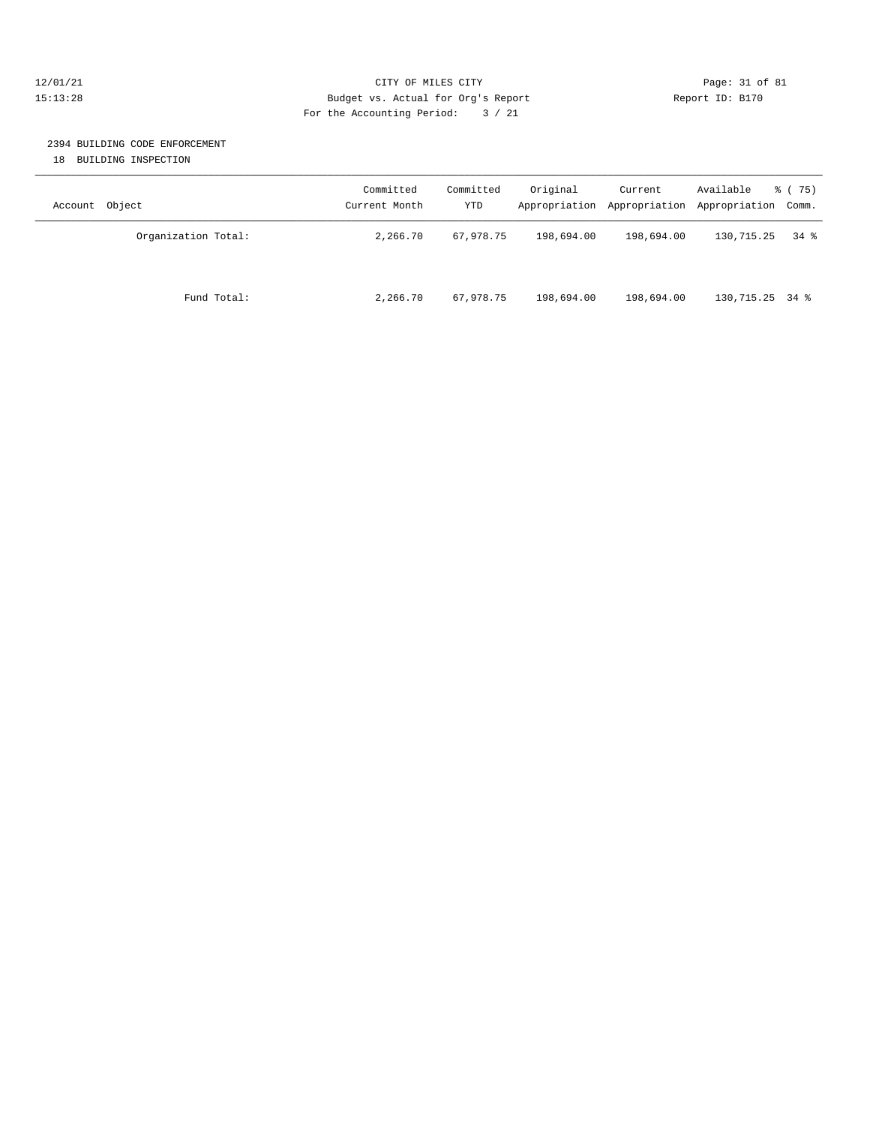#### 12/01/21 Page: 31 of 81 15:13:28 Budget vs. Actual for Org's Report Report ID: B170 For the Accounting Period: 3 / 21

# 2394 BUILDING CODE ENFORCEMENT

18 BUILDING INSPECTION

| Account Object      | Committed<br>Current Month | Committed<br><b>YTD</b> | Original   | Current    | Available<br>Appropriation Appropriation Appropriation Comm. | 8 (75) |
|---------------------|----------------------------|-------------------------|------------|------------|--------------------------------------------------------------|--------|
| Organization Total: | 2,266.70                   | 67,978.75               | 198,694.00 | 198,694.00 | 130,715.25                                                   | 34 %   |
| Fund Total:         | 2,266.70                   | 67,978.75               | 198,694.00 | 198,694.00 | 130,715.25 34 %                                              |        |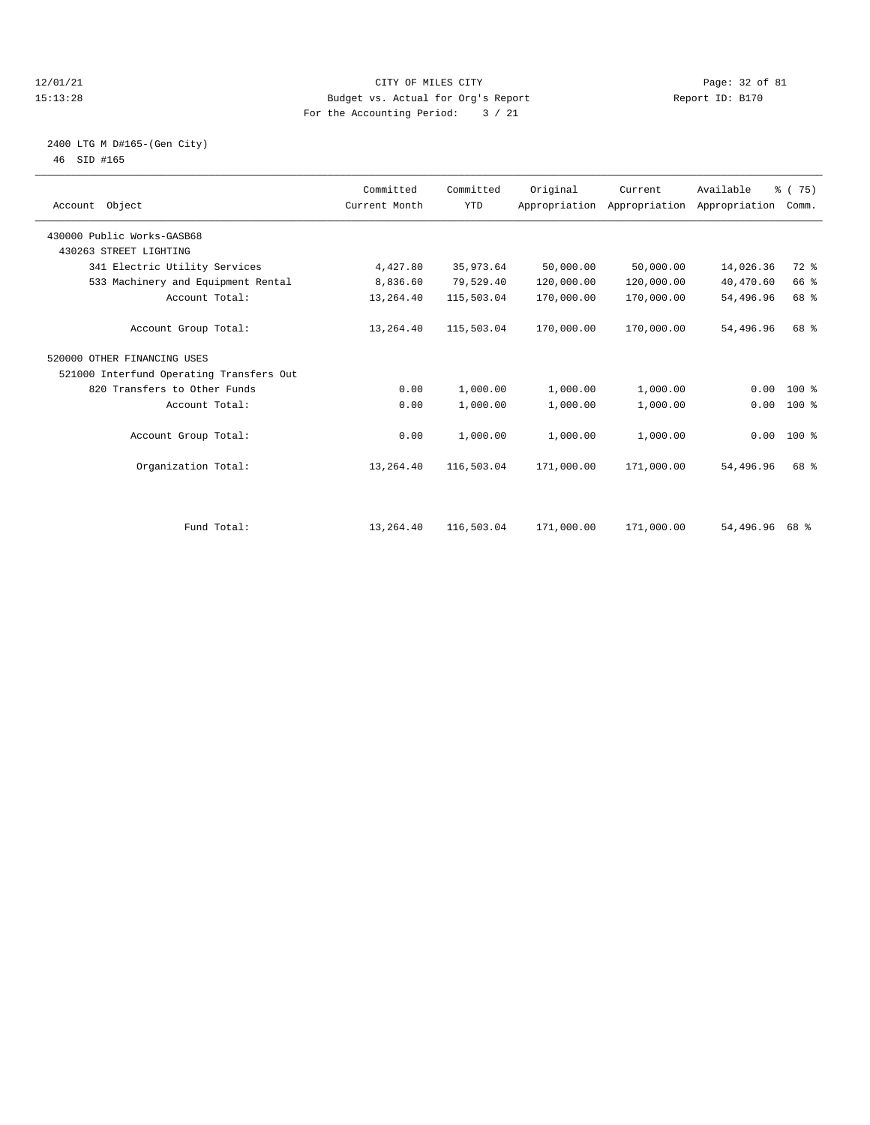#### 12/01/21 Page: 32 of 81 CITY OF MILES CITY CONTRIBUTE CITY PAGE: 32 of 81 Page: 32 of 81 CITY CHANGER PAGE: 15<br>15:13:28 Budget vs. Actual for Org's Report Changer of Report ID: B170 15:13:28 Budget vs. Actual for Org's Report For the Accounting Period: 3 / 21

### 2400 LTG M D#165-(Gen City) 46 SID #165

| Account Object                           | Committed<br>Current Month | Committed<br><b>YTD</b> | Original   | Current<br>Appropriation Appropriation | Available<br>Appropriation | % (75)<br>Comm. |  |
|------------------------------------------|----------------------------|-------------------------|------------|----------------------------------------|----------------------------|-----------------|--|
| 430000 Public Works-GASB68               |                            |                         |            |                                        |                            |                 |  |
| 430263 STREET LIGHTING                   |                            |                         |            |                                        |                            |                 |  |
| 341 Electric Utility Services            | 4,427.80                   | 35,973.64               | 50,000.00  | 50,000.00                              | 14,026.36                  | 72 %            |  |
| 533 Machinery and Equipment Rental       | 8,836.60                   | 79,529.40               | 120,000.00 | 120,000.00                             | 40,470.60                  | 66 %            |  |
| Account Total:                           | 13,264.40                  | 115,503.04              | 170,000.00 | 170,000.00                             | 54,496.96                  | 68 %            |  |
| Account Group Total:                     | 13,264.40                  | 115,503.04              | 170,000.00 | 170,000.00                             | 54,496.96                  | 68 %            |  |
| 520000 OTHER FINANCING USES              |                            |                         |            |                                        |                            |                 |  |
| 521000 Interfund Operating Transfers Out |                            |                         |            |                                        |                            |                 |  |
| 820 Transfers to Other Funds             | 0.00                       | 1,000.00                | 1,000.00   | 1,000.00                               | 0.00                       | $100*$          |  |
| Account Total:                           | 0.00                       | 1,000.00                | 1,000.00   | 1,000.00                               | 0.00                       | $100$ %         |  |
| Account Group Total:                     | 0.00                       | 1,000.00                | 1,000.00   | 1,000.00                               |                            | $0.00$ 100 %    |  |
| Organization Total:                      | 13,264.40                  | 116,503.04              | 171,000.00 | 171,000.00                             | 54,496.96                  | 68 %            |  |
|                                          |                            |                         |            |                                        |                            |                 |  |
| Fund Total:                              | 13,264.40                  | 116,503.04              | 171,000.00 | 171,000.00                             | 54,496.96                  | 68 %            |  |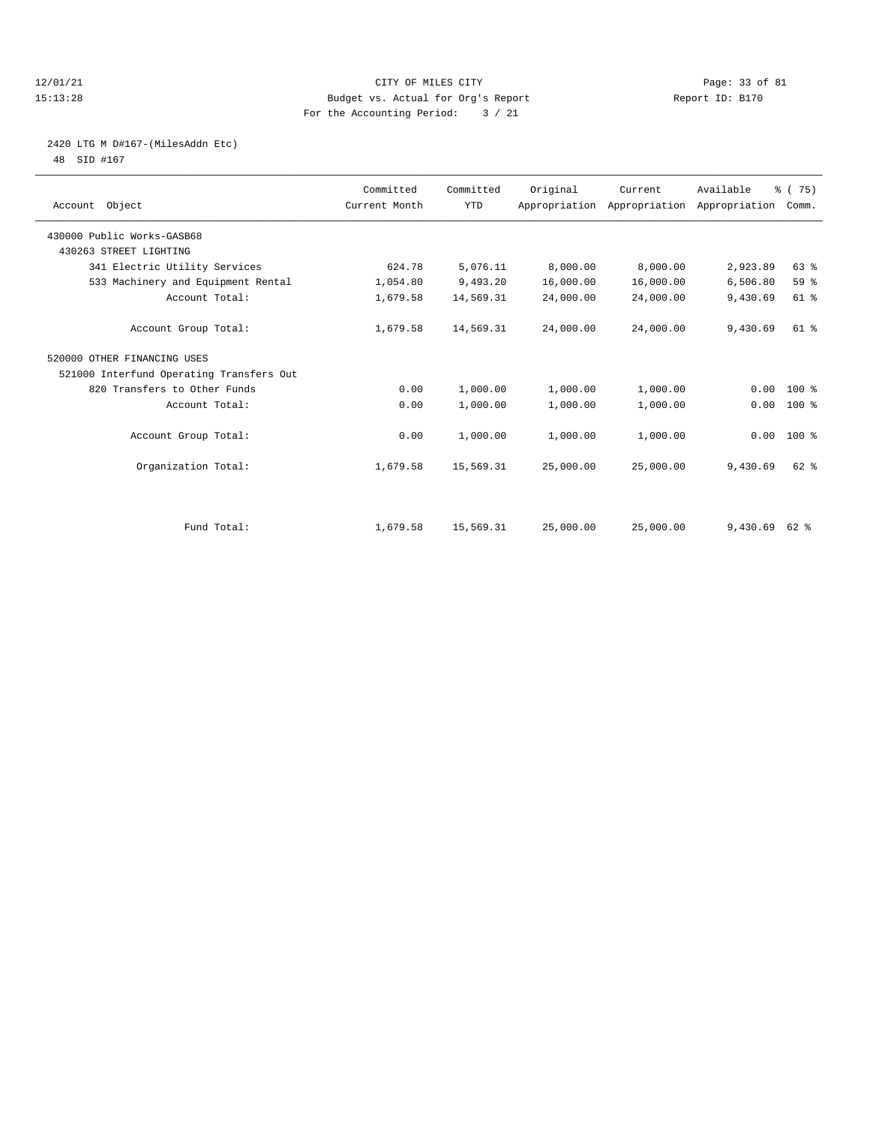#### 12/01/21 Page: 33 of 81 CITY OF MILES CITY CONTRIBUTE CITY PAGE: 33 of 81 Page: 33 of 81 CITY CHES CITY CONTRIBUTE CITY 15:13:28 Budget vs. Actual for Org's Report For the Accounting Period: 3 / 21

# 2420 LTG M D#167-(MilesAddn Etc)

48 SID #167

| Account Object                           | Committed<br>Current Month | Committed<br><b>YTD</b> | Original  | Current<br>Appropriation Appropriation Appropriation | Available | % (75)<br>Comm. |  |
|------------------------------------------|----------------------------|-------------------------|-----------|------------------------------------------------------|-----------|-----------------|--|
| 430000 Public Works-GASB68               |                            |                         |           |                                                      |           |                 |  |
| 430263 STREET LIGHTING                   |                            |                         |           |                                                      |           |                 |  |
| 341 Electric Utility Services            | 624.78                     | 5,076.11                | 8,000.00  | 8,000.00                                             | 2,923.89  | 63 %            |  |
| 533 Machinery and Equipment Rental       | 1,054.80                   | 9,493.20                | 16,000.00 | 16,000.00                                            | 6,506.80  | 59 %            |  |
| Account Total:                           | 1,679.58                   | 14,569.31               | 24,000.00 | 24,000.00                                            | 9,430.69  | 61 %            |  |
| Account Group Total:                     | 1,679.58                   | 14,569.31               | 24,000.00 | 24,000.00                                            | 9,430.69  | $61$ $%$        |  |
| 520000 OTHER FINANCING USES              |                            |                         |           |                                                      |           |                 |  |
| 521000 Interfund Operating Transfers Out |                            |                         |           |                                                      |           |                 |  |
| 820 Transfers to Other Funds             | 0.00                       | 1,000.00                | 1,000.00  | 1,000.00                                             | 0.00      | $100*$          |  |
| Account Total:                           | 0.00                       | 1,000.00                | 1,000.00  | 1,000.00                                             | 0.00      | 100 %           |  |
| Account Group Total:                     | 0.00                       | 1,000.00                | 1,000.00  | 1,000.00                                             | 0.00      | $100*$          |  |
| Organization Total:                      | 1,679.58                   | 15,569.31               | 25,000.00 | 25,000.00                                            | 9,430.69  | $62$ $%$        |  |
|                                          |                            |                         |           |                                                      |           |                 |  |
| Fund Total:                              | 1,679.58                   | 15,569.31               | 25,000.00 | 25,000.00                                            | 9,430.69  | 62 %            |  |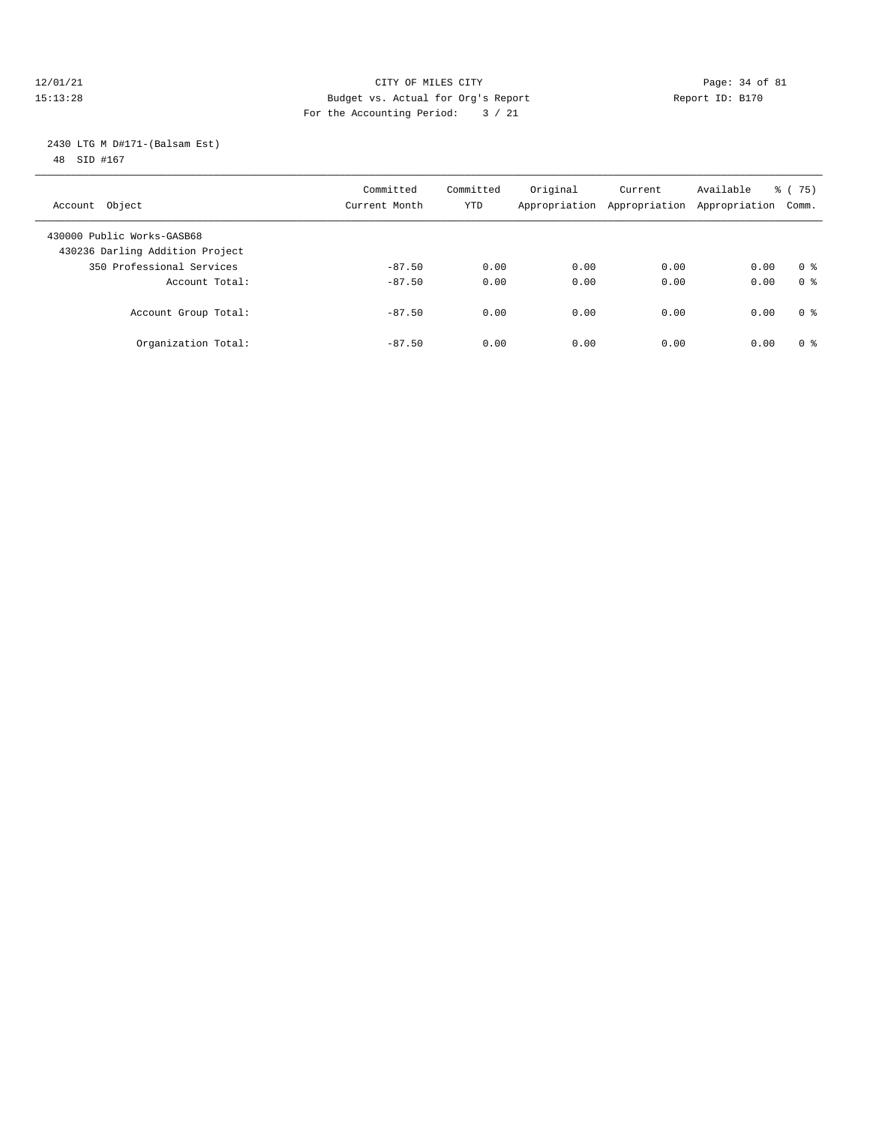#### 12/01/21 Page: 34 of 81 CITY OF MILES CITY CONTRIBUTE CITY PAGE: 34 of 81 Page: 34 of 81 CITY CHINES CITY CONTRIBUTE CITY PAGE: 34 OF 81 PAGE: 15:13:28 15:13:28 Budget vs. Actual for Org's Report For the Accounting Period: 3 / 21

 2430 LTG M D#171-(Balsam Est) 48 SID #167

| Account Object                                                | Committed<br>Current Month | Committed<br>YTD | Original<br>Appropriation | Current<br>Appropriation | Available<br>Appropriation | 75)<br>ී (<br>Comm. |
|---------------------------------------------------------------|----------------------------|------------------|---------------------------|--------------------------|----------------------------|---------------------|
| 430000 Public Works-GASB68<br>430236 Darling Addition Project |                            |                  |                           |                          |                            |                     |
| 350 Professional Services                                     | $-87.50$                   | 0.00             | 0.00                      | 0.00                     | 0.00                       | 0 <sup>8</sup>      |
| Account Total:                                                | $-87.50$                   | 0.00             | 0.00                      | 0.00                     | 0.00                       | 0 <sup>8</sup>      |
| Account Group Total:                                          | $-87.50$                   | 0.00             | 0.00                      | 0.00                     | 0.00                       | 0 <sup>8</sup>      |
| Organization Total:                                           | $-87.50$                   | 0.00             | 0.00                      | 0.00                     | 0.00                       | $0 \approx$         |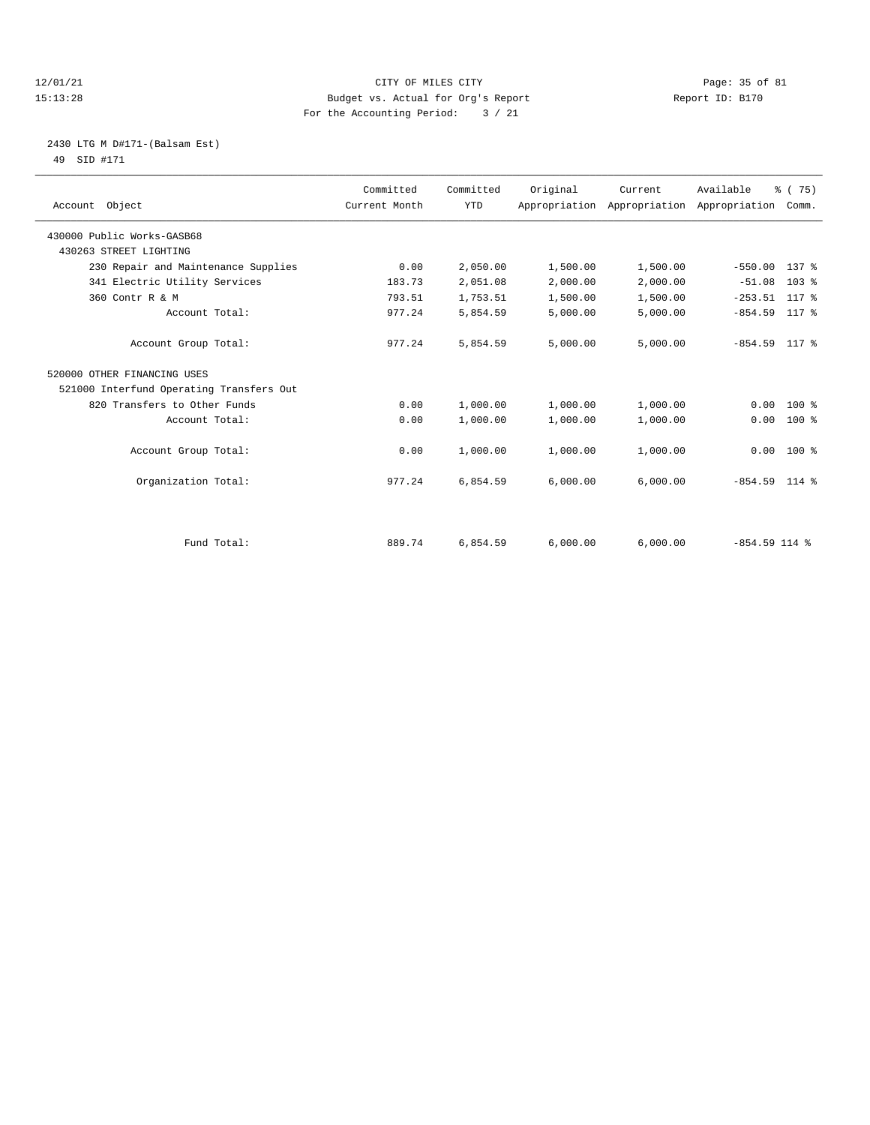#### 12/01/21 Page: 35 of 81 CITY OF MILES CITY CONTRIBUTE CITY PAGE: 35 of 81 Page: 35 of 81 CITY CHEROLOGY PAGE: 28 15:13:28 Budget vs. Actual for Org's Report For the Accounting Period: 3 / 21

#### 2430 LTG M D#171-(Balsam Est) 49 SID #171

| Account Object                           | Committed<br>Current Month | Committed<br><b>YTD</b> | Original | Current<br>Appropriation Appropriation Appropriation Comm. | Available       | % (75)           |
|------------------------------------------|----------------------------|-------------------------|----------|------------------------------------------------------------|-----------------|------------------|
| 430000 Public Works-GASB68               |                            |                         |          |                                                            |                 |                  |
| 430263 STREET LIGHTING                   |                            |                         |          |                                                            |                 |                  |
| 230 Repair and Maintenance Supplies      | 0.00                       | 2,050.00                | 1,500.00 | 1,500.00                                                   | $-550.00$       | $137$ %          |
| 341 Electric Utility Services            | 183.73                     | 2,051.08                | 2,000.00 | 2,000.00                                                   | $-51.08$        | 103 <sub>8</sub> |
| 360 Contr R & M                          | 793.51                     | 1,753.51                | 1,500.00 | 1,500.00                                                   | $-253.51$       | 117 %            |
| Account Total:                           | 977.24                     | 5,854.59                | 5,000.00 | 5,000.00                                                   | $-854.59$       | 117 %            |
| Account Group Total:                     | 977.24                     | 5,854.59                | 5,000.00 | 5,000.00                                                   | $-854.59$ 117 % |                  |
| 520000 OTHER FINANCING USES              |                            |                         |          |                                                            |                 |                  |
| 521000 Interfund Operating Transfers Out |                            |                         |          |                                                            |                 |                  |
| 820 Transfers to Other Funds             | 0.00                       | 1,000.00                | 1,000.00 | 1,000.00                                                   | 0.00            | $100*$           |
| Account Total:                           | 0.00                       | 1,000.00                | 1,000.00 | 1,000.00                                                   | 0.00            | $100*$           |
| Account Group Total:                     | 0.00                       | 1,000.00                | 1,000.00 | 1,000.00                                                   | 0.00            | $100*$           |
| Organization Total:                      | 977.24                     | 6,854.59                | 6.000.00 | 6,000.00                                                   | $-854.59$ 114 % |                  |
|                                          |                            |                         |          |                                                            |                 |                  |
| Fund Total:                              | 889.74                     | 6,854.59                | 6,000.00 | 6,000.00                                                   | $-854.59$ 114 % |                  |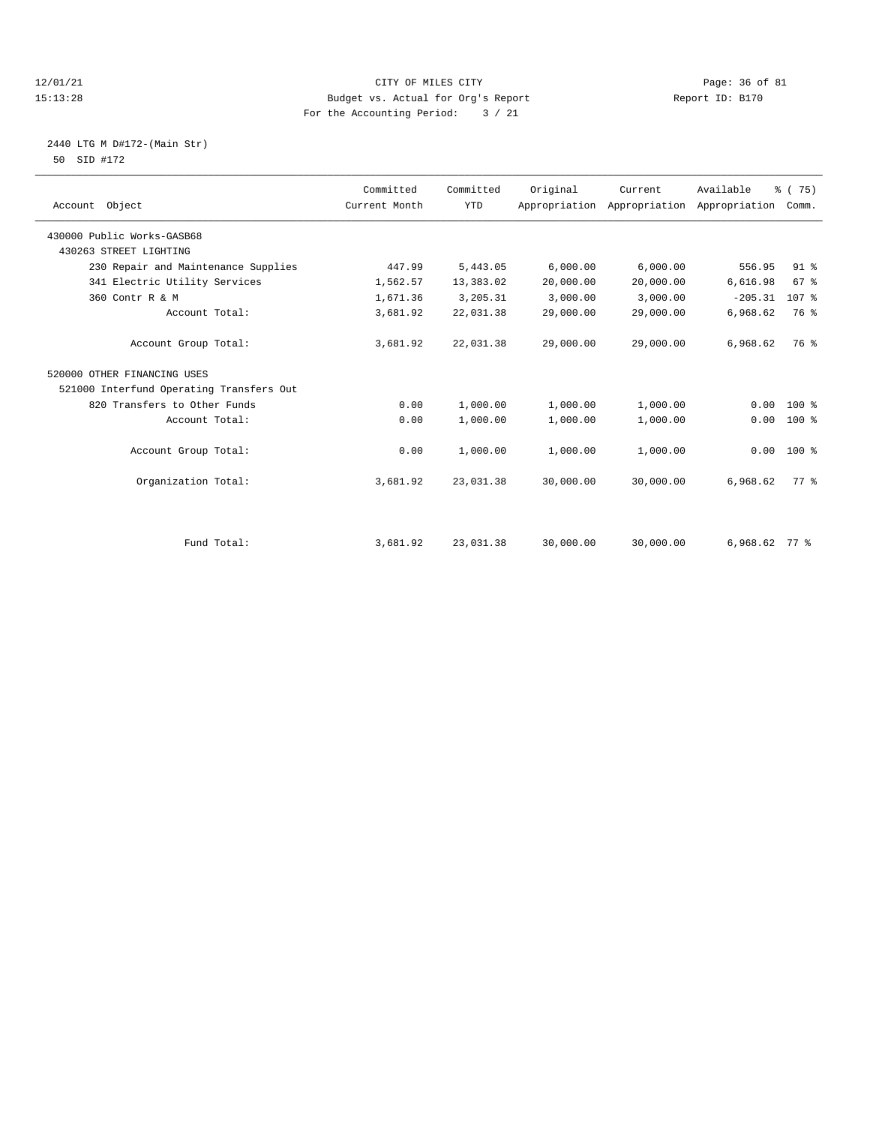#### 12/01/21 Page: 36 of 81 CITY OF MILES CITY CONTRIBUTE CITY PAGE: 36 of 81 Page: 36 of 81 CITY CHANGER PAGE: 15<br>15:13:28 Budget vs. Actual for Org's Report Changer of Report ID: B170 15:13:28 Budget vs. Actual for Org's Report For the Accounting Period: 3 / 21

#### 2440 LTG M D#172-(Main Str) 50 SID #172

| Account Object                           | Committed<br>Current Month | Committed<br><b>YTD</b> | Original  | Current<br>Appropriation Appropriation Appropriation Comm. | Available       | % (75)          |
|------------------------------------------|----------------------------|-------------------------|-----------|------------------------------------------------------------|-----------------|-----------------|
| 430000 Public Works-GASB68               |                            |                         |           |                                                            |                 |                 |
| 430263 STREET LIGHTING                   |                            |                         |           |                                                            |                 |                 |
| 230 Repair and Maintenance Supplies      | 447.99                     | 5,443.05                | 6,000.00  | 6,000.00                                                   | 556.95          | 91 <sup>°</sup> |
| 341 Electric Utility Services            | 1,562.57                   | 13,383.02               | 20,000.00 | 20,000.00                                                  | 6,616.98        | 67%             |
| 360 Contr R & M                          | 1,671.36                   | 3,205.31                | 3,000.00  | 3,000.00                                                   | $-205.31$       | 107 %           |
| Account Total:                           | 3,681.92                   | 22,031.38               | 29,000.00 | 29,000.00                                                  | 6,968.62        | 76 %            |
| Account Group Total:                     | 3,681.92                   | 22,031.38               | 29,000.00 | 29,000.00                                                  | 6,968.62        | 76 %            |
| 520000 OTHER FINANCING USES              |                            |                         |           |                                                            |                 |                 |
| 521000 Interfund Operating Transfers Out |                            |                         |           |                                                            |                 |                 |
| 820 Transfers to Other Funds             | 0.00                       | 1,000.00                | 1,000.00  | 1,000.00                                                   | 0.00            | $100*$          |
| Account Total:                           | 0.00                       | 1,000.00                | 1,000.00  | 1,000.00                                                   | 0.00            | $100*$          |
| Account Group Total:                     | 0.00                       | 1,000.00                | 1,000.00  | 1,000.00                                                   | 0.00            | $100*$          |
| Organization Total:                      | 3,681.92                   | 23,031.38               | 30,000.00 | 30,000.00                                                  | 6,968.62        | $77*$           |
|                                          |                            |                         |           |                                                            |                 |                 |
| Fund Total:                              | 3,681.92                   | 23,031.38               | 30,000.00 | 30,000.00                                                  | $6,968.62$ 77 % |                 |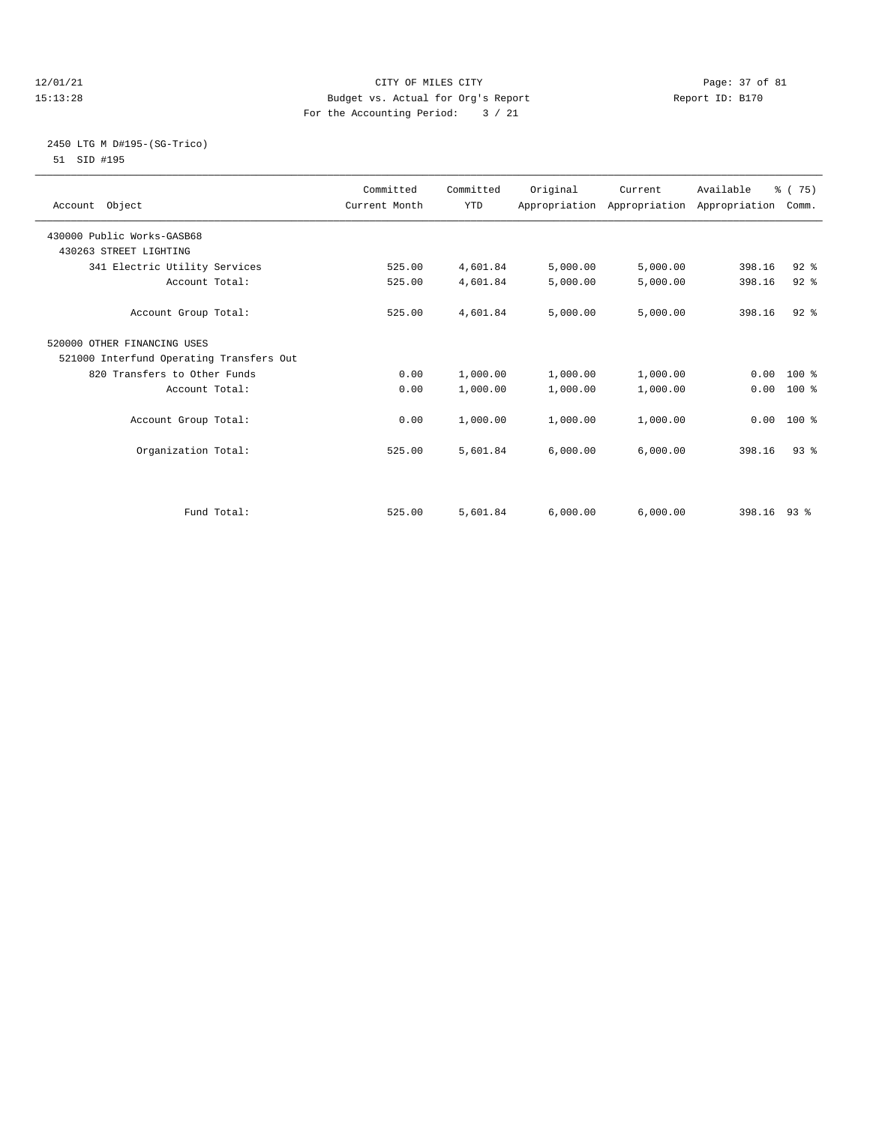#### 12/01/21 Page: 37 of 81 CITY OF MILES CITY CONTRIBUTE CITY PAGE: 37 of 81 Page: 37 of 81 CITY CHINES CITY CONTRIBUTE CITY PAGE: 37 OF 81 15:13:28 Budget vs. Actual for Org's Report For the Accounting Period: 3 / 21

#### 2450 LTG M D#195-(SG-Trico) 51 SID #195

| Account Object                           | Committed<br>Current Month | Committed<br><b>YTD</b> | Original | Current<br>Appropriation Appropriation Appropriation Comm. | Available   | % (75)       |  |
|------------------------------------------|----------------------------|-------------------------|----------|------------------------------------------------------------|-------------|--------------|--|
| 430000 Public Works-GASB68               |                            |                         |          |                                                            |             |              |  |
| 430263 STREET LIGHTING                   |                            |                         |          |                                                            |             |              |  |
| 341 Electric Utility Services            | 525.00                     | 4,601.84                | 5,000.00 | 5,000.00                                                   | 398.16      | $92$ $%$     |  |
| Account Total:                           | 525.00                     | 4,601.84                | 5,000.00 | 5,000.00                                                   | 398.16      | 92%          |  |
| Account Group Total:                     | 525.00                     | 4,601.84                | 5,000.00 | 5,000.00                                                   | 398.16      | $92$ $%$     |  |
| 520000 OTHER FINANCING USES              |                            |                         |          |                                                            |             |              |  |
| 521000 Interfund Operating Transfers Out |                            |                         |          |                                                            |             |              |  |
| 820 Transfers to Other Funds             | 0.00                       | 1,000.00                | 1,000.00 | 1,000.00                                                   |             | $0.00 100$ % |  |
| Account Total:                           | 0.00                       | 1,000.00                | 1,000.00 | 1,000.00                                                   | 0.00        | 100 %        |  |
| Account Group Total:                     | 0.00                       | 1,000.00                | 1,000.00 | 1,000.00                                                   |             | $0.00$ 100 % |  |
| Organization Total:                      | 525.00                     | 5,601.84                | 6.000.00 | 6,000.00                                                   | 398.16      | $93$ $%$     |  |
|                                          |                            |                         |          |                                                            |             |              |  |
| Fund Total:                              | 525.00                     | 5,601.84                | 6,000.00 | 6,000.00                                                   | 398.16 93 % |              |  |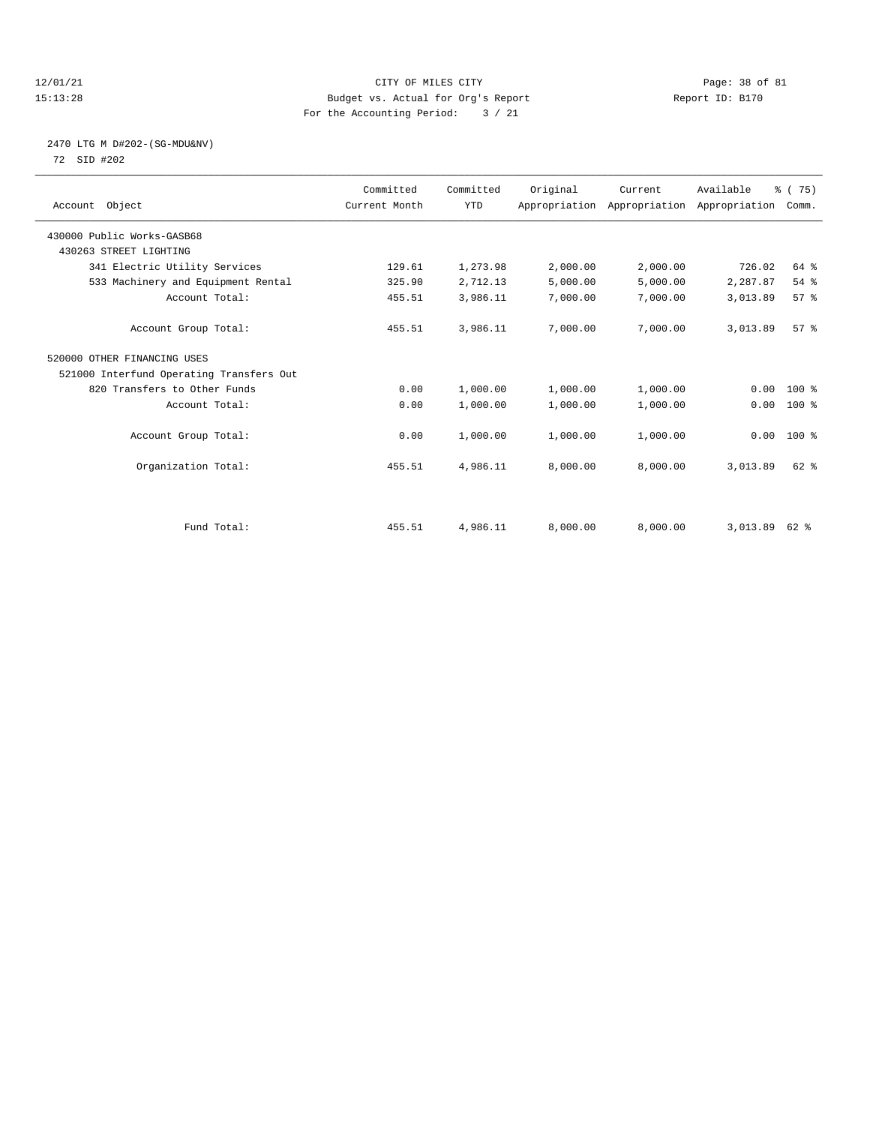#### 12/01/21 Page: 38 of 81 CITY OF MILES CITY CONTRIBUTE CITY PAGE: 38 of 81 Page: 38 of 81 CITY CHES CITY PAGE: 28 15:13:28 Budget vs. Actual for Org's Report For the Accounting Period: 3 / 21

#### 2470 LTG M D#202-(SG-MDU&NV) 72 SID #202

| Account Object                           | Committed<br>Current Month | Committed<br><b>YTD</b> | Original | Current<br>Appropriation Appropriation Appropriation | Available | % (75)<br>Comm. |  |
|------------------------------------------|----------------------------|-------------------------|----------|------------------------------------------------------|-----------|-----------------|--|
| 430000 Public Works-GASB68               |                            |                         |          |                                                      |           |                 |  |
| 430263 STREET LIGHTING                   |                            |                         |          |                                                      |           |                 |  |
| 341 Electric Utility Services            | 129.61                     | 1,273.98                | 2,000.00 | 2,000.00                                             | 726.02    | 64 %            |  |
| 533 Machinery and Equipment Rental       | 325.90                     | 2,712.13                | 5,000.00 | 5,000.00                                             | 2,287.87  | 54 %            |  |
| Account Total:                           | 455.51                     | 3,986.11                | 7,000.00 | 7,000.00                                             | 3,013.89  | 57%             |  |
| Account Group Total:                     | 455.51                     | 3,986.11                | 7,000.00 | 7,000.00                                             | 3,013.89  | 57 <sup>8</sup> |  |
| 520000 OTHER FINANCING USES              |                            |                         |          |                                                      |           |                 |  |
| 521000 Interfund Operating Transfers Out |                            |                         |          |                                                      |           |                 |  |
| 820 Transfers to Other Funds             | 0.00                       | 1,000.00                | 1,000.00 | 1,000.00                                             | 0.00      | 100 %           |  |
| Account Total:                           | 0.00                       | 1,000.00                | 1,000.00 | 1,000.00                                             | 0.00      | 100 %           |  |
| Account Group Total:                     | 0.00                       | 1,000.00                | 1,000.00 | 1,000.00                                             |           | $0.00$ 100 %    |  |
| Organization Total:                      | 455.51                     | 4,986.11                | 8,000.00 | 8,000.00                                             | 3,013.89  | 62 %            |  |
|                                          |                            |                         |          |                                                      |           |                 |  |
| Fund Total:                              | 455.51                     | 4,986.11                | 8,000.00 | 8,000.00                                             | 3,013.89  | 62 %            |  |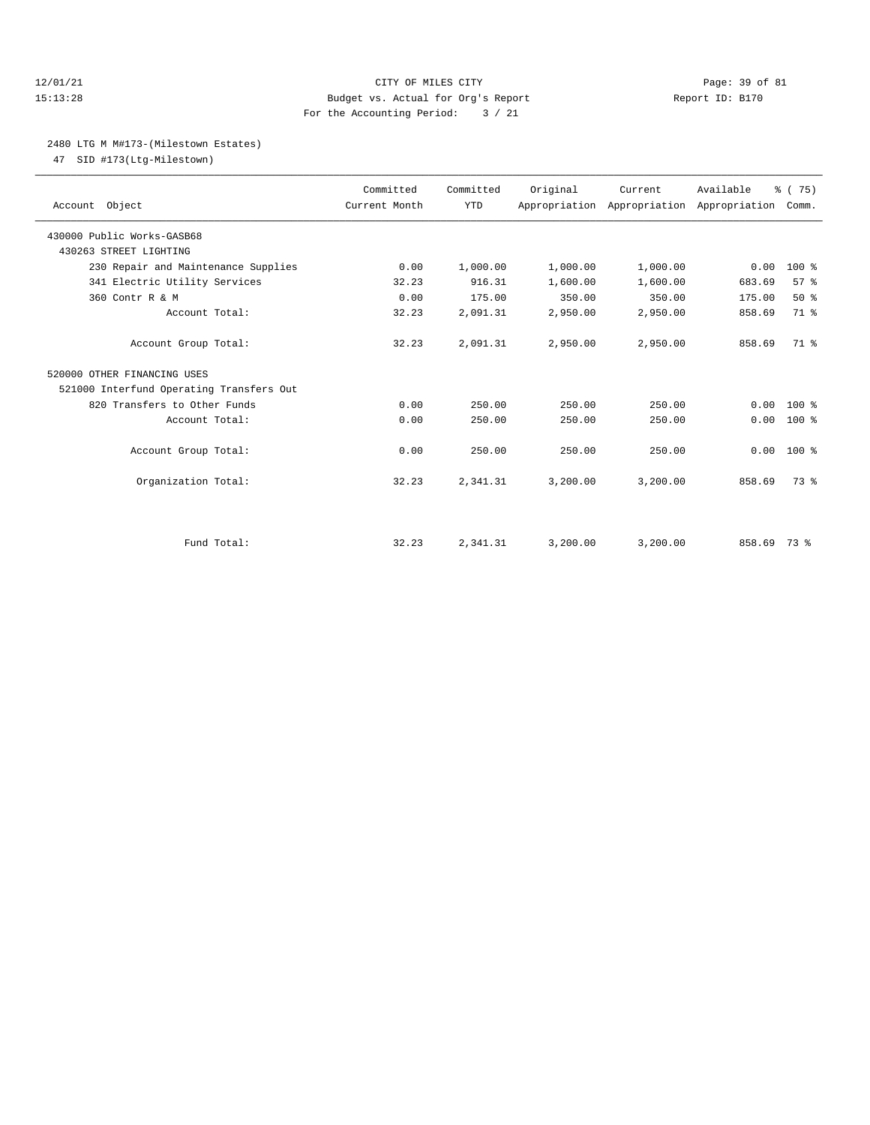#### 12/01/21 Page: 39 of 81 15:13:28 Budget vs. Actual for Org's Report Report ID: B170 For the Accounting Period: 3 / 21

#### 2480 LTG M M#173-(Milestown Estates)

47 SID #173(Ltg-Milestown)

|                                          | Committed     | Committed  | Original | Current                                         | Available | % (75) |
|------------------------------------------|---------------|------------|----------|-------------------------------------------------|-----------|--------|
| Account Object                           | Current Month | <b>YTD</b> |          | Appropriation Appropriation Appropriation Comm. |           |        |
| 430000 Public Works-GASB68               |               |            |          |                                                 |           |        |
| 430263 STREET LIGHTING                   |               |            |          |                                                 |           |        |
| 230 Repair and Maintenance Supplies      | 0.00          | 1,000.00   | 1,000.00 | 1,000.00                                        | 0.00      | $100*$ |
| 341 Electric Utility Services            | 32.23         | 916.31     | 1,600.00 | 1,600.00                                        | 683.69    | 57%    |
| 360 Contr R & M                          | 0.00          | 175.00     | 350.00   | 350.00                                          | 175.00    | 50%    |
| Account Total:                           | 32.23         | 2,091.31   | 2,950.00 | 2,950.00                                        | 858.69    | 71 %   |
| Account Group Total:                     | 32.23         | 2,091.31   | 2,950.00 | 2,950.00                                        | 858.69    | $71*$  |
| 520000 OTHER FINANCING USES              |               |            |          |                                                 |           |        |
| 521000 Interfund Operating Transfers Out |               |            |          |                                                 |           |        |
| 820 Transfers to Other Funds             | 0.00          | 250.00     | 250.00   | 250.00                                          | 0.00      | $100*$ |
| Account Total:                           | 0.00          | 250.00     | 250.00   | 250.00                                          | 0.00      | $100*$ |
| Account Group Total:                     | 0.00          | 250.00     | 250.00   | 250.00                                          | 0.00      | $100*$ |
| Organization Total:                      | 32.23         | 2,341.31   | 3,200.00 | 3,200.00                                        | 858.69    | 73.8   |
|                                          |               |            |          |                                                 |           |        |
| Fund Total:                              | 32.23         | 2,341.31   | 3,200.00 | 3,200.00                                        | 858.69    | 73 %   |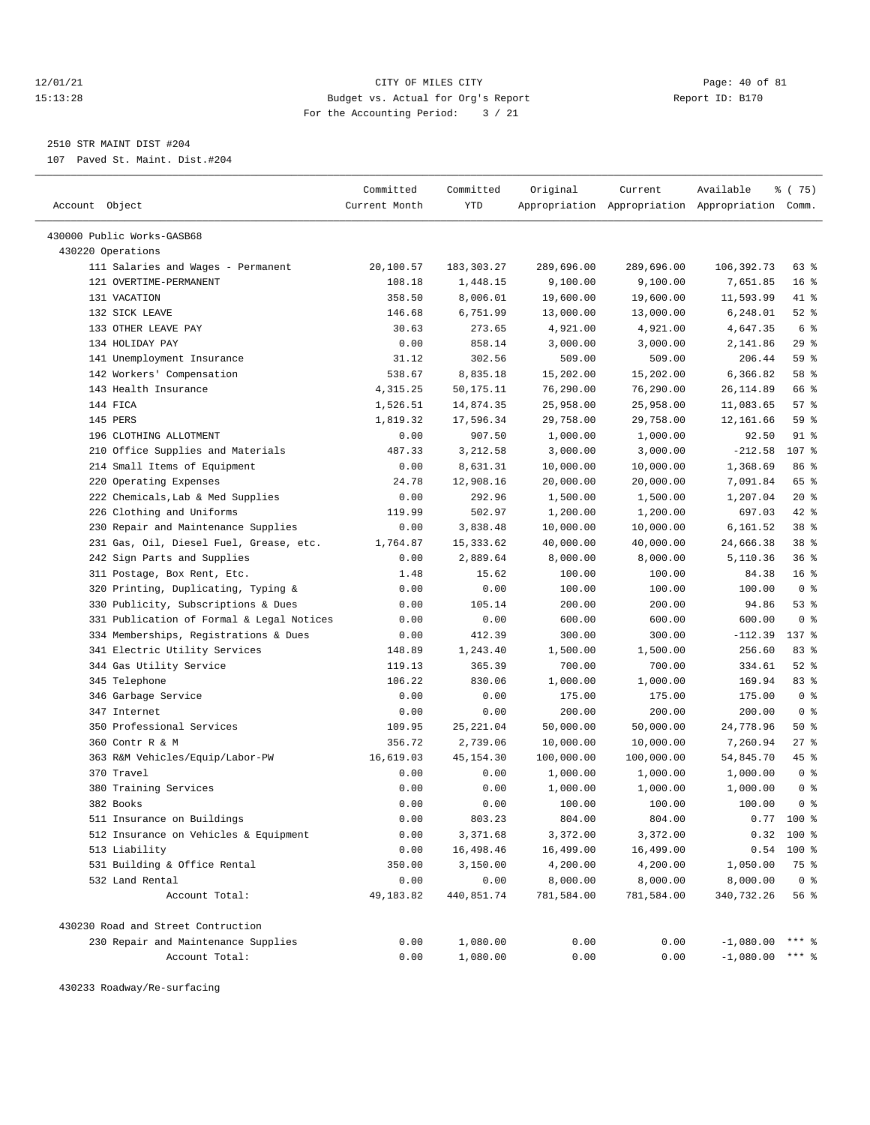#### 12/01/21 Page: 40 of 81 15:13:28 Budget vs. Actual for Org's Report Report ID: B170 For the Accounting Period: 3 / 21

————————————————————————————————————————————————————————————————————————————————————————————————————————————————————————————————————

2510 STR MAINT DIST #204

107 Paved St. Maint. Dist.#204

|                                           | Committed     | Committed  | Original   | Current    | Available                                       | 8 (75)          |
|-------------------------------------------|---------------|------------|------------|------------|-------------------------------------------------|-----------------|
| Account Object                            | Current Month | YTD        |            |            | Appropriation Appropriation Appropriation Comm. |                 |
|                                           |               |            |            |            |                                                 |                 |
| 430000 Public Works-GASB68                |               |            |            |            |                                                 |                 |
| 430220 Operations                         |               |            |            |            |                                                 |                 |
| 111 Salaries and Wages - Permanent        | 20,100.57     | 183,303.27 | 289,696.00 | 289,696.00 | 106,392.73                                      | 63 %            |
| 121 OVERTIME-PERMANENT                    | 108.18        | 1,448.15   | 9,100.00   | 9,100.00   | 7,651.85                                        | 16 <sup>°</sup> |
| 131 VACATION                              | 358.50        | 8,006.01   | 19,600.00  | 19,600.00  | 11,593.99                                       | 41 %            |
| 132 SICK LEAVE                            | 146.68        | 6,751.99   | 13,000.00  | 13,000.00  | 6,248.01                                        | $52$ $%$        |
| 133 OTHER LEAVE PAY                       | 30.63         | 273.65     | 4,921.00   | 4,921.00   | 4,647.35                                        | 6 %             |
| 134 HOLIDAY PAY                           | 0.00          | 858.14     | 3,000.00   | 3,000.00   | 2,141.86                                        | 29%             |
| 141 Unemployment Insurance                | 31.12         | 302.56     | 509.00     | 509.00     | 206.44                                          | 59 %            |
| 142 Workers' Compensation                 | 538.67        | 8,835.18   | 15,202.00  | 15,202.00  | 6,366.82                                        | 58 %            |
| 143 Health Insurance                      | 4, 315.25     | 50,175.11  | 76,290.00  | 76,290.00  | 26, 114.89                                      | 66 %            |
| 144 FICA                                  | 1,526.51      | 14,874.35  | 25,958.00  | 25,958.00  | 11,083.65                                       | 57%             |
| 145 PERS                                  | 1,819.32      | 17,596.34  | 29,758.00  | 29,758.00  | 12,161.66                                       | 59 %            |
| 196 CLOTHING ALLOTMENT                    | 0.00          | 907.50     | 1,000.00   | 1,000.00   | 92.50                                           | $91$ %          |
| 210 Office Supplies and Materials         | 487.33        | 3,212.58   | 3,000.00   | 3,000.00   | $-212.58$                                       | 107 %           |
| 214 Small Items of Equipment              | 0.00          | 8,631.31   | 10,000.00  | 10,000.00  | 1,368.69                                        | 86 %            |
| 220 Operating Expenses                    | 24.78         | 12,908.16  | 20,000.00  | 20,000.00  | 7,091.84                                        | 65 %            |
| 222 Chemicals, Lab & Med Supplies         | 0.00          | 292.96     | 1,500.00   | 1,500.00   | 1,207.04                                        | $20*$           |
| 226 Clothing and Uniforms                 | 119.99        | 502.97     | 1,200.00   | 1,200.00   | 697.03                                          | 42 %            |
| 230 Repair and Maintenance Supplies       | 0.00          | 3,838.48   | 10,000.00  | 10,000.00  | 6,161.52                                        | 38 %            |
| 231 Gas, Oil, Diesel Fuel, Grease, etc.   | 1,764.87      | 15, 333.62 | 40,000.00  | 40,000.00  | 24,666.38                                       | 38 %            |
| 242 Sign Parts and Supplies               | 0.00          | 2,889.64   | 8,000.00   | 8,000.00   | 5,110.36                                        | 36%             |
| 311 Postage, Box Rent, Etc.               | 1.48          | 15.62      | 100.00     | 100.00     | 84.38                                           | 16 <sup>8</sup> |
| 320 Printing, Duplicating, Typing &       | 0.00          | 0.00       | 100.00     | 100.00     | 100.00                                          | 0 <sup>8</sup>  |
| 330 Publicity, Subscriptions & Dues       | 0.00          | 105.14     | 200.00     | 200.00     | 94.86                                           | 53%             |
| 331 Publication of Formal & Legal Notices | 0.00          | 0.00       | 600.00     | 600.00     | 600.00                                          | 0 <sup>8</sup>  |
| 334 Memberships, Registrations & Dues     | 0.00          | 412.39     | 300.00     | 300.00     | $-112.39$                                       | 137 %           |
| 341 Electric Utility Services             | 148.89        | 1,243.40   | 1,500.00   | 1,500.00   | 256.60                                          | 83%             |
| 344 Gas Utility Service                   | 119.13        | 365.39     | 700.00     | 700.00     | 334.61                                          | $52$ $%$        |
| 345 Telephone                             | 106.22        | 830.06     | 1,000.00   | 1,000.00   | 169.94                                          | 83%             |
| 346 Garbage Service                       | 0.00          | 0.00       | 175.00     | 175.00     | 175.00                                          | 0 <sup>8</sup>  |
| 347 Internet                              | 0.00          | 0.00       | 200.00     | 200.00     | 200.00                                          | 0 <sup>8</sup>  |
| 350 Professional Services                 | 109.95        | 25, 221.04 | 50,000.00  | 50,000.00  | 24,778.96                                       | 50%             |
| 360 Contr R & M                           | 356.72        | 2,739.06   | 10,000.00  | 10,000.00  | 7,260.94                                        | $27$ %          |
| 363 R&M Vehicles/Equip/Labor-PW           | 16,619.03     | 45, 154.30 | 100,000.00 | 100,000.00 | 54,845.70                                       | 45 %            |
| 370 Travel                                | 0.00          | 0.00       | 1,000.00   | 1,000.00   | 1,000.00                                        | 0 <sup>8</sup>  |
| 380 Training Services                     | 0.00          | 0.00       | 1,000.00   | 1,000.00   | 1,000.00                                        | 0 <sup>8</sup>  |
| 382 Books                                 | 0.00          | 0.00       | 100.00     | 100.00     | 100.00                                          | 0 <sup>8</sup>  |
| 511 Insurance on Buildings                | 0.00          | 803.23     | 804.00     | 804.00     | 0.77                                            | $100*$          |
| 512 Insurance on Vehicles & Equipment     | 0.00          | 3,371.68   | 3,372.00   | 3,372.00   |                                                 | $0.32$ 100 %    |
| 513 Liability                             | 0.00          | 16,498.46  | 16,499.00  | 16,499.00  | 0.54                                            | 100 %           |
| 531 Building & Office Rental              | 350.00        | 3,150.00   | 4,200.00   | 4,200.00   | 1,050.00                                        | 75 %            |
| 532 Land Rental                           | 0.00          | 0.00       | 8,000.00   | 8,000.00   | 8,000.00                                        | 0 <sup>8</sup>  |
| Account Total:                            | 49,183.82     | 440,851.74 | 781,584.00 | 781,584.00 | 340,732.26                                      | 56 %            |
| 430230 Road and Street Contruction        |               |            |            |            |                                                 |                 |
| 230 Repair and Maintenance Supplies       | 0.00          | 1,080.00   | 0.00       | 0.00       | $-1,080.00$                                     | $***$ $_{8}$    |
| Account Total:                            | 0.00          | 1,080.00   | 0.00       | 0.00       | $-1,080.00$                                     | *** 응           |

430233 Roadway/Re-surfacing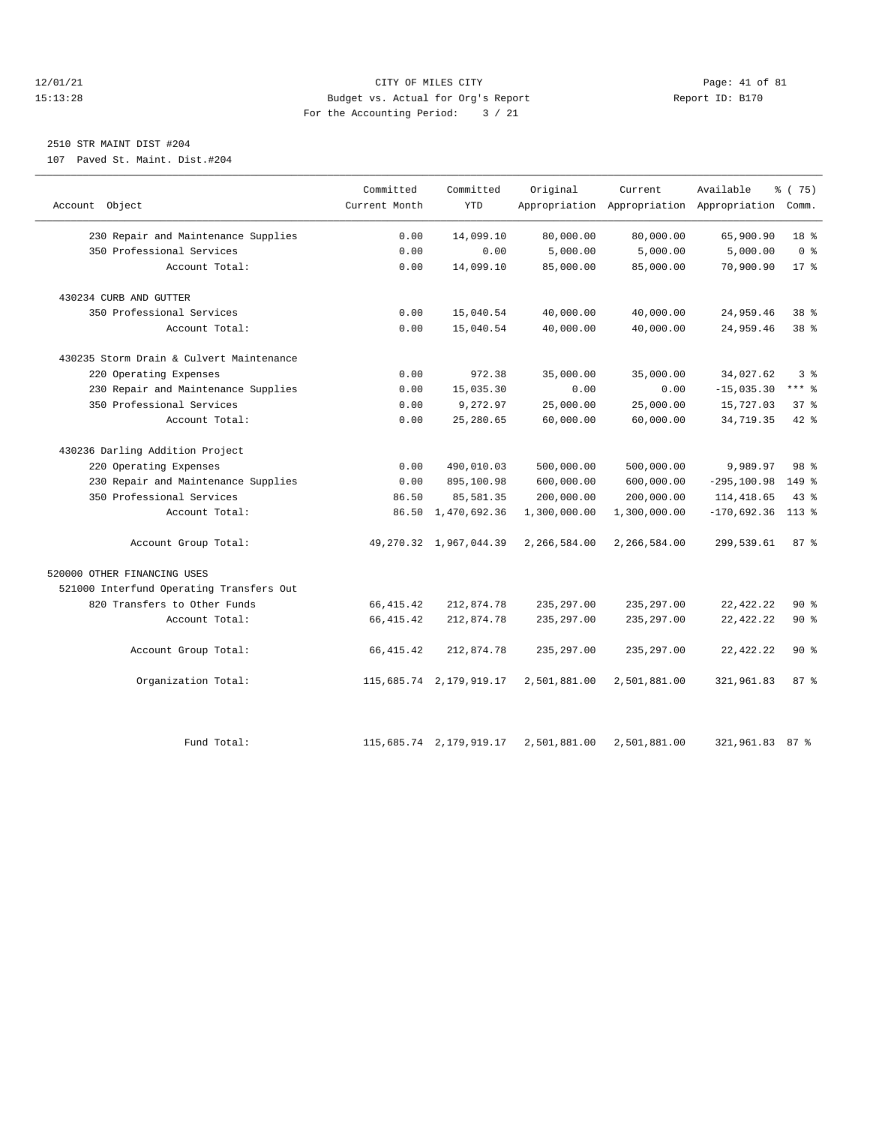#### 12/01/21 Page: 41 of 81 CITY OF MILES CITY CONTRIBUTE CITY PAGE: 41 of 81 Page: 41 of 81 CITY CHEROLES CITY CONTRIBUTE CITY PAGE: 41 OF 81 PAGE: 41 OF 81 PAGE: 41 OF 81 PAGE: 5170 15:13:28 Budget vs. Actual for Org's Report For the Accounting Period: 3 / 21

### 2510 STR MAINT DIST #204

107 Paved St. Maint. Dist.#204

|                                          | Committed     | Committed                 | Original     | Current      | Available                                       | % (75)         |
|------------------------------------------|---------------|---------------------------|--------------|--------------|-------------------------------------------------|----------------|
| Account Object                           | Current Month | <b>YTD</b>                |              |              | Appropriation Appropriation Appropriation Comm. |                |
| 230 Repair and Maintenance Supplies      | 0.00          | 14,099.10                 | 80,000.00    | 80,000.00    | 65,900.90                                       | 18 %           |
| 350 Professional Services                | 0.00          | 0.00                      | 5,000.00     | 5,000.00     | 5,000.00                                        | 0 <sup>8</sup> |
| Account Total:                           | 0.00          | 14,099.10                 | 85,000.00    | 85,000.00    | 70,900.90                                       | $17*$          |
| 430234 CURB AND GUTTER                   |               |                           |              |              |                                                 |                |
| 350 Professional Services                | 0.00          | 15,040.54                 | 40,000.00    | 40,000.00    | 24,959.46                                       | 38 %           |
| Account Total:                           | 0.00          | 15,040.54                 | 40,000.00    | 40,000.00    | 24,959.46                                       | 38 %           |
| 430235 Storm Drain & Culvert Maintenance |               |                           |              |              |                                                 |                |
| 220 Operating Expenses                   | 0.00          | 972.38                    | 35,000.00    | 35,000.00    | 34,027.62                                       | 3%             |
| 230 Repair and Maintenance Supplies      | 0.00          | 15,035.30                 | 0.00         | 0.00         | $-15,035.30$                                    | $***$ $-$      |
| 350 Professional Services                | 0.00          | 9,272.97                  | 25,000.00    | 25,000.00    | 15,727.03                                       | 37%            |
| Account Total:                           | 0.00          | 25,280.65                 | 60,000.00    | 60,000.00    | 34,719.35                                       | 42 %           |
| 430236 Darling Addition Project          |               |                           |              |              |                                                 |                |
| 220 Operating Expenses                   | 0.00          | 490,010.03                | 500,000.00   | 500,000.00   | 9,989.97                                        | 98 %           |
| 230 Repair and Maintenance Supplies      | 0.00          | 895,100.98                | 600,000.00   | 600,000.00   | $-295, 100.98$                                  | 149 %          |
| 350 Professional Services                | 86.50         | 85,581.35                 | 200,000.00   | 200,000.00   | 114, 418.65                                     | $43$ %         |
| Account Total:                           | 86.50         | 1,470,692.36              | 1,300,000.00 | 1,300,000.00 | $-170,692.36$                                   | $113*$         |
| Account Group Total:                     |               | 49, 270.32 1, 967, 044.39 | 2,266,584.00 | 2,266,584.00 | 299,539.61                                      | 87%            |
| 520000 OTHER FINANCING USES              |               |                           |              |              |                                                 |                |
| 521000 Interfund Operating Transfers Out |               |                           |              |              |                                                 |                |
| 820 Transfers to Other Funds             | 66, 415.42    | 212,874.78                | 235, 297.00  | 235, 297.00  | 22, 422. 22                                     | $90*$          |
| Account Total:                           | 66, 415.42    | 212,874.78                | 235, 297.00  | 235, 297.00  | 22, 422. 22                                     | 90%            |
| Account Group Total:                     | 66, 415.42    | 212,874.78                | 235, 297.00  | 235, 297.00  | 22, 422. 22                                     | $90*$          |
| Organization Total:                      |               | 115,685.74 2,179,919.17   | 2,501,881.00 | 2,501,881.00 | 321,961.83                                      | 87%            |
| Fund Total:                              |               | 115,685.74 2,179,919.17   | 2,501,881.00 | 2,501,881.00 | 321,961.83 87 %                                 |                |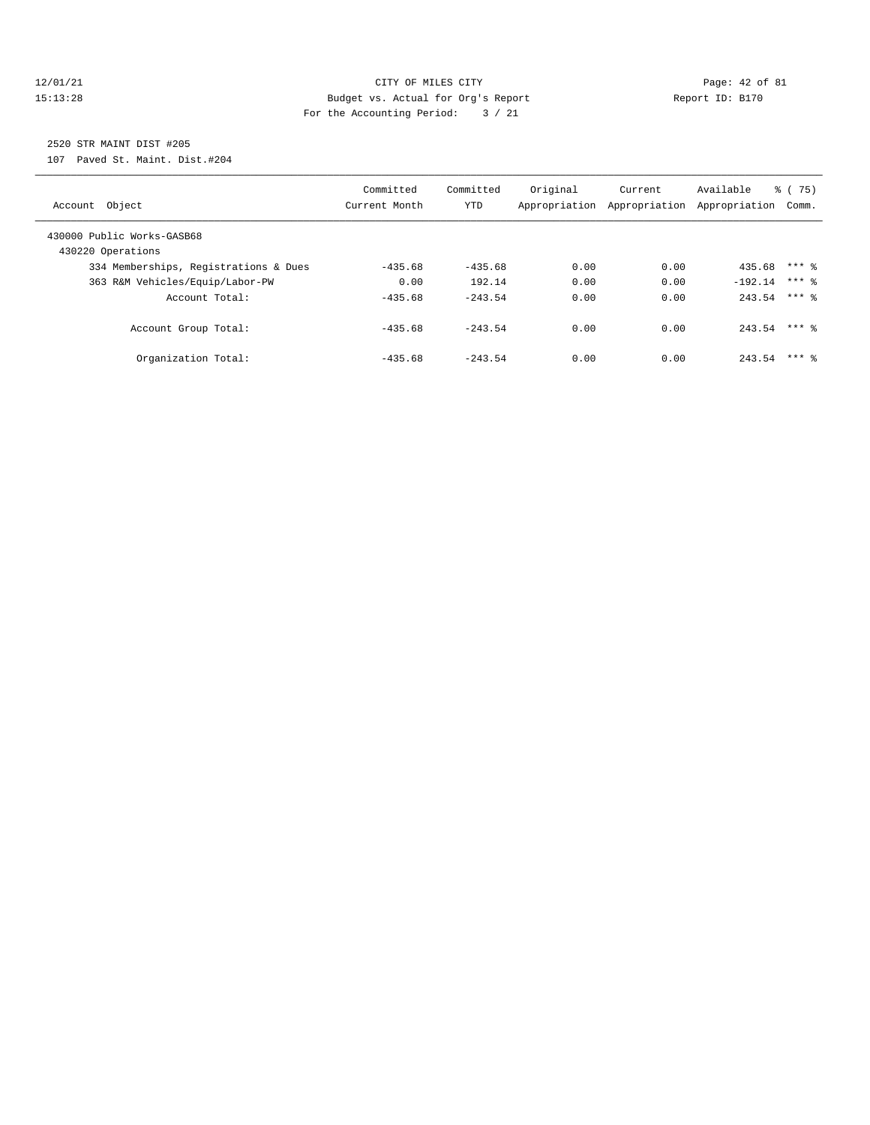#### $\verb|12/01/21| \quad \verb|22/01/21| \quad \verb|23.13:28| \quad \verb|33.13:28| \quad \verb|33.13:28| \quad \verb|33.13:28| \quad \verb|33.13:28| \quad \verb|33.13:28| \quad \verb|33.13:28| \quad \verb|33.13:28| \quad \verb|33.13:28| \quad \verb|33.13:28| \quad \verb|33.13:28| \quad \verb|33.13:28| \quad \verb|33.13:28| \quad \verb|33.13:2$ 15:13:28 Budget vs. Actual for Org's Report Report ID: B170 For the Accounting Period: 3 / 21

# 2520 STR MAINT DIST #205

107 Paved St. Maint. Dist.#204

| Account Object                                  | Committed<br>Current Month | Committed<br><b>YTD</b> | Original | Current<br>Appropriation Appropriation | Available<br>Appropriation | % (75)<br>Comm. |
|-------------------------------------------------|----------------------------|-------------------------|----------|----------------------------------------|----------------------------|-----------------|
| 430000 Public Works-GASB68<br>430220 Operations |                            |                         |          |                                        |                            |                 |
| 334 Memberships, Registrations & Dues           | $-435.68$                  | $-435.68$               | 0.00     | 0.00                                   | 435.68                     | $***$ 2         |
| 363 R&M Vehicles/Equip/Labor-PW                 | 0.00                       | 192.14                  | 0.00     | 0.00                                   | $-192.14$                  | $***$ 2         |
| Account Total:                                  | $-435.68$                  | $-243.54$               | 0.00     | 0.00                                   | $243.54$ *** 8             |                 |
| Account Group Total:                            | $-435.68$                  | $-243.54$               | 0.00     | 0.00                                   | 243.54                     | $***$ 2         |
| Organization Total:                             | $-435.68$                  | $-243.54$               | 0.00     | 0.00                                   | 243.54                     | $***$ 2         |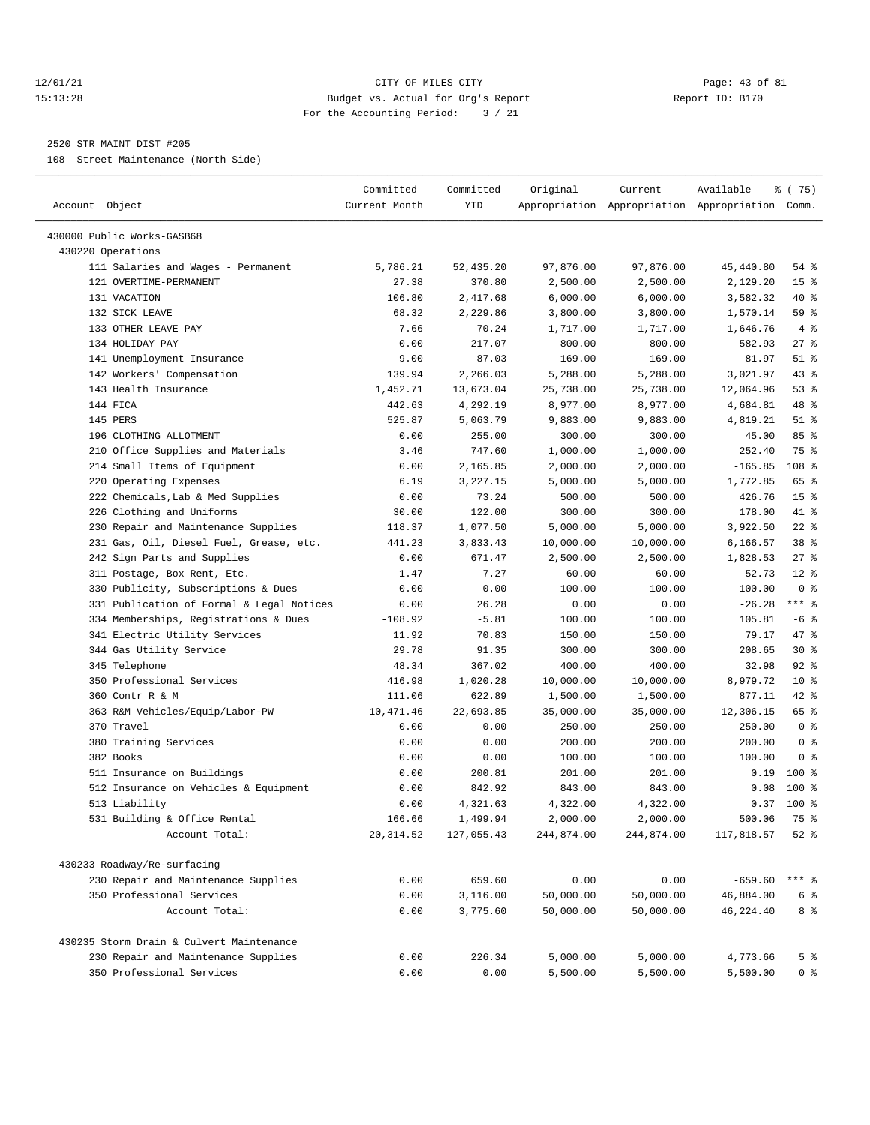#### 12/01/21 Page: 43 of 81 15:13:28 Budget vs. Actual for Org's Report Report ID: B170 For the Accounting Period: 3 / 21

————————————————————————————————————————————————————————————————————————————————————————————————————————————————————————————————————

#### 2520 STR MAINT DIST #205

108 Street Maintenance (North Side)

|                                           | Committed     | Committed  | Original   | Current    | Available                                       | 8 (75)          |
|-------------------------------------------|---------------|------------|------------|------------|-------------------------------------------------|-----------------|
| Account Object                            | Current Month | <b>YTD</b> |            |            | Appropriation Appropriation Appropriation Comm. |                 |
| 430000 Public Works-GASB68                |               |            |            |            |                                                 |                 |
| 430220 Operations                         |               |            |            |            |                                                 |                 |
| 111 Salaries and Wages - Permanent        | 5,786.21      | 52,435.20  | 97,876.00  | 97,876.00  | 45,440.80                                       | 54%             |
| 121 OVERTIME-PERMANENT                    | 27.38         | 370.80     | 2,500.00   | 2,500.00   | 2,129.20                                        | 15 <sup>°</sup> |
| 131 VACATION                              | 106.80        | 2,417.68   | 6,000.00   | 6,000.00   | 3,582.32                                        | 40 %            |
| 132 SICK LEAVE                            | 68.32         | 2,229.86   | 3,800.00   | 3,800.00   | 1,570.14                                        | 59%             |
| 133 OTHER LEAVE PAY                       | 7.66          | 70.24      | 1,717.00   | 1,717.00   | 1,646.76                                        | 4%              |
| 134 HOLIDAY PAY                           | 0.00          | 217.07     | 800.00     | 800.00     | 582.93                                          | $27$ %          |
| 141 Unemployment Insurance                | 9.00          | 87.03      | 169.00     | 169.00     | 81.97                                           | $51$ %          |
| 142 Workers' Compensation                 | 139.94        | 2,266.03   | 5,288.00   | 5,288.00   | 3,021.97                                        | 43 %            |
| 143 Health Insurance                      | 1,452.71      | 13,673.04  | 25,738.00  | 25,738.00  | 12,064.96                                       | 53%             |
| 144 FICA                                  | 442.63        | 4,292.19   | 8,977.00   | 8,977.00   | 4,684.81                                        | 48 %            |
| 145 PERS                                  | 525.87        | 5,063.79   | 9,883.00   | 9,883.00   | 4,819.21                                        | $51$ %          |
| 196 CLOTHING ALLOTMENT                    | 0.00          | 255.00     | 300.00     | 300.00     | 45.00                                           | 85%             |
| 210 Office Supplies and Materials         | 3.46          | 747.60     | 1,000.00   | 1,000.00   | 252.40                                          | 75 %            |
| 214 Small Items of Equipment              | 0.00          | 2,165.85   | 2,000.00   | 2,000.00   | $-165.85$                                       | 108 %           |
| 220 Operating Expenses                    | 6.19          | 3,227.15   | 5,000.00   | 5,000.00   | 1,772.85                                        | 65 %            |
| 222 Chemicals, Lab & Med Supplies         | 0.00          | 73.24      | 500.00     | 500.00     | 426.76                                          | 15 <sup>8</sup> |
| 226 Clothing and Uniforms                 | 30.00         | 122.00     | 300.00     | 300.00     | 178.00                                          | 41 %            |
| 230 Repair and Maintenance Supplies       | 118.37        | 1,077.50   | 5,000.00   | 5,000.00   | 3,922.50                                        | $22$ %          |
| 231 Gas, Oil, Diesel Fuel, Grease, etc.   | 441.23        | 3,833.43   | 10,000.00  | 10,000.00  | 6,166.57                                        | 38 %            |
| 242 Sign Parts and Supplies               | 0.00          | 671.47     | 2,500.00   | 2,500.00   | 1,828.53                                        | $27$ %          |
| 311 Postage, Box Rent, Etc.               | 1.47          | 7.27       | 60.00      | 60.00      | 52.73                                           | $12*$           |
| 330 Publicity, Subscriptions & Dues       | 0.00          | 0.00       | 100.00     | 100.00     | 100.00                                          | 0 <sup>8</sup>  |
| 331 Publication of Formal & Legal Notices | 0.00          | 26.28      | 0.00       | 0.00       | $-26.28$                                        | $***$ $-$       |
| 334 Memberships, Registrations & Dues     | $-108.92$     | $-5.81$    | 100.00     | 100.00     | 105.81                                          | $-6$ %          |
| 341 Electric Utility Services             | 11.92         | 70.83      | 150.00     | 150.00     | 79.17                                           | 47 %            |
| 344 Gas Utility Service                   | 29.78         | 91.35      | 300.00     | 300.00     | 208.65                                          | $30*$           |
| 345 Telephone                             | 48.34         | 367.02     | 400.00     | 400.00     | 32.98                                           | 92%             |
| 350 Professional Services                 | 416.98        | 1,020.28   | 10,000.00  | 10,000.00  | 8,979.72                                        | $10*$           |
| 360 Contr R & M                           | 111.06        | 622.89     | 1,500.00   | 1,500.00   | 877.11                                          | $42$ %          |
| 363 R&M Vehicles/Equip/Labor-PW           | 10,471.46     | 22,693.85  | 35,000.00  | 35,000.00  | 12,306.15                                       | 65 %            |
| 370 Travel                                | 0.00          | 0.00       | 250.00     | 250.00     | 250.00                                          | 0 <sup>8</sup>  |
| 380 Training Services                     | 0.00          | 0.00       | 200.00     | 200.00     | 200.00                                          | 0 <sup>8</sup>  |
| 382 Books                                 | 0.00          | 0.00       | 100.00     | 100.00     | 100.00                                          | 0 <sup>8</sup>  |
| 511 Insurance on Buildings                | 0.00          | 200.81     | 201.00     | 201.00     | 0.19                                            | 100 %           |
| 512 Insurance on Vehicles & Equipment     | 0.00          | 842.92     | 843.00     | 843.00     | 0.08                                            | 100 %           |
| 513 Liability                             | 0.00          | 4,321.63   | 4,322.00   | 4,322.00   |                                                 | $0.37$ 100 %    |
| 531 Building & Office Rental              | 166.66        | 1,499.94   | 2,000.00   | 2,000.00   | 500.06                                          | 75 %            |
| Account Total:                            | 20, 314.52    | 127,055.43 | 244,874.00 | 244,874.00 | 117,818.57                                      | $52$ $\approx$  |
|                                           |               |            |            |            |                                                 |                 |
| 430233 Roadway/Re-surfacing               |               |            |            |            |                                                 |                 |
| 230 Repair and Maintenance Supplies       | 0.00          | 659.60     | 0.00       | 0.00       | $-659.60$                                       | *** 응           |
| 350 Professional Services                 | 0.00          | 3,116.00   | 50,000.00  | 50,000.00  | 46,884.00                                       | 6 %             |
| Account Total:                            | 0.00          | 3,775.60   | 50,000.00  | 50,000.00  | 46,224.40                                       | 8 %             |
| 430235 Storm Drain & Culvert Maintenance  |               |            |            |            |                                                 |                 |
| 230 Repair and Maintenance Supplies       | 0.00          | 226.34     | 5,000.00   | 5,000.00   | 4,773.66                                        | 5 %             |
| 350 Professional Services                 | 0.00          | 0.00       | 5,500.00   | 5,500.00   | 5,500.00                                        | 0 %             |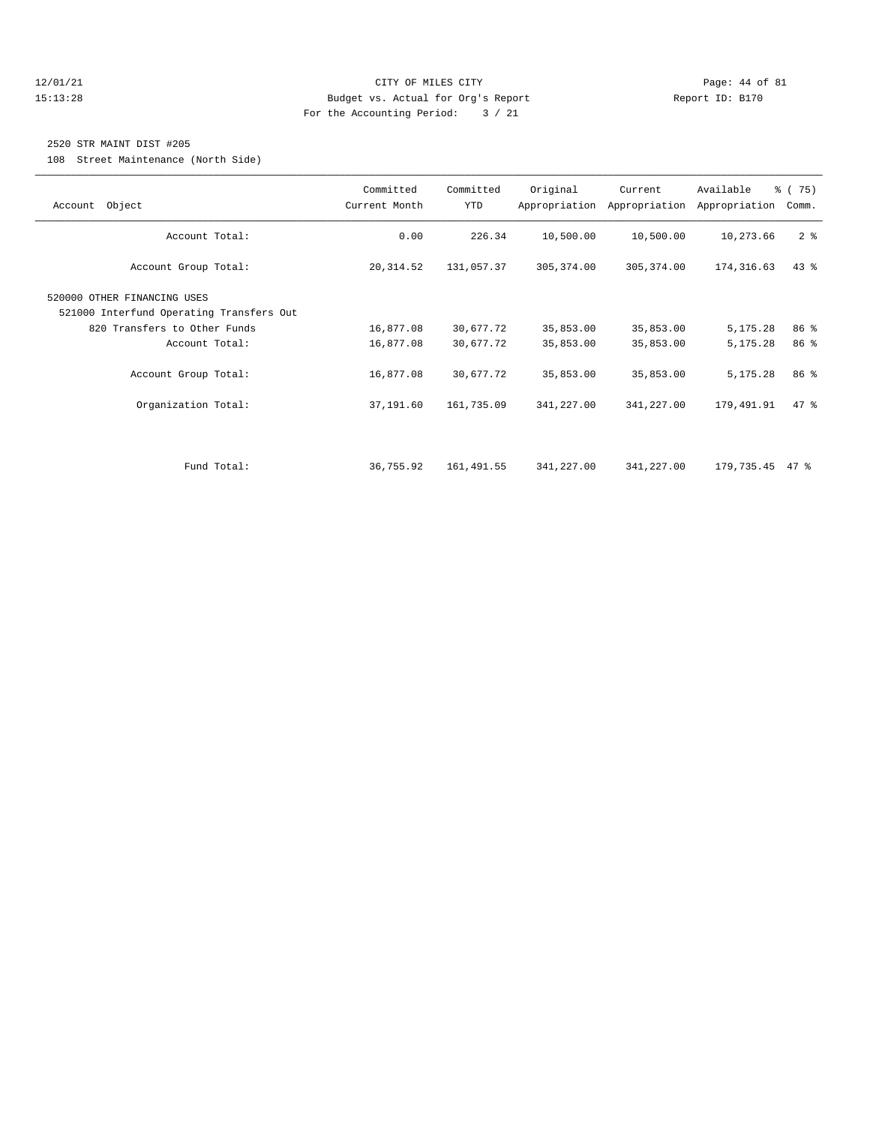#### 12/01/21 Page: 44 of 81 15:13:28 Budget vs. Actual for Org's Report Report ID: B170 For the Accounting Period: 3 / 21

#### 2520 STR MAINT DIST #205

108 Street Maintenance (North Side)

| Account Object                                                                                                                                    | Committed<br>Current Month          | Committed<br><b>YTD</b>             | Original                            | Current<br>Appropriation Appropriation | Available<br>Appropriation       | % (75)<br>Comm.      |
|---------------------------------------------------------------------------------------------------------------------------------------------------|-------------------------------------|-------------------------------------|-------------------------------------|----------------------------------------|----------------------------------|----------------------|
| Account Total:                                                                                                                                    | 0.00                                | 226.34                              | 10,500.00                           | 10,500.00                              | 10,273.66                        | 2 <sub>8</sub>       |
| Account Group Total:                                                                                                                              | 20, 314.52                          | 131,057.37                          | 305, 374.00                         | 305, 374.00                            | 174, 316.63                      | $43$ %               |
| 520000 OTHER FINANCING USES<br>521000 Interfund Operating Transfers Out<br>820 Transfers to Other Funds<br>Account Total:<br>Account Group Total: | 16,877.08<br>16,877.08<br>16,877.08 | 30,677.72<br>30,677.72<br>30,677.72 | 35,853.00<br>35,853.00<br>35,853.00 | 35,853.00<br>35,853.00<br>35,853.00    | 5,175.28<br>5,175.28<br>5,175.28 | 86 %<br>86 %<br>86 % |
| Organization Total:                                                                                                                               | 37,191.60                           | 161,735.09                          | 341,227.00                          | 341,227.00                             | 179,491.91                       | $47$ %               |
| Fund Total:                                                                                                                                       | 36,755.92                           | 161,491.55                          | 341,227.00                          | 341,227.00                             | 179,735.45                       | 47 %                 |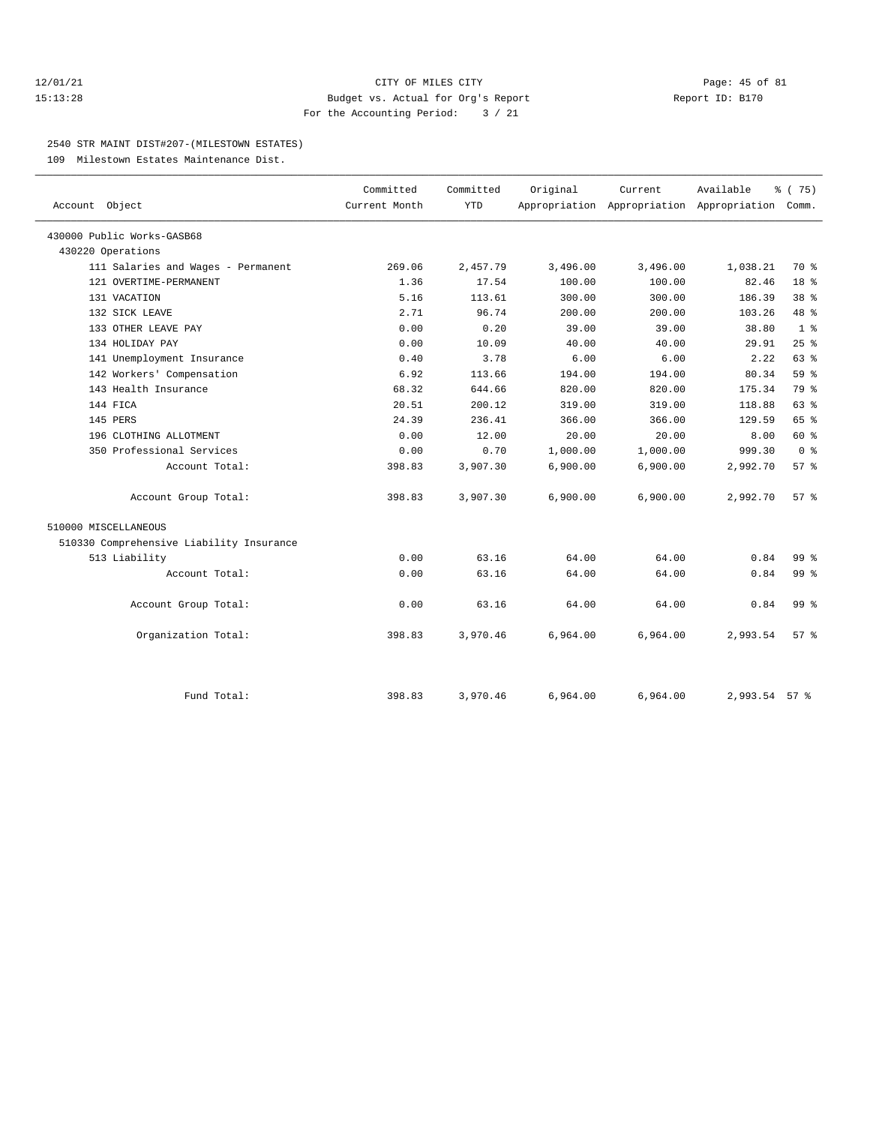#### 12/01/21 Page: 45 of 81 15:13:28 Budget vs. Actual for Org's Report Report ID: B170 For the Accounting Period: 3 / 21

#### 2540 STR MAINT DIST#207-(MILESTOWN ESTATES)

109 Milestown Estates Maintenance Dist.

| Account Object                           | Committed<br>Current Month | Committed<br><b>YTD</b> | Original | Current  | Available<br>Appropriation Appropriation Appropriation Comm. | 8 (75)          |
|------------------------------------------|----------------------------|-------------------------|----------|----------|--------------------------------------------------------------|-----------------|
|                                          |                            |                         |          |          |                                                              |                 |
| 430000 Public Works-GASB68               |                            |                         |          |          |                                                              |                 |
| 430220 Operations                        |                            |                         |          |          |                                                              |                 |
| 111 Salaries and Wages - Permanent       | 269.06                     | 2,457.79                | 3,496.00 | 3,496.00 | 1,038.21                                                     | 70 %            |
| 121 OVERTIME-PERMANENT                   | 1.36                       | 17.54                   | 100.00   | 100.00   | 82.46                                                        | 18 %            |
| 131 VACATION                             | 5.16                       | 113.61                  | 300.00   | 300.00   | 186.39                                                       | 38 <sup>8</sup> |
| 132 SICK LEAVE                           | 2.71                       | 96.74                   | 200.00   | 200.00   | 103.26                                                       | 48 %            |
| 133 OTHER LEAVE PAY                      | 0.00                       | 0.20                    | 39.00    | 39.00    | 38.80                                                        | 1 <sup>8</sup>  |
| 134 HOLIDAY PAY                          | 0.00                       | 10.09                   | 40.00    | 40.00    | 29.91                                                        | 25%             |
| 141 Unemployment Insurance               | 0.40                       | 3.78                    | 6.00     | 6.00     | 2.22                                                         | 63 %            |
| 142 Workers' Compensation                | 6.92                       | 113.66                  | 194.00   | 194.00   | 80.34                                                        | 59%             |
| 143 Health Insurance                     | 68.32                      | 644.66                  | 820.00   | 820.00   | 175.34                                                       | 79 %            |
| 144 FICA                                 | 20.51                      | 200.12                  | 319.00   | 319.00   | 118.88                                                       | 63%             |
| 145 PERS                                 | 24.39                      | 236.41                  | 366.00   | 366.00   | 129.59                                                       | 65 %            |
| 196 CLOTHING ALLOTMENT                   | 0.00                       | 12.00                   | 20.00    | 20.00    | 8.00                                                         | 60 %            |
| 350 Professional Services                | 0.00                       | 0.70                    | 1,000.00 | 1,000.00 | 999.30                                                       | 0 <sup>8</sup>  |
| Account Total:                           | 398.83                     | 3,907.30                | 6,900.00 | 6,900.00 | 2,992.70                                                     | 57%             |
| Account Group Total:                     | 398.83                     | 3,907.30                | 6,900.00 | 6,900.00 | 2,992.70                                                     | 57%             |
| 510000 MISCELLANEOUS                     |                            |                         |          |          |                                                              |                 |
| 510330 Comprehensive Liability Insurance |                            |                         |          |          |                                                              |                 |
| 513 Liability                            | 0.00                       | 63.16                   | 64.00    | 64.00    | 0.84                                                         | 99 <sub>8</sub> |
| Account Total:                           | 0.00                       | 63.16                   | 64.00    | 64.00    | 0.84                                                         | 99 <sub>8</sub> |
| Account Group Total:                     | 0.00                       | 63.16                   | 64.00    | 64.00    | 0.84                                                         | 99 %            |
| Organization Total:                      | 398.83                     | 3,970.46                | 6,964.00 | 6,964.00 | 2,993.54                                                     | 57%             |
| Fund Total:                              | 398.83                     | 3,970.46                | 6,964.00 | 6,964.00 | 2,993.54 57 %                                                |                 |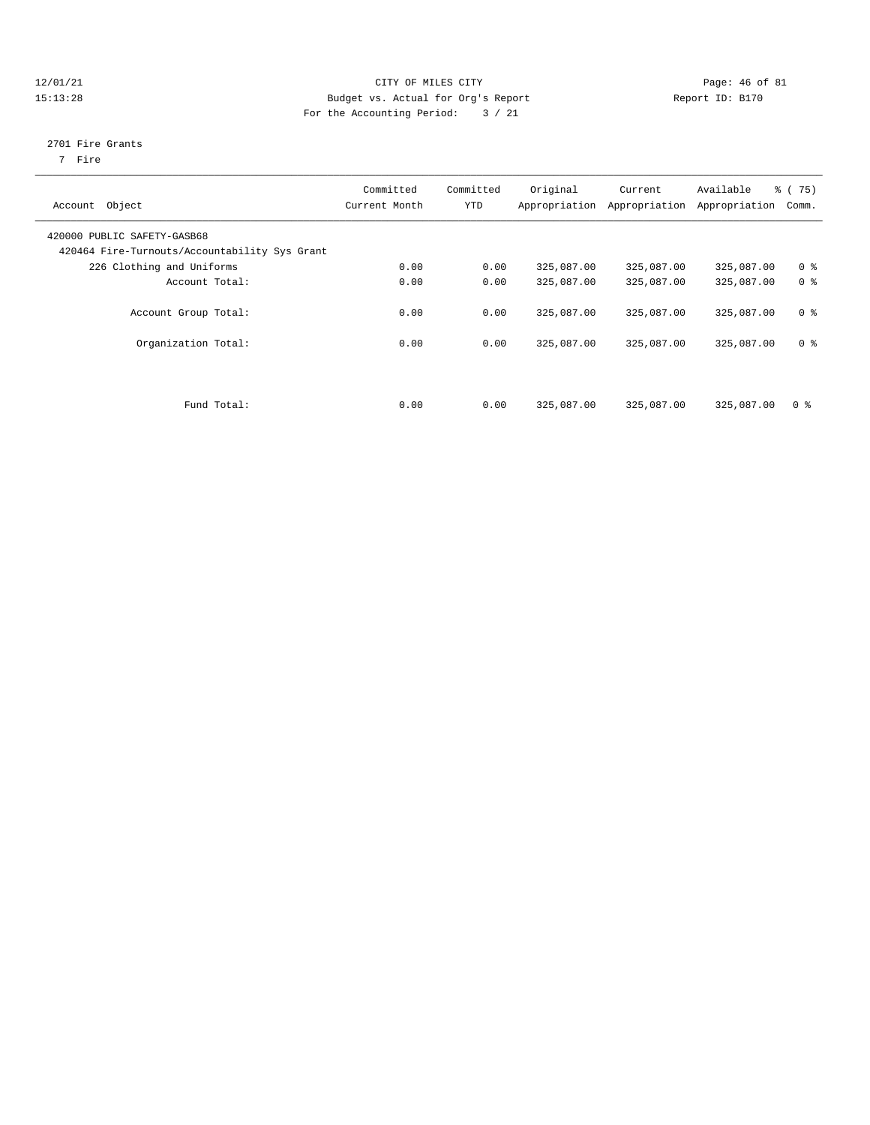#### $12/01/21$  Page: 46 of 81 15:13:28 Budget vs. Actual for Org's Report Report ID: B170 For the Accounting Period: 3 / 21

#### 2701 Fire Grants

7 Fire

| Account Object                                                               | Committed<br>Current Month | Committed<br><b>YTD</b> | Original   | Current<br>Appropriation Appropriation | Available<br>Appropriation | % (75)<br>Comm. |
|------------------------------------------------------------------------------|----------------------------|-------------------------|------------|----------------------------------------|----------------------------|-----------------|
| 420000 PUBLIC SAFETY-GASB68<br>420464 Fire-Turnouts/Accountability Sys Grant |                            |                         |            |                                        |                            |                 |
| 226 Clothing and Uniforms                                                    | 0.00                       | 0.00                    | 325,087.00 | 325,087.00                             | 325,087.00                 | 0 <sup>8</sup>  |
| Account Total:                                                               | 0.00                       | 0.00                    | 325,087.00 | 325,087.00                             | 325,087.00                 | 0 <sup>8</sup>  |
| Account Group Total:                                                         | 0.00                       | 0.00                    | 325,087.00 | 325,087.00                             | 325,087.00                 | 0 <sup>8</sup>  |
| Organization Total:                                                          | 0.00                       | 0.00                    | 325,087.00 | 325,087.00                             | 325,087.00                 | 0 <sup>8</sup>  |
| Fund Total:                                                                  | 0.00                       | 0.00                    | 325,087.00 | 325,087.00                             | 325,087.00                 | 0 <sup>8</sup>  |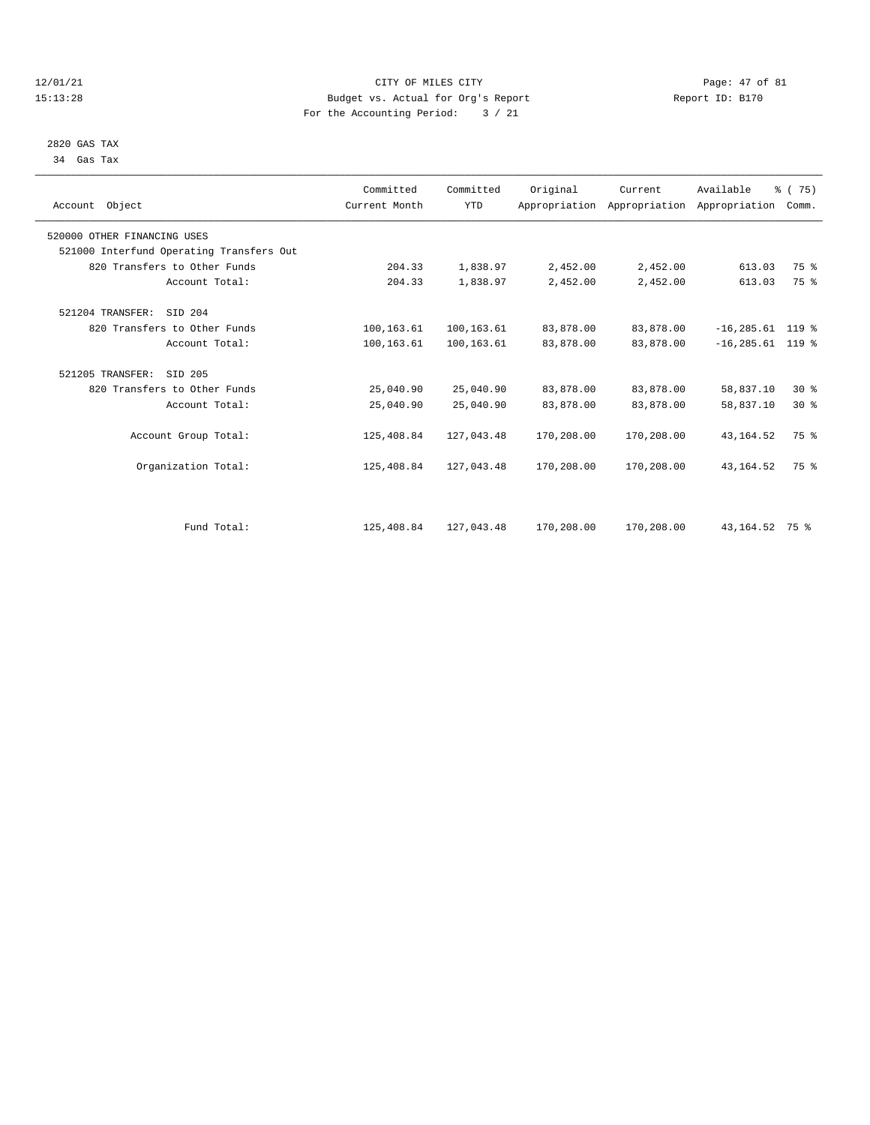#### 12/01/21 Page: 47 of 81 CITY OF MILES CITY CONTRIBUTE CONTRIBUTE CONTRIBUTE CITY CONTRIBUTE CITY PAGE: 47 of 81<br>15:13:28 Budget vs. Actual for Org's Report (1995) Report ID: B170 15:13:28 Budget vs. Actual for Org's Report For the Accounting Period: 3 / 21

 2820 GAS TAX 34 Gas Tax

| Account Object                           | Committed<br>Current Month | Committed<br><b>YTD</b> | Original   | Current    | Available<br>Appropriation Appropriation Appropriation | % (75)<br>Comm. |  |
|------------------------------------------|----------------------------|-------------------------|------------|------------|--------------------------------------------------------|-----------------|--|
| 520000 OTHER FINANCING USES              |                            |                         |            |            |                                                        |                 |  |
| 521000 Interfund Operating Transfers Out |                            |                         |            |            |                                                        |                 |  |
| 820 Transfers to Other Funds             | 204.33                     | 1,838.97                | 2,452.00   | 2,452.00   | 613.03                                                 | 75 %            |  |
| Account Total:                           | 204.33                     | 1,838.97                | 2,452.00   | 2,452.00   | 613.03                                                 | 75 %            |  |
| 521204 TRANSFER:<br>SID 204              |                            |                         |            |            |                                                        |                 |  |
| 820 Transfers to Other Funds             | 100,163.61                 | 100,163.61              | 83,878.00  | 83,878.00  | $-16, 285.61$ 119 %                                    |                 |  |
| Account Total:                           | 100,163.61                 | 100,163.61              | 83,878.00  | 83,878.00  | $-16, 285.61$ 119 %                                    |                 |  |
| 521205 TRANSFER:<br>SID 205              |                            |                         |            |            |                                                        |                 |  |
| 820 Transfers to Other Funds             | 25,040.90                  | 25,040.90               | 83,878.00  | 83,878.00  | 58,837.10                                              | $30*$           |  |
| Account Total:                           | 25,040.90                  | 25,040.90               | 83,878.00  | 83,878.00  | 58,837.10                                              | $30*$           |  |
| Account Group Total:                     | 125,408.84                 | 127,043.48              | 170,208.00 | 170,208.00 | 43, 164.52                                             | 75 %            |  |
| Organization Total:                      | 125,408.84                 | 127,043.48              | 170,208.00 | 170,208.00 | 43, 164.52                                             | 75 %            |  |
|                                          |                            |                         |            |            |                                                        |                 |  |
| Fund Total:                              | 125,408.84                 | 127,043.48              | 170,208.00 | 170,208.00 | 43, 164. 52 75 %                                       |                 |  |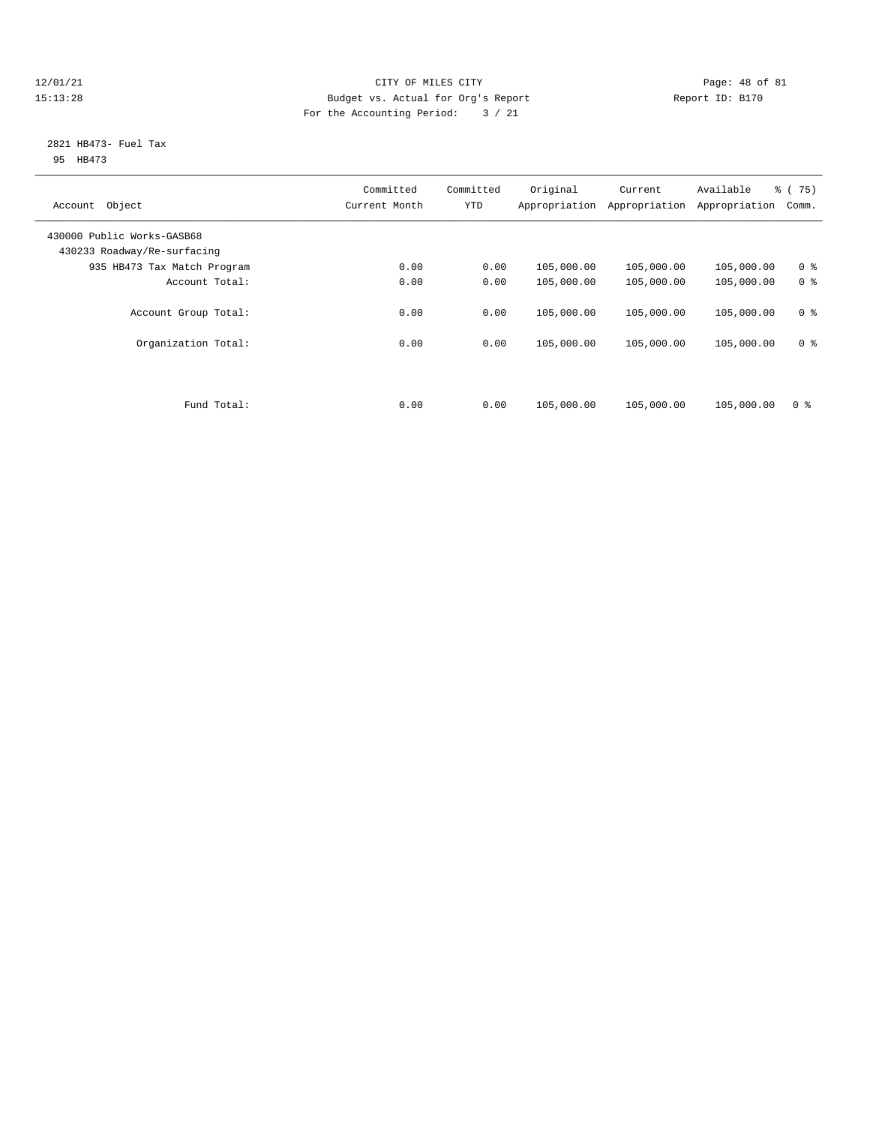#### 12/01/21 Page: 48 of 81 CITY OF MILES CITY CONTRIBUTE CITY PAGE: 48 of 81 Page: 48 of 81 CITY CHINES CITY CONTRIBUTE CITY PAGE: 48 OF 81 15:13:28 Budget vs. Actual for Org's Report For the Accounting Period: 3 / 21

#### 2821 HB473- Fuel Tax 95 HB473

| Committed<br>Current Month | Committed<br><b>YTD</b> | Original   | Current<br>Appropriation | Available<br>Appropriation | % (75)<br>Comm. |
|----------------------------|-------------------------|------------|--------------------------|----------------------------|-----------------|
|                            |                         |            |                          |                            |                 |
| 0.00                       | 0.00                    | 105,000.00 | 105,000.00               | 105,000.00                 | 0 <sup>8</sup>  |
| 0.00                       | 0.00                    | 105,000.00 | 105,000.00               | 105,000.00                 | 0 <sup>8</sup>  |
| 0.00                       | 0.00                    | 105,000.00 | 105,000.00               | 105,000.00                 | 0 <sup>8</sup>  |
| 0.00                       | 0.00                    | 105,000.00 | 105,000.00               | 105,000.00                 | 0 <sup>8</sup>  |
| 0.00                       | 0.00                    | 105,000.00 | 105,000.00               | 105,000.00                 | 0 <sup>8</sup>  |
|                            |                         |            |                          | Appropriation              |                 |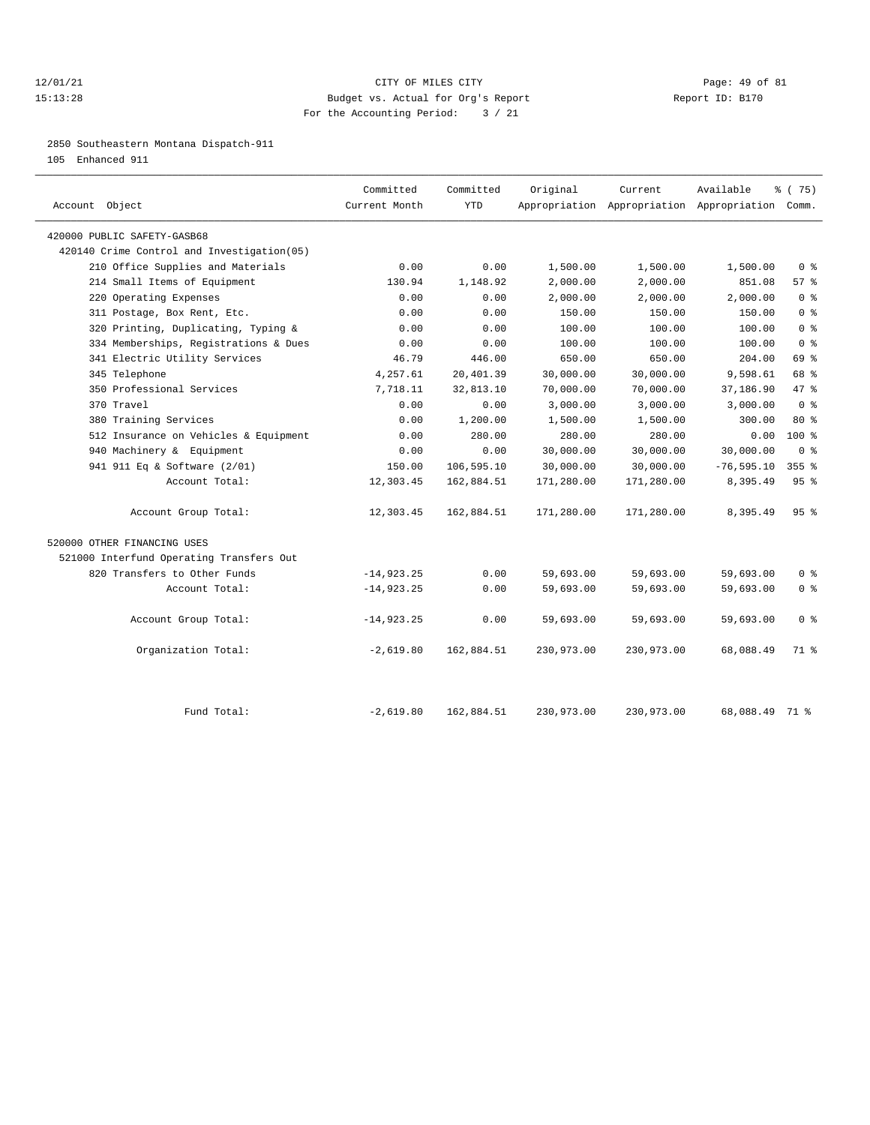#### 12/01/21 Page: 49 of 81 15:13:28 Budget vs. Actual for Org's Report Report ID: B170 For the Accounting Period: 3 / 21

2850 Southeastern Montana Dispatch-911

105 Enhanced 911

| Account Object                             | Committed<br>Current Month | Committed<br><b>YTD</b> | Original   | Current    | Available<br>Appropriation Appropriation Appropriation Comm. | % (75)                             |
|--------------------------------------------|----------------------------|-------------------------|------------|------------|--------------------------------------------------------------|------------------------------------|
| 420000 PUBLIC SAFETY-GASB68                |                            |                         |            |            |                                                              |                                    |
| 420140 Crime Control and Investigation(05) |                            |                         |            |            |                                                              |                                    |
| 210 Office Supplies and Materials          | 0.00                       | 0.00                    | 1,500.00   | 1,500.00   | 1,500.00                                                     | $0 \text{ }$ $\text{ }$ $\text{ }$ |
| 214 Small Items of Equipment               | 130.94                     | 1,148.92                | 2,000.00   | 2,000.00   | 851.08                                                       | 57%                                |
| 220 Operating Expenses                     | 0.00                       | 0.00                    | 2,000.00   | 2,000.00   | 2.000.00                                                     | 0 <sup>8</sup>                     |
| 311 Postage, Box Rent, Etc.                | 0.00                       | 0.00                    | 150.00     | 150.00     | 150.00                                                       | 0 <sup>8</sup>                     |
| 320 Printing, Duplicating, Typing &        | 0.00                       | 0.00                    | 100.00     | 100.00     | 100.00                                                       | 0 <sup>8</sup>                     |
| 334 Memberships, Registrations & Dues      | 0.00                       | 0.00                    | 100.00     | 100.00     | 100.00                                                       | 0 <sup>8</sup>                     |
| 341 Electric Utility Services              | 46.79                      | 446.00                  | 650.00     | 650.00     | 204.00                                                       | 69 %                               |
| 345 Telephone                              | 4,257.61                   | 20,401.39               | 30,000.00  | 30,000.00  | 9,598.61                                                     | 68 %                               |
| 350 Professional Services                  | 7,718.11                   | 32,813.10               | 70,000.00  | 70,000.00  | 37,186.90                                                    | $47*$                              |
| 370 Travel                                 | 0.00                       | 0.00                    | 3,000.00   | 3,000.00   | 3,000.00                                                     | 0 <sup>8</sup>                     |
| 380 Training Services                      | 0.00                       | 1,200.00                | 1,500.00   | 1,500.00   | 300.00                                                       | $80*$                              |
| 512 Insurance on Vehicles & Equipment      | 0.00                       | 280.00                  | 280.00     | 280.00     | 0.00                                                         | $100*$                             |
| 940 Machinery & Equipment                  | 0.00                       | 0.00                    | 30,000.00  | 30,000.00  | 30,000.00                                                    | $0 \text{ }$ $\text{ }$ $\text{ }$ |
| 941 911 Eq & Software (2/01)               | 150.00                     | 106,595.10              | 30,000.00  | 30,000.00  | $-76, 595.10$                                                | $355$ $%$                          |
| Account Total:                             | 12,303.45                  | 162,884.51              | 171,280.00 | 171,280.00 | 8,395.49                                                     | 95%                                |
| Account Group Total:                       | 12,303.45                  | 162,884.51              | 171,280.00 | 171,280.00 | 8,395.49                                                     | 95%                                |
| 520000 OTHER FINANCING USES                |                            |                         |            |            |                                                              |                                    |
| 521000 Interfund Operating Transfers Out   |                            |                         |            |            |                                                              |                                    |
| 820 Transfers to Other Funds               | $-14,923.25$               | 0.00                    | 59,693.00  | 59,693.00  | 59,693.00                                                    | 0 <sup>8</sup>                     |
| Account Total:                             | $-14,923.25$               | 0.00                    | 59,693.00  | 59,693.00  | 59,693.00                                                    | 0 <sup>8</sup>                     |
| Account Group Total:                       | $-14,923.25$               | 0.00                    | 59,693.00  | 59,693.00  | 59,693.00                                                    | 0 <sup>8</sup>                     |
| Organization Total:                        | $-2,619.80$                | 162,884.51              | 230,973.00 | 230,973.00 | 68,088.49                                                    | 71 %                               |
| Fund Total:                                | $-2,619.80$                | 162,884.51              | 230,973.00 | 230,973.00 | 68,088.49 71 %                                               |                                    |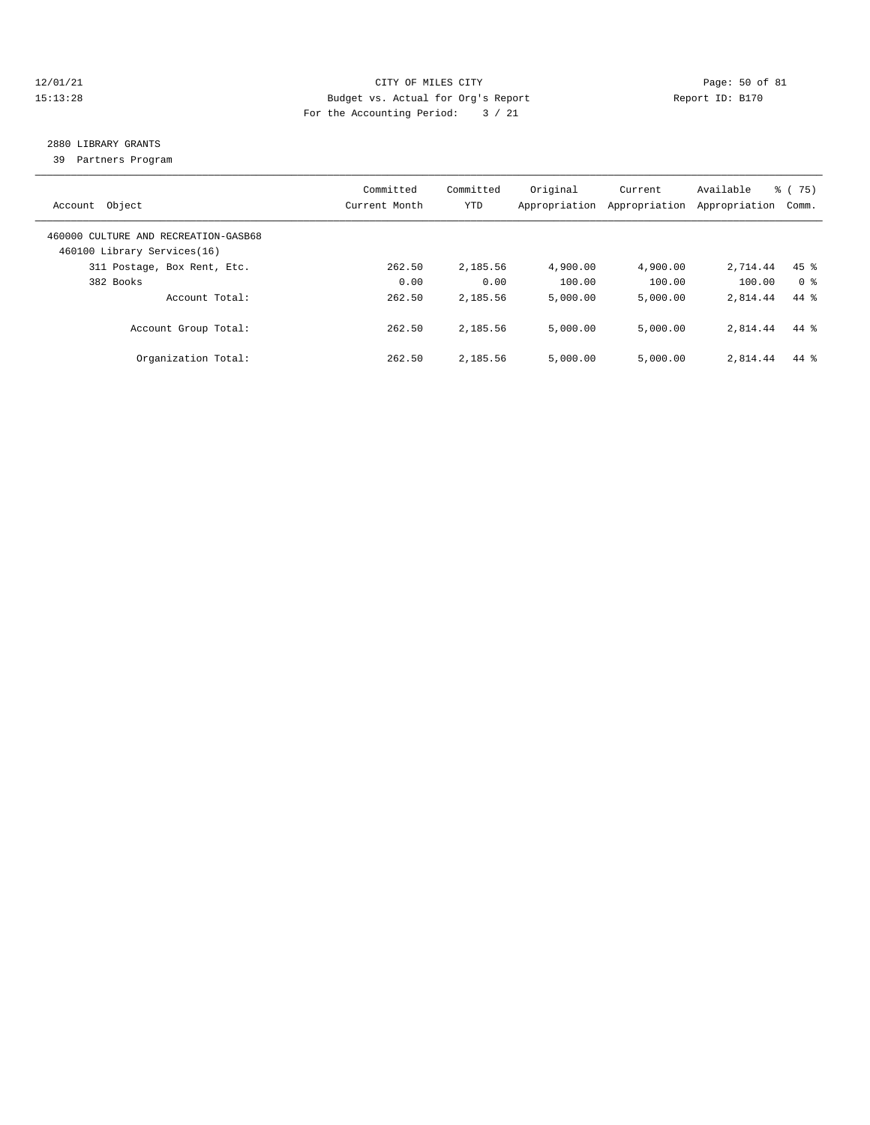#### 12/01/21 Page: 50 of 81 15:13:28 Budget vs. Actual for Org's Report Report ID: B170 For the Accounting Period: 3 / 21

# 2880 LIBRARY GRANTS

39 Partners Program

| Account Object                                                      | Committed<br>Current Month | Committed<br><b>YTD</b> | Original<br>Appropriation | Current<br>Appropriation | Available<br>Appropriation | % (75)<br>Comm. |
|---------------------------------------------------------------------|----------------------------|-------------------------|---------------------------|--------------------------|----------------------------|-----------------|
| 460000 CULTURE AND RECREATION-GASB68<br>460100 Library Services(16) |                            |                         |                           |                          |                            |                 |
| 311 Postage, Box Rent, Etc.                                         | 262.50                     | 2,185.56                | 4,900.00                  | 4,900.00                 | 2,714.44                   | $45$ %          |
| 382 Books                                                           | 0.00                       | 0.00                    | 100.00                    | 100.00                   | 100.00                     | 0 %             |
| Account Total:                                                      | 262.50                     | 2,185.56                | 5,000.00                  | 5.000.00                 | 2,814.44                   | $44*$           |
| Account Group Total:                                                | 262.50                     | 2,185.56                | 5.000.00                  | 5.000.00                 | 2,814.44                   | $44*$           |
| Organization Total:                                                 | 262.50                     | 2,185.56                | 5,000.00                  | 5.000.00                 | 2,814.44                   | $44*$           |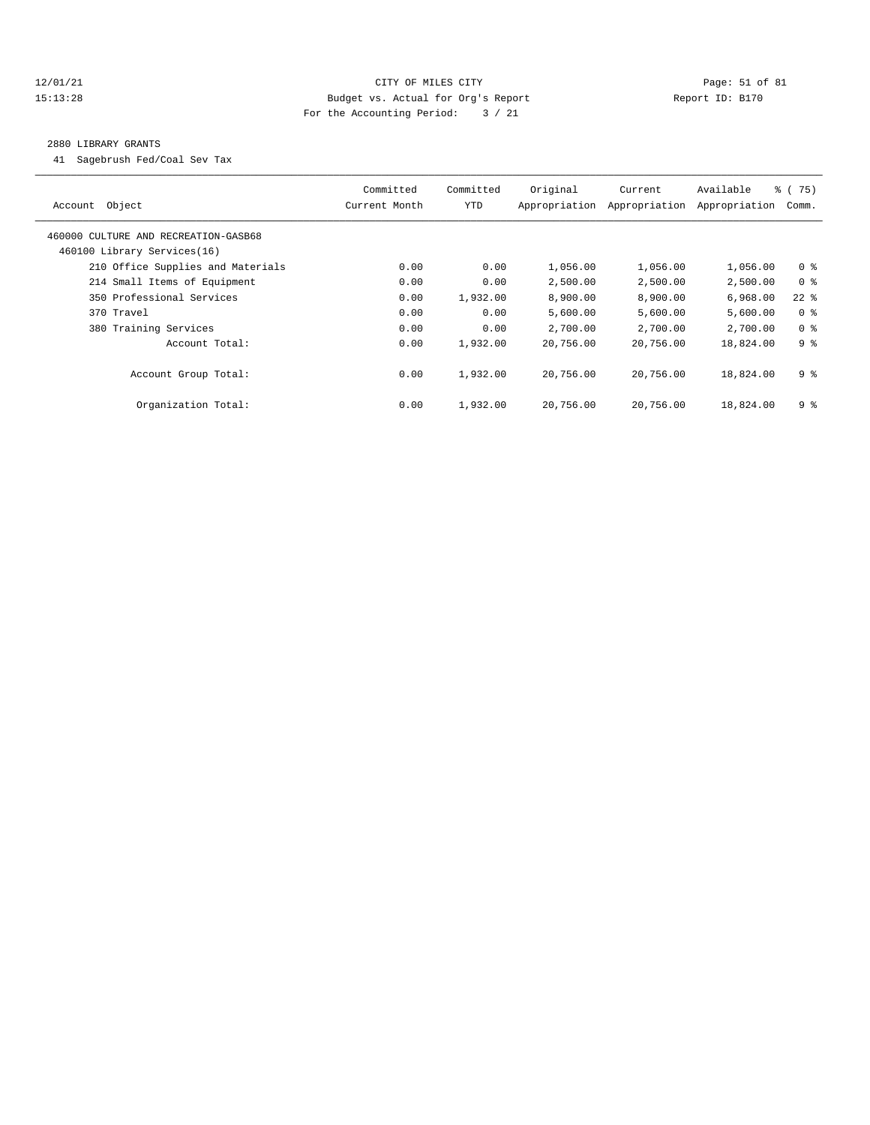#### 12/01/21 Page: 51 of 81 15:13:28 Budget vs. Actual for Org's Report Report ID: B170 For the Accounting Period: 3 / 21

#### 2880 LIBRARY GRANTS

41 Sagebrush Fed/Coal Sev Tax

| Object<br>Account                                                   | Committed<br>Current Month | Committed<br>YTD | Original<br>Appropriation | Current<br>Appropriation | Available<br>Appropriation | % (75)<br>Comm. |
|---------------------------------------------------------------------|----------------------------|------------------|---------------------------|--------------------------|----------------------------|-----------------|
| 460000 CULTURE AND RECREATION-GASB68<br>460100 Library Services(16) |                            |                  |                           |                          |                            |                 |
| 210 Office Supplies and Materials                                   | 0.00                       | 0.00             | 1,056.00                  | 1,056.00                 | 1,056.00                   | 0 <sup>8</sup>  |
| 214 Small Items of Equipment                                        | 0.00                       | 0.00             | 2,500.00                  | 2,500.00                 | 2,500.00                   | 0 <sup>8</sup>  |
| 350 Professional Services                                           | 0.00                       | 1,932.00         | 8,900.00                  | 8,900.00                 | 6,968.00                   | $22$ %          |
| 370 Travel                                                          | 0.00                       | 0.00             | 5,600.00                  | 5,600.00                 | 5,600.00                   | 0 <sup>8</sup>  |
| 380 Training Services                                               | 0.00                       | 0.00             | 2,700.00                  | 2,700.00                 | 2,700.00                   | 0 <sup>8</sup>  |
| Account Total:                                                      | 0.00                       | 1,932.00         | 20,756.00                 | 20,756.00                | 18,824.00                  | 9 <sup>8</sup>  |
| Account Group Total:                                                | 0.00                       | 1,932.00         | 20,756.00                 | 20,756.00                | 18,824.00                  | 9 %             |
| Organization Total:                                                 | 0.00                       | 1,932.00         | 20,756.00                 | 20,756.00                | 18,824.00                  | 9 %             |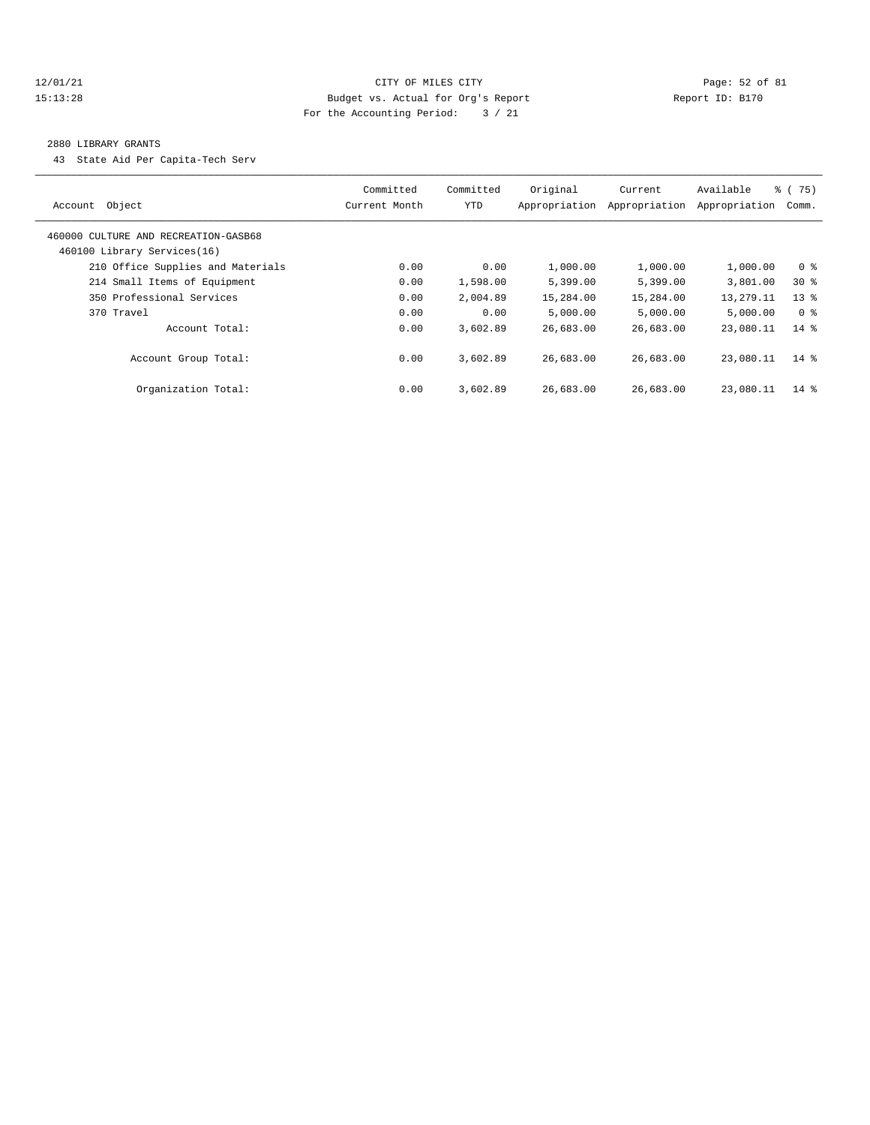#### 12/01/21 Page: 52 of 81 15:13:28 Budget vs. Actual for Org's Report Report ID: B170 For the Accounting Period: 3 / 21

#### 2880 LIBRARY GRANTS

43 State Aid Per Capita-Tech Serv

| Account Object                                                      | Committed<br>Current Month | Committed<br>YTD | Original<br>Appropriation | Current<br>Appropriation | Available<br>Appropriation | % (75)<br>Comm. |
|---------------------------------------------------------------------|----------------------------|------------------|---------------------------|--------------------------|----------------------------|-----------------|
| 460000 CULTURE AND RECREATION-GASB68<br>460100 Library Services(16) |                            |                  |                           |                          |                            |                 |
| 210 Office Supplies and Materials                                   | 0.00                       | 0.00             | 1,000.00                  | 1,000.00                 | 1,000.00                   | 0 <sup>8</sup>  |
| 214 Small Items of Equipment                                        | 0.00                       | 1,598.00         | 5,399.00                  | 5,399.00                 | 3,801.00                   | $30*$           |
| 350 Professional Services                                           | 0.00                       | 2,004.89         | 15,284.00                 | 15,284.00                | 13,279.11                  | $13*$           |
| 370 Travel                                                          | 0.00                       | 0.00             | 5,000.00                  | 5.000.00                 | 5,000.00                   | 0 %             |
| Account Total:                                                      | 0.00                       | 3,602.89         | 26,683.00                 | 26,683.00                | 23,080.11                  | $14*$           |
| Account Group Total:                                                | 0.00                       | 3,602.89         | 26,683.00                 | 26,683.00                | 23,080.11                  | $14*$           |
| Organization Total:                                                 | 0.00                       | 3,602.89         | 26,683.00                 | 26,683.00                | 23,080.11                  | $14*$           |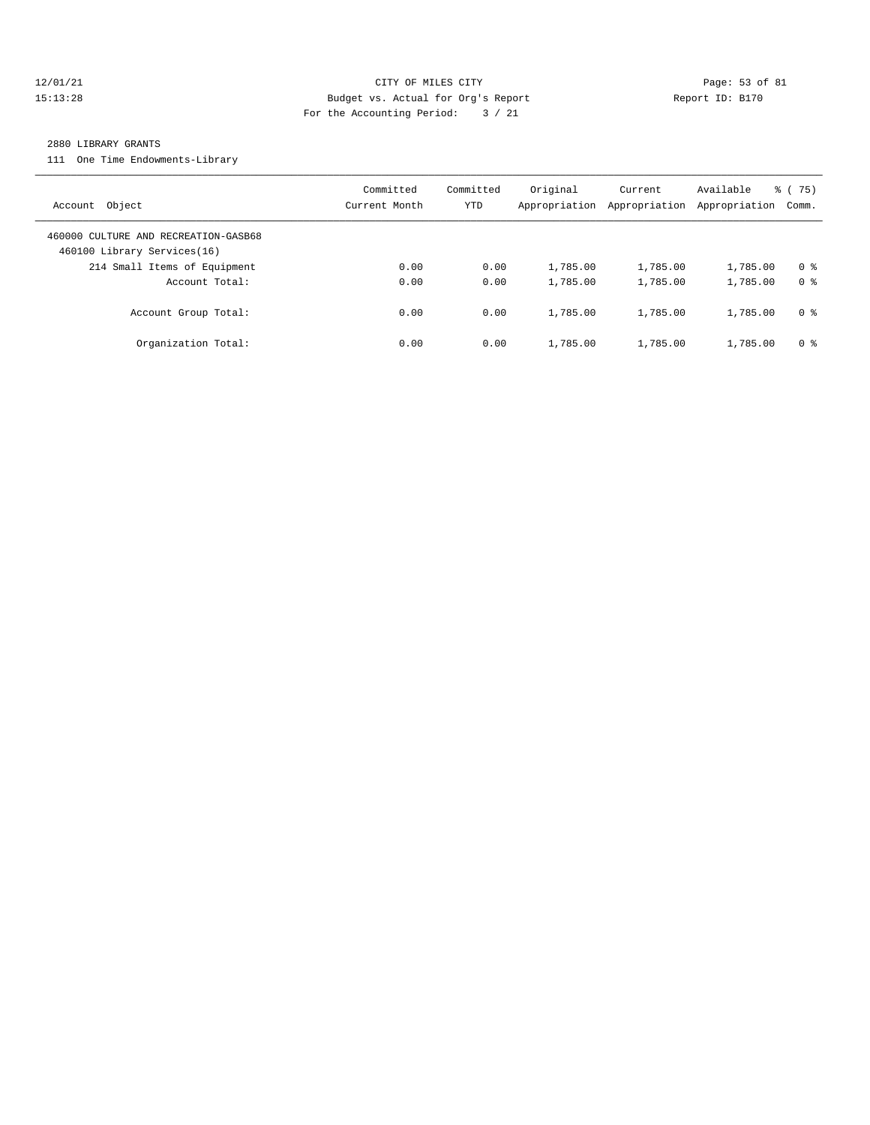#### 12/01/21 Page: 53 of 81 15:13:28 Budget vs. Actual for Org's Report Report ID: B170 For the Accounting Period: 3 / 21

#### 2880 LIBRARY GRANTS

111 One Time Endowments-Library

| Account Object                                                      | Committed<br>Current Month | Committed<br>YTD | Original<br>Appropriation | Current<br>Appropriation | Available<br>Appropriation | 75)<br>ී (<br>Comm. |
|---------------------------------------------------------------------|----------------------------|------------------|---------------------------|--------------------------|----------------------------|---------------------|
| 460000 CULTURE AND RECREATION-GASB68<br>460100 Library Services(16) |                            |                  |                           |                          |                            |                     |
| 214 Small Items of Equipment                                        | 0.00                       | 0.00             | 1,785.00                  | 1,785.00                 | 1,785.00                   | 0 <sup>8</sup>      |
| Account Total:                                                      | 0.00                       | 0.00             | 1,785.00                  | 1,785.00                 | 1,785.00                   | 0 <sup>8</sup>      |
| Account Group Total:                                                | 0.00                       | 0.00             | 1,785.00                  | 1,785.00                 | 1,785.00                   | 0 %                 |
| Organization Total:                                                 | 0.00                       | 0.00             | 1,785.00                  | 1,785.00                 | 1,785.00                   | 0 %                 |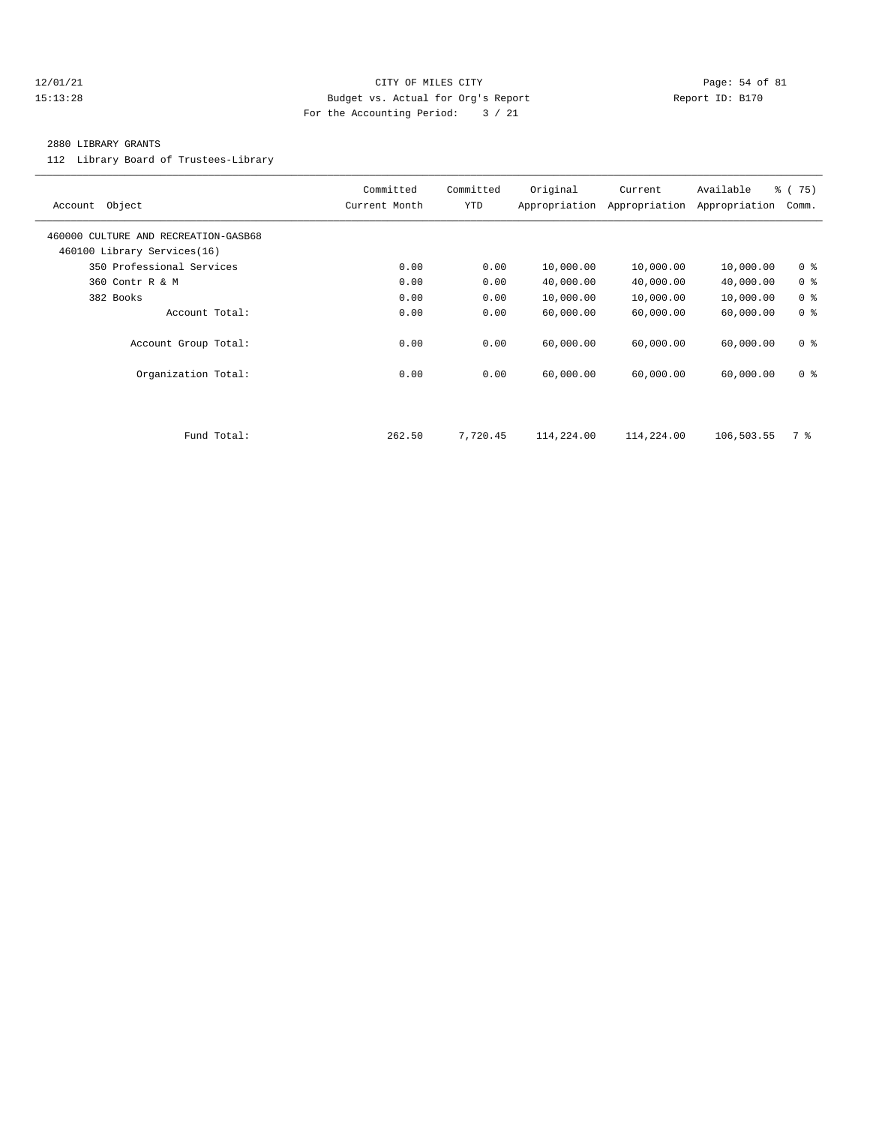#### $12/01/21$  Page: 54 of 81 15:13:28 Budget vs. Actual for Org's Report Report ID: B170 For the Accounting Period: 3 / 21

#### 2880 LIBRARY GRANTS

112 Library Board of Trustees-Library

| Object<br>Account                                                   | Committed<br>Current Month | Committed<br>YTD | Original<br>Appropriation | Current<br>Appropriation | Available<br>Appropriation | % (75)<br>Comm. |
|---------------------------------------------------------------------|----------------------------|------------------|---------------------------|--------------------------|----------------------------|-----------------|
| 460000 CULTURE AND RECREATION-GASB68<br>460100 Library Services(16) |                            |                  |                           |                          |                            |                 |
| 350 Professional Services                                           | 0.00                       | 0.00             | 10,000.00                 | 10,000.00                | 10,000.00                  | 0 <sup>8</sup>  |
| 360 Contr R & M                                                     | 0.00                       | 0.00             | 40,000.00                 | 40,000.00                | 40,000.00                  | 0 <sup>8</sup>  |
| 382 Books                                                           | 0.00                       | 0.00             | 10,000.00                 | 10,000.00                | 10,000.00                  | 0 <sup>8</sup>  |
| Account Total:                                                      | 0.00                       | 0.00             | 60,000.00                 | 60,000.00                | 60,000.00                  | 0 <sup>8</sup>  |
| Account Group Total:                                                | 0.00                       | 0.00             | 60,000.00                 | 60,000.00                | 60,000.00                  | 0 <sup>8</sup>  |
| Organization Total:                                                 | 0.00                       | 0.00             | 60,000.00                 | 60,000.00                | 60,000.00                  | 0 <sup>8</sup>  |
|                                                                     |                            |                  |                           |                          |                            |                 |
| Fund Total:                                                         | 262.50                     | 7,720.45         | 114,224.00                | 114,224.00               | 106,503.55                 | 7 %             |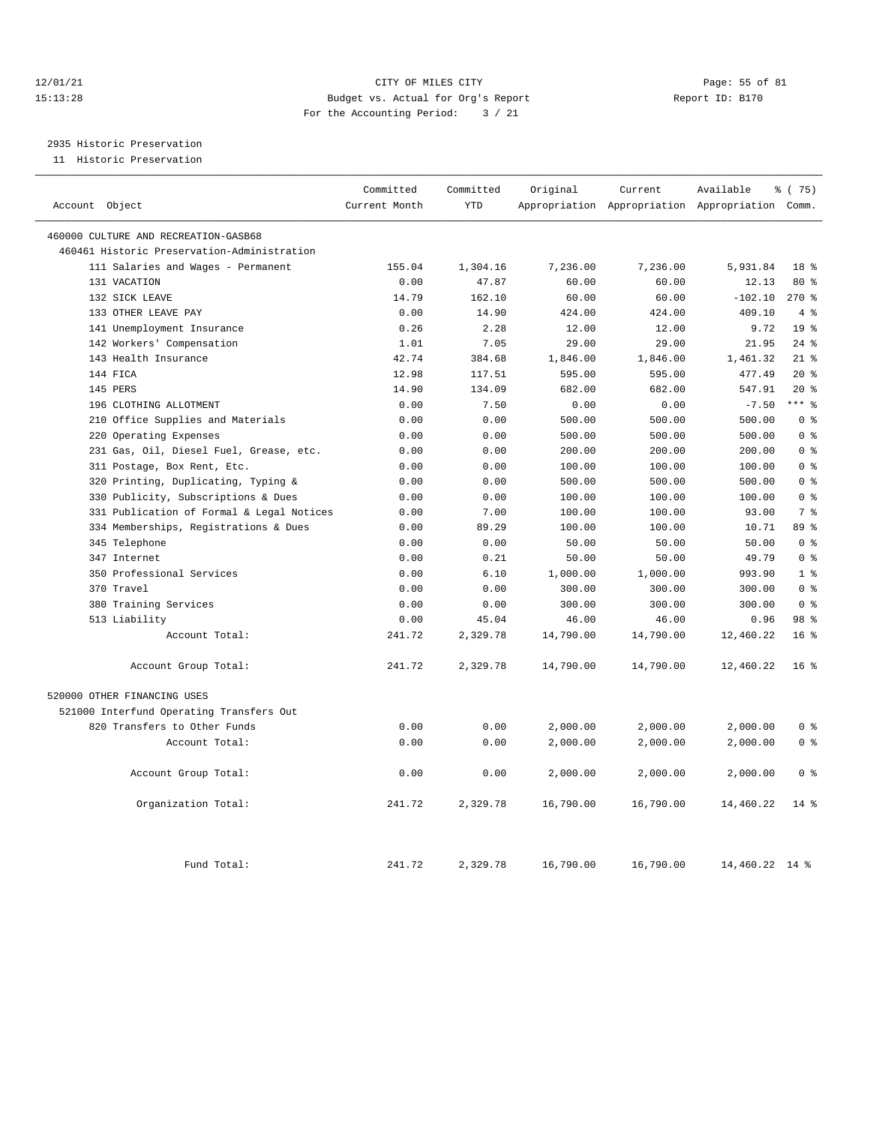#### 12/01/21 Page: 55 of 81 15:13:28 Budget vs. Actual for Org's Report Report ID: B170 For the Accounting Period: 3 / 21

# 2935 Historic Preservation

11 Historic Preservation

| Account Object                              | Committed<br>Current Month | Committed<br><b>YTD</b> | Original  | Current   | Available<br>Appropriation Appropriation Appropriation Comm. | % (75)                  |
|---------------------------------------------|----------------------------|-------------------------|-----------|-----------|--------------------------------------------------------------|-------------------------|
| 460000 CULTURE AND RECREATION-GASB68        |                            |                         |           |           |                                                              |                         |
| 460461 Historic Preservation-Administration |                            |                         |           |           |                                                              |                         |
| 111 Salaries and Wages - Permanent          | 155.04                     | 1,304.16                | 7,236.00  | 7,236.00  | 5,931.84                                                     | 18 <sup>8</sup>         |
| 131 VACATION                                | 0.00                       | 47.87                   | 60.00     | 60.00     | 12.13                                                        | 80 %                    |
| 132 SICK LEAVE                              | 14.79                      | 162.10                  | 60.00     | 60.00     | $-102.10$                                                    | 270%                    |
| 133 OTHER LEAVE PAY                         | 0.00                       | 14.90                   | 424.00    | 424.00    | 409.10                                                       | 4%                      |
| 141 Unemployment Insurance                  | 0.26                       | 2.28                    | 12.00     | 12.00     | 9.72                                                         | 19 <sup>8</sup>         |
| 142 Workers' Compensation                   | 1.01                       | 7.05                    | 29.00     | 29.00     | 21.95                                                        | $24$ %                  |
| 143 Health Insurance                        | 42.74                      | 384.68                  | 1,846.00  | 1,846.00  | 1,461.32                                                     | $21$ %                  |
| 144 FICA                                    | 12.98                      | 117.51                  | 595.00    | 595.00    | 477.49                                                       | $20*$                   |
| 145 PERS                                    | 14.90                      | 134.09                  | 682.00    | 682.00    | 547.91                                                       | 20%                     |
| 196 CLOTHING ALLOTMENT                      | 0.00                       | 7.50                    | 0.00      | 0.00      | $-7.50$                                                      | $***$ $%$               |
| 210 Office Supplies and Materials           | 0.00                       | 0.00                    | 500.00    | 500.00    | 500.00                                                       | 0 <sup>8</sup>          |
| 220 Operating Expenses                      | 0.00                       | 0.00                    | 500.00    | 500.00    | 500.00                                                       | 0 <sup>8</sup>          |
| 231 Gas, Oil, Diesel Fuel, Grease, etc.     | 0.00                       | 0.00                    | 200.00    | 200.00    | 200.00                                                       | 0 <sup>8</sup>          |
| 311 Postage, Box Rent, Etc.                 | 0.00                       | 0.00                    | 100.00    | 100.00    | 100.00                                                       | $0 \text{ }$ $\text{ }$ |
| 320 Printing, Duplicating, Typing &         | 0.00                       | 0.00                    | 500.00    | 500.00    | 500.00                                                       | 0 <sup>8</sup>          |
| 330 Publicity, Subscriptions & Dues         | 0.00                       | 0.00                    | 100.00    | 100.00    | 100.00                                                       | 0 <sup>8</sup>          |
| 331 Publication of Formal & Legal Notices   | 0.00                       | 7.00                    | 100.00    | 100.00    | 93.00                                                        | 7 <sup>8</sup>          |
| 334 Memberships, Registrations & Dues       | 0.00                       | 89.29                   | 100.00    | 100.00    | 10.71                                                        | 89 %                    |
| 345 Telephone                               | 0.00                       | 0.00                    | 50.00     | 50.00     | 50.00                                                        | 0 <sup>8</sup>          |
| 347 Internet                                | 0.00                       | 0.21                    | 50.00     | 50.00     | 49.79                                                        | 0 <sup>8</sup>          |
| 350 Professional Services                   | 0.00                       | 6.10                    | 1,000.00  | 1,000.00  | 993.90                                                       | 1 <sup>8</sup>          |
| 370 Travel                                  | 0.00                       | 0.00                    | 300.00    | 300.00    | 300.00                                                       | 0 <sup>8</sup>          |
| 380 Training Services                       | 0.00                       | 0.00                    | 300.00    | 300.00    | 300.00                                                       | 0 <sup>8</sup>          |
| 513 Liability                               | 0.00                       | 45.04                   | 46.00     | 46.00     | 0.96                                                         | 98 <sup>8</sup>         |
| Account Total:                              | 241.72                     | 2,329.78                | 14,790.00 | 14,790.00 | 12,460.22                                                    | 16 <sup>8</sup>         |
| Account Group Total:                        | 241.72                     | 2,329.78                | 14,790.00 | 14,790.00 | 12,460.22                                                    | 16 <sup>8</sup>         |
| 520000 OTHER FINANCING USES                 |                            |                         |           |           |                                                              |                         |
| 521000 Interfund Operating Transfers Out    |                            |                         |           |           |                                                              |                         |
| 820 Transfers to Other Funds                | 0.00                       | 0.00                    | 2,000.00  | 2,000.00  | 2,000.00                                                     | 0 <sup>8</sup>          |
| Account Total:                              | 0.00                       | 0.00                    | 2,000.00  | 2,000.00  | 2,000.00                                                     | 0 <sup>8</sup>          |
| Account Group Total:                        | 0.00                       | 0.00                    | 2,000.00  | 2,000.00  | 2,000.00                                                     | 0 <sup>8</sup>          |
| Organization Total:                         | 241.72                     | 2,329.78                | 16,790.00 | 16,790.00 | 14,460.22                                                    | 14 %                    |
| Fund Total:                                 | 241.72                     | 2,329.78                | 16,790.00 | 16,790.00 | 14,460.22 14 %                                               |                         |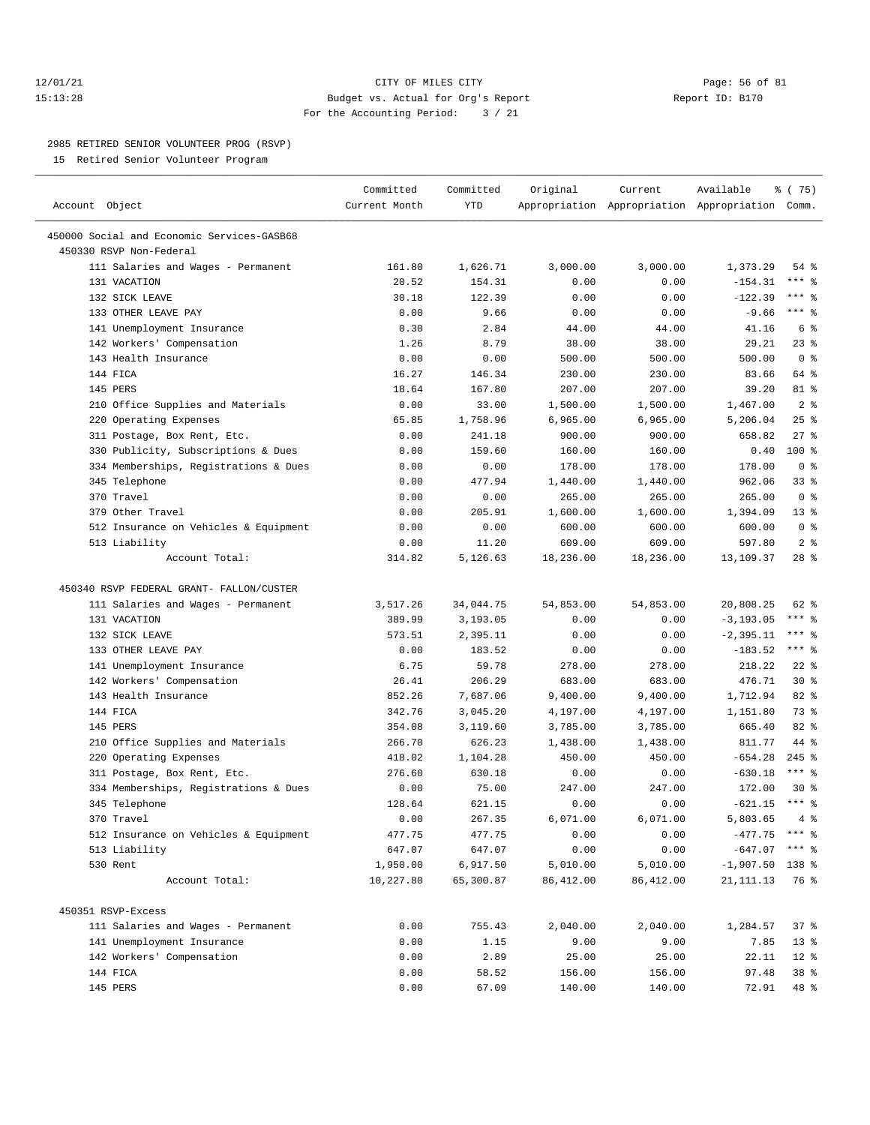#### 12/01/21 Page: 56 of 81 15:13:28 Budget vs. Actual for Org's Report Report ID: B170 For the Accounting Period: 3 / 21

————————————————————————————————————————————————————————————————————————————————————————————————————————————————————————————————————

#### 2985 RETIRED SENIOR VOLUNTEER PROG (RSVP)

15 Retired Senior Volunteer Program

|                                            | Committed     | Committed  | Original   | Current    | Available                                       | \$ (75)             |
|--------------------------------------------|---------------|------------|------------|------------|-------------------------------------------------|---------------------|
| Account Object                             | Current Month | <b>YTD</b> |            |            | Appropriation Appropriation Appropriation Comm. |                     |
| 450000 Social and Economic Services-GASB68 |               |            |            |            |                                                 |                     |
| 450330 RSVP Non-Federal                    |               |            |            |            |                                                 |                     |
| 111 Salaries and Wages - Permanent         | 161.80        | 1,626.71   | 3,000.00   | 3,000.00   | 1,373.29                                        | 54 %                |
| 131 VACATION                               | 20.52         | 154.31     | 0.00       | 0.00       | $-154.31$                                       | *** 응               |
| 132 SICK LEAVE                             | 30.18         | 122.39     | 0.00       | 0.00       | $-122.39$                                       | *** 응               |
| 133 OTHER LEAVE PAY                        | 0.00          | 9.66       | 0.00       | 0.00       | $-9.66$                                         | $***$ $%$           |
| 141 Unemployment Insurance                 | 0.30          | 2.84       | 44.00      | 44.00      | 41.16                                           | 6 %                 |
| 142 Workers' Compensation                  | 1.26          | 8.79       | 38.00      | 38.00      | 29.21                                           | $23$ $%$            |
| 143 Health Insurance                       | 0.00          | 0.00       | 500.00     | 500.00     | 500.00                                          | 0 <sup>8</sup>      |
| 144 FICA                                   | 16.27         | 146.34     | 230.00     | 230.00     | 83.66                                           | 64 %                |
| 145 PERS                                   | 18.64         | 167.80     | 207.00     | 207.00     | 39.20                                           | 81 %                |
| 210 Office Supplies and Materials          | 0.00          | 33.00      | 1,500.00   | 1,500.00   | 1,467.00                                        | 2 <sup>8</sup>      |
| 220 Operating Expenses                     | 65.85         | 1,758.96   | 6,965.00   | 6,965.00   | 5,206.04                                        | $25$ %              |
| 311 Postage, Box Rent, Etc.                | 0.00          | 241.18     | 900.00     | 900.00     | 658.82                                          | $27$ %              |
| 330 Publicity, Subscriptions & Dues        | 0.00          | 159.60     | 160.00     | 160.00     | 0.40                                            | $100$ %             |
| 334 Memberships, Registrations & Dues      | 0.00          | 0.00       | 178.00     | 178.00     | 178.00                                          | 0 <sup>8</sup>      |
| 345 Telephone                              | 0.00          | 477.94     | 1,440.00   | 1,440.00   | 962.06                                          | 33%                 |
| 370 Travel                                 | 0.00          | 0.00       | 265.00     | 265.00     | 265.00                                          | 0 <sup>8</sup>      |
| 379 Other Travel                           | 0.00          | 205.91     | 1,600.00   | 1,600.00   | 1,394.09                                        | $13*$               |
| 512 Insurance on Vehicles & Equipment      | 0.00          | 0.00       | 600.00     | 600.00     | 600.00                                          | 0 <sup>8</sup>      |
| 513 Liability                              | 0.00          | 11.20      | 609.00     | 609.00     | 597.80                                          | 2 <sup>8</sup>      |
| Account Total:                             | 314.82        | 5,126.63   | 18,236.00  | 18,236.00  | 13,109.37                                       | $28$ %              |
|                                            |               |            |            |            |                                                 |                     |
| 450340 RSVP FEDERAL GRANT- FALLON/CUSTER   |               |            |            |            |                                                 |                     |
| 111 Salaries and Wages - Permanent         | 3,517.26      | 34,044.75  | 54,853.00  | 54,853.00  | 20,808.25                                       | 62 %                |
| 131 VACATION                               | 389.99        | 3,193.05   | 0.00       | 0.00       | $-3, 193.05$                                    | $***$ $-$           |
| 132 SICK LEAVE                             | 573.51        | 2,395.11   | 0.00       | 0.00       | $-2, 395.11$                                    | $***$ $-$           |
| 133 OTHER LEAVE PAY                        | 0.00          | 183.52     | 0.00       | 0.00       | $-183.52$                                       | $***$ $-$           |
| 141 Unemployment Insurance                 | 6.75          | 59.78      | 278.00     | 278.00     | 218.22                                          | $22$ %              |
| 142 Workers' Compensation                  | 26.41         | 206.29     | 683.00     | 683.00     | 476.71                                          | $30*$               |
| 143 Health Insurance                       | 852.26        | 7,687.06   | 9,400.00   | 9,400.00   | 1,712.94                                        | 82 %                |
| 144 FICA                                   | 342.76        | 3,045.20   | 4,197.00   | 4,197.00   | 1,151.80                                        | 73 %                |
| 145 PERS                                   | 354.08        | 3,119.60   | 3,785.00   | 3,785.00   | 665.40                                          | 82 %                |
| 210 Office Supplies and Materials          | 266.70        | 626.23     | 1,438.00   | 1,438.00   | 811.77                                          | 44 %                |
| 220 Operating Expenses                     | 418.02        | 1,104.28   | 450.00     | 450.00     | $-654.28$                                       | $245$ %             |
| 311 Postage, Box Rent, Etc.                | 276.60        | 630.18     | 0.00       | 0.00       | $-630.18$                                       | $***$ $-$           |
| 334 Memberships, Registrations & Dues      | 0.00          | 75.00      | 247.00     | 247.00     | 172.00                                          | $30*$               |
| 345 Telephone                              | 128.64        | 621.15     | 0.00       | 0.00       | $-621.15$                                       | $***$ $\frac{6}{6}$ |
| 370 Travel                                 | 0.00          | 267.35     | 6,071.00   | 6,071.00   | 5,803.65                                        | 4%                  |
| 512 Insurance on Vehicles & Equipment      | 477.75        | 477.75     | 0.00       | 0.00       | $-477.75$ *** $%$                               |                     |
| 513 Liability                              | 647.07        | 647.07     | 0.00       | 0.00       | $-647.07$                                       | *** 응               |
| 530 Rent                                   | 1,950.00      | 6,917.50   | 5,010.00   | 5,010.00   | $-1,907.50$                                     | 138 %               |
| Account Total:                             | 10,227.80     | 65,300.87  | 86, 412.00 | 86, 412.00 | 21,111.13                                       | 76 %                |
|                                            |               |            |            |            |                                                 |                     |
| 450351 RSVP-Excess                         |               |            |            |            |                                                 |                     |
| 111 Salaries and Wages - Permanent         | 0.00          | 755.43     | 2,040.00   | 2,040.00   | 1,284.57                                        | 37%                 |
| 141 Unemployment Insurance                 | 0.00          | 1.15       | 9.00       | 9.00       | 7.85                                            | $13$ %              |
| 142 Workers' Compensation                  | 0.00          | 2.89       | 25.00      | 25.00      | 22.11                                           | $12*$               |
| 144 FICA                                   | 0.00          | 58.52      | 156.00     | 156.00     | 97.48                                           | 38 <sup>8</sup>     |
| 145 PERS                                   | 0.00          | 67.09      | 140.00     | 140.00     | 72.91                                           | 48 %                |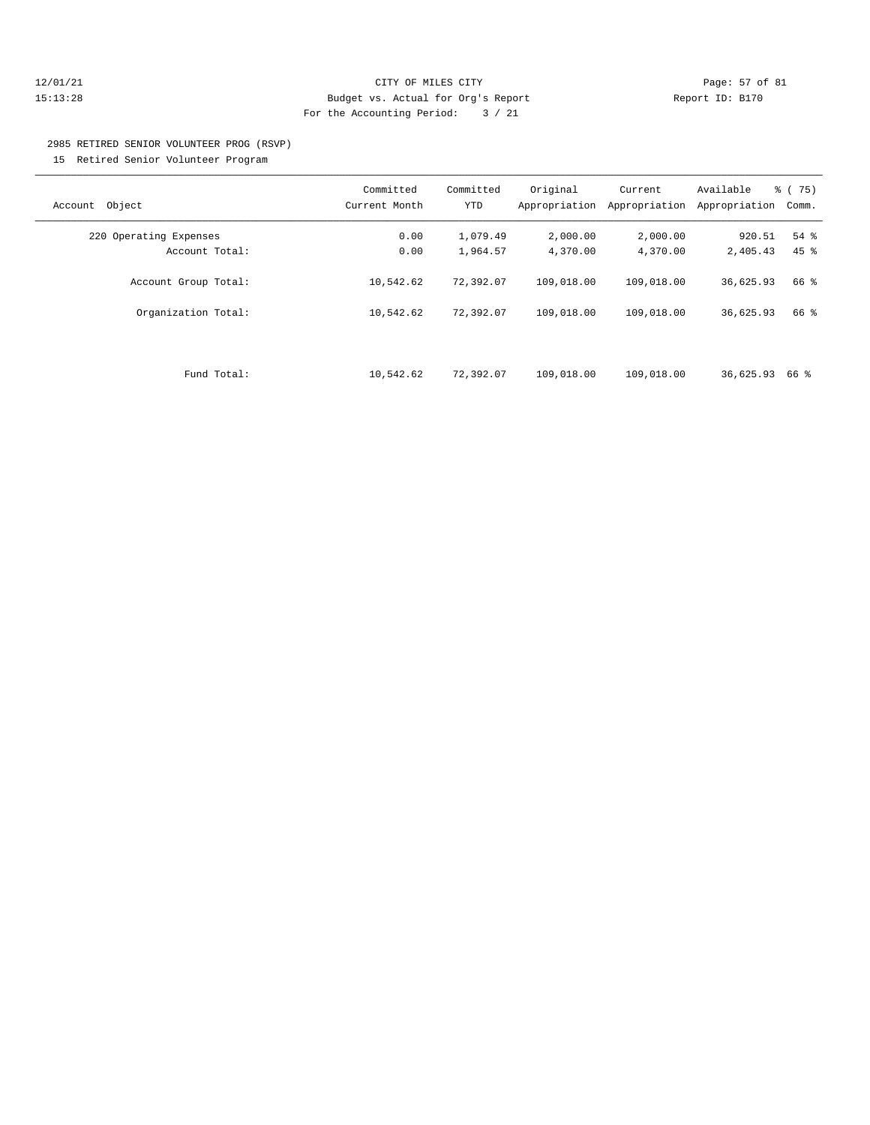#### 12/01/21 Page: 57 of 81 15:13:28 Budget vs. Actual for Org's Report Report ID: B170 For the Accounting Period: 3 / 21

# 2985 RETIRED SENIOR VOLUNTEER PROG (RSVP)

15 Retired Senior Volunteer Program

| Object<br>Account      | Committed<br>Current Month | Committed<br>YTD | Original<br>Appropriation | Current<br>Appropriation | Available<br>Appropriation | $\approx$ (<br>75)<br>Comm. |
|------------------------|----------------------------|------------------|---------------------------|--------------------------|----------------------------|-----------------------------|
| 220 Operating Expenses | 0.00                       | 1,079.49         | 2,000.00                  | 2,000.00                 | 920.51                     | 54 %                        |
| Account Total:         | 0.00                       | 1,964.57         | 4,370.00                  | 4,370.00                 | 2,405.43                   | $45$ $%$                    |
| Account Group Total:   | 10,542.62                  | 72,392.07        | 109,018.00                | 109,018.00               | 36,625.93                  | 66 %                        |
| Organization Total:    | 10,542.62                  | 72,392.07        | 109,018.00                | 109,018.00               | 36,625.93                  | 66 %                        |
|                        |                            |                  |                           |                          |                            |                             |
| Fund Total:            | 10,542.62                  | 72,392.07        | 109,018.00                | 109,018.00               | 36,625.93                  | 66 %                        |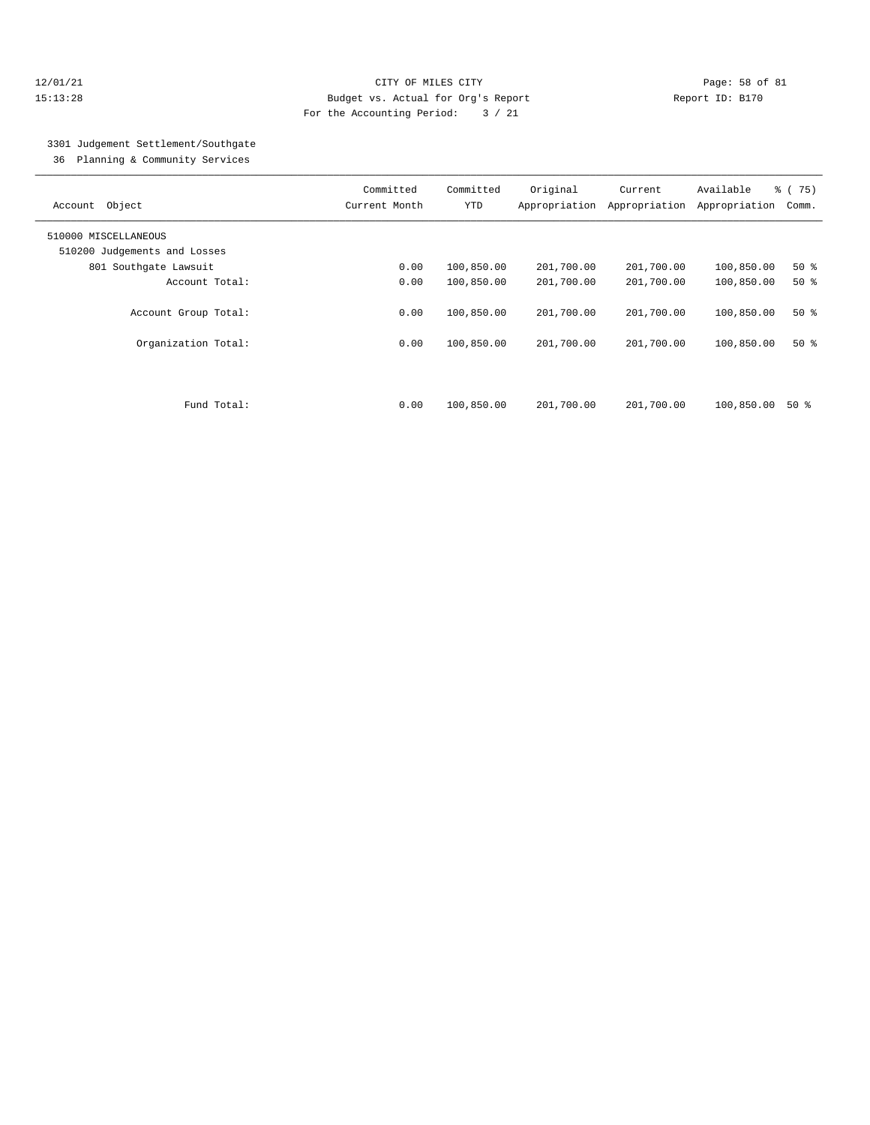#### 12/01/21 Page: 58 of 81 15:13:28 Budget vs. Actual for Org's Report Report ID: B170 For the Accounting Period: 3 / 21

### 3301 Judgement Settlement/Southgate

36 Planning & Community Services

| Object<br>Account            | Committed<br>Current Month | Committed<br><b>YTD</b> | Original<br>Appropriation | Current<br>Appropriation | Available<br>Appropriation | % (75)<br>Comm. |
|------------------------------|----------------------------|-------------------------|---------------------------|--------------------------|----------------------------|-----------------|
| 510000 MISCELLANEOUS         |                            |                         |                           |                          |                            |                 |
| 510200 Judgements and Losses |                            |                         |                           |                          |                            |                 |
| 801 Southqate Lawsuit        | 0.00                       | 100,850.00              | 201,700.00                | 201,700.00               | 100,850.00                 | $50*$           |
| Account Total:               | 0.00                       | 100,850.00              | 201,700.00                | 201,700.00               | 100,850.00                 | 50%             |
| Account Group Total:         | 0.00                       | 100,850.00              | 201,700.00                | 201,700.00               | 100,850.00                 | $50*$           |
| Organization Total:          | 0.00                       | 100,850.00              | 201,700.00                | 201,700.00               | 100,850.00                 | $50*$           |
| Fund Total:                  | 0.00                       | 100,850.00              | 201,700.00                | 201,700.00               | 100,850.00                 | 50 %            |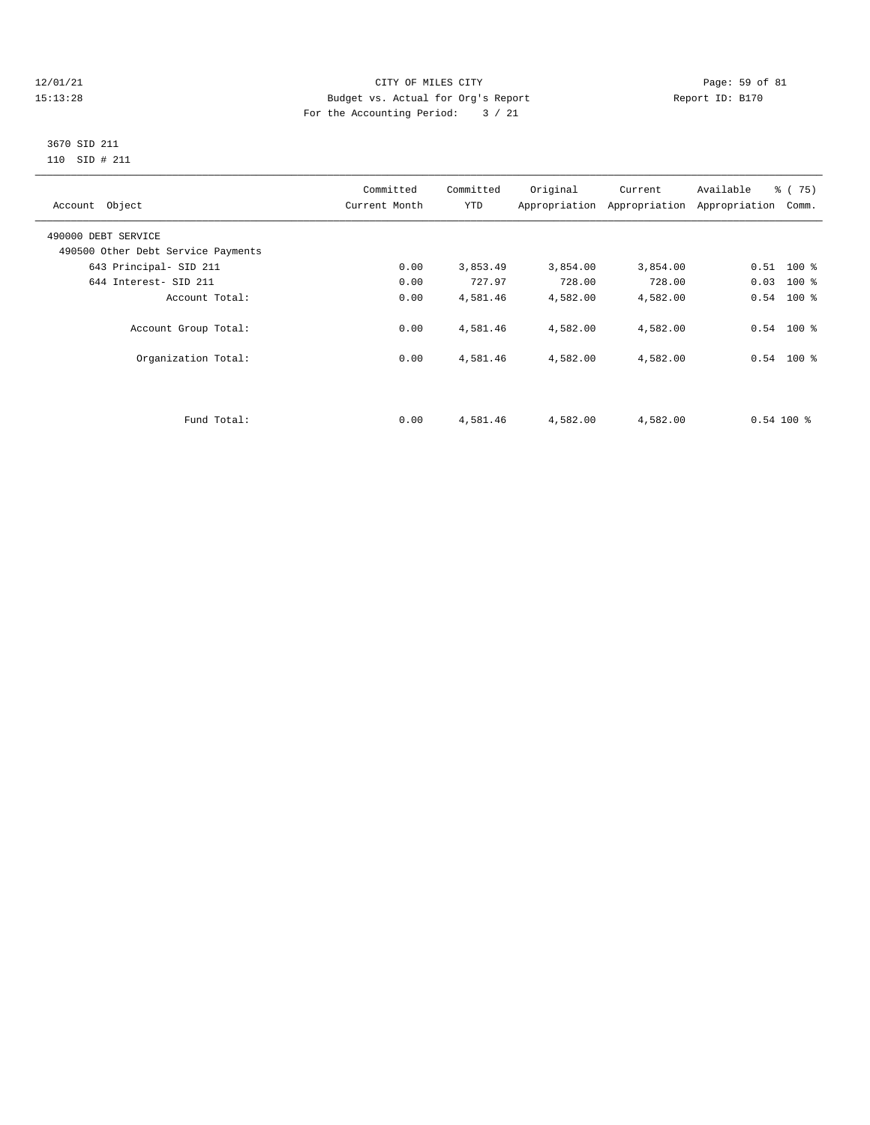#### 12/01/21 Page: 59 of 81 CITY OF MILES CITY CONTRIBUTE CITY PAGE: 59 of 81<br>15:13:28 Budget vs. Actual for Org's Report Page: 59 of 81 Page: 59 of 81 15:13:28 Budget vs. Actual for Org's Report For the Accounting Period: 3 / 21

#### 3670 SID 211 110 SID # 211

| Account Object                     | Committed<br>Current Month | Committed<br>YTD | Original | Current  | Available<br>Appropriation Appropriation Appropriation | $\frac{1}{6}$ (75)<br>Comm. |
|------------------------------------|----------------------------|------------------|----------|----------|--------------------------------------------------------|-----------------------------|
| 490000 DEBT SERVICE                |                            |                  |          |          |                                                        |                             |
| 490500 Other Debt Service Payments |                            |                  |          |          |                                                        |                             |
| 643 Principal- SID 211             | 0.00                       | 3,853.49         | 3,854.00 | 3,854.00 |                                                        | $0.51$ 100 %                |
| 644 Interest- SID 211              | 0.00                       | 727.97           | 728.00   | 728.00   |                                                        | $0.03$ 100 %                |
| Account Total:                     | 0.00                       | 4,581.46         | 4,582.00 | 4,582.00 |                                                        | $0.54$ 100 %                |
| Account Group Total:               | 0.00                       | 4,581.46         | 4,582.00 | 4,582.00 |                                                        | $0.54$ 100 %                |
| Organization Total:                | 0.00                       | 4,581.46         | 4,582.00 | 4,582.00 |                                                        | $0.54$ 100 %                |
|                                    |                            |                  |          |          |                                                        |                             |
| Fund Total:                        | 0.00                       | 4,581.46         | 4,582.00 | 4,582.00 | $0.54100$ %                                            |                             |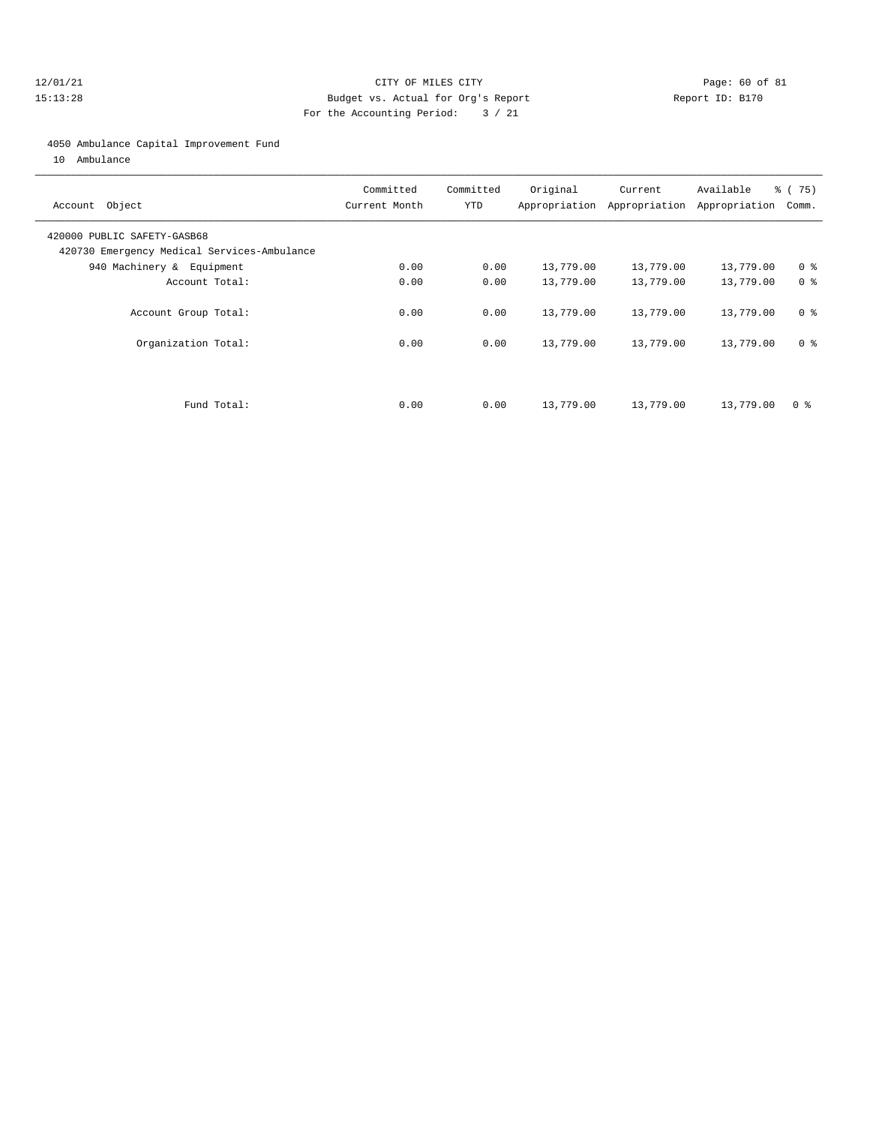#### 12/01/21 Page: 60 of 81 15:13:28 Budget vs. Actual for Org's Report Report ID: B170 For the Accounting Period: 3 / 21

#### 4050 Ambulance Capital Improvement Fund

10 Ambulance

| Account Object                                                             | Committed<br>Current Month | Committed<br><b>YTD</b> | Original  | Current<br>Appropriation Appropriation | Available<br>Appropriation | % (75)<br>Comm. |
|----------------------------------------------------------------------------|----------------------------|-------------------------|-----------|----------------------------------------|----------------------------|-----------------|
| 420000 PUBLIC SAFETY-GASB68<br>420730 Emergency Medical Services-Ambulance |                            |                         |           |                                        |                            |                 |
| 940 Machinery & Equipment                                                  | 0.00                       | 0.00                    | 13,779.00 | 13,779.00                              | 13,779.00                  | 0 <sup>8</sup>  |
| Account Total:                                                             | 0.00                       | 0.00                    | 13,779.00 | 13,779.00                              | 13,779.00                  | 0 %             |
| Account Group Total:                                                       | 0.00                       | 0.00                    | 13,779.00 | 13,779.00                              | 13,779.00                  | 0 <sup>8</sup>  |
| Organization Total:                                                        | 0.00                       | 0.00                    | 13,779.00 | 13,779.00                              | 13,779.00                  | 0 <sup>8</sup>  |
|                                                                            |                            |                         |           |                                        |                            |                 |
| Fund Total:                                                                | 0.00                       | 0.00                    | 13,779.00 | 13,779.00                              | 13,779.00                  | 0 ક             |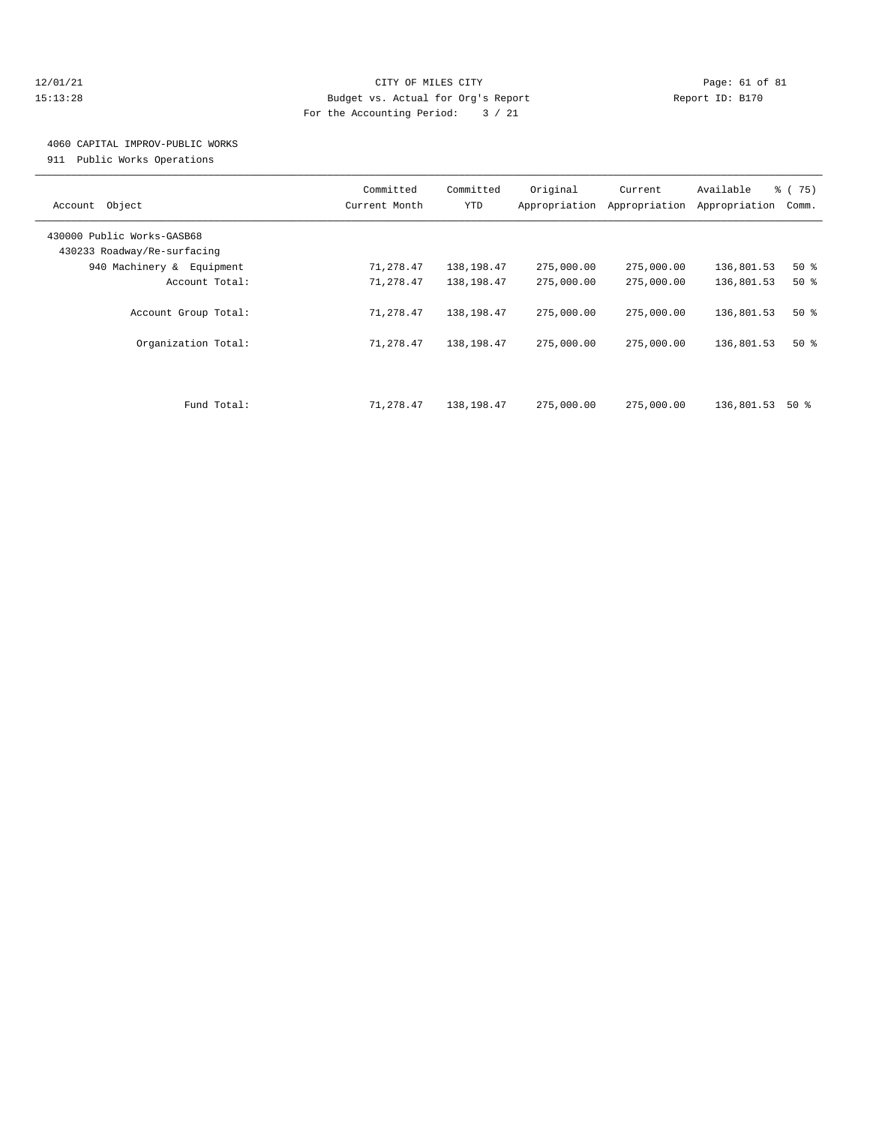#### 12/01/21 Page: 61 of 81 15:13:28 Budget vs. Actual for Org's Report Report ID: B170 For the Accounting Period: 3 / 21

### 4060 CAPITAL IMPROV-PUBLIC WORKS

911 Public Works Operations

| Object<br>Account                                         | Committed<br>Current Month | Committed<br><b>YTD</b> | Original<br>Appropriation | Current<br>Appropriation | Available<br>Appropriation | % (75)<br>Comm. |
|-----------------------------------------------------------|----------------------------|-------------------------|---------------------------|--------------------------|----------------------------|-----------------|
| 430000 Public Works-GASB68<br>430233 Roadway/Re-surfacing |                            |                         |                           |                          |                            |                 |
| 940 Machinery &<br>Equipment                              | 71,278.47                  | 138,198.47              | 275,000.00                | 275,000.00               | 136,801.53                 | $50*$           |
| Account Total:                                            | 71,278.47                  | 138,198.47              | 275,000.00                | 275,000.00               | 136,801.53                 | 50%             |
| Account Group Total:                                      | 71,278.47                  | 138,198.47              | 275,000.00                | 275,000.00               | 136,801.53                 | $50*$           |
| Organization Total:                                       | 71,278.47                  | 138,198.47              | 275,000.00                | 275,000.00               | 136,801.53                 | $50*$           |
| Fund Total:                                               | 71,278.47                  | 138,198.47              | 275,000.00                | 275,000.00               | 136,801.53                 | 50 %            |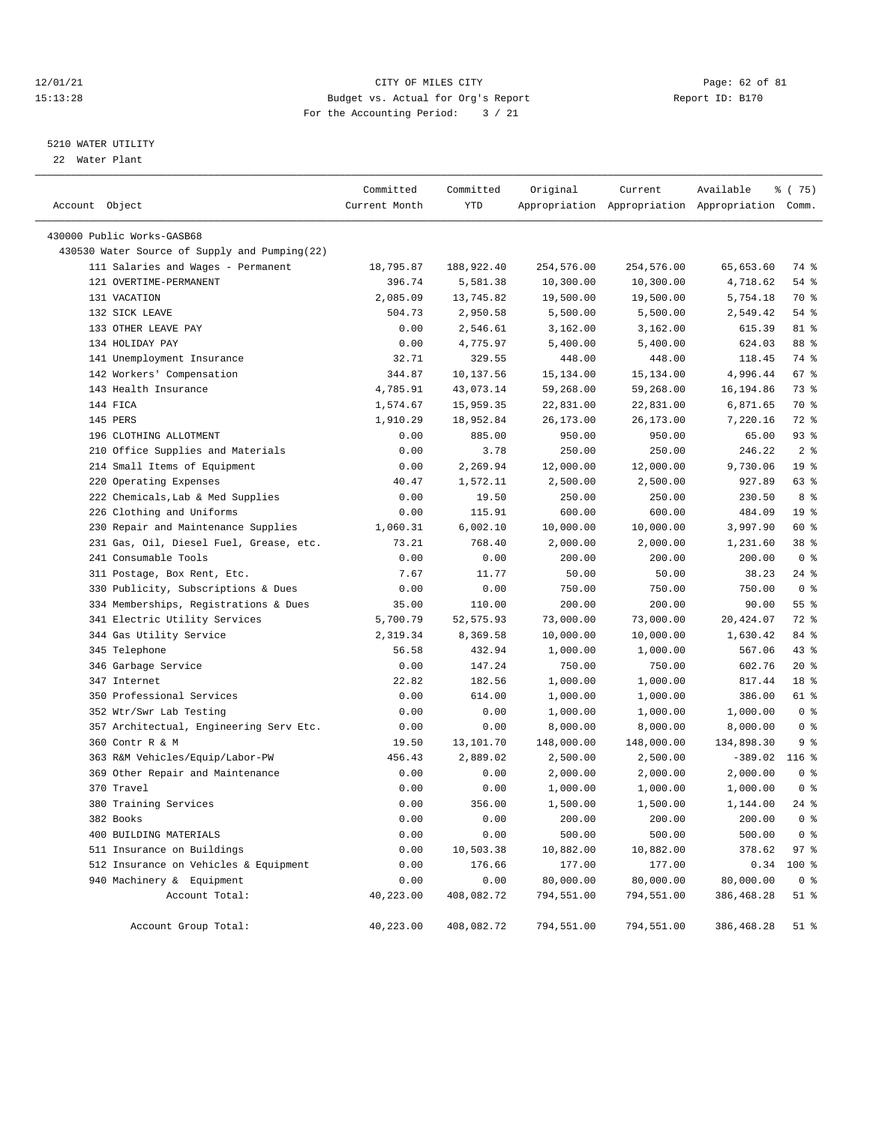#### 12/01/21 Page: 62 of 81 CITY OF MILES CITY CONTRIBUTE CITY PAGE: 62 of 81 Page: 62 of 81 CITY CHINES CITY CONTRIBUTE CITY PAGE: 15:13:28 15:13:28 Budget vs. Actual for Org's Report For the Accounting Period: 3 / 21

### 5210 WATER UTILITY

22 Water Plant

| Account Object                                | Committed<br>Current Month | Committed<br>YTD | Original   | Current    | Available<br>Appropriation Appropriation Appropriation Comm. | ៖ (75)          |
|-----------------------------------------------|----------------------------|------------------|------------|------------|--------------------------------------------------------------|-----------------|
| 430000 Public Works-GASB68                    |                            |                  |            |            |                                                              |                 |
| 430530 Water Source of Supply and Pumping(22) |                            |                  |            |            |                                                              |                 |
| 111 Salaries and Wages - Permanent            | 18,795.87                  | 188,922.40       | 254,576.00 | 254,576.00 | 65,653.60                                                    | 74 %            |
| 121 OVERTIME-PERMANENT                        | 396.74                     | 5,581.38         | 10,300.00  | 10,300.00  | 4,718.62                                                     | $54$ %          |
| 131 VACATION                                  | 2,085.09                   | 13,745.82        | 19,500.00  | 19,500.00  | 5,754.18                                                     | 70 %            |
| 132 SICK LEAVE                                | 504.73                     | 2,950.58         | 5,500.00   | 5,500.00   | 2,549.42                                                     | 54 %            |
| 133 OTHER LEAVE PAY                           | 0.00                       | 2,546.61         | 3,162.00   | 3,162.00   | 615.39                                                       | 81 %            |
| 134 HOLIDAY PAY                               | 0.00                       | 4,775.97         | 5,400.00   | 5,400.00   | 624.03                                                       | 88 %            |
| 141 Unemployment Insurance                    | 32.71                      | 329.55           | 448.00     | 448.00     | 118.45                                                       | 74 %            |
| 142 Workers' Compensation                     | 344.87                     | 10,137.56        | 15,134.00  | 15,134.00  | 4,996.44                                                     | 67%             |
| 143 Health Insurance                          | 4,785.91                   | 43,073.14        | 59,268.00  | 59,268.00  | 16,194.86                                                    | 73 %            |
| 144 FICA                                      | 1,574.67                   | 15,959.35        | 22,831.00  | 22,831.00  | 6,871.65                                                     | 70 %            |
| 145 PERS                                      | 1,910.29                   | 18,952.84        | 26,173.00  | 26,173.00  | 7,220.16                                                     | 72 %            |
| 196 CLOTHING ALLOTMENT                        | 0.00                       | 885.00           | 950.00     | 950.00     | 65.00                                                        | 93%             |
| 210 Office Supplies and Materials             | 0.00                       | 3.78             | 250.00     | 250.00     | 246.22                                                       | 2 <sup>8</sup>  |
| 214 Small Items of Equipment                  | 0.00                       | 2,269.94         | 12,000.00  | 12,000.00  | 9,730.06                                                     | 19 <sup>°</sup> |
| 220 Operating Expenses                        | 40.47                      | 1,572.11         | 2,500.00   | 2,500.00   | 927.89                                                       | 63 %            |
| 222 Chemicals, Lab & Med Supplies             | 0.00                       | 19.50            | 250.00     | 250.00     | 230.50                                                       | 8 %             |
| 226 Clothing and Uniforms                     | 0.00                       | 115.91           | 600.00     | 600.00     | 484.09                                                       | 19 %            |
| 230 Repair and Maintenance Supplies           | 1,060.31                   | 6,002.10         | 10,000.00  | 10,000.00  | 3,997.90                                                     | 60 %            |
| 231 Gas, Oil, Diesel Fuel, Grease, etc.       | 73.21                      | 768.40           | 2,000.00   | 2,000.00   | 1,231.60                                                     | 38 %            |
| 241 Consumable Tools                          | 0.00                       | 0.00             | 200.00     | 200.00     | 200.00                                                       | 0 <sup>8</sup>  |
|                                               |                            |                  |            |            |                                                              | $24$ %          |
| 311 Postage, Box Rent, Etc.                   | 7.67                       | 11.77            | 50.00      | 50.00      | 38.23                                                        |                 |
| 330 Publicity, Subscriptions & Dues           | 0.00                       | 0.00             | 750.00     | 750.00     | 750.00                                                       | 0 <sup>8</sup>  |
| 334 Memberships, Registrations & Dues         | 35.00                      | 110.00           | 200.00     | 200.00     | 90.00                                                        | 55%             |
| 341 Electric Utility Services                 | 5,700.79                   | 52, 575.93       | 73,000.00  | 73,000.00  | 20,424.07                                                    | 72 %            |
| 344 Gas Utility Service                       | 2,319.34                   | 8,369.58         | 10,000.00  | 10,000.00  | 1,630.42                                                     | 84 %            |
| 345 Telephone                                 | 56.58                      | 432.94           | 1,000.00   | 1,000.00   | 567.06                                                       | 43 %            |
| 346 Garbage Service                           | 0.00                       | 147.24           | 750.00     | 750.00     | 602.76                                                       | $20*$           |
| 347 Internet                                  | 22.82                      | 182.56           | 1,000.00   | 1,000.00   | 817.44                                                       | 18 %            |
| 350 Professional Services                     | 0.00                       | 614.00           | 1,000.00   | 1,000.00   | 386.00                                                       | 61 %            |
| 352 Wtr/Swr Lab Testing                       | 0.00                       | 0.00             | 1,000.00   | 1,000.00   | 1,000.00                                                     | 0 <sup>8</sup>  |
| 357 Architectual, Engineering Serv Etc.       | 0.00                       | 0.00             | 8,000.00   | 8,000.00   | 8,000.00                                                     | 0 <sup>8</sup>  |
| 360 Contr R & M                               | 19.50                      | 13,101.70        | 148,000.00 | 148,000.00 | 134,898.30                                                   | 9%              |
| 363 R&M Vehicles/Equip/Labor-PW               | 456.43                     | 2,889.02         | 2,500.00   | 2,500.00   | $-389.02$                                                    | $116$ %         |
| 369 Other Repair and Maintenance              | 0.00                       | 0.00             | 2,000.00   | 2,000.00   | 2,000.00                                                     | 0 <sup>8</sup>  |
| 370 Travel                                    | 0.00                       | 0.00             | 1,000.00   | 1,000.00   | 1,000.00                                                     | 0 <sup>8</sup>  |
| 380 Training Services                         | 0.00                       | 356.00           | 1,500.00   | 1,500.00   | 1,144.00                                                     | $24$ %          |
| 382 Books                                     | 0.00                       | 0.00             | 200.00     | 200.00     | 200.00                                                       | 0 <sup>8</sup>  |
| 400 BUILDING MATERIALS                        | 0.00                       | 0.00             | 500.00     | 500.00     | 500.00                                                       | 0 <sup>8</sup>  |
| 511 Insurance on Buildings                    | 0.00                       | 10,503.38        | 10,882.00  | 10,882.00  | 378.62                                                       | 97%             |
| 512 Insurance on Vehicles & Equipment         | 0.00                       | 176.66           | 177.00     | 177.00     | 0.34                                                         | 100 %           |
| 940 Machinery & Equipment                     | 0.00                       | 0.00             | 80,000.00  | 80,000.00  | 80,000.00                                                    | 0 <sup>8</sup>  |
| Account Total:                                | 40,223.00                  | 408,082.72       | 794,551.00 | 794,551.00 | 386, 468.28                                                  | $51$ %          |
| Account Group Total:                          | 40,223.00                  | 408,082.72       | 794,551.00 | 794,551.00 | 386,468.28                                                   | $51$ %          |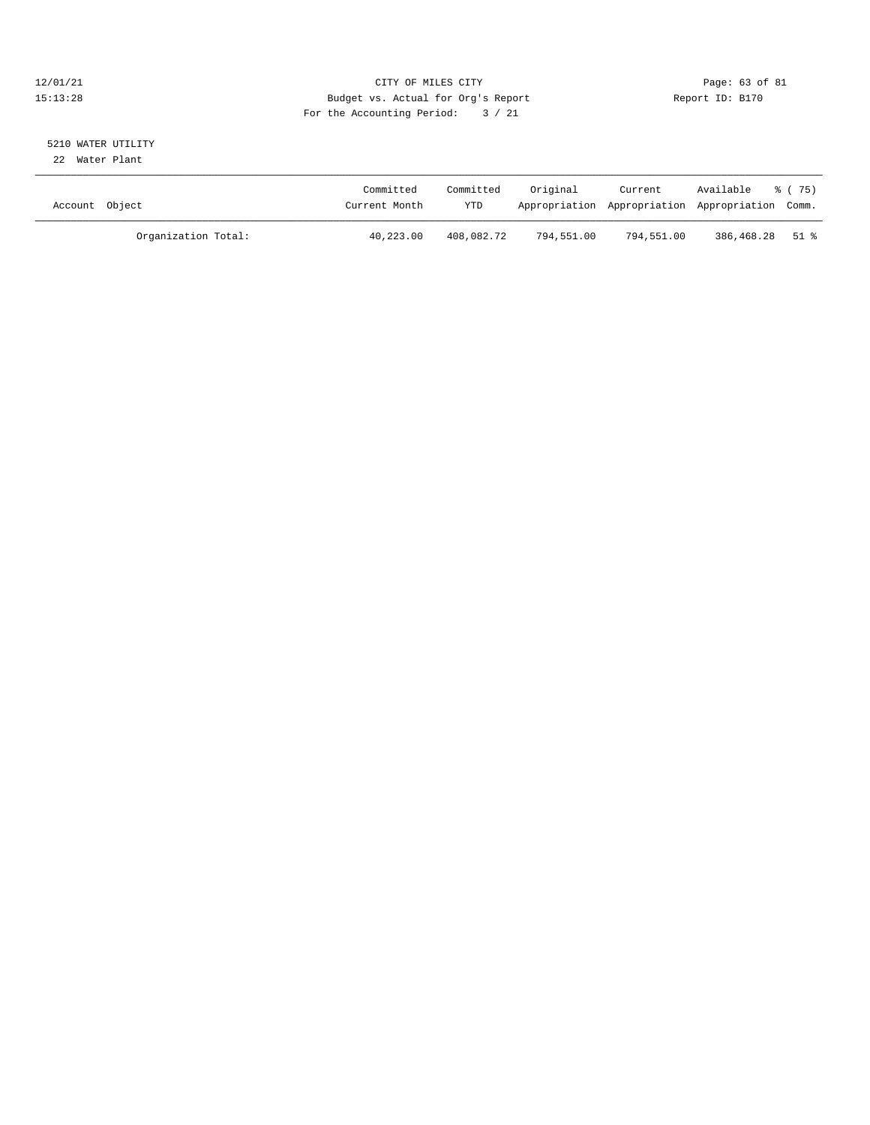#### 12/01/21 Page: 63 of 81 CITY OF MILES CITY CONTRIBUTE CITY PAGE: 63 of 81 Page: 63 of 81 CITY CHES CITY CONTRIBUTE CITY PAGE: 15:13:28 15:13:28 Budget vs. Actual for Org's Report For the Accounting Period: 3 / 21

# 5210 WATER UTILITY

22 Water Plant

| Account Object |                     | Committed<br>Current Month | Committed<br>YTD | Original   | Current<br>Appropriation Appropriation Appropriation Comm. | Available       | 8 (75) |
|----------------|---------------------|----------------------------|------------------|------------|------------------------------------------------------------|-----------------|--------|
|                | Organization Total: | 40,223.00                  | 408,082.72       | 794,551.00 | 794,551.00                                                 | 386,468.28 51 % |        |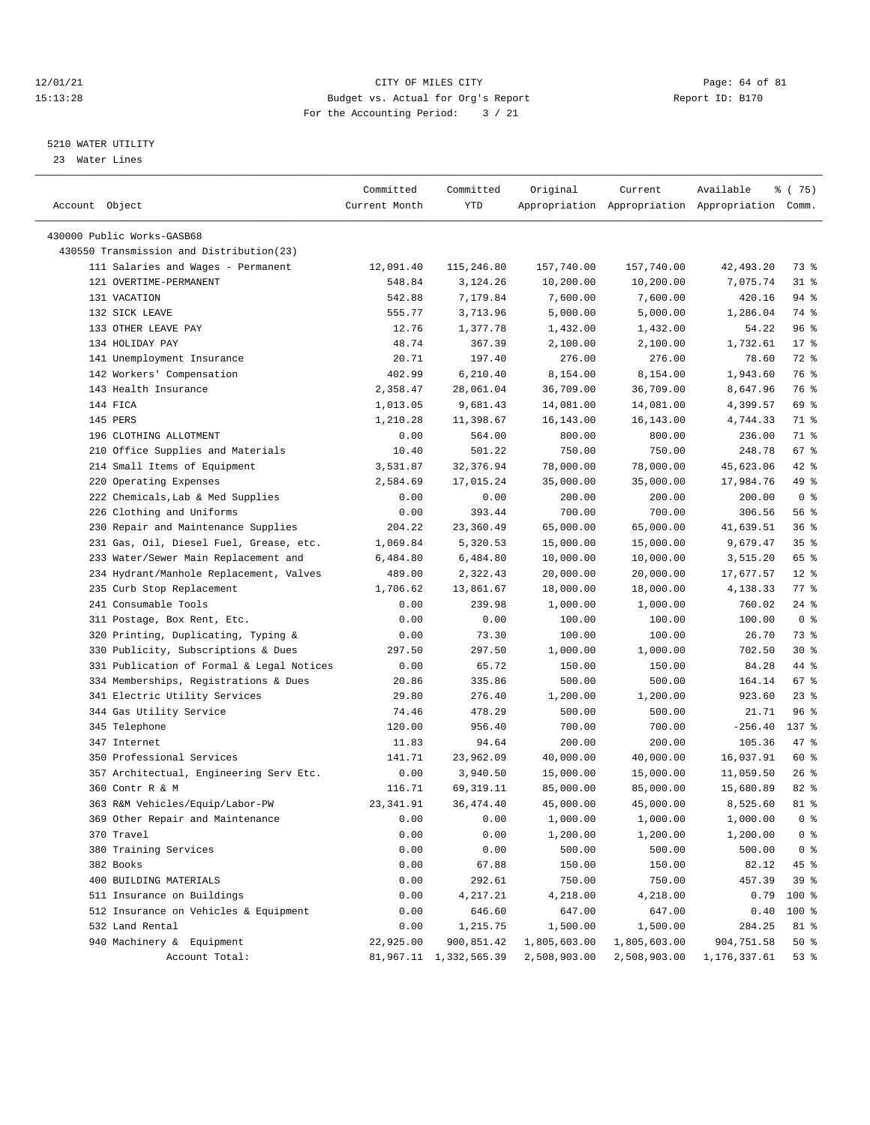#### $12/01/21$  Page: 64 of 81 15:13:28 Budget vs. Actual for Org's Report Report ID: B170 For the Accounting Period: 3 / 21

————————————————————————————————————————————————————————————————————————————————————————————————————————————————————————————————————

#### 5210 WATER UTILITY

23 Water Lines

|                                           | Committed     | Committed              | Original     | Current                                         | Available    | 8 (75)         |
|-------------------------------------------|---------------|------------------------|--------------|-------------------------------------------------|--------------|----------------|
| Account Object                            | Current Month | YTD                    |              | Appropriation Appropriation Appropriation Comm. |              |                |
|                                           |               |                        |              |                                                 |              |                |
| 430000 Public Works-GASB68                |               |                        |              |                                                 |              |                |
| 430550 Transmission and Distribution(23)  |               |                        |              |                                                 |              |                |
| 111 Salaries and Wages - Permanent        | 12,091.40     | 115,246.80             | 157,740.00   | 157,740.00                                      | 42,493.20    | 73 %           |
| 121 OVERTIME-PERMANENT                    | 548.84        | 3,124.26               | 10,200.00    | 10,200.00                                       | 7,075.74     | $31$ %         |
| 131 VACATION                              | 542.88        | 7,179.84               | 7,600.00     | 7,600.00                                        | 420.16       | 94 %           |
| 132 SICK LEAVE                            | 555.77        | 3,713.96               | 5,000.00     | 5,000.00                                        | 1,286.04     | 74 %           |
| 133 OTHER LEAVE PAY                       | 12.76         | 1,377.78               | 1,432.00     | 1,432.00                                        | 54.22        | 96%            |
| 134 HOLIDAY PAY                           | 48.74         | 367.39                 | 2,100.00     | 2,100.00                                        | 1,732.61     | $17*$          |
| 141 Unemployment Insurance                | 20.71         | 197.40                 | 276.00       | 276.00                                          | 78.60        | 72 %           |
| 142 Workers' Compensation                 | 402.99        | 6,210.40               | 8,154.00     | 8,154.00                                        | 1,943.60     | 76 %           |
| 143 Health Insurance                      | 2,358.47      | 28,061.04              | 36,709.00    | 36,709.00                                       | 8,647.96     | 76 %           |
| 144 FICA                                  | 1,013.05      | 9,681.43               | 14,081.00    | 14,081.00                                       | 4,399.57     | 69 %           |
| 145 PERS                                  | 1,210.28      | 11,398.67              | 16,143.00    | 16,143.00                                       | 4,744.33     | 71 %           |
| 196 CLOTHING ALLOTMENT                    | 0.00          | 564.00                 | 800.00       | 800.00                                          | 236.00       | 71 %           |
| 210 Office Supplies and Materials         | 10.40         | 501.22                 | 750.00       | 750.00                                          | 248.78       | 67%            |
| 214 Small Items of Equipment              | 3,531.87      | 32, 376.94             | 78,000.00    | 78,000.00                                       | 45,623.06    | $42$ %         |
| 220 Operating Expenses                    | 2,584.69      | 17,015.24              | 35,000.00    | 35,000.00                                       | 17,984.76    | 49 %           |
| 222 Chemicals, Lab & Med Supplies         | 0.00          | 0.00                   | 200.00       | 200.00                                          | 200.00       | 0 <sup>8</sup> |
| 226 Clothing and Uniforms                 | 0.00          | 393.44                 | 700.00       | 700.00                                          | 306.56       | 56%            |
| 230 Repair and Maintenance Supplies       | 204.22        | 23,360.49              | 65,000.00    | 65,000.00                                       | 41,639.51    | 36%            |
| 231 Gas, Oil, Diesel Fuel, Grease, etc.   | 1,069.84      | 5,320.53               | 15,000.00    | 15,000.00                                       | 9,679.47     | 35%            |
| 233 Water/Sewer Main Replacement and      | 6,484.80      | 6,484.80               | 10,000.00    | 10,000.00                                       | 3,515.20     | 65 %           |
| 234 Hydrant/Manhole Replacement, Valves   | 489.00        | 2,322.43               | 20,000.00    | 20,000.00                                       | 17,677.57    | $12$ %         |
| 235 Curb Stop Replacement                 | 1,706.62      | 13,861.67              | 18,000.00    | 18,000.00                                       | 4,138.33     | 77 %           |
| 241 Consumable Tools                      | 0.00          | 239.98                 | 1,000.00     | 1,000.00                                        | 760.02       | $24$ %         |
| 311 Postage, Box Rent, Etc.               | 0.00          | 0.00                   | 100.00       | 100.00                                          | 100.00       | 0 <sup>8</sup> |
| 320 Printing, Duplicating, Typing &       | 0.00          | 73.30                  | 100.00       | 100.00                                          | 26.70        | 73 %           |
| 330 Publicity, Subscriptions & Dues       | 297.50        | 297.50                 | 1,000.00     | 1,000.00                                        | 702.50       | $30*$          |
| 331 Publication of Formal & Legal Notices | 0.00          | 65.72                  | 150.00       | 150.00                                          | 84.28        | 44 %           |
| 334 Memberships, Registrations & Dues     | 20.86         | 335.86                 | 500.00       | 500.00                                          | 164.14       | 67%            |
| 341 Electric Utility Services             | 29.80         | 276.40                 | 1,200.00     | 1,200.00                                        | 923.60       | $23$ %         |
| 344 Gas Utility Service                   | 74.46         | 478.29                 | 500.00       | 500.00                                          | 21.71        | 96%            |
| 345 Telephone                             | 120.00        | 956.40                 | 700.00       | 700.00                                          | $-256.40$    | 137 %          |
| 347 Internet                              | 11.83         | 94.64                  | 200.00       | 200.00                                          | 105.36       | 47 %           |
| 350 Professional Services                 | 141.71        | 23,962.09              | 40,000.00    | 40,000.00                                       | 16,037.91    | 60 %           |
| 357 Architectual, Engineering Serv Etc.   | 0.00          | 3,940.50               | 15,000.00    | 15,000.00                                       | 11,059.50    | 26%            |
| 360 Contr R & M                           | 116.71        | 69,319.11              | 85,000.00    | 85,000.00                                       | 15,680.89    | $82$ $%$       |
| 363 R&M Vehicles/Equip/Labor-PW           | 23, 341.91    | 36, 474.40             | 45,000.00    | 45,000.00                                       | 8,525.60     | 81 %           |
| 369 Other Repair and Maintenance          | 0.00          | 0.00                   | 1,000.00     | 1,000.00                                        | 1,000.00     | 0 <sup>8</sup> |
| 370 Travel                                | 0.00          | 0.00                   | 1,200.00     | 1,200.00                                        | 1,200.00     | 0 <sup>8</sup> |
| 380 Training Services                     | 0.00          | 0.00                   | 500.00       | 500.00                                          | 500.00       | 0 <sup>8</sup> |
| 382 Books                                 | 0.00          | 67.88                  | 150.00       | 150.00                                          | 82.12        | 45 %           |
| 400 BUILDING MATERIALS                    | 0.00          | 292.61                 | 750.00       | 750.00                                          | 457.39       | 39 %           |
| 511 Insurance on Buildings                | 0.00          | 4,217.21               | 4,218.00     | 4,218.00                                        | 0.79         | 100 %          |
| 512 Insurance on Vehicles & Equipment     | 0.00          | 646.60                 | 647.00       | 647.00                                          | 0.40         | 100 %          |
| 532 Land Rental                           | 0.00          | 1,215.75               | 1,500.00     | 1,500.00                                        | 284.25       | 81 %           |
| 940 Machinery & Equipment                 | 22,925.00     | 900,851.42             | 1,805,603.00 | 1,805,603.00                                    | 904,751.58   | 50%            |
| Account Total:                            |               | 81,967.11 1,332,565.39 | 2,508,903.00 | 2,508,903.00                                    | 1,176,337.61 | 53%            |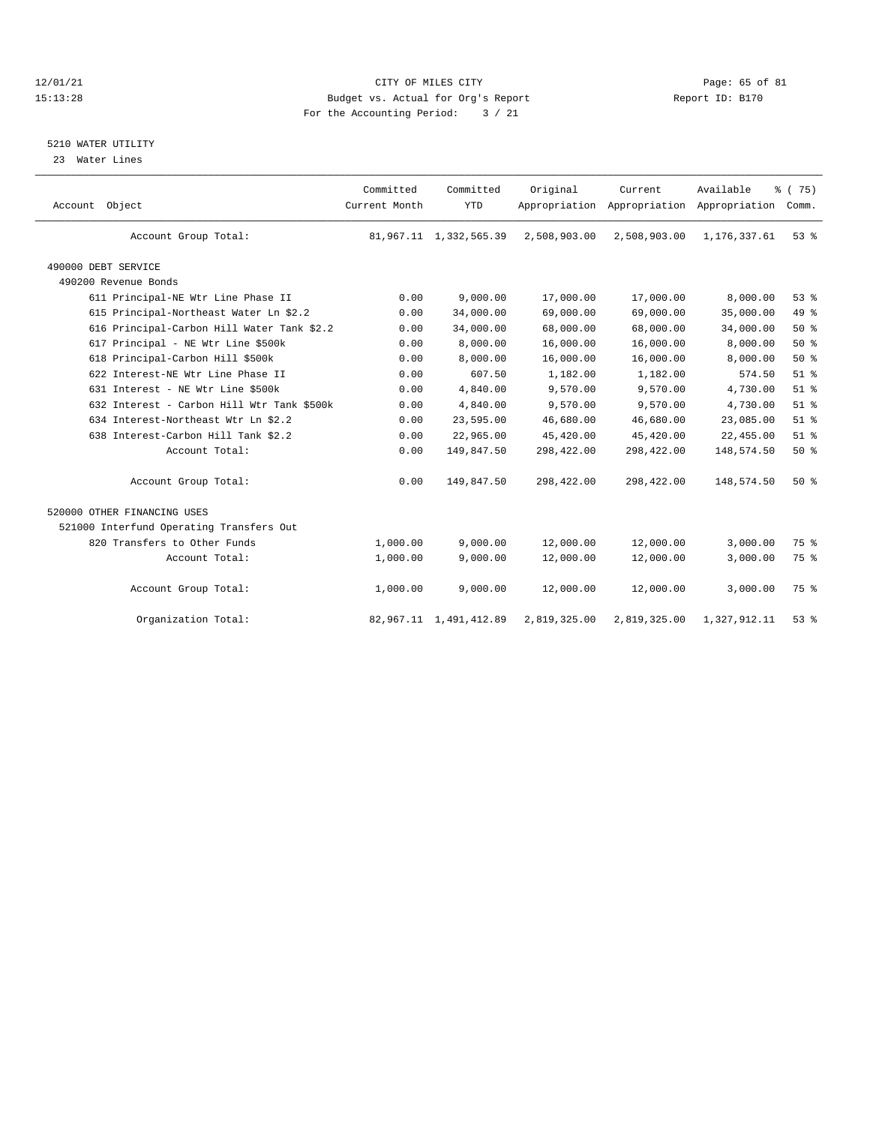#### 12/01/21 CITY OF MILES CITY COMPUTER CITY CONSUMING THE PAGE: 65 of 81 Page: 65 of 81 Page: 65 of 81 Page: 65 of 81 Page: 65 of 81 Page: 65 of 81 Page: 65 of 81 Page: 65 of 81 Page: 65 of 81 Page: 65 of 81 Page: 65 of 81 P 15:13:28 Budget vs. Actual for Org's Report For the Accounting Period: 3 / 21

### 5210 WATER UTILITY

23 Water Lines

| Account Object              |                                            | Committed<br>Current Month | Committed<br><b>YTD</b>   | Original     | Current      | Available<br>Appropriation Appropriation Appropriation | % (75)<br>Comm. |
|-----------------------------|--------------------------------------------|----------------------------|---------------------------|--------------|--------------|--------------------------------------------------------|-----------------|
|                             | Account Group Total:                       |                            | 81,967.11 1,332,565.39    | 2,508,903.00 | 2,508,903.00 | 1,176,337.61                                           | 53%             |
| 490000 DEBT SERVICE         |                                            |                            |                           |              |              |                                                        |                 |
| 490200 Revenue Bonds        |                                            |                            |                           |              |              |                                                        |                 |
|                             | 611 Principal-NE Wtr Line Phase II         | 0.00                       | 9,000.00                  | 17,000.00    | 17,000.00    | 8,000.00                                               | 53%             |
|                             | 615 Principal-Northeast Water Ln \$2.2     | 0.00                       | 34,000.00                 | 69,000.00    | 69,000.00    | 35,000.00                                              | 49.8            |
|                             | 616 Principal-Carbon Hill Water Tank \$2.2 | 0.00                       | 34,000.00                 | 68,000.00    | 68,000.00    | 34,000.00                                              | 50%             |
|                             | 617 Principal - NE Wtr Line \$500k         | 0.00                       | 8,000.00                  | 16,000.00    | 16,000.00    | 8,000.00                                               | 50%             |
|                             | 618 Principal-Carbon Hill \$500k           | 0.00                       | 8,000.00                  | 16,000.00    | 16,000.00    | 8,000.00                                               | 50%             |
|                             | 622 Interest-NE Wtr Line Phase II          | 0.00                       | 607.50                    | 1,182.00     | 1,182.00     | 574.50                                                 | $51$ $%$        |
|                             | 631 Interest - NE Wtr Line \$500k          | 0.00                       | 4,840.00                  | 9,570.00     | 9,570.00     | 4,730.00                                               | $51$ $%$        |
|                             | 632 Interest - Carbon Hill Wtr Tank \$500k | 0.00                       | 4,840.00                  | 9,570.00     | 9,570.00     | 4,730.00                                               | $51$ %          |
|                             | 634 Interest-Northeast Wtr Ln \$2.2        | 0.00                       | 23,595.00                 | 46,680.00    | 46,680.00    | 23,085.00                                              | $51$ %          |
|                             | 638 Interest-Carbon Hill Tank \$2.2        | 0.00                       | 22,965.00                 | 45,420.00    | 45,420.00    | 22,455.00                                              | $51$ %          |
|                             | Account Total:                             | 0.00                       | 149,847.50                | 298,422.00   | 298,422.00   | 148,574.50                                             | 50%             |
|                             | Account Group Total:                       | 0.00                       | 149,847.50                | 298,422.00   | 298,422.00   | 148,574.50                                             | 50%             |
| 520000 OTHER FINANCING USES |                                            |                            |                           |              |              |                                                        |                 |
|                             | 521000 Interfund Operating Transfers Out   |                            |                           |              |              |                                                        |                 |
|                             | 820 Transfers to Other Funds               | 1,000.00                   | 9.000.00                  | 12,000.00    | 12,000.00    | 3,000.00                                               | 75 %            |
|                             | Account Total:                             | 1,000.00                   | 9,000.00                  | 12,000.00    | 12,000.00    | 3,000.00                                               | 75 %            |
|                             | Account Group Total:                       | 1,000.00                   | 9,000.00                  | 12,000.00    | 12,000.00    | 3,000.00                                               | 75 %            |
|                             | Organization Total:                        |                            | 82, 967.11 1, 491, 412.89 | 2,819,325.00 | 2,819,325.00 | 1,327,912.11                                           | 53%             |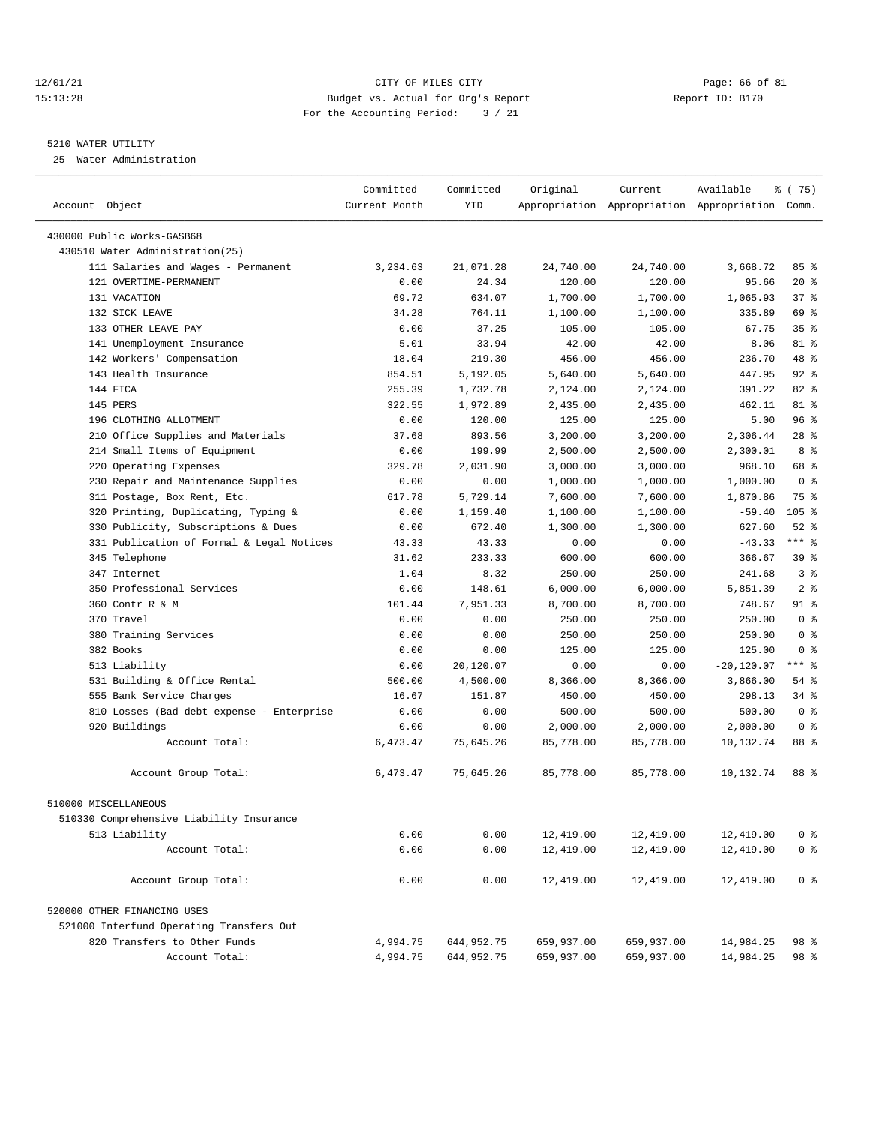#### 12/01/21 Page: 66 of 81 CITY OF MILES CITY CONTRIBUTE CITY PAGE: 66 of 81 Page: 66 of 81 CITY CHES CITY CONTRIBUTE CITY PAGE: 15:13:28 15:13:28 Budget vs. Actual for Org's Report For the Accounting Period: 3 / 21

————————————————————————————————————————————————————————————————————————————————————————————————————————————————————————————————————

#### 5210 WATER UTILITY

25 Water Administration

| Account Object                            | Current Month | <b>YTD</b> |            |            | Appropriation Appropriation Appropriation Comm. |                 |
|-------------------------------------------|---------------|------------|------------|------------|-------------------------------------------------|-----------------|
| 430000 Public Works-GASB68                |               |            |            |            |                                                 |                 |
| 430510 Water Administration(25)           |               |            |            |            |                                                 |                 |
| 111 Salaries and Wages - Permanent        | 3,234.63      | 21,071.28  | 24,740.00  | 24,740.00  | 3,668.72                                        | 85%             |
| 121 OVERTIME-PERMANENT                    | 0.00          | 24.34      | 120.00     | 120.00     | 95.66                                           | $20*$           |
| 131 VACATION                              | 69.72         | 634.07     | 1,700.00   | 1,700.00   | 1,065.93                                        | 378             |
| 132 SICK LEAVE                            | 34.28         | 764.11     | 1,100.00   | 1,100.00   | 335.89                                          | 69 %            |
| 133 OTHER LEAVE PAY                       | 0.00          | 37.25      | 105.00     | 105.00     | 67.75                                           | 35 <sup>8</sup> |
| 141 Unemployment Insurance                | 5.01          | 33.94      | 42.00      | 42.00      | 8.06                                            | 81 %            |
| 142 Workers' Compensation                 | 18.04         | 219.30     | 456.00     | 456.00     | 236.70                                          | 48 %            |
| 143 Health Insurance                      | 854.51        | 5,192.05   | 5,640.00   | 5,640.00   | 447.95                                          | $92$ $%$        |
| 144 FICA                                  | 255.39        | 1,732.78   | 2,124.00   | 2,124.00   | 391.22                                          | 82 %            |
| 145 PERS                                  | 322.55        | 1,972.89   | 2,435.00   | 2,435.00   | 462.11                                          | 81 %            |
| 196 CLOTHING ALLOTMENT                    | 0.00          | 120.00     | 125.00     | 125.00     | 5.00                                            | 96%             |
| 210 Office Supplies and Materials         | 37.68         | 893.56     | 3,200.00   | 3,200.00   | 2,306.44                                        | $28$ %          |
| 214 Small Items of Equipment              | 0.00          | 199.99     | 2,500.00   | 2,500.00   | 2,300.01                                        | 8 %             |
| 220 Operating Expenses                    | 329.78        | 2,031.90   | 3,000.00   | 3,000.00   | 968.10                                          | 68 %            |
| 230 Repair and Maintenance Supplies       | 0.00          | 0.00       | 1,000.00   | 1,000.00   | 1,000.00                                        | 0 <sup>8</sup>  |
| 311 Postage, Box Rent, Etc.               | 617.78        | 5,729.14   | 7,600.00   | 7,600.00   | 1,870.86                                        | 75 %            |
| 320 Printing, Duplicating, Typing &       | 0.00          | 1,159.40   | 1,100.00   | 1,100.00   | $-59.40$                                        | $105$ %         |
| 330 Publicity, Subscriptions & Dues       | 0.00          | 672.40     | 1,300.00   | 1,300.00   | 627.60                                          | $52$ $%$        |
| 331 Publication of Formal & Legal Notices | 43.33         | 43.33      | 0.00       | 0.00       | $-43.33$                                        | $***$ $-$       |
| 345 Telephone                             | 31.62         | 233.33     | 600.00     | 600.00     | 366.67                                          | 39 %            |
| 347 Internet                              | 1.04          | 8.32       | 250.00     | 250.00     | 241.68                                          | 3%              |
| 350 Professional Services                 | 0.00          | 148.61     | 6,000.00   | 6,000.00   | 5,851.39                                        | 2 <sup>8</sup>  |
| 360 Contr R & M                           | 101.44        | 7,951.33   | 8,700.00   | 8,700.00   | 748.67                                          | $91$ %          |
| 370 Travel                                | 0.00          | 0.00       | 250.00     | 250.00     | 250.00                                          | 0 <sup>8</sup>  |
| 380 Training Services                     | 0.00          | 0.00       | 250.00     | 250.00     | 250.00                                          | 0 <sup>8</sup>  |
| 382 Books                                 | 0.00          | 0.00       | 125.00     | 125.00     | 125.00                                          | 0 <sup>8</sup>  |
| 513 Liability                             | 0.00          | 20,120.07  | 0.00       | 0.00       | $-20,120.07$                                    | $***$ $-$       |
| 531 Building & Office Rental              | 500.00        | 4,500.00   | 8,366.00   | 8,366.00   | 3,866.00                                        | $54$ %          |
| 555 Bank Service Charges                  | 16.67         | 151.87     | 450.00     | 450.00     | 298.13                                          | 34 %            |
| 810 Losses (Bad debt expense - Enterprise | 0.00          | 0.00       | 500.00     | 500.00     | 500.00                                          | 0 <sup>8</sup>  |
| 920 Buildings                             | 0.00          | 0.00       | 2,000.00   | 2,000.00   | 2,000.00                                        | 0 <sup>8</sup>  |
| Account Total:                            | 6,473.47      | 75,645.26  | 85,778.00  | 85,778.00  | 10,132.74                                       | 88 %            |
|                                           |               |            |            |            |                                                 |                 |
| Account Group Total:                      | 6,473.47      | 75,645.26  | 85,778.00  | 85,778.00  | 10,132.74                                       | 88 %            |
| 510000 MISCELLANEOUS                      |               |            |            |            |                                                 |                 |
| 510330 Comprehensive Liability Insurance  |               |            |            |            |                                                 |                 |
| 513 Liability                             | 0.00          | 0.00       | 12,419.00  | 12,419.00  | 12,419.00                                       | 0 <sup>8</sup>  |
| Account Total:                            | 0.00          | 0.00       | 12,419.00  | 12,419.00  | 12,419.00                                       | 0 <sup>8</sup>  |
| Account Group Total:                      | 0.00          | 0.00       | 12,419.00  | 12,419.00  | 12,419.00                                       | 0 <sup>8</sup>  |
| 520000 OTHER FINANCING USES               |               |            |            |            |                                                 |                 |
| 521000 Interfund Operating Transfers Out  |               |            |            |            |                                                 |                 |
| 820 Transfers to Other Funds              | 4,994.75      | 644,952.75 | 659,937.00 | 659,937.00 | 14,984.25                                       | 98 %            |
| Account Total:                            | 4,994.75      | 644,952.75 | 659,937.00 | 659,937.00 | 14,984.25                                       | 98 %            |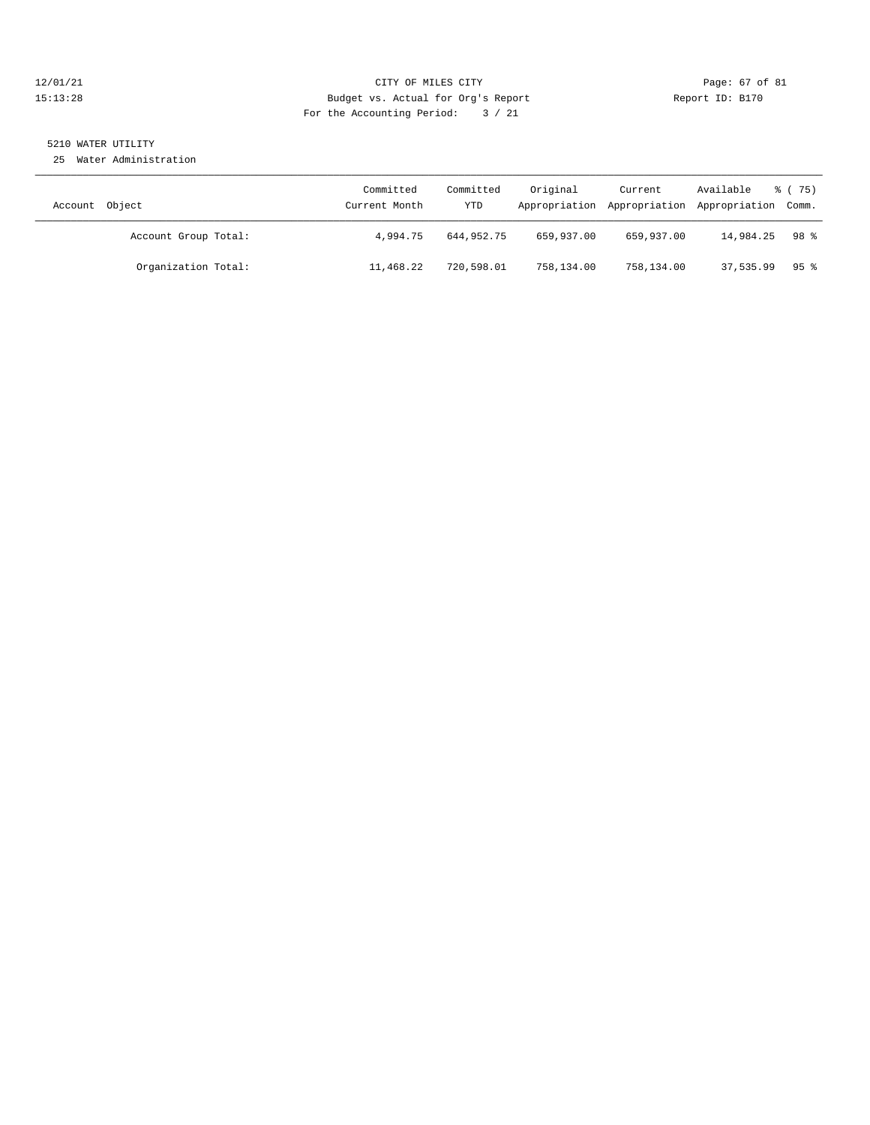#### 12/01/21 Page: 67 of 81 CITY OF MILES CITY CONTRIBUTE CITY PAGE: 67 of 81 Page: 67 of 81 CITY CHEROLOGY PAGE: 28 15:13:28 Budget vs. Actual for Org's Report For the Accounting Period: 3 / 21

### 5210 WATER UTILITY

25 Water Administration

| Account Object       | Committed<br>Current Month | Committed<br>YTD | Original   | Current    | Available<br>Appropriation Appropriation Appropriation Comm. | 8 (75) |
|----------------------|----------------------------|------------------|------------|------------|--------------------------------------------------------------|--------|
| Account Group Total: | 4,994.75                   | 644,952.75       | 659,937.00 | 659,937.00 | 14,984.25                                                    | 98 %   |
| Organization Total:  | 11,468.22                  | 720,598.01       | 758,134.00 | 758,134.00 | 37,535.99                                                    | 95 %   |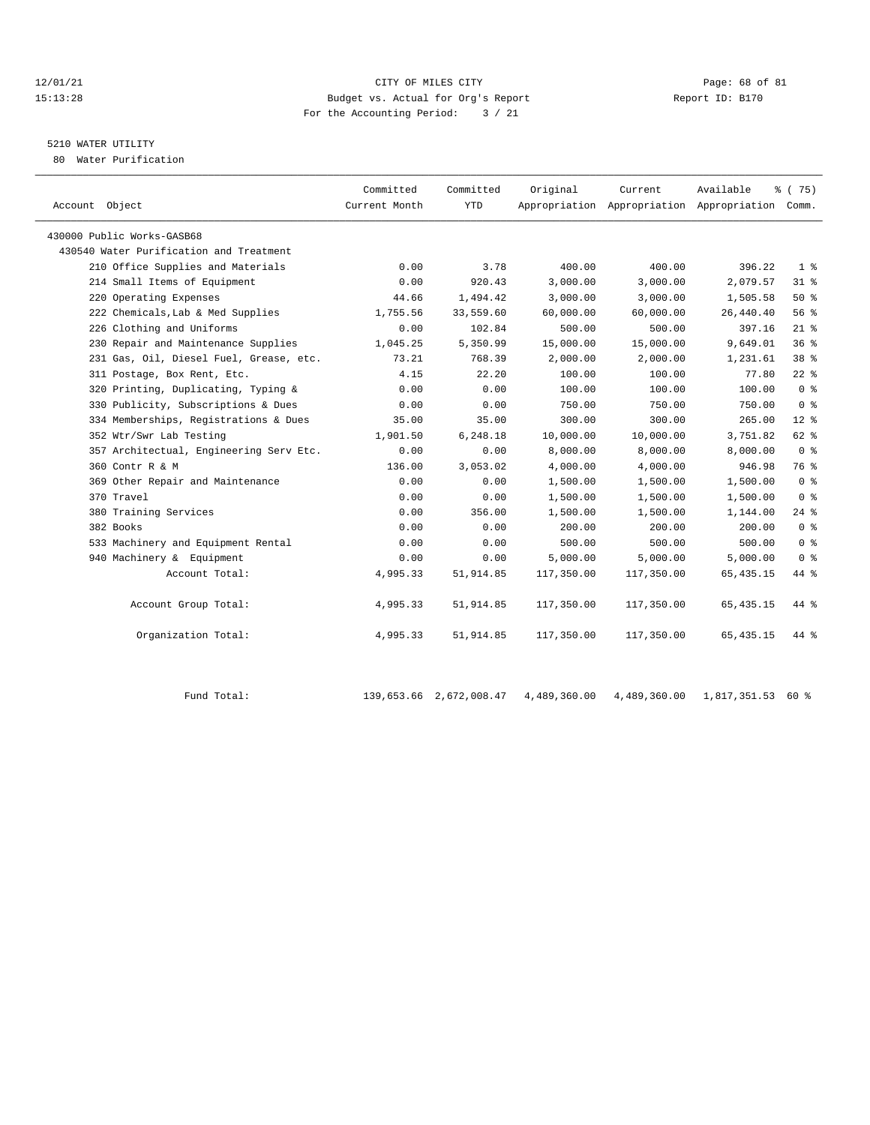#### 12/01/21 **CITY OF MILES CITY CITY CITY Page: 68 of 81** 15:13:28 Budget vs. Actual for Org's Report Report ID: B170 For the Accounting Period: 3 / 21

## 5210 WATER UTILITY

80 Water Purification

| Account Object                          | Committed<br>Current Month | Committed<br><b>YTD</b> | Original   | Current    | Available<br>Appropriation Appropriation Appropriation Comm. | % (75)         |
|-----------------------------------------|----------------------------|-------------------------|------------|------------|--------------------------------------------------------------|----------------|
| 430000 Public Works-GASB68              |                            |                         |            |            |                                                              |                |
| 430540 Water Purification and Treatment |                            |                         |            |            |                                                              |                |
| 210 Office Supplies and Materials       | 0.00                       | 3.78                    | 400.00     | 400.00     | 396.22                                                       | $1 \circ$      |
| 214 Small Items of Equipment            | 0.00                       | 920.43                  | 3,000.00   | 3,000.00   | 2,079.57                                                     | $31$ %         |
| 220 Operating Expenses                  | 44.66                      | 1,494.42                | 3,000.00   | 3,000.00   | 1,505.58                                                     | $50*$          |
| 222 Chemicals, Lab & Med Supplies       | 1,755.56                   | 33,559.60               | 60,000.00  | 60,000.00  | 26,440.40                                                    | 56%            |
| 226 Clothing and Uniforms               | 0.00                       | 102.84                  | 500.00     | 500.00     | 397.16                                                       | $21$ %         |
| 230 Repair and Maintenance Supplies     | 1,045.25                   | 5,350.99                | 15,000.00  | 15,000.00  | 9,649.01                                                     | 36%            |
| 231 Gas, Oil, Diesel Fuel, Grease, etc. | 73.21                      | 768.39                  | 2,000.00   | 2,000.00   | 1,231.61                                                     | 38 %           |
| 311 Postage, Box Rent, Etc.             | 4.15                       | 22.20                   | 100.00     | 100.00     | 77.80                                                        | $22$ $%$       |
| 320 Printing, Duplicating, Typing &     | 0.00                       | 0.00                    | 100.00     | 100.00     | 100.00                                                       | 0 <sup>8</sup> |
| 330 Publicity, Subscriptions & Dues     | 0.00                       | 0.00                    | 750.00     | 750.00     | 750.00                                                       | 0 <sup>8</sup> |
| 334 Memberships, Registrations & Dues   | 35.00                      | 35.00                   | 300.00     | 300.00     | 265.00                                                       | $12*$          |
| 352 Wtr/Swr Lab Testing                 | 1,901.50                   | 6,248.18                | 10,000.00  | 10,000.00  | 3,751.82                                                     | 62 %           |
| 357 Architectual, Engineering Serv Etc. | 0.00                       | 0.00                    | 8,000.00   | 8,000.00   | 8,000.00                                                     | 0 <sup>8</sup> |
| 360 Contr R & M                         | 136.00                     | 3,053.02                | 4,000.00   | 4,000.00   | 946.98                                                       | 76 %           |
| 369 Other Repair and Maintenance        | 0.00                       | 0.00                    | 1,500.00   | 1,500.00   | 1,500.00                                                     | 0 <sup>8</sup> |
| 370 Travel                              | 0.00                       | 0.00                    | 1,500.00   | 1,500.00   | 1,500.00                                                     | 0 <sup>8</sup> |
| 380 Training Services                   | 0.00                       | 356.00                  | 1,500.00   | 1,500.00   | 1,144.00                                                     | 24%            |
| 382 Books                               | 0.00                       | 0.00                    | 200.00     | 200.00     | 200.00                                                       | 0 <sup>8</sup> |
| 533 Machinery and Equipment Rental      | 0.00                       | 0.00                    | 500.00     | 500.00     | 500.00                                                       | 0 <sup>8</sup> |
| 940 Machinery & Equipment               | 0.00                       | 0.00                    | 5,000.00   | 5,000.00   | 5,000.00                                                     | 0 <sup>8</sup> |
| Account Total:                          | 4,995.33                   | 51,914.85               | 117,350.00 | 117,350.00 | 65, 435.15                                                   | 44 %           |
| Account Group Total:                    | 4,995.33                   | 51,914.85               | 117,350.00 | 117,350.00 | 65, 435.15                                                   | 44 %           |
| Organization Total:                     | 4,995.33                   | 51,914.85               | 117,350.00 | 117,350.00 | 65, 435.15                                                   | 44 %           |

Fund Total: 139,653.66 2,672,008.47 4,489,360.00 4,489,360.00 1,817,351.53 60 %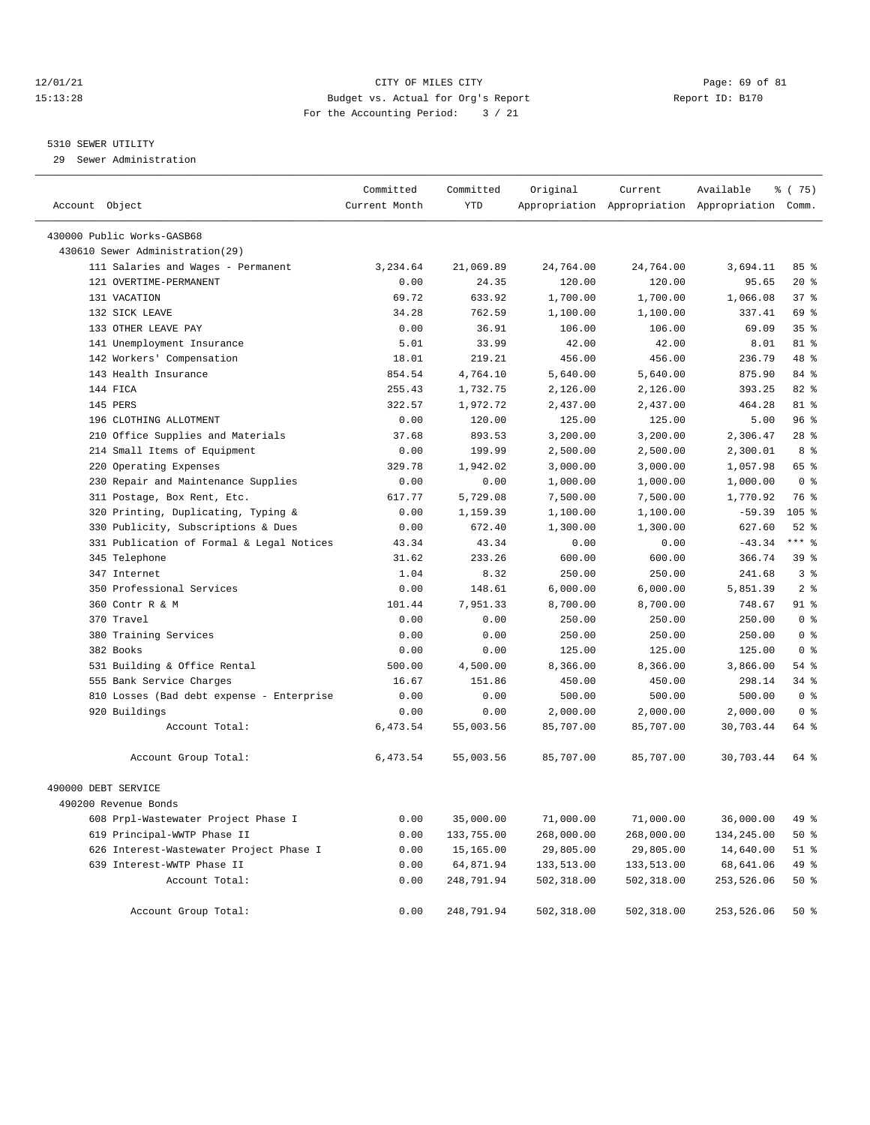#### 12/01/21 Page: 69 of 81 CITY OF MILES CITY CONTRIBUTE CITY PAGE: 69 of 81 Page: 69 of 81 CITY CHILES CITY CONTRIBUTE CITY PAGE: 15:13:28 15:13:28 Budget vs. Actual for Org's Report For the Accounting Period: 3 / 21

#### 5310 SEWER UTILITY

29 Sewer Administration

| Account Object                            | Committed<br>Current Month | Committed<br>YTD | Original   | Current    | Available<br>Appropriation Appropriation Appropriation Comm. | <sub>ර</sub> ි (75) |
|-------------------------------------------|----------------------------|------------------|------------|------------|--------------------------------------------------------------|---------------------|
| 430000 Public Works-GASB68                |                            |                  |            |            |                                                              |                     |
| 430610 Sewer Administration (29)          |                            |                  |            |            |                                                              |                     |
| 111 Salaries and Wages - Permanent        | 3,234.64                   | 21,069.89        | 24,764.00  | 24,764.00  | 3,694.11                                                     | 85%                 |
| 121 OVERTIME-PERMANENT                    | 0.00                       | 24.35            | 120.00     | 120.00     | 95.65                                                        | $20*$               |
| 131 VACATION                              | 69.72                      | 633.92           | 1,700.00   | 1,700.00   | 1,066.08                                                     | 37%                 |
| 132 SICK LEAVE                            | 34.28                      | 762.59           | 1,100.00   | 1,100.00   | 337.41                                                       | 69 %                |
| 133 OTHER LEAVE PAY                       | 0.00                       | 36.91            | 106.00     | 106.00     | 69.09                                                        | 35 <sup>8</sup>     |
| 141 Unemployment Insurance                | 5.01                       | 33.99            | 42.00      | 42.00      | 8.01                                                         | $81*$               |
| 142 Workers' Compensation                 | 18.01                      | 219.21           | 456.00     | 456.00     | 236.79                                                       | 48 %                |
| 143 Health Insurance                      | 854.54                     | 4,764.10         | 5,640.00   | 5,640.00   | 875.90                                                       | 84 %                |
| 144 FICA                                  | 255.43                     | 1,732.75         | 2,126.00   | 2,126.00   | 393.25                                                       | 82 %                |
| 145 PERS                                  | 322.57                     | 1,972.72         | 2,437.00   | 2,437.00   | 464.28                                                       | 81 %                |
| 196 CLOTHING ALLOTMENT                    | 0.00                       | 120.00           | 125.00     | 125.00     | 5.00                                                         | 96%                 |
| 210 Office Supplies and Materials         | 37.68                      | 893.53           | 3,200.00   | 3,200.00   | 2,306.47                                                     | $28$ $%$            |
| 214 Small Items of Equipment              | 0.00                       | 199.99           | 2,500.00   | 2,500.00   | 2,300.01                                                     | 8 %                 |
| 220 Operating Expenses                    | 329.78                     | 1,942.02         | 3,000.00   | 3,000.00   | 1,057.98                                                     | 65 %                |
| 230 Repair and Maintenance Supplies       | 0.00                       | 0.00             | 1,000.00   | 1,000.00   | 1,000.00                                                     | 0 <sup>8</sup>      |
| 311 Postage, Box Rent, Etc.               | 617.77                     | 5,729.08         | 7,500.00   | 7,500.00   | 1,770.92                                                     | 76 %                |
| 320 Printing, Duplicating, Typing &       | 0.00                       | 1,159.39         | 1,100.00   | 1,100.00   | $-59.39$                                                     | $105$ %             |
| 330 Publicity, Subscriptions & Dues       | 0.00                       | 672.40           | 1,300.00   | 1,300.00   | 627.60                                                       | $52$ $%$            |
| 331 Publication of Formal & Legal Notices | 43.34                      | 43.34            | 0.00       | 0.00       | $-43.34$                                                     | $***$ $%$           |
| 345 Telephone                             | 31.62                      | 233.26           | 600.00     | 600.00     | 366.74                                                       | 39 %                |
| 347 Internet                              | 1.04                       | 8.32             | 250.00     | 250.00     | 241.68                                                       | 3%                  |
| 350 Professional Services                 | 0.00                       | 148.61           | 6,000.00   | 6,000.00   | 5,851.39                                                     | 2 <sup>8</sup>      |
| 360 Contr R & M                           | 101.44                     | 7,951.33         | 8,700.00   | 8,700.00   | 748.67                                                       | $91$ %              |
| 370 Travel                                | 0.00                       | 0.00             | 250.00     | 250.00     | 250.00                                                       | 0 <sup>8</sup>      |
| 380 Training Services                     | 0.00                       | 0.00             | 250.00     | 250.00     | 250.00                                                       | 0 <sup>8</sup>      |
| 382 Books                                 | 0.00                       | 0.00             | 125.00     | 125.00     | 125.00                                                       | 0 <sup>8</sup>      |
| 531 Building & Office Rental              | 500.00                     | 4,500.00         | 8,366.00   | 8,366.00   | 3,866.00                                                     | 54%                 |
| 555 Bank Service Charges                  | 16.67                      | 151.86           | 450.00     | 450.00     | 298.14                                                       | 34 %                |
| 810 Losses (Bad debt expense - Enterprise | 0.00                       | 0.00             | 500.00     | 500.00     | 500.00                                                       | 0 <sup>8</sup>      |
| 920 Buildings                             | 0.00                       | 0.00             | 2,000.00   | 2,000.00   | 2,000.00                                                     | 0 <sup>8</sup>      |
| Account Total:                            | 6,473.54                   | 55,003.56        | 85,707.00  | 85,707.00  | 30,703.44                                                    | 64 %                |
| Account Group Total:                      | 6,473.54                   | 55,003.56        | 85,707.00  | 85,707.00  | 30,703.44                                                    | 64 %                |
| 490000 DEBT SERVICE                       |                            |                  |            |            |                                                              |                     |
| 490200 Revenue Bonds                      |                            |                  |            |            |                                                              |                     |
| 608 Prpl-Wastewater Project Phase I       | 0.00                       | 35,000.00        | 71,000.00  | 71,000.00  | 36,000.00                                                    | 49 %                |
| 619 Principal-WWTP Phase II               | 0.00                       | 133,755.00       | 268,000.00 | 268,000.00 | 134,245.00                                                   | 50 %                |
| 626 Interest-Wastewater Project Phase I   | 0.00                       | 15,165.00        | 29,805.00  | 29,805.00  | 14,640.00                                                    | 51 %                |
| 639 Interest-WWTP Phase II                | 0.00                       | 64,871.94        | 133,513.00 | 133,513.00 | 68,641.06                                                    | 49 %                |
| Account Total:                            | 0.00                       | 248,791.94       | 502,318.00 | 502,318.00 | 253,526.06                                                   | 50%                 |
| Account Group Total:                      | 0.00                       | 248,791.94       | 502,318.00 | 502,318.00 | 253,526.06                                                   | 50%                 |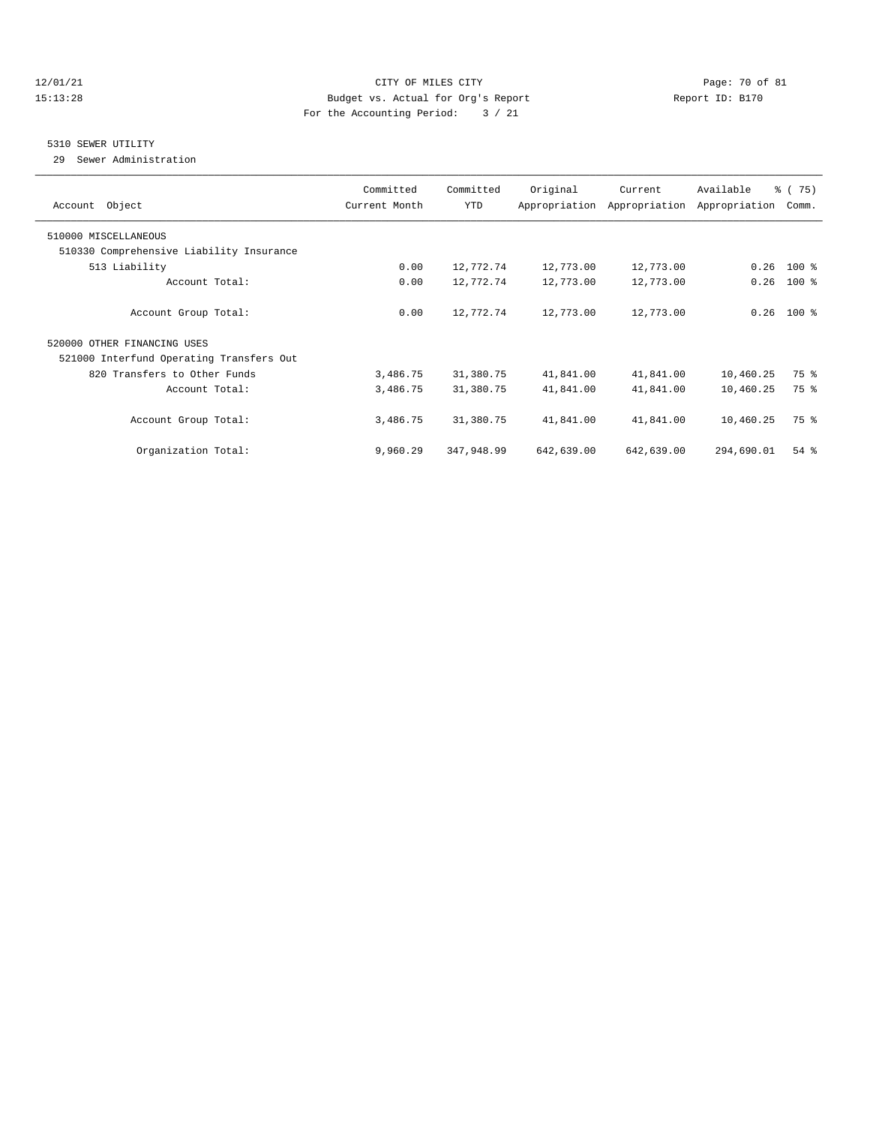#### 12/01/21 **CITY OF MILES CITY CITY CITY Page: 70 of 81** 15:13:28 Budget vs. Actual for Org's Report Report ID: B170 For the Accounting Period: 3 / 21

#### 5310 SEWER UTILITY

29 Sewer Administration

| Account Object                           | Committed<br>Current Month | Committed<br>YTD | Original   | Current<br>Appropriation Appropriation | Available<br>Appropriation | % (75)<br>Comm. |
|------------------------------------------|----------------------------|------------------|------------|----------------------------------------|----------------------------|-----------------|
| 510000 MISCELLANEOUS                     |                            |                  |            |                                        |                            |                 |
| 510330 Comprehensive Liability Insurance |                            |                  |            |                                        |                            |                 |
| 513 Liability                            | 0.00                       | 12,772.74        | 12,773.00  | 12,773.00                              | 0.26                       | 100 %           |
| Account Total:                           | 0.00                       | 12,772.74        | 12,773.00  | 12,773.00                              | 0.26                       | $100*$          |
| Account Group Total:                     | 0.00                       | 12,772.74        | 12,773.00  | 12,773.00                              |                            | $0.26$ 100 %    |
| 520000 OTHER FINANCING USES              |                            |                  |            |                                        |                            |                 |
| 521000 Interfund Operating Transfers Out |                            |                  |            |                                        |                            |                 |
| 820 Transfers to Other Funds             | 3,486.75                   | 31,380.75        | 41,841.00  | 41,841.00                              | 10,460.25                  | 75 %            |
| Account Total:                           | 3,486.75                   | 31,380.75        | 41,841.00  | 41,841.00                              | 10,460.25                  | 75 %            |
| Account Group Total:                     | 3,486.75                   | 31,380.75        | 41,841.00  | 41,841.00                              | 10,460.25                  | 75 %            |
| Organization Total:                      | 9,960.29                   | 347,948.99       | 642,639.00 | 642,639.00                             | 294,690.01                 | $54$ $%$        |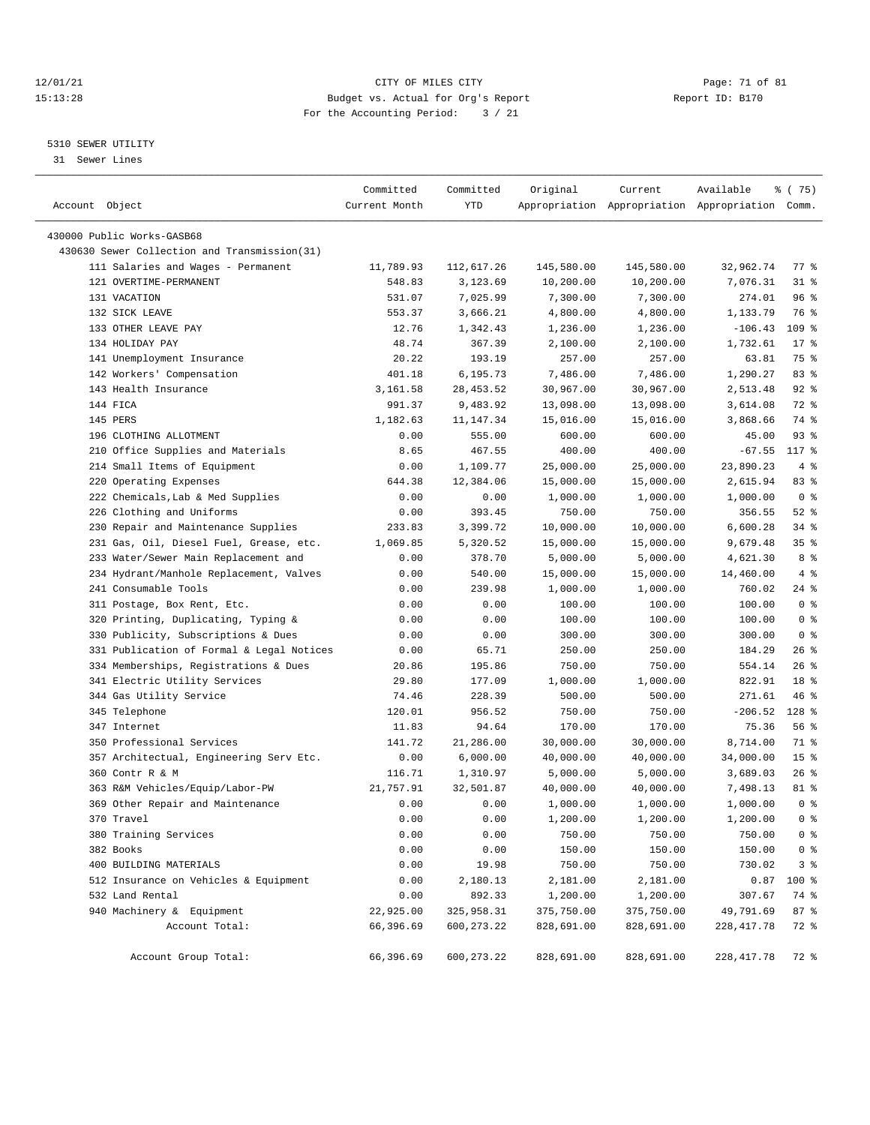#### 12/01/21 Page: 71 of 81 CITY OF MILES CITY CONTRIBUTE PAGE: 71 of 81 Page: 71 of 81 Page: 71 of 81 Page: 71 of 81 Page: 71 of 81 Page: 71 of 81 Page: 71 of 81 Page: 71 of 81 Page: 71 of 81 Page: 71 of 81 Page: 71 of 81 Pag 15:13:28 Budget vs. Actual for Org's Report For the Accounting Period: 3 / 21

————————————————————————————————————————————————————————————————————————————————————————————————————————————————————————————————————

### 5310 SEWER UTILITY

31 Sewer Lines

|                                              | Committed     | Committed    | Original   | Current                                         | Available   | \$ (75)         |
|----------------------------------------------|---------------|--------------|------------|-------------------------------------------------|-------------|-----------------|
| Account Object                               | Current Month | YTD          |            | Appropriation Appropriation Appropriation Comm. |             |                 |
| 430000 Public Works-GASB68                   |               |              |            |                                                 |             |                 |
| 430630 Sewer Collection and Transmission(31) |               |              |            |                                                 |             |                 |
| 111 Salaries and Wages - Permanent           |               |              |            |                                                 |             | 77 %            |
|                                              | 11,789.93     | 112,617.26   | 145,580.00 | 145,580.00                                      | 32,962.74   |                 |
| 121 OVERTIME-PERMANENT                       | 548.83        | 3,123.69     | 10,200.00  | 10,200.00                                       | 7,076.31    | 318             |
| 131 VACATION                                 | 531.07        | 7,025.99     | 7,300.00   | 7,300.00                                        | 274.01      | 96%             |
| 132 SICK LEAVE                               | 553.37        | 3,666.21     | 4,800.00   | 4,800.00                                        | 1,133.79    | 76 %            |
| 133 OTHER LEAVE PAY                          | 12.76         | 1,342.43     | 1,236.00   | 1,236.00                                        | $-106.43$   | 109 %           |
| 134 HOLIDAY PAY                              | 48.74         | 367.39       | 2,100.00   | 2,100.00                                        | 1,732.61    | $17$ %          |
| 141 Unemployment Insurance                   | 20.22         | 193.19       | 257.00     | 257.00                                          | 63.81       | 75 %            |
| 142 Workers' Compensation                    | 401.18        | 6,195.73     | 7,486.00   | 7,486.00                                        | 1,290.27    | 83%             |
| 143 Health Insurance                         | 3,161.58      | 28, 453.52   | 30,967.00  | 30,967.00                                       | 2,513.48    | $92$ $%$        |
| 144 FICA                                     | 991.37        | 9,483.92     | 13,098.00  | 13,098.00                                       | 3,614.08    | 72 %            |
| 145 PERS                                     | 1,182.63      | 11,147.34    | 15,016.00  | 15,016.00                                       | 3,868.66    | 74 %            |
| 196 CLOTHING ALLOTMENT                       | 0.00          | 555.00       | 600.00     | 600.00                                          | 45.00       | 93%             |
| 210 Office Supplies and Materials            | 8.65          | 467.55       | 400.00     | 400.00                                          | $-67.55$    | 117 %           |
| 214 Small Items of Equipment                 | 0.00          | 1,109.77     | 25,000.00  | 25,000.00                                       | 23,890.23   | 4%              |
| 220 Operating Expenses                       | 644.38        | 12,384.06    | 15,000.00  | 15,000.00                                       | 2,615.94    | 83 %            |
| 222 Chemicals, Lab & Med Supplies            | 0.00          | 0.00         | 1,000.00   | 1,000.00                                        | 1,000.00    | 0 <sup>8</sup>  |
| 226 Clothing and Uniforms                    | 0.00          | 393.45       | 750.00     | 750.00                                          | 356.55      | $52$ $%$        |
| 230 Repair and Maintenance Supplies          | 233.83        | 3,399.72     | 10,000.00  | 10,000.00                                       | 6,600.28    | 34%             |
| 231 Gas, Oil, Diesel Fuel, Grease, etc.      | 1,069.85      | 5,320.52     | 15,000.00  | 15,000.00                                       | 9,679.48    | 35%             |
| 233 Water/Sewer Main Replacement and         | 0.00          | 378.70       | 5,000.00   | 5,000.00                                        | 4,621.30    | 8 %             |
| 234 Hydrant/Manhole Replacement, Valves      | 0.00          | 540.00       | 15,000.00  | 15,000.00                                       | 14,460.00   | 4%              |
| 241 Consumable Tools                         | 0.00          | 239.98       | 1,000.00   | 1,000.00                                        | 760.02      | $24$ %          |
| 311 Postage, Box Rent, Etc.                  | 0.00          | 0.00         | 100.00     | 100.00                                          | 100.00      | 0 <sup>8</sup>  |
| 320 Printing, Duplicating, Typing &          | 0.00          | 0.00         | 100.00     | 100.00                                          | 100.00      | 0 <sup>8</sup>  |
| 330 Publicity, Subscriptions & Dues          | 0.00          | 0.00         | 300.00     | 300.00                                          | 300.00      | 0 <sup>8</sup>  |
| 331 Publication of Formal & Legal Notices    | 0.00          | 65.71        | 250.00     | 250.00                                          | 184.29      | $26$ %          |
| 334 Memberships, Registrations & Dues        | 20.86         | 195.86       | 750.00     | 750.00                                          | 554.14      | 26%             |
| 341 Electric Utility Services                | 29.80         | 177.09       | 1,000.00   | 1,000.00                                        | 822.91      | 18 <sup>8</sup> |
| 344 Gas Utility Service                      | 74.46         | 228.39       | 500.00     | 500.00                                          | 271.61      | 46 %            |
| 345 Telephone                                | 120.01        | 956.52       | 750.00     | 750.00                                          | $-206.52$   | 128 %           |
| 347 Internet                                 | 11.83         | 94.64        | 170.00     | 170.00                                          | 75.36       | 56%             |
| 350 Professional Services                    | 141.72        | 21,286.00    | 30,000.00  | 30,000.00                                       | 8,714.00    | 71 %            |
| 357 Architectual, Engineering Serv Etc.      | 0.00          | 6,000.00     | 40,000.00  | 40,000.00                                       | 34,000.00   | 15 <sup>°</sup> |
| 360 Contr R & M                              | 116.71        | 1,310.97     | 5,000.00   | 5,000.00                                        | 3,689.03    | $26$ %          |
| 363 R&M Vehicles/Equip/Labor-PW              | 21,757.91     | 32,501.87    | 40,000.00  | 40,000.00                                       | 7,498.13    | 81 %            |
| 369 Other Repair and Maintenance             | 0.00          | 0.00         | 1,000.00   | 1,000.00                                        | 1,000.00    | 0 <sup>8</sup>  |
| 370 Travel                                   | 0.00          | 0.00         | 1,200.00   | 1,200.00                                        | 1,200.00    | 0 <sup>8</sup>  |
| 380 Training Services                        | 0.00          | 0.00         | 750.00     | 750.00                                          | 750.00      | 0 <sup>8</sup>  |
| 382 Books                                    | 0.00          | 0.00         | 150.00     | 150.00                                          | 150.00      | 0 <sup>8</sup>  |
| 400 BUILDING MATERIALS                       | 0.00          | 19.98        | 750.00     | 750.00                                          | 730.02      | 3%              |
| 512 Insurance on Vehicles & Equipment        | 0.00          | 2,180.13     | 2,181.00   | 2,181.00                                        | 0.87        | $100$ %         |
| 532 Land Rental                              | 0.00          | 892.33       | 1,200.00   | 1,200.00                                        | 307.67      | 74 %            |
| 940 Machinery & Equipment                    | 22,925.00     | 325,958.31   | 375,750.00 | 375,750.00                                      | 49,791.69   | 87%             |
| Account Total:                               | 66,396.69     | 600, 273. 22 | 828,691.00 | 828,691.00                                      | 228, 417.78 | 72 %            |
|                                              |               |              |            |                                                 |             |                 |
| Account Group Total:                         | 66,396.69     | 600,273.22   | 828,691.00 | 828,691.00                                      | 228, 417.78 | 72 %            |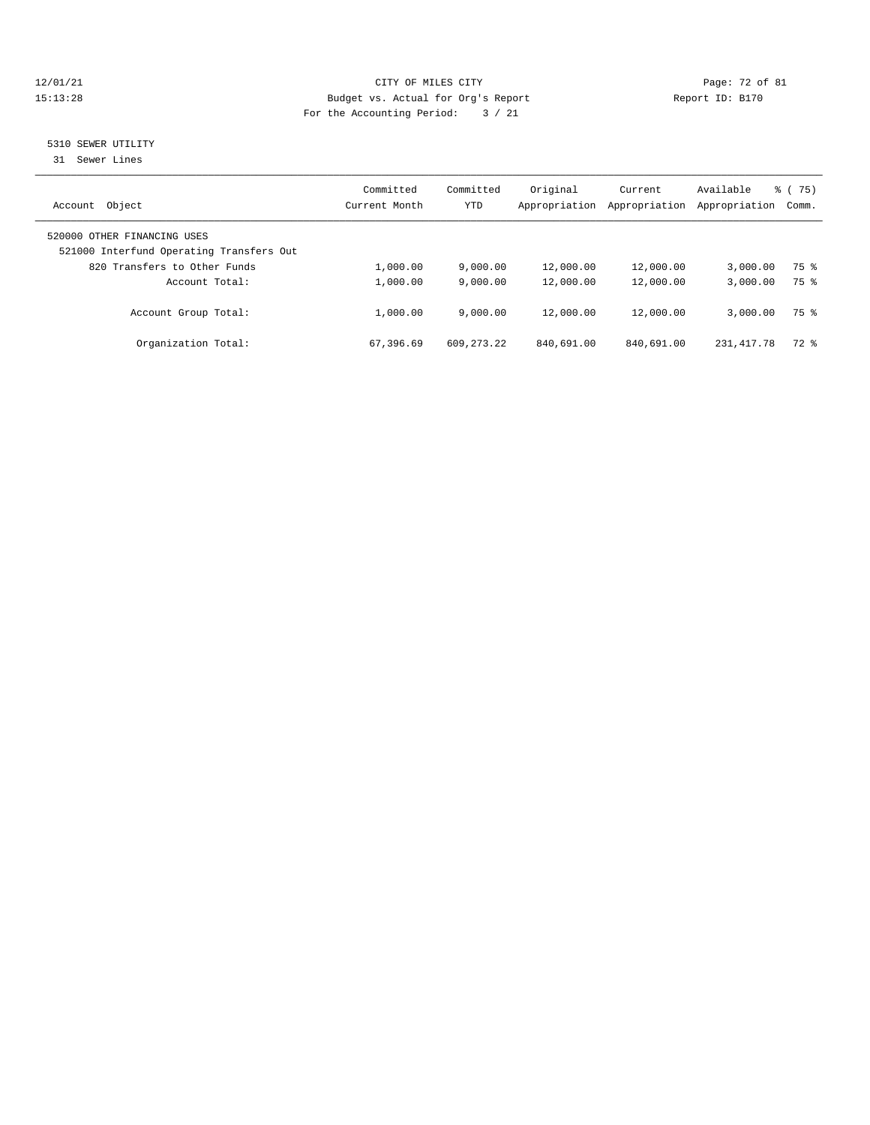#### 12/01/21 Page: 72 of 81<br>
Eudget vs. Actual for Org's Report Page: 72 of 81<br>
Budget vs. Actual for Org's Report Page: 72 of 81<br>
Page: 72 of 81 15:13:28 Budget vs. Actual for Org's Report For the Accounting Period: 3 / 21

### 5310 SEWER UTILITY

31 Sewer Lines

| Object<br>Account                                                       | Committed<br>Current Month | Committed<br>YTD | Original<br>Appropriation | Current<br>Appropriation | Available<br>Appropriation | 75)<br>ී (<br>Comm. |
|-------------------------------------------------------------------------|----------------------------|------------------|---------------------------|--------------------------|----------------------------|---------------------|
| 520000 OTHER FINANCING USES<br>521000 Interfund Operating Transfers Out |                            |                  |                           |                          |                            |                     |
| 820 Transfers to Other Funds                                            | 1,000.00                   | 9,000.00         | 12,000.00                 | 12,000.00                | 3,000.00                   | 75 %                |
| Account Total:                                                          | 1,000.00                   | 9.000.00         | 12,000.00                 | 12,000.00                | 3,000.00                   | 75 %                |
| Account Group Total:                                                    | 1,000.00                   | 9.000.00         | 12,000.00                 | 12,000.00                | 3,000.00                   | 75 %                |
| Organization Total:                                                     | 67,396.69                  | 609, 273, 22     | 840,691.00                | 840,691.00               | 231, 417. 78               | $72$ $%$            |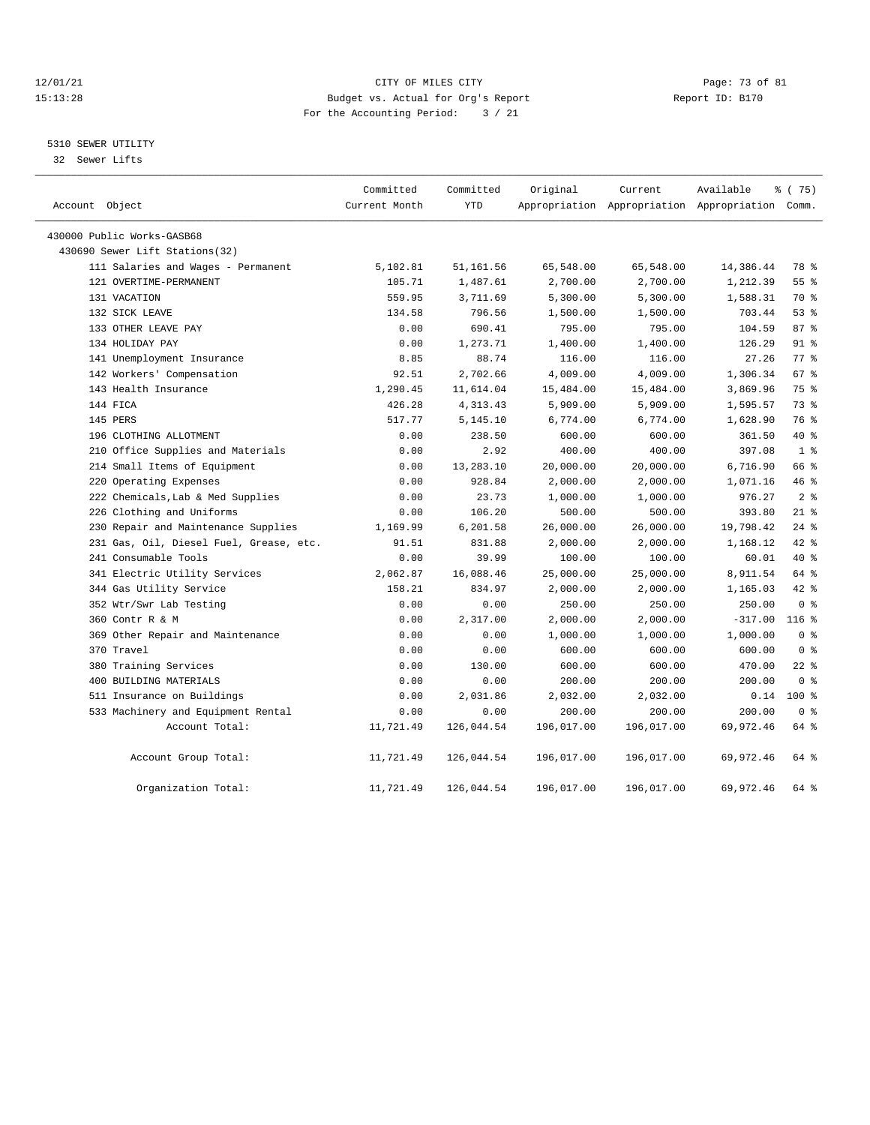### 12/01/21 Page: 73 of 81 CITY OF MILES CITY CONTRIBUTE CITY PAGE: 73 of 81 Page: 73 of 81 CITY CHES CITY CONTRIBUTE CITY 15:13:28 Budget vs. Actual for Org's Report For the Accounting Period: 3 / 21

# 5310 SEWER UTILITY

32 Sewer Lifts

| Account Object                          | Committed<br>Current Month | Committed<br><b>YTD</b> | Original   | Current<br>Appropriation Appropriation Appropriation Comm. | Available | 8 (75)         |
|-----------------------------------------|----------------------------|-------------------------|------------|------------------------------------------------------------|-----------|----------------|
| 430000 Public Works-GASB68              |                            |                         |            |                                                            |           |                |
| 430690 Sewer Lift Stations(32)          |                            |                         |            |                                                            |           |                |
| 111 Salaries and Wages - Permanent      | 5,102.81                   | 51,161.56               | 65,548.00  | 65,548.00                                                  | 14,386.44 | 78 %           |
| 121 OVERTIME-PERMANENT                  | 105.71                     | 1,487.61                | 2,700.00   | 2,700.00                                                   | 1,212.39  | 55%            |
| 131 VACATION                            | 559.95                     | 3,711.69                | 5,300.00   | 5,300.00                                                   | 1,588.31  | 70 %           |
| 132 SICK LEAVE                          | 134.58                     | 796.56                  | 1,500.00   | 1,500.00                                                   | 703.44    | 53%            |
| 133 OTHER LEAVE PAY                     | 0.00                       | 690.41                  | 795.00     | 795.00                                                     | 104.59    | 87%            |
| 134 HOLIDAY PAY                         | 0.00                       | 1,273.71                | 1,400.00   | 1,400.00                                                   | 126.29    | 91 %           |
| 141 Unemployment Insurance              | 8.85                       | 88.74                   | 116.00     | 116.00                                                     | 27.26     | 77.8           |
| 142 Workers' Compensation               | 92.51                      | 2,702.66                | 4,009.00   | 4,009.00                                                   | 1,306.34  | 67 %           |
| 143 Health Insurance                    | 1,290.45                   | 11,614.04               | 15,484.00  | 15,484.00                                                  | 3,869.96  | 75 %           |
| 144 FICA                                | 426.28                     | 4, 313. 43              | 5,909.00   | 5,909.00                                                   | 1,595.57  | 73%            |
| 145 PERS                                | 517.77                     | 5,145.10                | 6,774.00   | 6,774.00                                                   | 1,628.90  | 76 %           |
| 196 CLOTHING ALLOTMENT                  | 0.00                       | 238.50                  | 600.00     | 600.00                                                     | 361.50    | $40*$          |
| 210 Office Supplies and Materials       | 0.00                       | 2.92                    | 400.00     | 400.00                                                     | 397.08    | 1 <sup>8</sup> |
| 214 Small Items of Equipment            | 0.00                       | 13,283.10               | 20,000.00  | 20,000.00                                                  | 6,716.90  | 66 %           |
| 220 Operating Expenses                  | 0.00                       | 928.84                  | 2,000.00   | 2,000.00                                                   | 1,071.16  | 46%            |
| 222 Chemicals, Lab & Med Supplies       | 0.00                       | 23.73                   | 1,000.00   | 1,000.00                                                   | 976.27    | 2 <sup>8</sup> |
| 226 Clothing and Uniforms               | 0.00                       | 106.20                  | 500.00     | 500.00                                                     | 393.80    | $21$ %         |
| 230 Repair and Maintenance Supplies     | 1,169.99                   | 6,201.58                | 26,000.00  | 26,000.00                                                  | 19,798.42 | $24$ %         |
| 231 Gas, Oil, Diesel Fuel, Grease, etc. | 91.51                      | 831.88                  | 2,000.00   | 2,000.00                                                   | 1,168.12  | 42 %           |
| 241 Consumable Tools                    | 0.00                       | 39.99                   | 100.00     | 100.00                                                     | 60.01     | 40 %           |
| 341 Electric Utility Services           | 2,062.87                   | 16,088.46               | 25,000.00  | 25,000.00                                                  | 8,911.54  | 64 %           |
| 344 Gas Utility Service                 | 158.21                     | 834.97                  | 2,000.00   | 2,000.00                                                   | 1,165.03  | $42$ $%$       |
| 352 Wtr/Swr Lab Testing                 | 0.00                       | 0.00                    | 250.00     | 250.00                                                     | 250.00    | 0 <sup>8</sup> |
| 360 Contr R & M                         | 0.00                       | 2,317.00                | 2,000.00   | 2,000.00                                                   | $-317.00$ | $116$ %        |
| 369 Other Repair and Maintenance        | 0.00                       | 0.00                    | 1,000.00   | 1,000.00                                                   | 1,000.00  | 0 <sup>8</sup> |
| 370 Travel                              | 0.00                       | 0.00                    | 600.00     | 600.00                                                     | 600.00    | 0 <sup>8</sup> |
| 380 Training Services                   | 0.00                       | 130.00                  | 600.00     | 600.00                                                     | 470.00    | $22$ %         |
| 400 BUILDING MATERIALS                  | 0.00                       | 0.00                    | 200.00     | 200.00                                                     | 200.00    | 0 <sup>8</sup> |
| 511 Insurance on Buildings              | 0.00                       | 2,031.86                | 2,032.00   | 2,032.00                                                   | 0.14      | $100*$         |
| 533 Machinery and Equipment Rental      | 0.00                       | 0.00                    | 200.00     | 200.00                                                     | 200.00    | 0 <sup>8</sup> |
| Account Total:                          | 11,721.49                  | 126,044.54              | 196,017.00 | 196,017.00                                                 | 69,972.46 | 64 %           |
| Account Group Total:                    | 11,721.49                  | 126,044.54              | 196,017.00 | 196,017.00                                                 | 69,972.46 | 64 %           |
| Organization Total:                     | 11,721.49                  | 126,044.54              | 196,017.00 | 196,017.00                                                 | 69,972.46 | 64 %           |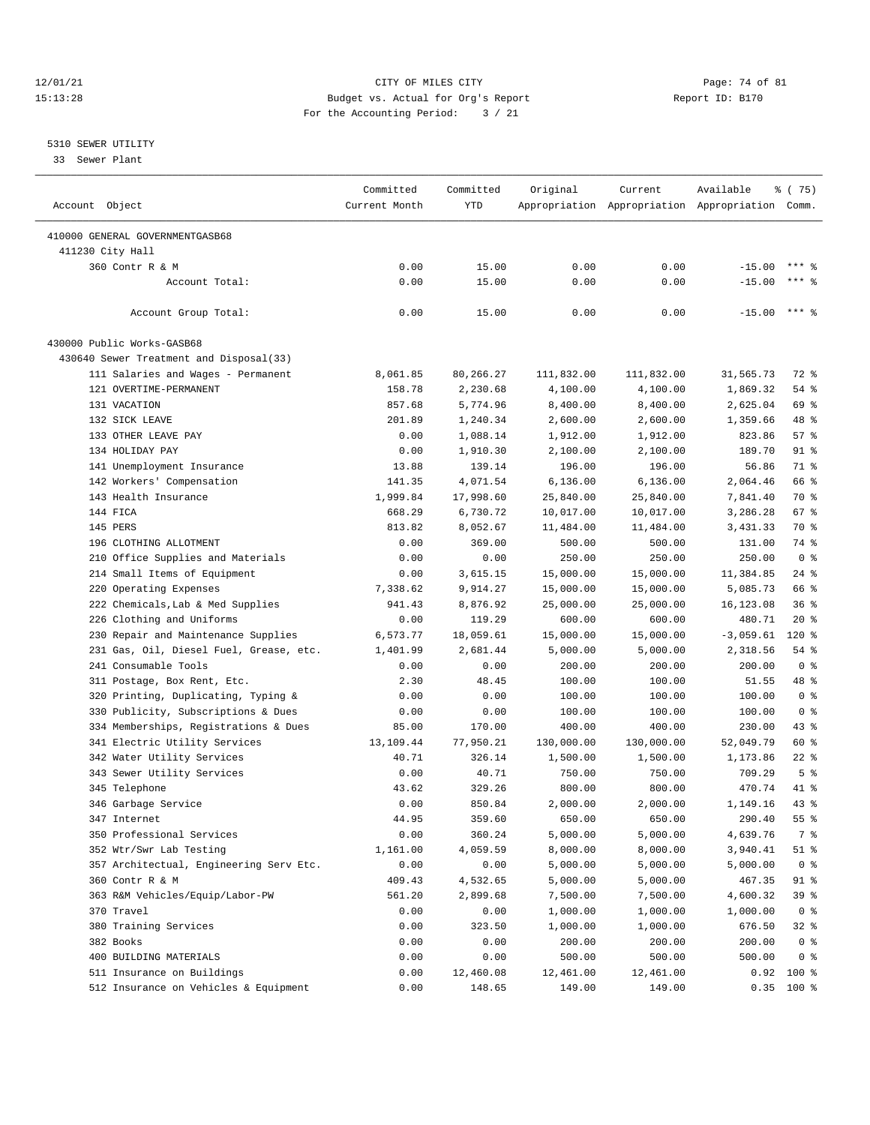### 12/01/21 Page: 74 of 81<br>
12/01/21 Page: 74 of 81<br>
Budget vs. Actual for Org's Report Physics (Report ID: B170 15:13:28 Budget vs. Actual for Org's Report For the Accounting Period: 3 / 21

## 5310 SEWER UTILITY

33 Sewer Plant

| Account Object                              | Committed<br>Current Month | Committed<br><b>YTD</b> | Original   | Current    | Available<br>Appropriation Appropriation Appropriation Comm. | <sub>ර</sub> ි (75)    |
|---------------------------------------------|----------------------------|-------------------------|------------|------------|--------------------------------------------------------------|------------------------|
|                                             |                            |                         |            |            |                                                              |                        |
| 410000 GENERAL GOVERNMENTGASB68             |                            |                         |            |            |                                                              |                        |
| 411230 City Hall<br>360 Contr R & M         | 0.00                       | 15.00                   | 0.00       | 0.00       | $-15.00$                                                     | $***$ 9                |
| Account Total:                              |                            |                         |            |            |                                                              | $***$ 2                |
|                                             | 0.00                       | 15.00                   | 0.00       | 0.00       | $-15.00$                                                     |                        |
| Account Group Total:                        | 0.00                       | 15.00                   | 0.00       | 0.00       | $-15.00$                                                     | $***$ 8                |
| 430000 Public Works-GASB68                  |                            |                         |            |            |                                                              |                        |
| 430640 Sewer Treatment and Disposal(33)     |                            |                         |            |            |                                                              |                        |
| 111 Salaries and Wages - Permanent          | 8,061.85                   | 80,266.27               | 111,832.00 | 111,832.00 | 31,565.73                                                    | 72 %                   |
| 121 OVERTIME-PERMANENT                      | 158.78                     | 2,230.68                | 4,100.00   | 4,100.00   | 1,869.32                                                     | $54$ %                 |
| 131 VACATION                                | 857.68                     | 5,774.96                | 8,400.00   | 8,400.00   | 2,625.04                                                     | 69 %                   |
| 132 SICK LEAVE                              | 201.89                     | 1,240.34                | 2,600.00   | 2,600.00   | 1,359.66                                                     | 48 %                   |
| 133 OTHER LEAVE PAY                         | 0.00                       | 1,088.14                | 1,912.00   | 1,912.00   | 823.86                                                       | 57%                    |
| 134 HOLIDAY PAY                             | 0.00                       | 1,910.30                | 2,100.00   | 2,100.00   | 189.70                                                       | 91 %                   |
| 141 Unemployment Insurance                  | 13.88                      | 139.14                  | 196.00     | 196.00     | 56.86                                                        | 71 %                   |
| 142 Workers' Compensation                   | 141.35                     | 4,071.54                | 6, 136.00  | 6, 136.00  | 2,064.46                                                     | 66 %                   |
| 143 Health Insurance                        | 1,999.84                   | 17,998.60               | 25,840.00  | 25,840.00  | 7,841.40                                                     | 70 %                   |
| 144 FICA                                    | 668.29                     | 6,730.72                | 10,017.00  | 10,017.00  | 3,286.28                                                     | 67 %                   |
| 145 PERS                                    | 813.82                     | 8,052.67                | 11,484.00  | 11,484.00  | 3,431.33                                                     | 70 %                   |
| 196 CLOTHING ALLOTMENT                      | 0.00                       | 369.00                  | 500.00     | 500.00     | 131.00                                                       | 74 %                   |
| 210 Office Supplies and Materials           | 0.00                       | 0.00                    | 250.00     | 250.00     | 250.00                                                       | 0 <sup>8</sup>         |
| 214 Small Items of Equipment                | 0.00                       | 3,615.15                | 15,000.00  | 15,000.00  | 11,384.85                                                    | $24$ %                 |
| 220 Operating Expenses                      | 7,338.62                   | 9,914.27                | 15,000.00  | 15,000.00  | 5,085.73                                                     | 66 %                   |
| 222 Chemicals, Lab & Med Supplies           | 941.43                     | 8,876.92                | 25,000.00  | 25,000.00  | 16, 123.08                                                   | 36%                    |
| 226 Clothing and Uniforms                   | 0.00                       | 119.29                  | 600.00     | 600.00     | 480.71                                                       | 20%                    |
| 230 Repair and Maintenance Supplies         | 6,573.77                   | 18,059.61               | 15,000.00  | 15,000.00  | $-3,059.61$                                                  | $120*$                 |
| 231 Gas, Oil, Diesel Fuel, Grease, etc.     | 1,401.99                   | 2,681.44                | 5,000.00   | 5,000.00   | 2,318.56                                                     | 54 %                   |
| 241 Consumable Tools                        | 0.00                       | 0.00                    | 200.00     | 200.00     | 200.00                                                       | 0 <sup>8</sup>         |
| 311 Postage, Box Rent, Etc.                 | 2.30                       | 48.45                   | 100.00     | 100.00     | 51.55                                                        | 48 %                   |
| 320 Printing, Duplicating, Typing &         | 0.00                       | 0.00                    | 100.00     | 100.00     | 100.00                                                       | 0 <sup>8</sup>         |
| 330 Publicity, Subscriptions & Dues         | 0.00                       | 0.00                    | 100.00     | 100.00     | 100.00                                                       | 0 <sup>8</sup>         |
|                                             |                            |                         | 400.00     |            |                                                              | $43$ %                 |
| 334 Memberships, Registrations & Dues       | 85.00                      | 170.00                  |            | 400.00     | 230.00                                                       |                        |
| 341 Electric Utility Services               | 13,109.44                  | 77,950.21               | 130,000.00 | 130,000.00 | 52,049.79                                                    | 60 %                   |
| 342 Water Utility Services                  | 40.71                      | 326.14                  | 1,500.00   | 1,500.00   | 1,173.86                                                     | $22$ %                 |
| 343 Sewer Utility Services<br>345 Telephone | 0.00                       | 40.71                   | 750.00     | 750.00     | 709.29                                                       | 5 <sup>8</sup><br>41 % |
|                                             | 43.62                      | 329.26                  | 800.00     | 800.00     | 470.74                                                       | 43.8                   |
| 346 Garbage Service                         | 0.00                       | 850.84                  | 2,000.00   | 2,000.00   | 1,149.16                                                     |                        |
| 347 Internet                                | 44.95                      | 359.60                  | 650.00     | 650.00     | 290.40                                                       | 55%                    |
| 350 Professional Services                   | 0.00                       | 360.24                  | 5,000.00   | 5,000.00   | 4,639.76                                                     | 7 %                    |
| 352 Wtr/Swr Lab Testing                     | 1,161.00                   | 4,059.59                | 8,000.00   | 8,000.00   | 3,940.41                                                     | $51$ %                 |
| 357 Architectual, Engineering Serv Etc.     | 0.00                       | 0.00                    | 5,000.00   | 5,000.00   | 5,000.00                                                     | 0 <sup>8</sup>         |
| 360 Contr R & M                             | 409.43                     | 4,532.65                | 5,000.00   | 5,000.00   | 467.35                                                       | 91 %                   |
| 363 R&M Vehicles/Equip/Labor-PW             | 561.20                     | 2,899.68                | 7,500.00   | 7,500.00   | 4,600.32                                                     | 39 %                   |
| 370 Travel                                  | 0.00                       | 0.00                    | 1,000.00   | 1,000.00   | 1,000.00                                                     | 0 <sup>8</sup>         |
| 380 Training Services                       | 0.00                       | 323.50                  | 1,000.00   | 1,000.00   | 676.50                                                       | 32 %                   |
| 382 Books                                   | 0.00                       | 0.00                    | 200.00     | 200.00     | 200.00                                                       | 0 <sup>8</sup>         |
| 400 BUILDING MATERIALS                      | 0.00                       | 0.00                    | 500.00     | 500.00     | 500.00                                                       | 0 <sup>8</sup>         |
| 511 Insurance on Buildings                  | 0.00                       | 12,460.08               | 12,461.00  | 12,461.00  | 0.92                                                         | $100*$                 |
| 512 Insurance on Vehicles & Equipment       | 0.00                       | 148.65                  | 149.00     | 149.00     |                                                              | $0.35$ 100 %           |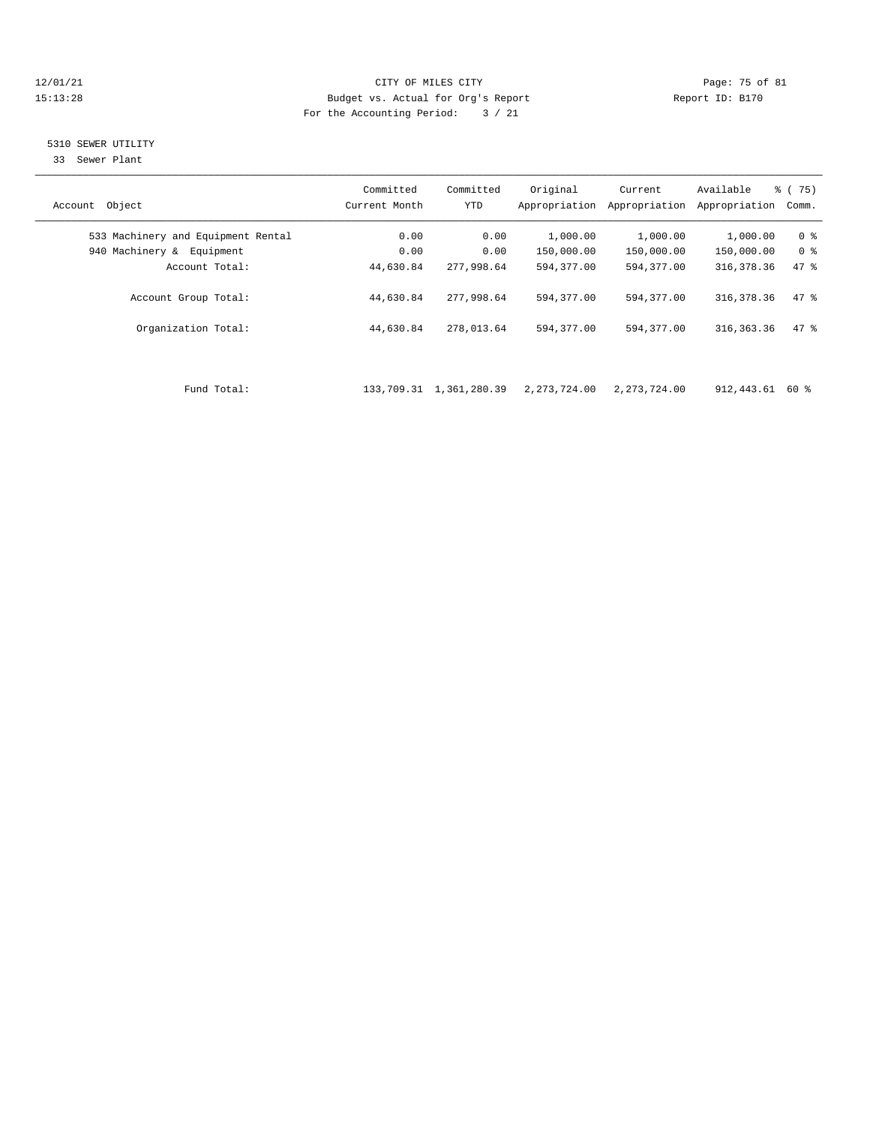### 12/01/21 Page: 75 of 81 CITY OF MILES CITY CONTRIBUTE CITY PAGE: 75 of 81 Page: 75 of 81 CITY CHINES CITY CONTRIBUTE CITY PAGE: 75 OF 81 15:13:28 Budget vs. Actual for Org's Report For the Accounting Period: 3 / 21

### 5310 SEWER UTILITY

33 Sewer Plant

| Account Object                     | Committed<br>Current Month | Committed<br>YTD           | Original<br>Appropriation | Current<br>Appropriation | Available<br>Appropriation Comm. | $\frac{6}{6}$ (75) |
|------------------------------------|----------------------------|----------------------------|---------------------------|--------------------------|----------------------------------|--------------------|
| 533 Machinery and Equipment Rental | 0.00                       | 0.00                       | 1,000.00                  | 1,000.00                 | 1,000.00                         | 0 <sup>8</sup>     |
| 940 Machinery & Equipment          | 0.00                       | 0.00                       | 150,000.00                | 150,000.00               | 150,000.00                       | 0 <sup>8</sup>     |
| Account Total:                     | 44,630.84                  | 277,998.64                 | 594,377.00                | 594,377.00               | 316, 378.36                      | 47 %               |
| Account Group Total:               | 44,630.84                  | 277,998.64                 | 594,377.00                | 594,377.00               | 316, 378.36                      | 47.8               |
| Organization Total:                | 44,630.84                  | 278,013.64                 | 594,377.00                | 594,377.00               | 316,363.36                       | 47.8               |
|                                    |                            |                            |                           |                          |                                  |                    |
| Fund Total:                        |                            | 133, 709.31 1, 361, 280.39 | 2,273,724.00              | 2,273,724.00             | 912,443.61 60 %                  |                    |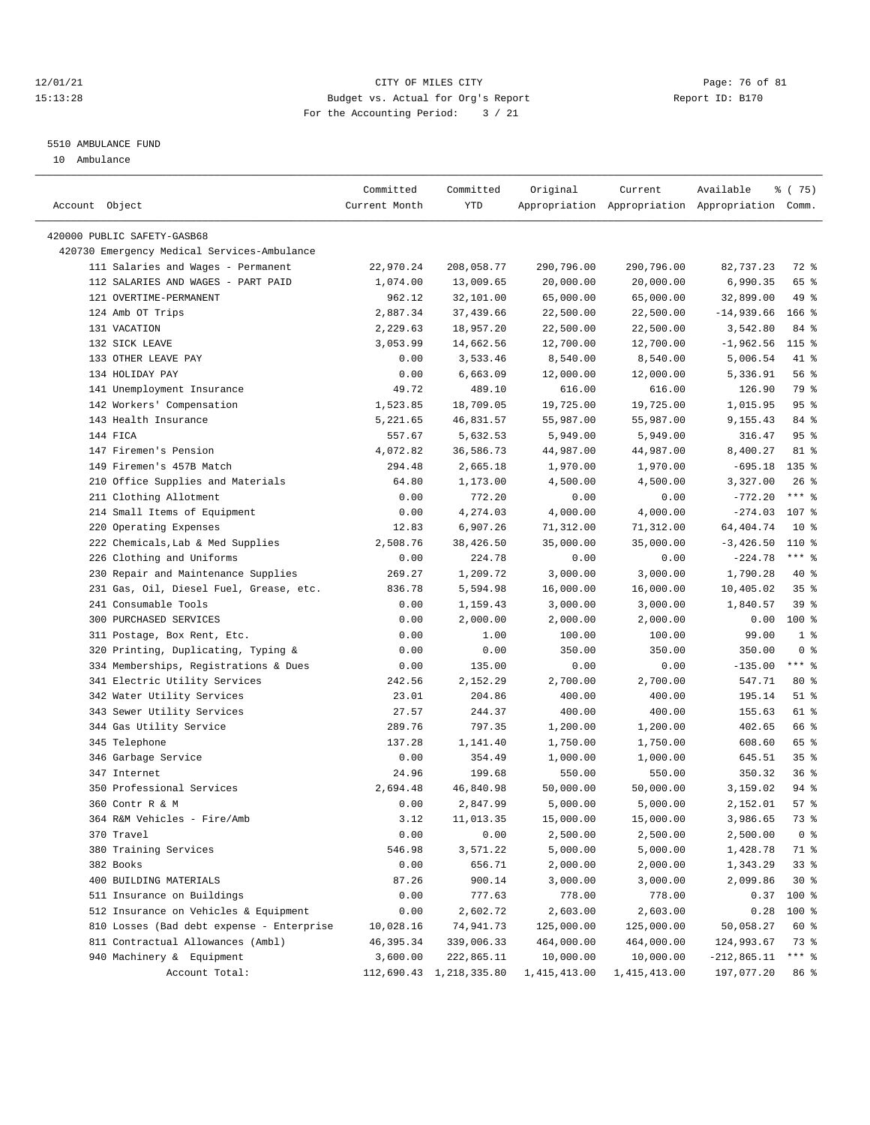### 12/01/21 Page: 76 of 81 15:13:28 Budget vs. Actual for Org's Report Report ID: B170 For the Accounting Period: 3 / 21

————————————————————————————————————————————————————————————————————————————————————————————————————————————————————————————————————

#### 5510 AMBULANCE FUND

10 Ambulance

|                                             | Committed     | Committed               | Original               | Current                                         | Available     | 8 (75)         |
|---------------------------------------------|---------------|-------------------------|------------------------|-------------------------------------------------|---------------|----------------|
| Account Object                              | Current Month | YTD                     |                        | Appropriation Appropriation Appropriation Comm. |               |                |
| 420000 PUBLIC SAFETY-GASB68                 |               |                         |                        |                                                 |               |                |
| 420730 Emergency Medical Services-Ambulance |               |                         |                        |                                                 |               |                |
| 111 Salaries and Wages - Permanent          | 22,970.24     | 208,058.77              | 290,796.00             | 290,796.00                                      | 82,737.23     | 72 %           |
| 112 SALARIES AND WAGES - PART PAID          | 1,074.00      | 13,009.65               | 20,000.00              | 20,000.00                                       | 6,990.35      | 65 %           |
| 121 OVERTIME-PERMANENT                      | 962.12        | 32,101.00               | 65,000.00              | 65,000.00                                       | 32,899.00     | 49 %           |
|                                             | 2,887.34      | 37,439.66               |                        |                                                 |               | $166$ %        |
| 124 Amb OT Trips<br>131 VACATION            |               |                         | 22,500.00<br>22,500.00 | 22,500.00                                       | $-14,939.66$  | 84 %           |
|                                             | 2,229.63      | 18,957.20               |                        | 22,500.00                                       | 3,542.80      |                |
| 132 SICK LEAVE<br>133 OTHER LEAVE PAY       | 3,053.99      | 14,662.56               | 12,700.00              | 12,700.00                                       | $-1,962.56$   | $115$ %        |
|                                             | 0.00          | 3,533.46                | 8,540.00               | 8,540.00                                        | 5,006.54      | 41 %           |
| 134 HOLIDAY PAY                             | 0.00          | 6,663.09                | 12,000.00              | 12,000.00                                       | 5,336.91      | 56%            |
| 141 Unemployment Insurance                  | 49.72         | 489.10                  | 616.00                 | 616.00                                          | 126.90        | 79 %           |
| 142 Workers' Compensation                   | 1,523.85      | 18,709.05               | 19,725.00              | 19,725.00                                       | 1,015.95      | 95%            |
| 143 Health Insurance                        | 5,221.65      | 46,831.57               | 55,987.00              | 55,987.00                                       | 9,155.43      | 84 %           |
| 144 FICA                                    | 557.67        | 5,632.53                | 5,949.00               | 5,949.00                                        | 316.47        | 95%            |
| 147 Firemen's Pension                       | 4,072.82      | 36,586.73               | 44,987.00              | 44,987.00                                       | 8,400.27      | 81 %           |
| 149 Firemen's 457B Match                    | 294.48        | 2,665.18                | 1,970.00               | 1,970.00                                        | $-695.18$     | $135$ %        |
| 210 Office Supplies and Materials           | 64.80         | 1,173.00                | 4,500.00               | 4,500.00                                        | 3,327.00      | $26$ %         |
| 211 Clothing Allotment                      | 0.00          | 772.20                  | 0.00                   | 0.00                                            | $-772.20$     | $***$ $-$      |
| 214 Small Items of Equipment                | 0.00          | 4,274.03                | 4,000.00               | 4,000.00                                        | $-274.03$     | 107 %          |
| 220 Operating Expenses                      | 12.83         | 6,907.26                | 71,312.00              | 71,312.00                                       | 64, 404. 74   | $10*$          |
| 222 Chemicals, Lab & Med Supplies           | 2,508.76      | 38,426.50               | 35,000.00              | 35,000.00                                       | $-3,426.50$   | 110 %          |
| 226 Clothing and Uniforms                   | 0.00          | 224.78                  | 0.00                   | 0.00                                            | $-224.78$     | $***$ $_{8}$   |
| 230 Repair and Maintenance Supplies         | 269.27        | 1,209.72                | 3,000.00               | 3,000.00                                        | 1,790.28      | $40*$          |
| 231 Gas, Oil, Diesel Fuel, Grease, etc.     | 836.78        | 5,594.98                | 16,000.00              | 16,000.00                                       | 10,405.02     | 35%            |
| 241 Consumable Tools                        | 0.00          | 1,159.43                | 3,000.00               | 3,000.00                                        | 1,840.57      | 39%            |
| 300 PURCHASED SERVICES                      | 0.00          | 2,000.00                | 2,000.00               | 2,000.00                                        | 0.00          | $100$ %        |
| 311 Postage, Box Rent, Etc.                 | 0.00          | 1.00                    | 100.00                 | 100.00                                          | 99.00         | 1 <sup>8</sup> |
| 320 Printing, Duplicating, Typing &         | 0.00          | 0.00                    | 350.00                 | 350.00                                          | 350.00        | 0 <sup>8</sup> |
| 334 Memberships, Registrations & Dues       | 0.00          | 135.00                  | 0.00                   | 0.00                                            | $-135.00$     | $***$ $-$      |
| 341 Electric Utility Services               | 242.56        | 2,152.29                | 2,700.00               | 2,700.00                                        | 547.71        | 80 %           |
| 342 Water Utility Services                  | 23.01         | 204.86                  | 400.00                 | 400.00                                          | 195.14        | $51$ %         |
| 343 Sewer Utility Services                  | 27.57         | 244.37                  | 400.00                 | 400.00                                          | 155.63        | 61 %           |
| 344 Gas Utility Service                     | 289.76        | 797.35                  | 1,200.00               | 1,200.00                                        | 402.65        | 66 %           |
| 345 Telephone                               | 137.28        | 1,141.40                | 1,750.00               | 1,750.00                                        | 608.60        | 65 %           |
| 346 Garbage Service                         | 0.00          | 354.49                  | 1,000.00               | 1,000.00                                        | 645.51        | 35%            |
| 347 Internet                                | 24.96         | 199.68                  | 550.00                 | 550.00                                          | 350.32        | 36%            |
| 350 Professional Services                   | 2,694.48      | 46,840.98               | 50,000.00              | 50,000.00                                       | 3,159.02      | 94 %           |
| 360 Contr R & M                             | 0.00          | 2,847.99                | 5,000.00               | 5,000.00                                        | 2,152.01      | 57%            |
| 364 R&M Vehicles - Fire/Amb                 | 3.12          | 11,013.35               | 15,000.00              | 15,000.00                                       | 3,986.65      | 73 %           |
| 370 Travel                                  | 0.00          | 0.00                    | 2,500.00               | 2,500.00                                        | 2,500.00      | 0 <sub>8</sub> |
| 380 Training Services                       | 546.98        | 3,571.22                | 5,000.00               | 5,000.00                                        | 1,428.78      | 71 %           |
| 382 Books                                   | 0.00          | 656.71                  | 2,000.00               | 2,000.00                                        | 1,343.29      | 33%            |
| 400 BUILDING MATERIALS                      | 87.26         | 900.14                  | 3,000.00               | 3,000.00                                        | 2,099.86      | $30*$          |
| 511 Insurance on Buildings                  | 0.00          | 777.63                  | 778.00                 | 778.00                                          | 0.37          | 100 %          |
| 512 Insurance on Vehicles & Equipment       | 0.00          | 2,602.72                | 2,603.00               | 2,603.00                                        | 0.28          | 100 %          |
| 810 Losses (Bad debt expense - Enterprise   | 10,028.16     | 74,941.73               | 125,000.00             | 125,000.00                                      | 50,058.27     | 60 %           |
| 811 Contractual Allowances (Ambl)           | 46,395.34     | 339,006.33              | 464,000.00             | 464,000.00                                      | 124,993.67    | 73 %           |
| 940 Machinery & Equipment                   | 3,600.00      | 222,865.11              | 10,000.00              | 10,000.00                                       | $-212,865.11$ | $***$ $_{8}$   |
| Account Total:                              |               | 112,690.43 1,218,335.80 | 1,415,413.00           | 1,415,413.00                                    | 197,077.20    | 86 %           |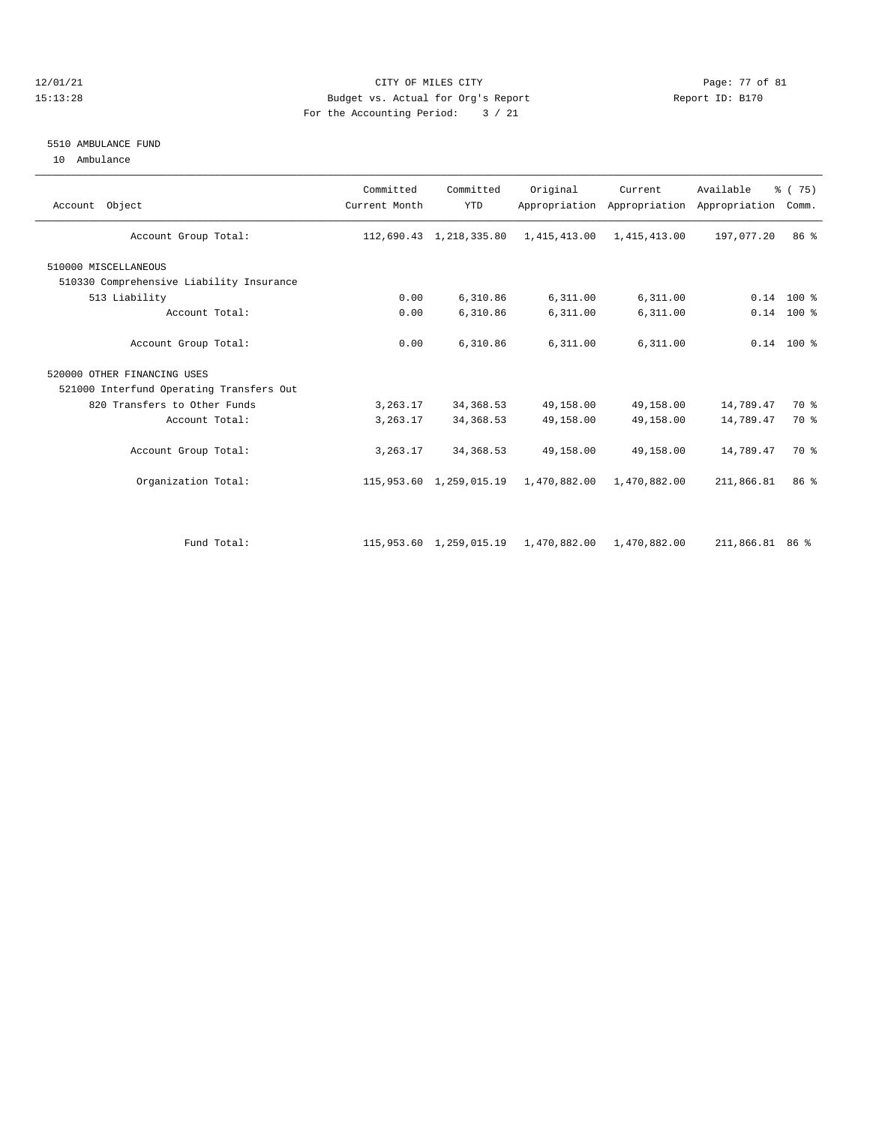### 12/01/21 Page: 77 of 81 15:13:28 Budget vs. Actual for Org's Report Report ID: B170 For the Accounting Period: 3 / 21

#### 5510 AMBULANCE FUND

10 Ambulance

| Account Object                           | Committed<br>Current Month | Committed<br><b>YTD</b> | Original     | Current<br>Appropriation Appropriation | Available<br>Appropriation Comm. | % (75)          |
|------------------------------------------|----------------------------|-------------------------|--------------|----------------------------------------|----------------------------------|-----------------|
| Account Group Total:                     |                            | 112,690.43 1,218,335.80 | 1,415,413.00 | 1,415,413.00                           | 197,077.20                       | 86 <sup>8</sup> |
| 510000 MISCELLANEOUS                     |                            |                         |              |                                        |                                  |                 |
| 510330 Comprehensive Liability Insurance |                            |                         |              |                                        |                                  |                 |
| 513 Liability                            | 0.00                       | 6,310.86                | 6,311.00     | 6,311.00                               |                                  | $0.14$ 100 %    |
| Account Total:                           | 0.00                       | 6,310.86                | 6,311.00     | 6,311.00                               |                                  | $0.14$ 100 %    |
| Account Group Total:                     | 0.00                       | 6,310.86                | 6,311.00     | 6,311.00                               |                                  | $0.14$ 100 %    |
| 520000 OTHER FINANCING USES              |                            |                         |              |                                        |                                  |                 |
| 521000 Interfund Operating Transfers Out |                            |                         |              |                                        |                                  |                 |
| 820 Transfers to Other Funds             | 3,263.17                   | 34, 368.53              | 49,158.00    | 49,158.00                              | 14,789.47                        | 70 %            |
| Account Total:                           | 3,263.17                   | 34, 368.53              | 49,158.00    | 49,158.00                              | 14,789.47                        | 70 %            |
| Account Group Total:                     | 3, 263.17                  | 34, 368.53              | 49,158.00    | 49,158.00                              | 14,789.47                        | 70 %            |
| Organization Total:                      |                            | 115,953.60 1,259,015.19 | 1,470,882.00 | 1,470,882.00                           | 211,866.81                       | 86 %            |
|                                          |                            |                         |              |                                        |                                  |                 |
| Fund Total:                              |                            | 115,953.60 1,259,015.19 | 1,470,882.00 | 1,470,882.00                           | 211,866.81 86 %                  |                 |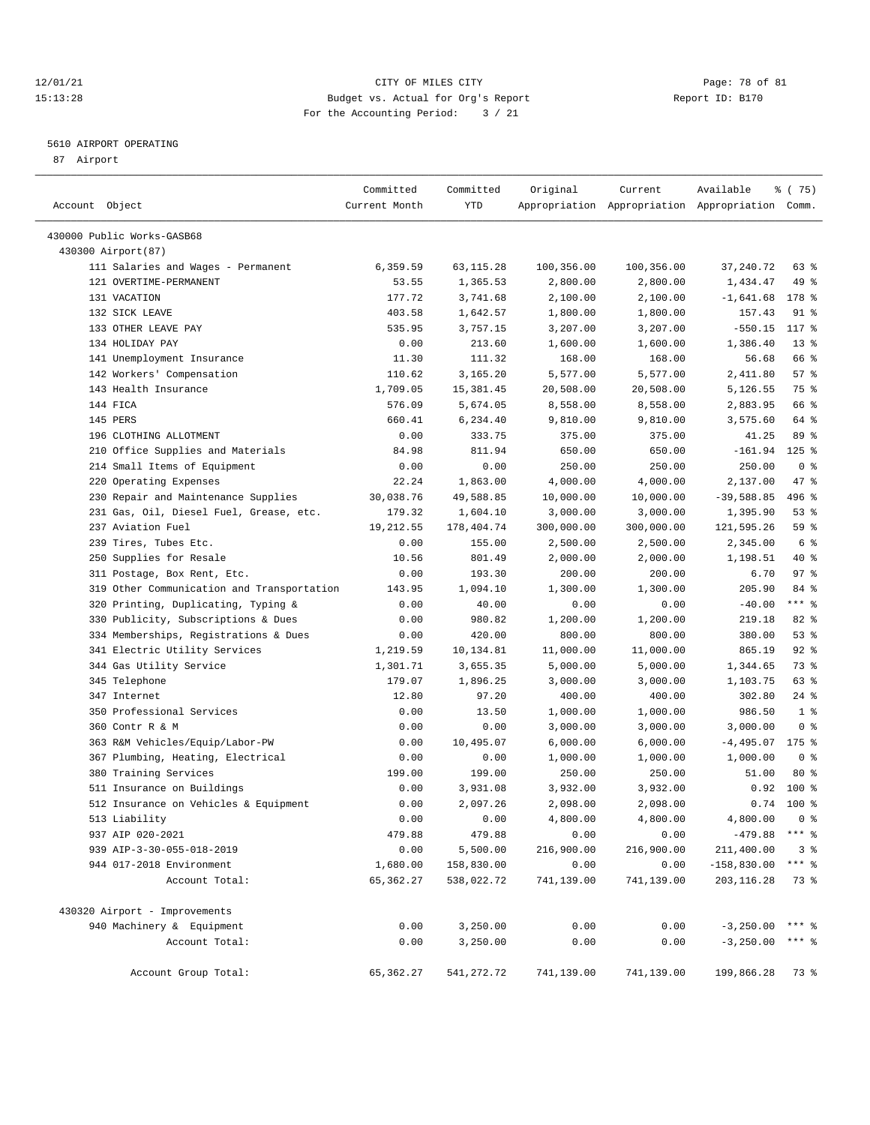### 12/01/21 Page: 78 of 81 CITY OF MILES CITY CONTRIBUTE CITY PAGE: 78 of 81 Page: 78 of 81 CITY CHES CITY CONTRIBUTE CITY PAGE: 78 OF 81 15:13:28 Budget vs. Actual for Org's Report For the Accounting Period: 3 / 21

————————————————————————————————————————————————————————————————————————————————————————————————————————————————————————————————————

### 5610 AIRPORT OPERATING

87 Airport

|                                            | Committed     | Committed  | Original   | Current    | Available                                       | % (75)              |
|--------------------------------------------|---------------|------------|------------|------------|-------------------------------------------------|---------------------|
| Account Object                             | Current Month | YTD        |            |            | Appropriation Appropriation Appropriation Comm. |                     |
| 430000 Public Works-GASB68                 |               |            |            |            |                                                 |                     |
| 430300 Airport (87)                        |               |            |            |            |                                                 |                     |
| 111 Salaries and Wages - Permanent         | 6,359.59      | 63, 115.28 | 100,356.00 | 100,356.00 | 37, 240. 72                                     | 63%                 |
| 121 OVERTIME-PERMANENT                     | 53.55         | 1,365.53   | 2,800.00   | 2,800.00   | 1,434.47                                        | 49 %                |
| 131 VACATION                               | 177.72        | 3,741.68   | 2,100.00   | 2,100.00   | $-1,641.68$                                     | 178 %               |
| 132 SICK LEAVE                             | 403.58        | 1,642.57   | 1,800.00   | 1,800.00   | 157.43                                          | 91 %                |
| 133 OTHER LEAVE PAY                        | 535.95        | 3,757.15   | 3,207.00   | 3,207.00   | $-550.15$                                       | $117*$              |
| 134 HOLIDAY PAY                            | 0.00          | 213.60     | 1,600.00   | 1,600.00   | 1,386.40                                        | $13*$               |
| 141 Unemployment Insurance                 | 11.30         | 111.32     | 168.00     | 168.00     | 56.68                                           | 66 %                |
| 142 Workers' Compensation                  | 110.62        | 3,165.20   | 5,577.00   | 5,577.00   | 2,411.80                                        | 57%                 |
| 143 Health Insurance                       | 1,709.05      | 15,381.45  | 20,508.00  | 20,508.00  | 5,126.55                                        | 75 %                |
| 144 FICA                                   | 576.09        | 5,674.05   | 8,558.00   | 8,558.00   | 2,883.95                                        | 66 %                |
| 145 PERS                                   | 660.41        | 6,234.40   | 9,810.00   | 9,810.00   | 3,575.60                                        | 64 %                |
| 196 CLOTHING ALLOTMENT                     | 0.00          | 333.75     | 375.00     | 375.00     | 41.25                                           | 89 %                |
| 210 Office Supplies and Materials          | 84.98         | 811.94     | 650.00     | 650.00     | $-161.94$                                       | $125$ %             |
| 214 Small Items of Equipment               | 0.00          | 0.00       | 250.00     | 250.00     | 250.00                                          | 0 <sup>8</sup>      |
| 220 Operating Expenses                     | 22.24         | 1,863.00   | 4,000.00   | 4,000.00   | 2,137.00                                        | 47 %                |
| 230 Repair and Maintenance Supplies        | 30,038.76     | 49,588.85  | 10,000.00  | 10,000.00  | $-39,588.85$                                    | 496 %               |
| 231 Gas, Oil, Diesel Fuel, Grease, etc.    | 179.32        | 1,604.10   | 3,000.00   | 3,000.00   | 1,395.90                                        | 53%                 |
| 237 Aviation Fuel                          | 19,212.55     | 178,404.74 | 300,000.00 | 300,000.00 | 121,595.26                                      | 59%                 |
| 239 Tires, Tubes Etc.                      | 0.00          | 155.00     | 2,500.00   | 2,500.00   | 2,345.00                                        | 6 %                 |
| 250 Supplies for Resale                    | 10.56         | 801.49     | 2,000.00   | 2,000.00   | 1,198.51                                        | 40 %                |
| 311 Postage, Box Rent, Etc.                | 0.00          | 193.30     | 200.00     | 200.00     | 6.70                                            | 97%                 |
| 319 Other Communication and Transportation | 143.95        | 1,094.10   | 1,300.00   | 1,300.00   | 205.90                                          | 84 %                |
| 320 Printing, Duplicating, Typing &        | 0.00          | 40.00      | 0.00       | 0.00       | $-40.00$                                        | $***$ $-$           |
| 330 Publicity, Subscriptions & Dues        | 0.00          | 980.82     | 1,200.00   | 1,200.00   | 219.18                                          | 82%                 |
| 334 Memberships, Registrations & Dues      | 0.00          | 420.00     | 800.00     | 800.00     | 380.00                                          | 53%                 |
| 341 Electric Utility Services              | 1,219.59      | 10,134.81  | 11,000.00  | 11,000.00  | 865.19                                          | $92$ $%$            |
| 344 Gas Utility Service                    | 1,301.71      | 3,655.35   | 5,000.00   | 5,000.00   | 1,344.65                                        | 73 %                |
| 345 Telephone                              | 179.07        | 1,896.25   | 3,000.00   | 3,000.00   | 1,103.75                                        | 63 %                |
| 347 Internet                               | 12.80         | 97.20      | 400.00     | 400.00     | 302.80                                          | $24$ %              |
| 350 Professional Services                  | 0.00          | 13.50      | 1,000.00   | 1,000.00   | 986.50                                          | 1 <sup>8</sup>      |
| 360 Contr R & M                            | 0.00          | 0.00       | 3,000.00   | 3,000.00   | 3,000.00                                        | 0 <sup>8</sup>      |
| 363 R&M Vehicles/Equip/Labor-PW            | 0.00          | 10,495.07  | 6,000.00   | 6,000.00   | $-4,495.07$                                     | $175$ %             |
| 367 Plumbing, Heating, Electrical          | 0.00          | 0.00       | 1,000.00   | 1,000.00   | 1,000.00                                        | 0 <sup>8</sup>      |
| 380 Training Services                      | 199.00        | 199.00     | 250.00     | 250.00     | 51.00                                           | $80*$               |
| 511 Insurance on Buildings                 | 0.00          | 3,931.08   | 3,932.00   | 3,932.00   | 0.92                                            | 100 %               |
| 512 Insurance on Vehicles & Equipment      | 0.00          | 2,097.26   | 2,098.00   | 2,098.00   | 0.74                                            | $100*$              |
| 513 Liability                              | 0.00          | 0.00       | 4,800.00   | 4,800.00   | 4,800.00                                        | 0 <sup>8</sup>      |
| 937 AIP 020-2021                           | 479.88        | 479.88     | 0.00       | 0.00       | $-479.88$ *** %                                 |                     |
| 939 AIP-3-30-055-018-2019                  | 0.00          | 5,500.00   | 216,900.00 | 216,900.00 | 211,400.00                                      | 3 <sup>8</sup>      |
| 944 017-2018 Environment                   | 1,680.00      | 158,830.00 | 0.00       | 0.00       | $-158,830.00$                                   | $***$ $%$           |
| Account Total:                             | 65, 362.27    | 538,022.72 | 741,139.00 | 741,139.00 | 203, 116.28                                     | 73 %                |
| 430320 Airport - Improvements              |               |            |            |            |                                                 |                     |
| 940 Machinery & Equipment                  | 0.00          | 3,250.00   | 0.00       | 0.00       | $-3, 250.00$                                    | *** 응               |
| Account Total:                             | 0.00          | 3,250.00   | 0.00       | 0.00       | $-3, 250.00$                                    | $***$ $\frac{6}{6}$ |
| Account Group Total:                       | 65, 362.27    | 541,272.72 | 741,139.00 | 741,139.00 | 199,866.28                                      | 73 %                |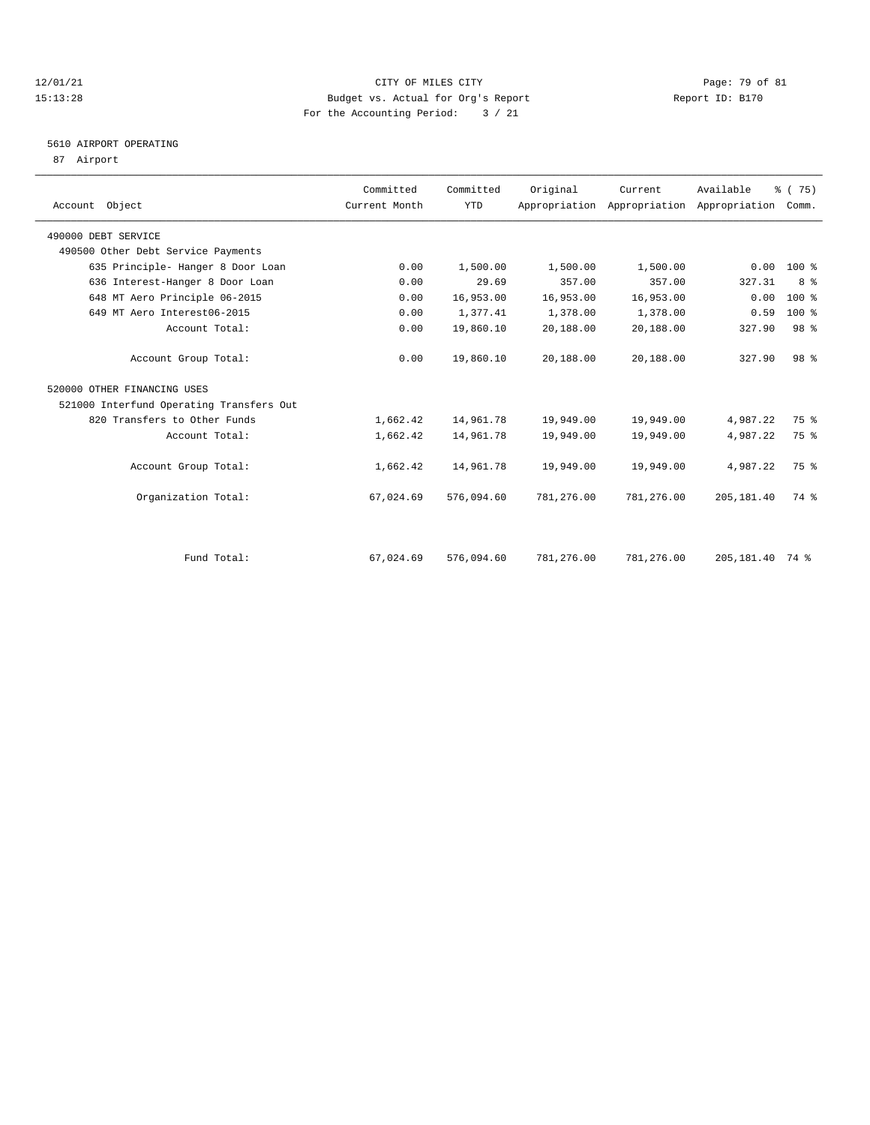### 12/01/21 Page: 79 of 81<br>
1213:28 Budget vs. Actual for Org's Report Page: 79 of 81<br>
1213:28 Report ID: B170 15:13:28 Budget vs. Actual for Org's Report For the Accounting Period: 3 / 21

# 5610 AIRPORT OPERATING

87 Airport

| Account Object                           | Committed<br>Current Month | Committed<br><b>YTD</b> | Original   | Current    | Available<br>Appropriation Appropriation Appropriation Comm. | % (75)          |  |
|------------------------------------------|----------------------------|-------------------------|------------|------------|--------------------------------------------------------------|-----------------|--|
| 490000 DEBT SERVICE                      |                            |                         |            |            |                                                              |                 |  |
| 490500 Other Debt Service Payments       |                            |                         |            |            |                                                              |                 |  |
| 635 Principle- Hanger 8 Door Loan        | 0.00                       | 1,500.00                | 1,500.00   | 1,500.00   | 0.00                                                         | 100 %           |  |
| 636 Interest-Hanger 8 Door Loan          | 0.00                       | 29.69                   | 357.00     | 357.00     | 327.31                                                       | 8 %             |  |
| 648 MT Aero Principle 06-2015            | 0.00                       | 16,953.00               | 16,953.00  | 16,953.00  | 0.00                                                         | 100 %           |  |
| 649 MT Aero Interest06-2015              | 0.00                       | 1,377.41                | 1,378.00   | 1,378.00   | 0.59                                                         | $100*$          |  |
| Account Total:                           | 0.00                       | 19,860.10               | 20,188.00  | 20,188.00  | 327.90                                                       | 98 <sup>8</sup> |  |
| Account Group Total:                     | 0.00                       | 19,860.10               | 20,188.00  | 20,188.00  | 327.90                                                       | 98 <sup>8</sup> |  |
| 520000 OTHER FINANCING USES              |                            |                         |            |            |                                                              |                 |  |
| 521000 Interfund Operating Transfers Out |                            |                         |            |            |                                                              |                 |  |
| 820 Transfers to Other Funds             | 1,662.42                   | 14,961.78               | 19,949.00  | 19,949.00  | 4,987.22                                                     | 75 %            |  |
| Account Total:                           | 1,662.42                   | 14,961.78               | 19,949.00  | 19,949.00  | 4,987.22                                                     | 75 %            |  |
| Account Group Total:                     | 1,662.42                   | 14,961.78               | 19,949.00  | 19,949.00  | 4,987.22                                                     | 75 %            |  |
| Organization Total:                      | 67,024.69                  | 576,094.60              | 781,276.00 | 781,276.00 | 205, 181, 40                                                 | 74 %            |  |
|                                          |                            |                         |            |            |                                                              |                 |  |
| Fund Total:                              | 67,024.69                  | 576,094.60              | 781,276.00 | 781,276.00 | 205, 181. 40 74 %                                            |                 |  |